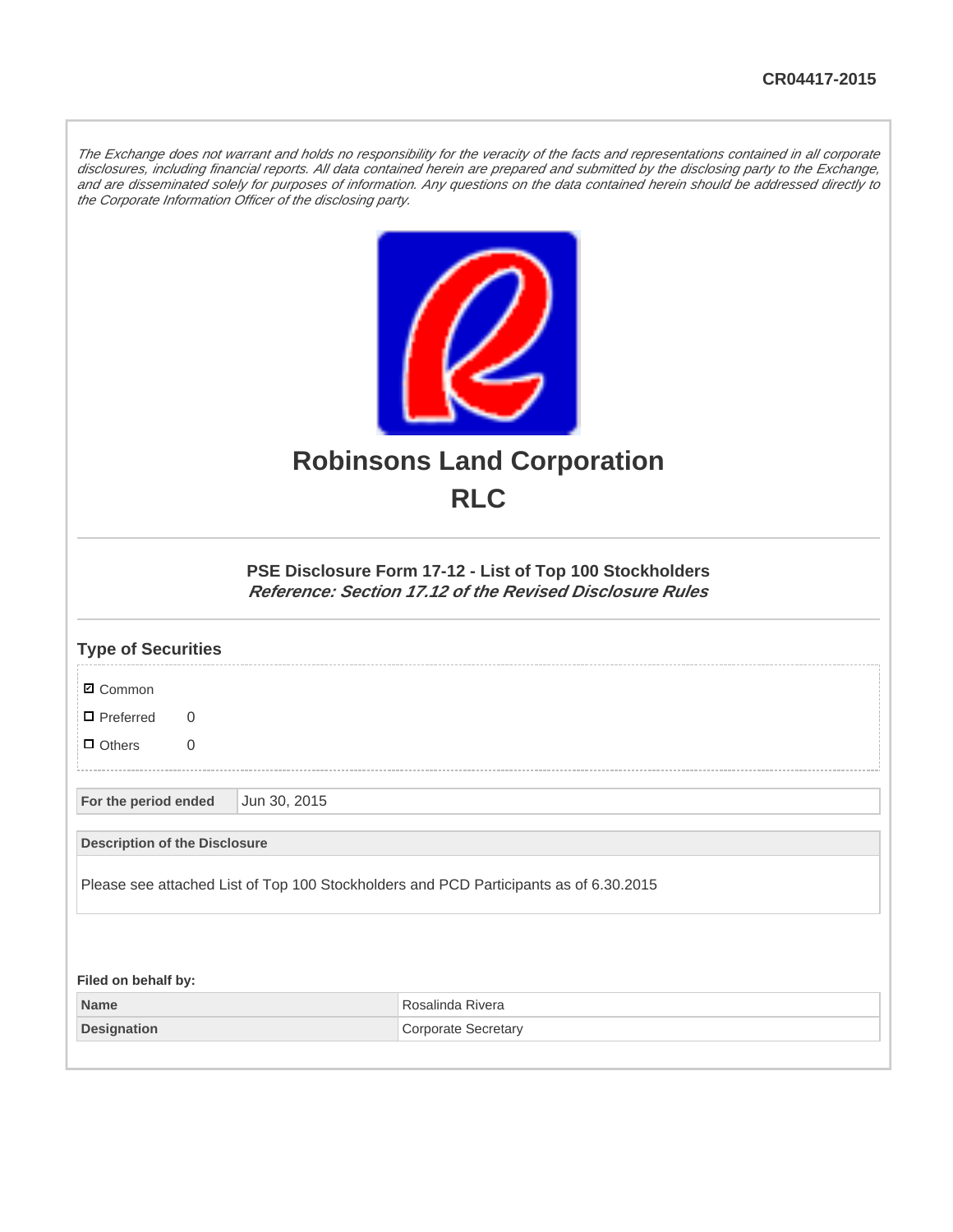The Exchange does not warrant and holds no responsibility for the veracity of the facts and representations contained in all corporate disclosures, including financial reports. All data contained herein are prepared and submitted by the disclosing party to the Exchange, and are disseminated solely for purposes of information. Any questions on the data contained herein should be addressed directly to the Corporate Information Officer of the disclosing party.



## **Robinsons Land Corporation RLC**

## **PSE Disclosure Form 17-12 - List of Top 100 Stockholders Reference: Section 17.12 of the Revised Disclosure Rules**

| <b>Type of Securities</b>            |              |                                                                                       |  |  |  |  |  |  |
|--------------------------------------|--------------|---------------------------------------------------------------------------------------|--|--|--|--|--|--|
| <b>Ø</b> Common                      |              |                                                                                       |  |  |  |  |  |  |
| $\blacksquare$ Preferred<br>$\Omega$ |              |                                                                                       |  |  |  |  |  |  |
| $\Box$ Others<br>$\mathbf 0$         |              |                                                                                       |  |  |  |  |  |  |
| For the period ended                 | Jun 30, 2015 |                                                                                       |  |  |  |  |  |  |
| <b>Description of the Disclosure</b> |              |                                                                                       |  |  |  |  |  |  |
|                                      |              | Please see attached List of Top 100 Stockholders and PCD Participants as of 6.30.2015 |  |  |  |  |  |  |
|                                      |              |                                                                                       |  |  |  |  |  |  |
| Filed on behalf by:                  |              |                                                                                       |  |  |  |  |  |  |
| <b>Name</b>                          |              | Rosalinda Rivera                                                                      |  |  |  |  |  |  |
| <b>Designation</b>                   |              | <b>Corporate Secretary</b>                                                            |  |  |  |  |  |  |
|                                      |              |                                                                                       |  |  |  |  |  |  |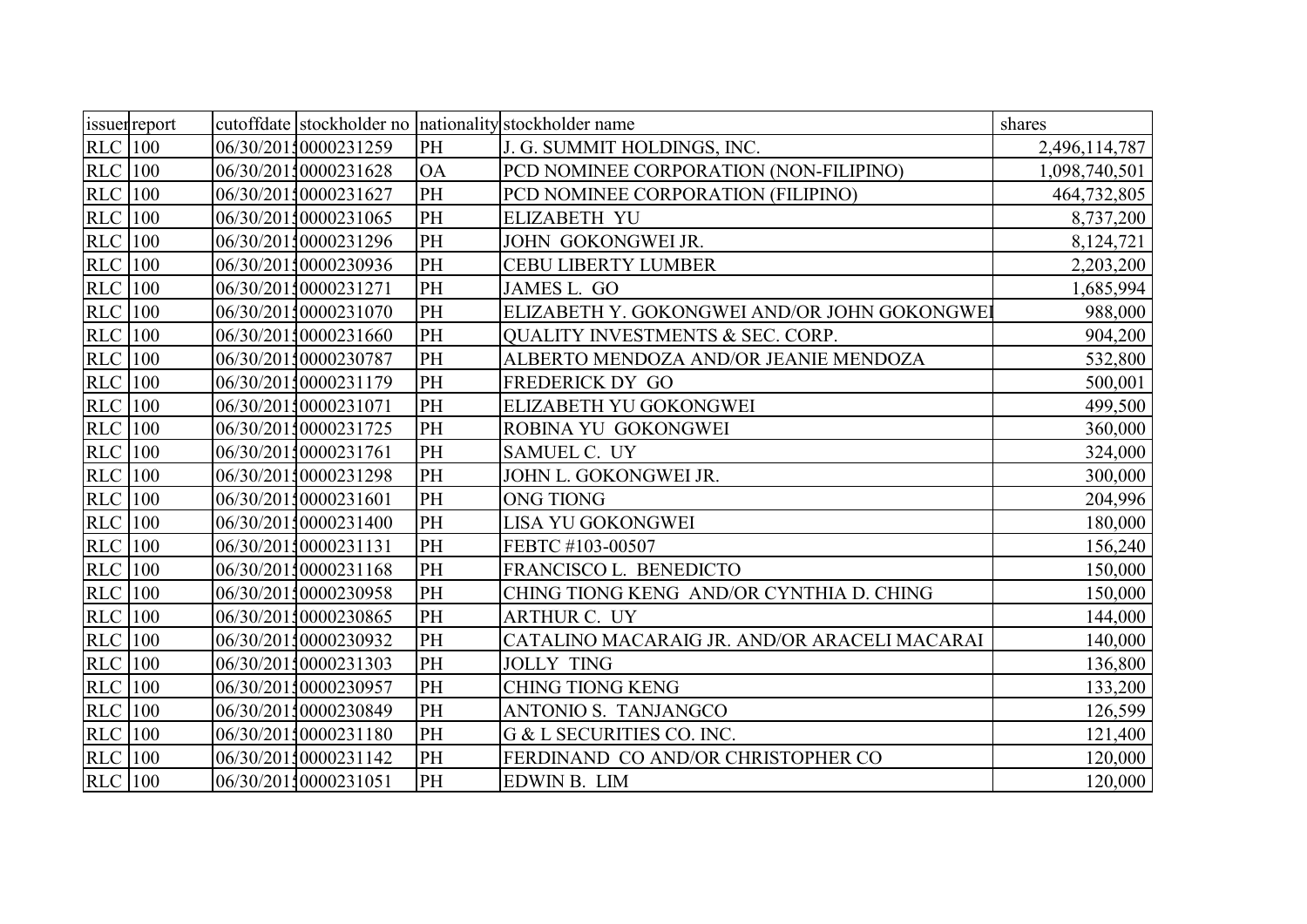| issuer report  |  |                      |           | cutoffdate stockholder no nationality stockholder name | shares        |
|----------------|--|----------------------|-----------|--------------------------------------------------------|---------------|
| <b>RLC</b> 100 |  | 06/30/20110000231259 | PH        | J. G. SUMMIT HOLDINGS, INC.                            | 2,496,114,787 |
| <b>RLC</b> 100 |  | 06/30/20110000231628 | <b>OA</b> | PCD NOMINEE CORPORATION (NON-FILIPINO)                 | 1,098,740,501 |
| <b>RLC</b> 100 |  | 06/30/20110000231627 | PH        | PCD NOMINEE CORPORATION (FILIPINO)                     | 464,732,805   |
| <b>RLC</b> 100 |  | 06/30/20110000231065 | PH        | <b>ELIZABETH YU</b>                                    | 8,737,200     |
| <b>RLC</b> 100 |  | 06/30/20110000231296 | PH        | JOHN GOKONGWEI JR.                                     | 8,124,721     |
| <b>RLC</b> 100 |  | 06/30/20110000230936 | PH        | <b>CEBU LIBERTY LUMBER</b>                             | 2,203,200     |
| <b>RLC</b> 100 |  | 06/30/20110000231271 | PH        | JAMES L. GO                                            | 1,685,994     |
| <b>RLC</b> 100 |  | 06/30/20110000231070 | PH        | ELIZABETH Y. GOKONGWEI AND/OR JOHN GOKONGWEI           | 988,000       |
| <b>RLC</b> 100 |  | 06/30/20110000231660 | PH        | <b>OUALITY INVESTMENTS &amp; SEC. CORP.</b>            | 904,200       |
| <b>RLC</b> 100 |  | 06/30/20110000230787 | PH        | ALBERTO MENDOZA AND/OR JEANIE MENDOZA                  | 532,800       |
| <b>RLC</b> 100 |  | 06/30/20110000231179 | PH        | <b>FREDERICK DY GO</b>                                 | 500,001       |
| <b>RLC</b> 100 |  | 06/30/20110000231071 | PH        | ELIZABETH YU GOKONGWEI                                 | 499,500       |
| <b>RLC</b> 100 |  | 06/30/20110000231725 | PH        | ROBINA YU GOKONGWEI                                    | 360,000       |
| <b>RLC</b> 100 |  | 06/30/20110000231761 | PH        | SAMUEL C. UY                                           | 324,000       |
| <b>RLC</b> 100 |  | 06/30/20110000231298 | <b>PH</b> | JOHN L. GOKONGWEI JR.                                  | 300,000       |
| <b>RLC</b> 100 |  | 06/30/20110000231601 | PH        | <b>ONG TIONG</b>                                       | 204,996       |
| <b>RLC</b> 100 |  | 06/30/20110000231400 | PH        | LISA YU GOKONGWEI                                      | 180,000       |
| <b>RLC</b> 100 |  | 06/30/20110000231131 | PH        | FEBTC #103-00507                                       | 156,240       |
| <b>RLC</b> 100 |  | 06/30/20110000231168 | PH        | FRANCISCO L. BENEDICTO                                 | 150,000       |
| <b>RLC</b> 100 |  | 06/30/20110000230958 | PH        | CHING TIONG KENG AND/OR CYNTHIA D. CHING               | 150,000       |
| <b>RLC</b> 100 |  | 06/30/20110000230865 | PH        | ARTHUR C. UY                                           | 144,000       |
| <b>RLC</b> 100 |  | 06/30/20110000230932 | PH        | CATALINO MACARAIG JR. AND/OR ARACELI MACARAI           | 140,000       |
| <b>RLC</b> 100 |  | 06/30/20110000231303 | PH        | <b>JOLLY TING</b>                                      | 136,800       |
| <b>RLC</b> 100 |  | 06/30/20110000230957 | PH        | <b>CHING TIONG KENG</b>                                | 133,200       |
| <b>RLC</b> 100 |  | 06/30/20110000230849 | PH        | ANTONIO S. TANJANGCO                                   | 126,599       |
| <b>RLC</b> 100 |  | 06/30/20110000231180 | PH        | G & L SECURITIES CO. INC.                              | 121,400       |
| $RLC$   100    |  | 06/30/20110000231142 | PH        | FERDINAND CO AND/OR CHRISTOPHER CO                     | 120,000       |
| <b>RLC</b> 100 |  | 06/30/20110000231051 | PH        | EDWIN B. LIM                                           | 120,000       |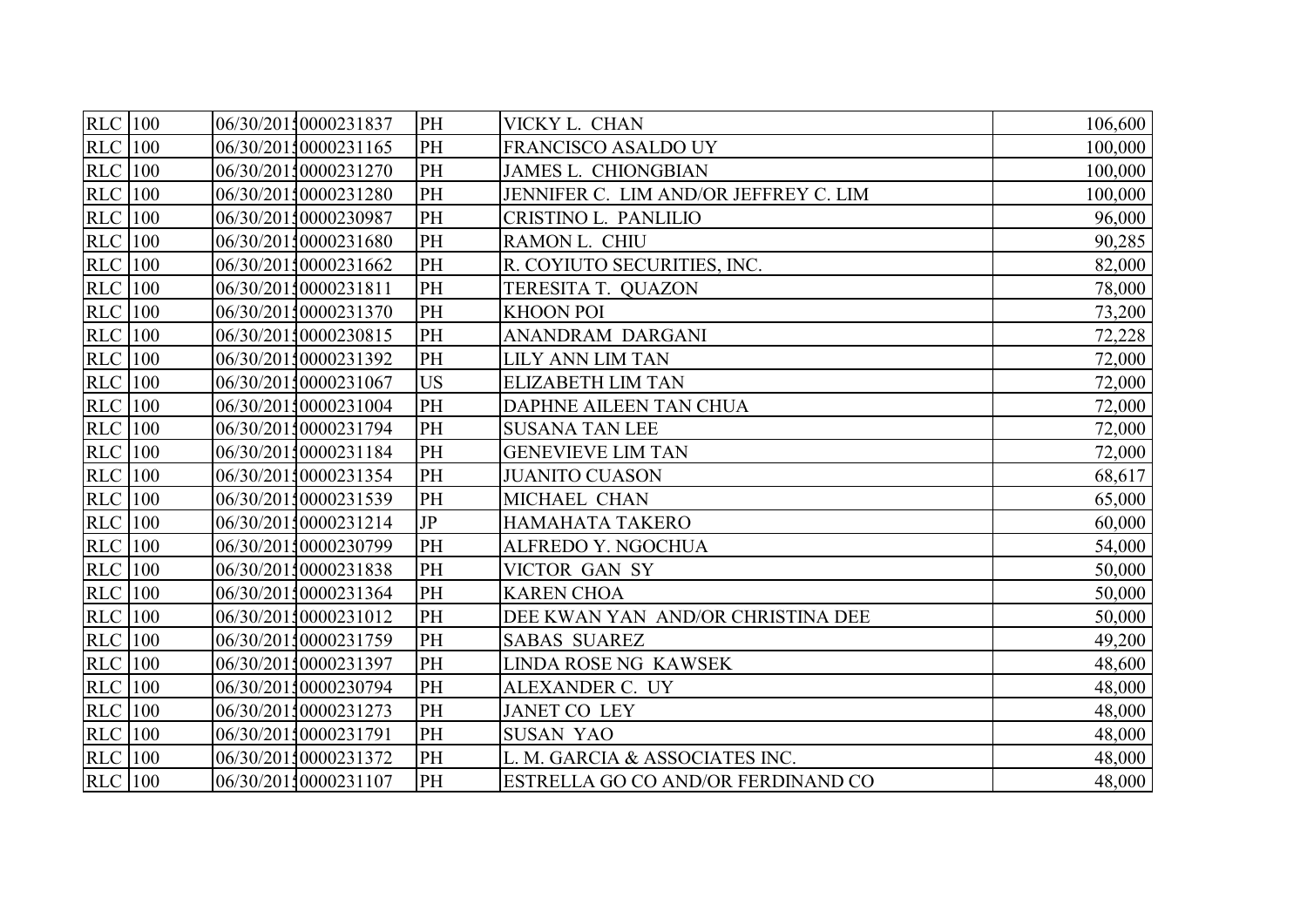| <b>RLC</b> 100 | 06/30/20110000231837 | PH        | VICKY L. CHAN                         | 106,600 |
|----------------|----------------------|-----------|---------------------------------------|---------|
| <b>RLC</b> 100 | 06/30/20110000231165 | PH        | FRANCISCO ASALDO UY                   | 100,000 |
| <b>RLC</b> 100 | 06/30/20110000231270 | PH        | <b>JAMES L. CHIONGBIAN</b>            | 100,000 |
| <b>RLC</b> 100 | 06/30/20110000231280 | PH        | JENNIFER C. LIM AND/OR JEFFREY C. LIM | 100,000 |
| <b>RLC</b> 100 | 06/30/20110000230987 | PH        | CRISTINO L. PANLILIO                  | 96,000  |
| <b>RLC</b> 100 | 06/30/20110000231680 | PH        | RAMON L. CHIU                         | 90,285  |
| $RLC$ 100      | 06/30/20110000231662 | PH        | R. COYIUTO SECURITIES, INC.           | 82,000  |
| <b>RLC</b> 100 | 06/30/20110000231811 | PH        | TERESITA T. QUAZON                    | 78,000  |
| <b>RLC</b> 100 | 06/30/20110000231370 | PH        | <b>KHOON POI</b>                      | 73,200  |
| <b>RLC</b> 100 | 06/30/20110000230815 | PH        | ANANDRAM DARGANI                      | 72,228  |
| <b>RLC</b> 100 | 06/30/20110000231392 | PH        | LILY ANN LIM TAN                      | 72,000  |
| <b>RLC</b> 100 | 06/30/20110000231067 | <b>US</b> | <b>ELIZABETH LIM TAN</b>              | 72,000  |
| <b>RLC</b> 100 | 06/30/20110000231004 | PH        | DAPHNE AILEEN TAN CHUA                | 72,000  |
| <b>RLC</b> 100 | 06/30/20110000231794 | PH        | <b>SUSANA TAN LEE</b>                 | 72,000  |
| <b>RLC</b> 100 | 06/30/20110000231184 | PH        | <b>GENEVIEVE LIM TAN</b>              | 72,000  |
| <b>RLC</b> 100 | 06/30/20110000231354 | PH        | <b>JUANITO CUASON</b>                 | 68,617  |
| <b>RLC</b> 100 | 06/30/20110000231539 | PH        | MICHAEL CHAN                          | 65,000  |
| <b>RLC</b> 100 | 06/30/20110000231214 | JP        | HAMAHATA TAKERO                       | 60,000  |
| <b>RLC</b> 100 | 06/30/20110000230799 | PH        | ALFREDO Y. NGOCHUA                    | 54,000  |
| $RLC$ 100      | 06/30/20110000231838 | PH        | VICTOR GAN SY                         | 50,000  |
| $RLC$ 100      | 06/30/20110000231364 | PH        | <b>KAREN CHOA</b>                     | 50,000  |
| $RLC$ 100      | 06/30/20110000231012 | PH        | DEE KWAN YAN AND/OR CHRISTINA DEE     | 50,000  |
| <b>RLC</b> 100 | 06/30/20110000231759 | PH        | <b>SABAS SUAREZ</b>                   | 49,200  |
| <b>RLC</b> 100 | 06/30/20110000231397 | PH        | LINDA ROSE NG KAWSEK                  | 48,600  |
| <b>RLC</b> 100 | 06/30/20110000230794 | PH        | ALEXANDER C. UY                       | 48,000  |
| <b>RLC</b> 100 | 06/30/20110000231273 | PH        | <b>JANET CO LEY</b>                   | 48,000  |
| $RLC$ 100      | 06/30/20110000231791 | PH        | <b>SUSAN YAO</b>                      | 48,000  |
| $RLC$   100    | 06/30/20110000231372 | PH        | L. M. GARCIA & ASSOCIATES INC.        | 48,000  |
| <b>RLC</b> 100 | 06/30/20110000231107 | PH        | ESTRELLA GO CO AND/OR FERDINAND CO    | 48,000  |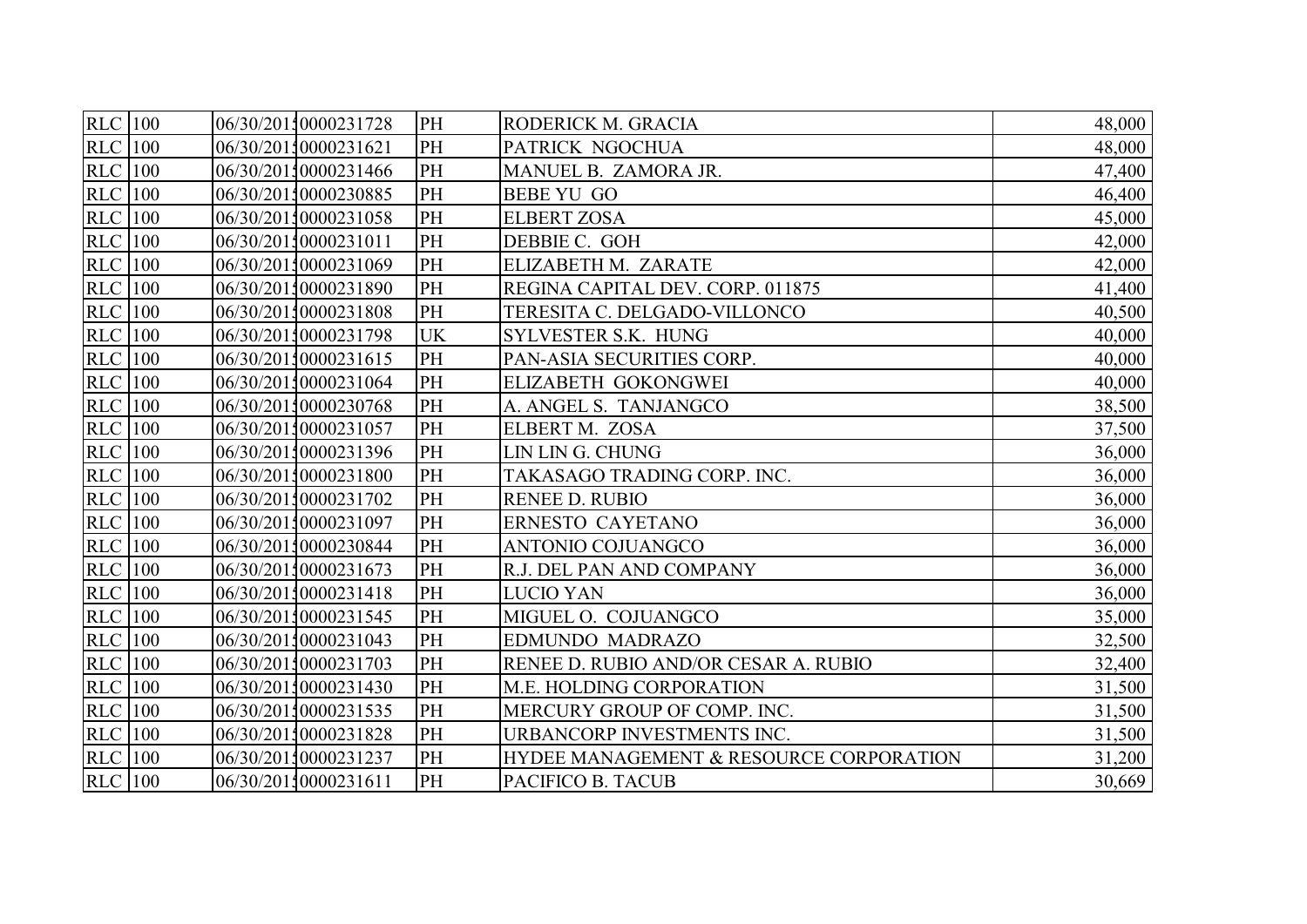| <b>RLC</b> 100 |  | 06/30/20110000231728 | PH        | RODERICK M. GRACIA                      | 48,000 |
|----------------|--|----------------------|-----------|-----------------------------------------|--------|
| <b>RLC</b> 100 |  | 06/30/20110000231621 | PH        | PATRICK NGOCHUA                         | 48,000 |
| <b>RLC</b> 100 |  | 06/30/20110000231466 | PH        | MANUEL B. ZAMORA JR.                    | 47,400 |
| <b>RLC</b> 100 |  | 06/30/20110000230885 | PH        | <b>BEBE YU GO</b>                       | 46,400 |
| <b>RLC</b> 100 |  | 06/30/20110000231058 | PH        | <b>ELBERT ZOSA</b>                      | 45,000 |
| $RLC$ 100      |  | 06/30/20110000231011 | PH        | DEBBIE C. GOH                           | 42,000 |
| <b>RLC</b> 100 |  | 06/30/20110000231069 | PH        | ELIZABETH M. ZARATE                     | 42,000 |
| <b>RLC</b> 100 |  | 06/30/20110000231890 | PH        | REGINA CAPITAL DEV. CORP. 011875        | 41,400 |
| <b>RLC</b> 100 |  | 06/30/20110000231808 | PH        | TERESITA C. DELGADO-VILLONCO            | 40,500 |
| <b>RLC</b> 100 |  | 06/30/20110000231798 | <b>UK</b> | SYLVESTER S.K. HUNG                     | 40,000 |
| <b>RLC</b> 100 |  | 06/30/20110000231615 | PH        | PAN-ASIA SECURITIES CORP.               | 40,000 |
| <b>RLC</b> 100 |  | 06/30/20110000231064 | PH        | ELIZABETH GOKONGWEI                     | 40,000 |
| $RLC$ 100      |  | 06/30/20110000230768 | PH        | A. ANGEL S. TANJANGCO                   | 38,500 |
| <b>RLC</b> 100 |  | 06/30/20110000231057 | PH        | ELBERT M. ZOSA                          | 37,500 |
| <b>RLC</b> 100 |  | 06/30/20110000231396 | PH        | LIN LIN G. CHUNG                        | 36,000 |
| <b>RLC</b> 100 |  | 06/30/20110000231800 | PH        | TAKASAGO TRADING CORP. INC.             | 36,000 |
| <b>RLC</b> 100 |  | 06/30/20110000231702 | PH        | <b>RENEE D. RUBIO</b>                   | 36,000 |
| <b>RLC</b> 100 |  | 06/30/20110000231097 | PH        | ERNESTO CAYETANO                        | 36,000 |
| <b>RLC</b> 100 |  | 06/30/20110000230844 | PH        | <b>ANTONIO COJUANGCO</b>                | 36,000 |
| <b>RLC</b> 100 |  | 06/30/20110000231673 | PH        | R.J. DEL PAN AND COMPANY                | 36,000 |
| <b>RLC</b> 100 |  | 06/30/20110000231418 | PH        | LUCIO YAN                               | 36,000 |
| <b>RLC</b> 100 |  | 06/30/20110000231545 | PH        | MIGUEL O. COJUANGCO                     | 35,000 |
| <b>RLC</b> 100 |  | 06/30/20110000231043 | PH        | <b>EDMUNDO MADRAZO</b>                  | 32,500 |
| <b>RLC</b> 100 |  | 06/30/20110000231703 | PH        | RENEE D. RUBIO AND/OR CESAR A. RUBIO    | 32,400 |
| <b>RLC</b> 100 |  | 06/30/20110000231430 | PH        | M.E. HOLDING CORPORATION                | 31,500 |
| <b>RLC</b> 100 |  | 06/30/20110000231535 | PH        | MERCURY GROUP OF COMP. INC.             | 31,500 |
| $RLC$   100    |  | 06/30/20110000231828 | PH        | URBANCORP INVESTMENTS INC.              | 31,500 |
| <b>RLC</b> 100 |  | 06/30/20110000231237 | PH        | HYDEE MANAGEMENT & RESOURCE CORPORATION | 31,200 |
| <b>RLC</b> 100 |  | 06/30/20110000231611 | PH        | PACIFICO B. TACUB                       | 30,669 |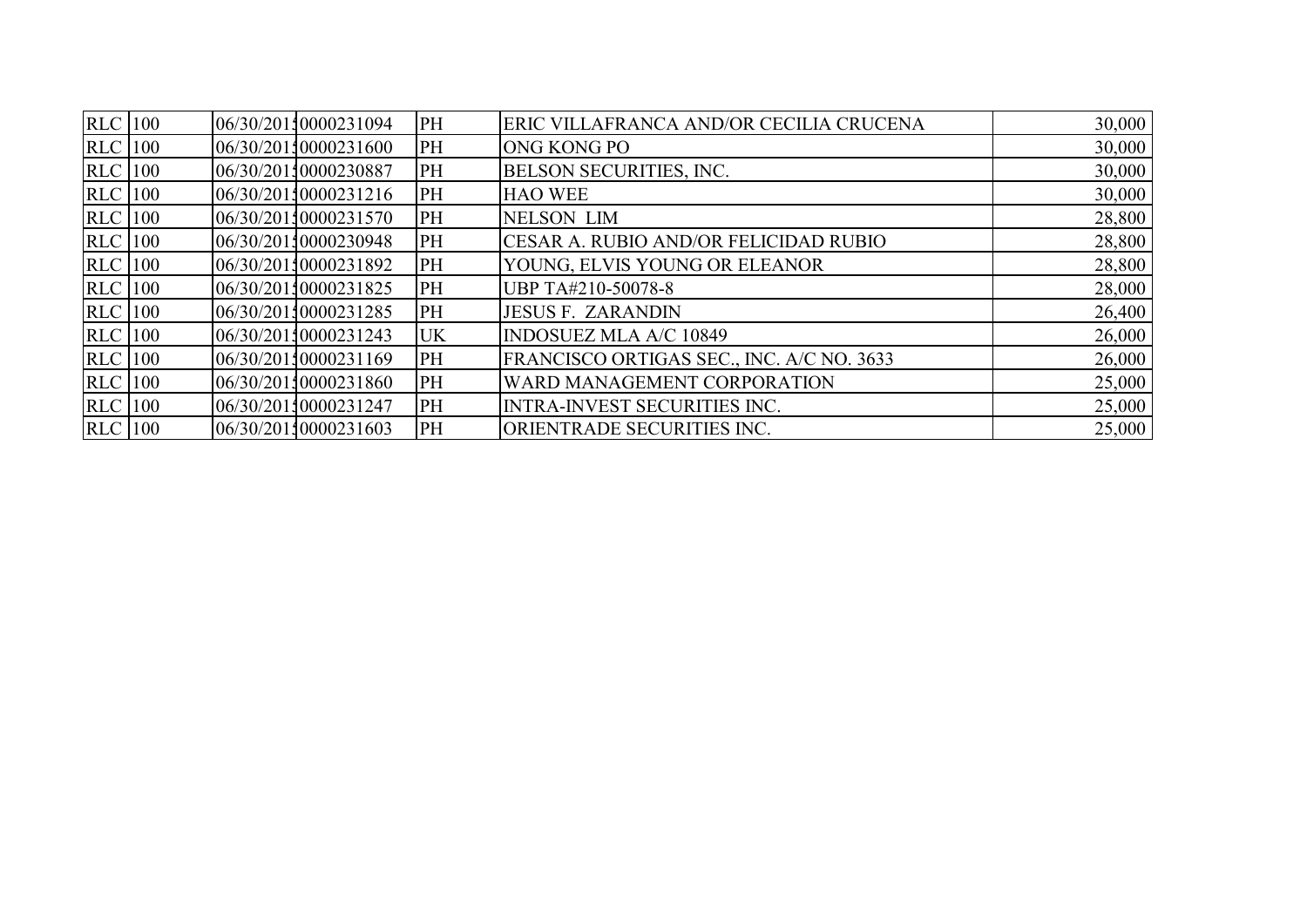| $RLC$ 100      |  | 06/30/20110000231094 | PH        | ERIC VILLAFRANCA AND/OR CECILIA CRUCENA      | 30,000 |
|----------------|--|----------------------|-----------|----------------------------------------------|--------|
| <b>RLC</b> 100 |  | 06/30/20110000231600 | PH        | <b>ONG KONG PO</b>                           | 30,000 |
| <b>RLC</b> 100 |  | 06/30/20110000230887 | PH        | <b>BELSON SECURITIES, INC.</b>               | 30,000 |
| <b>RLC</b> 100 |  | 06/30/20110000231216 | PH        | <b>HAO WEE</b>                               | 30,000 |
| <b>RLC</b> 100 |  | 06/30/20110000231570 | PH        | <b>NELSON LIM</b>                            | 28,800 |
| $RLC$   100    |  | 06/30/20110000230948 | PH        | <b>CESAR A. RUBIO AND/OR FELICIDAD RUBIO</b> | 28,800 |
| <b>RLC</b> 100 |  | 06/30/20110000231892 | PH        | YOUNG, ELVIS YOUNG OR ELEANOR                | 28,800 |
| <b>RLC</b> 100 |  | 06/30/20110000231825 | PH        | UBP TA#210-50078-8                           | 28,000 |
| <b>RLC</b> 100 |  | 06/30/20110000231285 | PH        | <b>JESUS F. ZARANDIN</b>                     | 26,400 |
| <b>RLC</b> 100 |  | 06/30/20110000231243 | <b>UK</b> | <b>INDOSUEZ MLA A/C 10849</b>                | 26,000 |
| <b>RLC</b> 100 |  | 06/30/20110000231169 | PH        | FRANCISCO ORTIGAS SEC., INC. A/C NO. 3633    | 26,000 |
| <b>RLC</b> 100 |  | 06/30/20110000231860 | PH        | WARD MANAGEMENT CORPORATION                  | 25,000 |
| <b>RLC</b> 100 |  | 06/30/20110000231247 | PH        | <b>INTRA-INVEST SECURITIES INC.</b>          | 25,000 |
| <b>RLC</b> 100 |  | 06/30/20110000231603 | PH        | <b>ORIENTRADE SECURITIES INC.</b>            | 25,000 |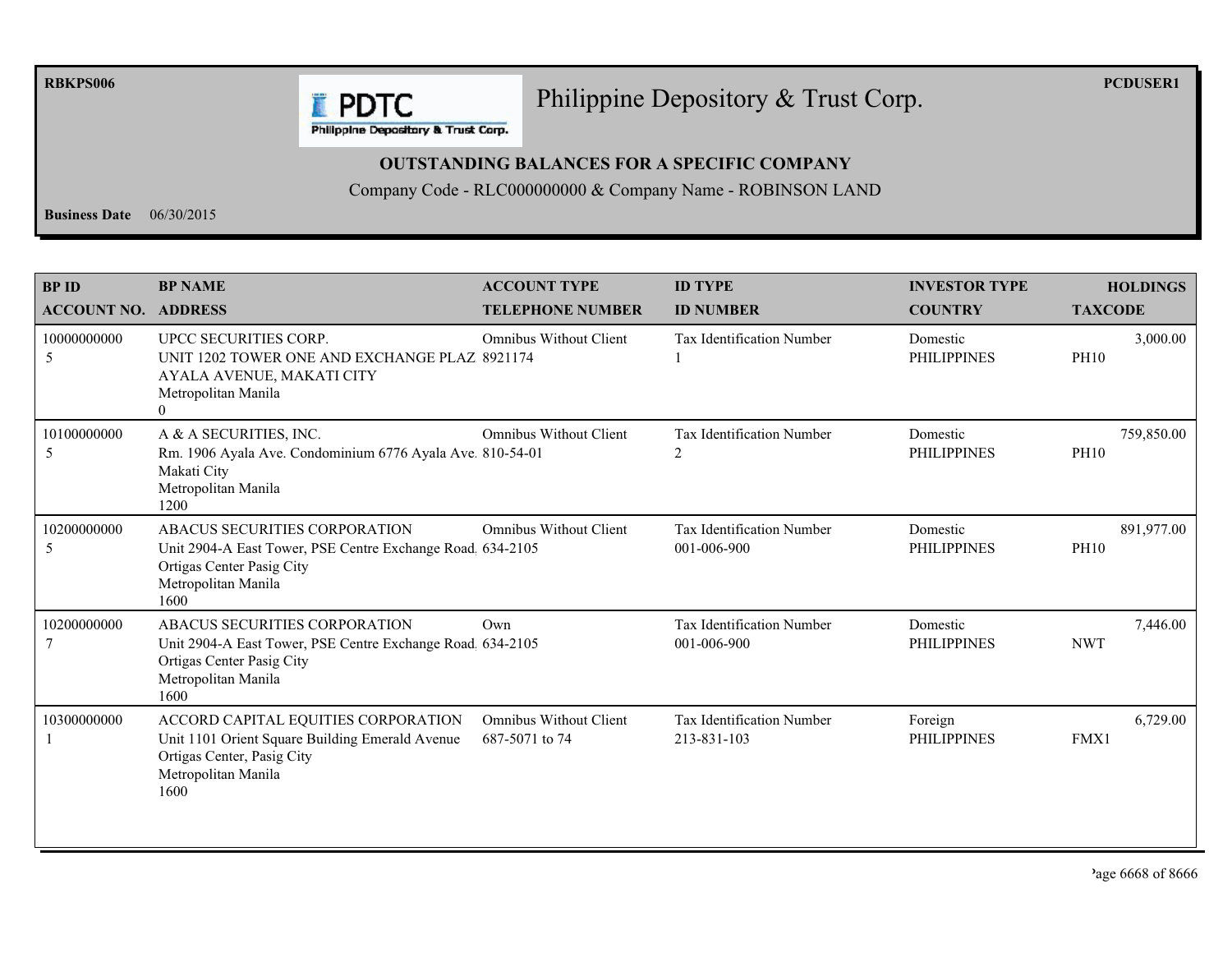**RBKPS006** 

## Philippine Depository & Trust Corp.

**PCDUSER1** 

**E** PDTC Philippine Depository & Trust Corp.

## **OUTSTANDING BALANCES FOR A SPECIFIC COMPANY**

Company Code - RLC000000000 & Company Name - ROBINSON LAND

**Business Date**  $06/30/2015$ 

| <b>BPID</b><br><b>ACCOUNT NO. ADDRESS</b> | <b>BP NAME</b>                                                                                                                                         | <b>ACCOUNT TYPE</b><br><b>TELEPHONE NUMBER</b>  | <b>ID TYPE</b><br><b>ID NUMBER</b>              | <b>INVESTOR TYPE</b><br><b>COUNTRY</b> | <b>HOLDINGS</b><br><b>TAXCODE</b> |
|-------------------------------------------|--------------------------------------------------------------------------------------------------------------------------------------------------------|-------------------------------------------------|-------------------------------------------------|----------------------------------------|-----------------------------------|
| 10000000000<br>5                          | UPCC SECURITIES CORP.<br>UNIT 1202 TOWER ONE AND EXCHANGE PLAZ 8921174<br>AYALA AVENUE, MAKATI CITY<br>Metropolitan Manila<br>$\theta$                 | <b>Omnibus Without Client</b>                   | <b>Tax Identification Number</b>                | Domestic<br><b>PHILIPPINES</b>         | 3,000.00<br><b>PH10</b>           |
| 10100000000<br>5                          | A & A SECURITIES, INC.<br>Rm. 1906 Ayala Ave. Condominium 6776 Ayala Ave. 810-54-01<br>Makati City<br>Metropolitan Manila<br>1200                      | <b>Omnibus Without Client</b>                   | <b>Tax Identification Number</b><br>2           | Domestic<br><b>PHILIPPINES</b>         | 759,850.00<br><b>PH10</b>         |
| 10200000000<br>5                          | ABACUS SECURITIES CORPORATION<br>Unit 2904-A East Tower, PSE Centre Exchange Road 634-2105<br>Ortigas Center Pasig City<br>Metropolitan Manila<br>1600 | <b>Omnibus Without Client</b>                   | Tax Identification Number<br>001-006-900        | Domestic<br><b>PHILIPPINES</b>         | 891,977.00<br><b>PH10</b>         |
| 10200000000                               | ABACUS SECURITIES CORPORATION<br>Unit 2904-A East Tower, PSE Centre Exchange Road 634-2105<br>Ortigas Center Pasig City<br>Metropolitan Manila<br>1600 | Own                                             | <b>Tax Identification Number</b><br>001-006-900 | Domestic<br><b>PHILIPPINES</b>         | 7,446.00<br><b>NWT</b>            |
| 10300000000                               | ACCORD CAPITAL EQUITIES CORPORATION<br>Unit 1101 Orient Square Building Emerald Avenue<br>Ortigas Center, Pasig City<br>Metropolitan Manila<br>1600    | <b>Omnibus Without Client</b><br>687-5071 to 74 | Tax Identification Number<br>213-831-103        | Foreign<br><b>PHILIPPINES</b>          | 6,729.00<br>FMX1                  |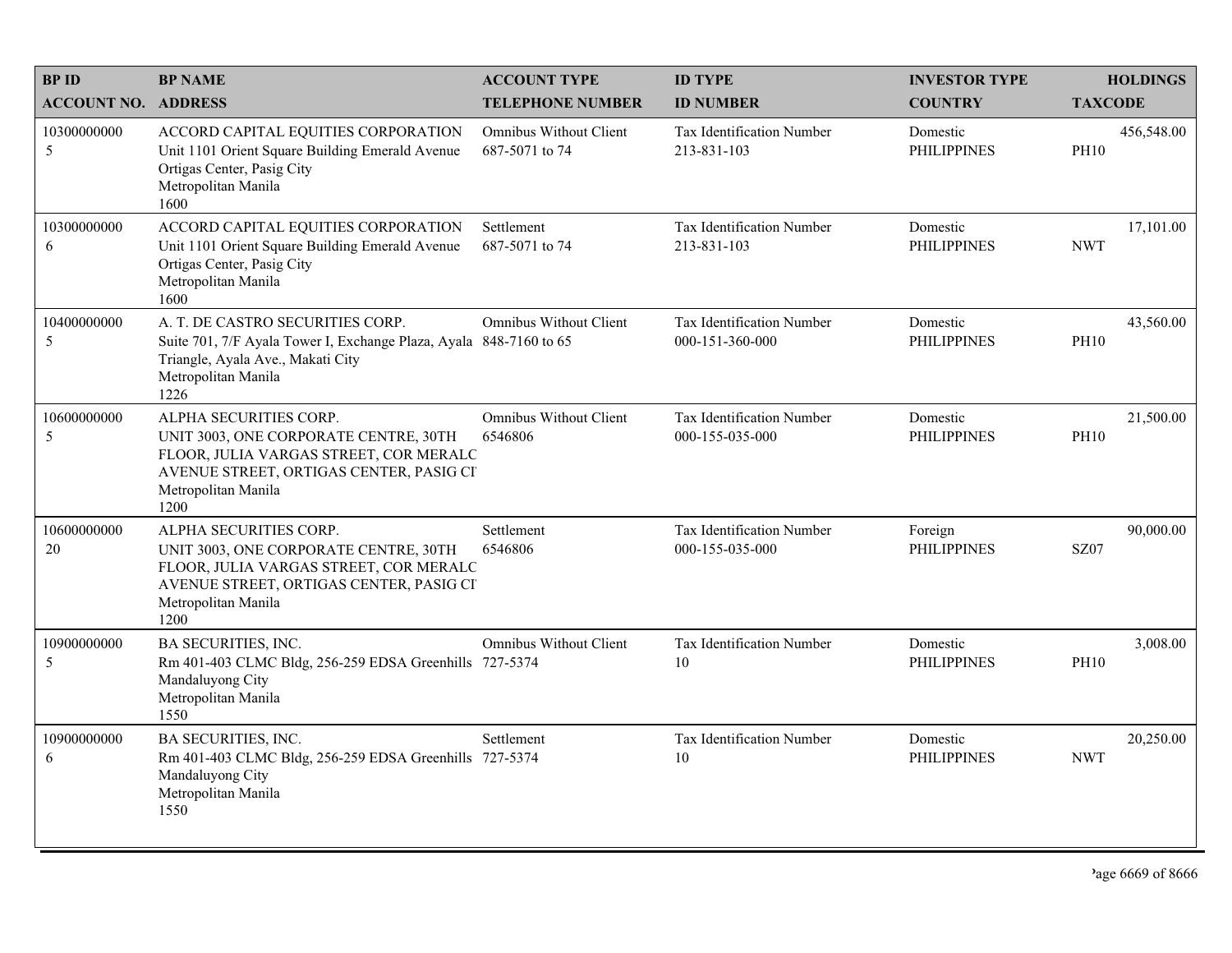| <b>BPID</b>                | <b>BP NAME</b>                                                                                                                                                                      | <b>ACCOUNT TYPE</b>                      | <b>ID TYPE</b>                                      | <b>INVESTOR TYPE</b>           | <b>HOLDINGS</b>           |
|----------------------------|-------------------------------------------------------------------------------------------------------------------------------------------------------------------------------------|------------------------------------------|-----------------------------------------------------|--------------------------------|---------------------------|
| <b>ACCOUNT NO. ADDRESS</b> |                                                                                                                                                                                     | <b>TELEPHONE NUMBER</b>                  | <b>ID NUMBER</b>                                    | <b>COUNTRY</b>                 | <b>TAXCODE</b>            |
| 10300000000<br>5           | ACCORD CAPITAL EQUITIES CORPORATION<br>Unit 1101 Orient Square Building Emerald Avenue<br>Ortigas Center, Pasig City<br>Metropolitan Manila<br>1600                                 | Omnibus Without Client<br>687-5071 to 74 | <b>Tax Identification Number</b><br>213-831-103     | Domestic<br><b>PHILIPPINES</b> | 456,548.00<br><b>PH10</b> |
| 10300000000<br>6           | ACCORD CAPITAL EQUITIES CORPORATION<br>Unit 1101 Orient Square Building Emerald Avenue<br>Ortigas Center, Pasig City<br>Metropolitan Manila<br>1600                                 | Settlement<br>687-5071 to 74             | Tax Identification Number<br>213-831-103            | Domestic<br><b>PHILIPPINES</b> | 17,101.00<br><b>NWT</b>   |
| 10400000000<br>5           | A. T. DE CASTRO SECURITIES CORP.<br>Suite 701, 7/F Ayala Tower I, Exchange Plaza, Ayala 848-7160 to 65<br>Triangle, Ayala Ave., Makati City<br>Metropolitan Manila<br>1226          | Omnibus Without Client                   | <b>Tax Identification Number</b><br>000-151-360-000 | Domestic<br><b>PHILIPPINES</b> | 43,560.00<br><b>PH10</b>  |
| 10600000000<br>5           | ALPHA SECURITIES CORP.<br>UNIT 3003, ONE CORPORATE CENTRE, 30TH<br>FLOOR, JULIA VARGAS STREET, COR MERALC<br>AVENUE STREET, ORTIGAS CENTER, PASIG CI<br>Metropolitan Manila<br>1200 | Omnibus Without Client<br>6546806        | Tax Identification Number<br>000-155-035-000        | Domestic<br><b>PHILIPPINES</b> | 21,500.00<br><b>PH10</b>  |
| 10600000000<br>20          | ALPHA SECURITIES CORP.<br>UNIT 3003, ONE CORPORATE CENTRE, 30TH<br>FLOOR, JULIA VARGAS STREET, COR MERALC<br>AVENUE STREET, ORTIGAS CENTER, PASIG CI<br>Metropolitan Manila<br>1200 | Settlement<br>6546806                    | Tax Identification Number<br>000-155-035-000        | Foreign<br><b>PHILIPPINES</b>  | 90,000.00<br><b>SZ07</b>  |
| 10900000000<br>5           | BA SECURITIES, INC.<br>Rm 401-403 CLMC Bldg, 256-259 EDSA Greenhills 727-5374<br>Mandaluyong City<br>Metropolitan Manila<br>1550                                                    | Omnibus Without Client                   | Tax Identification Number<br>10                     | Domestic<br><b>PHILIPPINES</b> | 3,008.00<br><b>PH10</b>   |
| 10900000000<br>6           | <b>BA SECURITIES, INC.</b><br>Rm 401-403 CLMC Bldg, 256-259 EDSA Greenhills 727-5374<br>Mandaluyong City<br>Metropolitan Manila<br>1550                                             | Settlement                               | Tax Identification Number<br>10                     | Domestic<br><b>PHILIPPINES</b> | 20,250.00<br><b>NWT</b>   |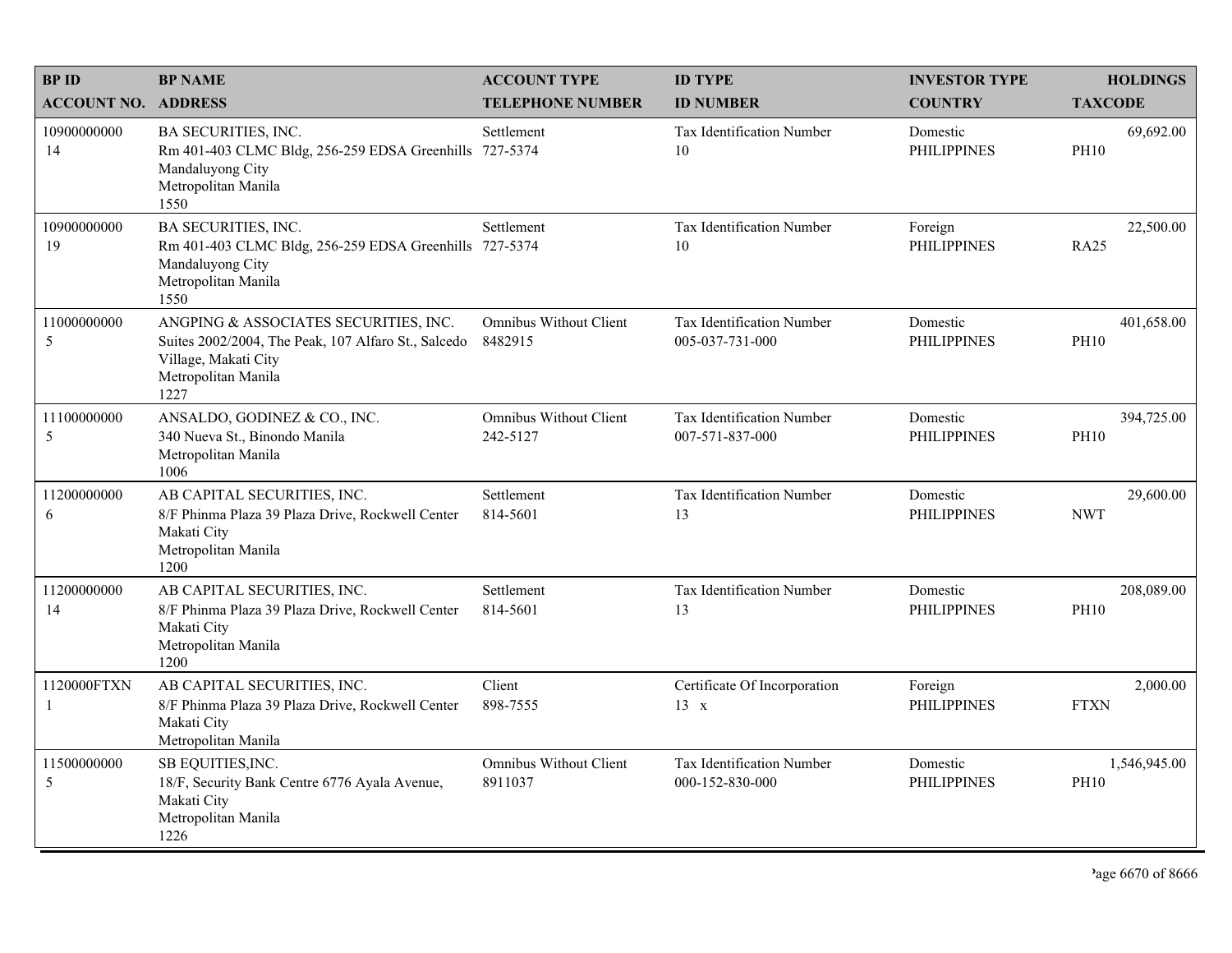| <b>BPID</b>                | <b>BP NAME</b>                                                                                                                                      | <b>ACCOUNT TYPE</b>                       | <b>ID TYPE</b>                               | <b>INVESTOR TYPE</b>           | <b>HOLDINGS</b>             |
|----------------------------|-----------------------------------------------------------------------------------------------------------------------------------------------------|-------------------------------------------|----------------------------------------------|--------------------------------|-----------------------------|
| <b>ACCOUNT NO. ADDRESS</b> |                                                                                                                                                     | <b>TELEPHONE NUMBER</b>                   | <b>ID NUMBER</b>                             | <b>COUNTRY</b>                 | <b>TAXCODE</b>              |
| 10900000000<br>14          | <b>BA SECURITIES, INC.</b><br>Rm 401-403 CLMC Bldg, 256-259 EDSA Greenhills 727-5374<br>Mandaluyong City<br>Metropolitan Manila<br>1550             | Settlement                                | Tax Identification Number<br>10              | Domestic<br><b>PHILIPPINES</b> | 69,692.00<br><b>PH10</b>    |
| 10900000000<br>19          | <b>BA SECURITIES, INC.</b><br>Rm 401-403 CLMC Bldg, 256-259 EDSA Greenhills 727-5374<br>Mandaluyong City<br>Metropolitan Manila<br>1550             | Settlement                                | Tax Identification Number<br>10              | Foreign<br><b>PHILIPPINES</b>  | 22,500.00<br><b>RA25</b>    |
| 11000000000<br>5           | ANGPING & ASSOCIATES SECURITIES, INC.<br>Suites 2002/2004, The Peak, 107 Alfaro St., Salcedo<br>Village, Makati City<br>Metropolitan Manila<br>1227 | <b>Omnibus Without Client</b><br>8482915  | Tax Identification Number<br>005-037-731-000 | Domestic<br><b>PHILIPPINES</b> | 401,658.00<br><b>PH10</b>   |
| 11100000000<br>5           | ANSALDO, GODINEZ & CO., INC.<br>340 Nueva St., Binondo Manila<br>Metropolitan Manila<br>1006                                                        | <b>Omnibus Without Client</b><br>242-5127 | Tax Identification Number<br>007-571-837-000 | Domestic<br><b>PHILIPPINES</b> | 394,725.00<br><b>PH10</b>   |
| 11200000000<br>6           | AB CAPITAL SECURITIES, INC.<br>8/F Phinma Plaza 39 Plaza Drive, Rockwell Center<br>Makati City<br>Metropolitan Manila<br>1200                       | Settlement<br>814-5601                    | Tax Identification Number<br>13              | Domestic<br><b>PHILIPPINES</b> | 29,600.00<br><b>NWT</b>     |
| 11200000000<br>14          | AB CAPITAL SECURITIES, INC.<br>8/F Phinma Plaza 39 Plaza Drive, Rockwell Center<br>Makati City<br>Metropolitan Manila<br>1200                       | Settlement<br>814-5601                    | Tax Identification Number<br>13              | Domestic<br><b>PHILIPPINES</b> | 208,089.00<br><b>PH10</b>   |
| 1120000FTXN<br>-1          | AB CAPITAL SECURITIES, INC.<br>8/F Phinma Plaza 39 Plaza Drive, Rockwell Center<br>Makati City<br>Metropolitan Manila                               | Client<br>898-7555                        | Certificate Of Incorporation<br>13 x         | Foreign<br><b>PHILIPPINES</b>  | 2,000.00<br><b>FTXN</b>     |
| 11500000000<br>5           | SB EQUITIES, INC.<br>18/F, Security Bank Centre 6776 Ayala Avenue,<br>Makati City<br>Metropolitan Manila<br>1226                                    | <b>Omnibus Without Client</b><br>8911037  | Tax Identification Number<br>000-152-830-000 | Domestic<br><b>PHILIPPINES</b> | 1,546,945.00<br><b>PH10</b> |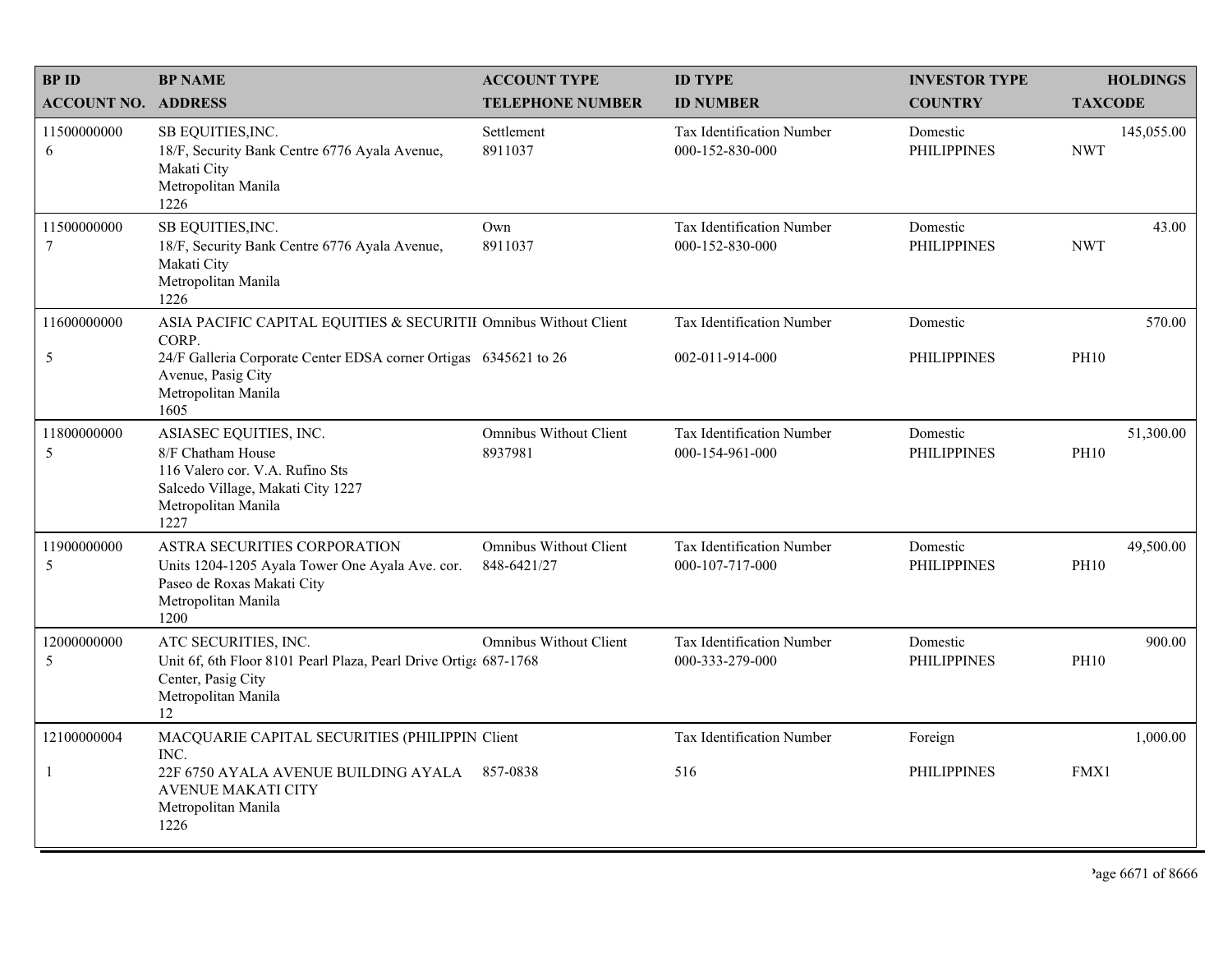| <b>BPID</b>                    | <b>BP NAME</b>                                                                                                                                     | <b>ACCOUNT TYPE</b>                          | <b>ID TYPE</b>                               | <b>INVESTOR TYPE</b>           | <b>HOLDINGS</b>          |
|--------------------------------|----------------------------------------------------------------------------------------------------------------------------------------------------|----------------------------------------------|----------------------------------------------|--------------------------------|--------------------------|
| <b>ACCOUNT NO. ADDRESS</b>     |                                                                                                                                                    | <b>TELEPHONE NUMBER</b>                      | <b>ID NUMBER</b>                             | <b>COUNTRY</b>                 | <b>TAXCODE</b>           |
| 11500000000<br>6               | SB EQUITIES, INC.<br>18/F, Security Bank Centre 6776 Ayala Avenue,<br>Makati City<br>Metropolitan Manila<br>1226                                   | Settlement<br>8911037                        | Tax Identification Number<br>000-152-830-000 | Domestic<br><b>PHILIPPINES</b> | 145,055.00<br><b>NWT</b> |
| 11500000000<br>$7\phantom{.0}$ | SB EQUITIES, INC.<br>18/F, Security Bank Centre 6776 Ayala Avenue,<br>Makati City<br>Metropolitan Manila<br>1226                                   | Own<br>8911037                               | Tax Identification Number<br>000-152-830-000 | Domestic<br><b>PHILIPPINES</b> | 43.00<br><b>NWT</b>      |
| 11600000000                    | ASIA PACIFIC CAPITAL EQUITIES & SECURITII Omnibus Without Client<br>CORP.                                                                          |                                              | Tax Identification Number                    | Domestic                       | 570.00                   |
| 5                              | 24/F Galleria Corporate Center EDSA corner Ortigas 6345621 to 26<br>Avenue, Pasig City<br>Metropolitan Manila<br>1605                              |                                              | 002-011-914-000                              | <b>PHILIPPINES</b>             | <b>PH10</b>              |
| 11800000000<br>5               | ASIASEC EQUITIES, INC.<br>8/F Chatham House<br>116 Valero cor. V.A. Rufino Sts<br>Salcedo Village, Makati City 1227<br>Metropolitan Manila<br>1227 | <b>Omnibus Without Client</b><br>8937981     | Tax Identification Number<br>000-154-961-000 | Domestic<br><b>PHILIPPINES</b> | 51,300.00<br><b>PH10</b> |
| 11900000000<br>5               | ASTRA SECURITIES CORPORATION<br>Units 1204-1205 Ayala Tower One Ayala Ave. cor.<br>Paseo de Roxas Makati City<br>Metropolitan Manila<br>1200       | <b>Omnibus Without Client</b><br>848-6421/27 | Tax Identification Number<br>000-107-717-000 | Domestic<br><b>PHILIPPINES</b> | 49,500.00<br><b>PH10</b> |
| 12000000000<br>5               | ATC SECURITIES, INC.<br>Unit 6f, 6th Floor 8101 Pearl Plaza, Pearl Drive Ortiga 687-1768<br>Center, Pasig City<br>Metropolitan Manila<br>12        | <b>Omnibus Without Client</b>                | Tax Identification Number<br>000-333-279-000 | Domestic<br><b>PHILIPPINES</b> | 900.00<br><b>PH10</b>    |
| 12100000004                    | MACQUARIE CAPITAL SECURITIES (PHILIPPIN Client<br>INC.                                                                                             |                                              | Tax Identification Number                    | Foreign                        | 1,000.00                 |
| $\mathbf{1}$                   | 22F 6750 AYALA AVENUE BUILDING AYALA 857-0838<br><b>AVENUE MAKATI CITY</b><br>Metropolitan Manila<br>1226                                          |                                              | 516                                          | <b>PHILIPPINES</b>             | FMX1                     |

'age  $6671$  of  $8666$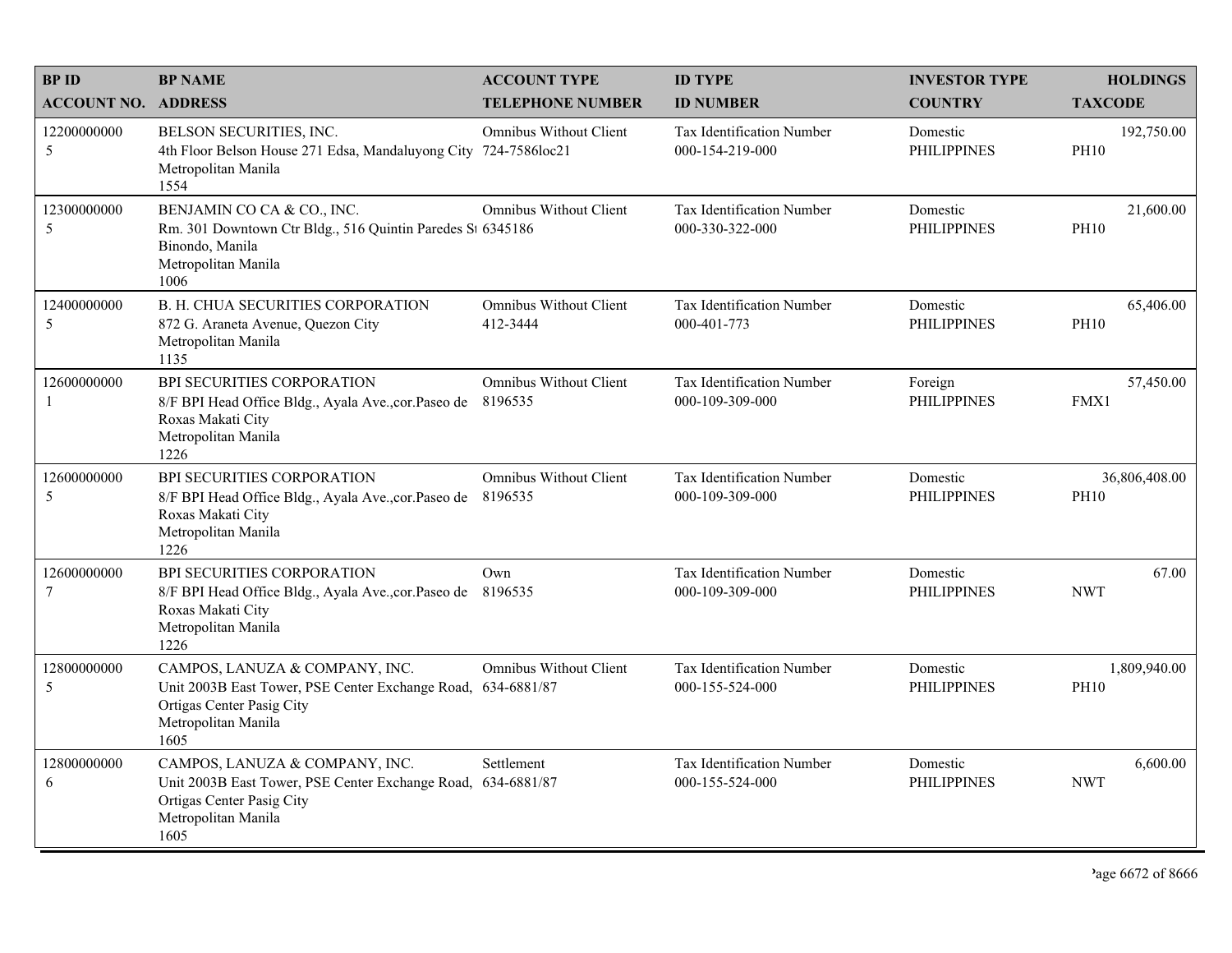| <b>BPID</b>                | <b>BP NAME</b>                                                                                                                                             | <b>ACCOUNT TYPE</b>                      | <b>ID TYPE</b>                                      | <b>INVESTOR TYPE</b>           | <b>HOLDINGS</b>              |
|----------------------------|------------------------------------------------------------------------------------------------------------------------------------------------------------|------------------------------------------|-----------------------------------------------------|--------------------------------|------------------------------|
| <b>ACCOUNT NO. ADDRESS</b> |                                                                                                                                                            | <b>TELEPHONE NUMBER</b>                  | <b>ID NUMBER</b>                                    | <b>COUNTRY</b>                 | <b>TAXCODE</b>               |
| 12200000000<br>5           | BELSON SECURITIES, INC.<br>4th Floor Belson House 271 Edsa, Mandaluyong City 724-7586loc21<br>Metropolitan Manila<br>1554                                  | <b>Omnibus Without Client</b>            | Tax Identification Number<br>000-154-219-000        | Domestic<br><b>PHILIPPINES</b> | 192,750.00<br><b>PH10</b>    |
| 12300000000<br>5           | BENJAMIN CO CA & CO., INC.<br>Rm. 301 Downtown Ctr Bldg., 516 Quintin Paredes St 6345186<br>Binondo, Manila<br>Metropolitan Manila<br>1006                 | <b>Omnibus Without Client</b>            | Tax Identification Number<br>000-330-322-000        | Domestic<br><b>PHILIPPINES</b> | 21,600.00<br><b>PH10</b>     |
| 12400000000<br>5           | B. H. CHUA SECURITIES CORPORATION<br>872 G. Araneta Avenue, Quezon City<br>Metropolitan Manila<br>1135                                                     | Omnibus Without Client<br>412-3444       | Tax Identification Number<br>000-401-773            | Domestic<br><b>PHILIPPINES</b> | 65,406.00<br><b>PH10</b>     |
| 12600000000<br>-1          | BPI SECURITIES CORPORATION<br>8/F BPI Head Office Bldg., Ayala Ave., cor. Paseo de<br>Roxas Makati City<br>Metropolitan Manila<br>1226                     | <b>Omnibus Without Client</b><br>8196535 | Tax Identification Number<br>000-109-309-000        | Foreign<br><b>PHILIPPINES</b>  | 57,450.00<br>FMX1            |
| 12600000000<br>5           | BPI SECURITIES CORPORATION<br>8/F BPI Head Office Bldg., Ayala Ave., cor. Paseo de 8196535<br>Roxas Makati City<br>Metropolitan Manila<br>1226             | <b>Omnibus Without Client</b>            | Tax Identification Number<br>000-109-309-000        | Domestic<br><b>PHILIPPINES</b> | 36,806,408.00<br><b>PH10</b> |
| 12600000000<br>$\tau$      | BPI SECURITIES CORPORATION<br>8/F BPI Head Office Bldg., Ayala Ave., cor. Paseo de<br>Roxas Makati City<br>Metropolitan Manila<br>1226                     | Own<br>8196535                           | Tax Identification Number<br>000-109-309-000        | Domestic<br><b>PHILIPPINES</b> | 67.00<br><b>NWT</b>          |
| 12800000000<br>5           | CAMPOS, LANUZA & COMPANY, INC.<br>Unit 2003B East Tower, PSE Center Exchange Road, 634-6881/87<br>Ortigas Center Pasig City<br>Metropolitan Manila<br>1605 | <b>Omnibus Without Client</b>            | <b>Tax Identification Number</b><br>000-155-524-000 | Domestic<br><b>PHILIPPINES</b> | 1,809,940.00<br><b>PH10</b>  |
| 12800000000<br>6           | CAMPOS, LANUZA & COMPANY, INC.<br>Unit 2003B East Tower, PSE Center Exchange Road, 634-6881/87<br>Ortigas Center Pasig City<br>Metropolitan Manila<br>1605 | Settlement                               | Tax Identification Number<br>000-155-524-000        | Domestic<br><b>PHILIPPINES</b> | 6,600.00<br><b>NWT</b>       |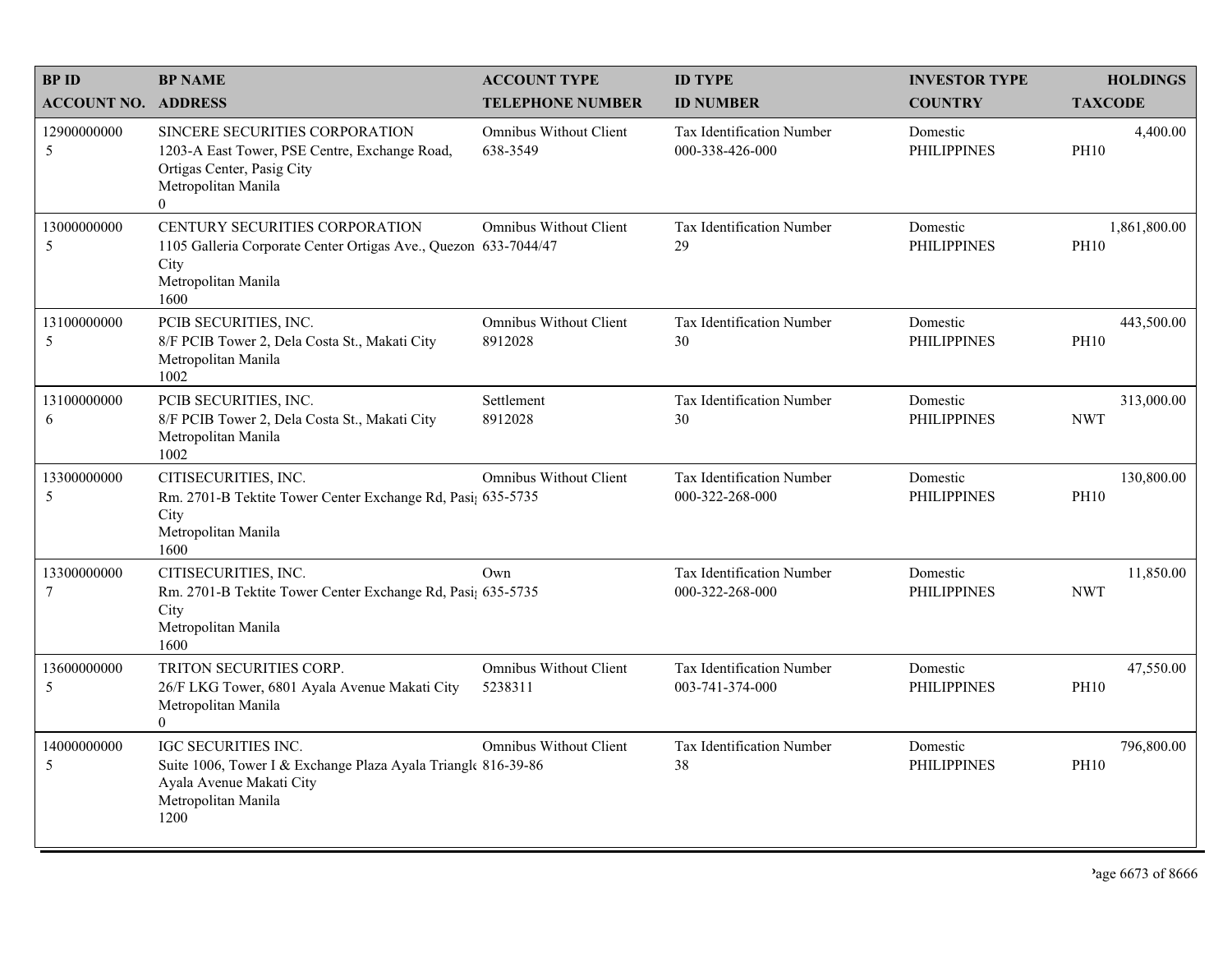| <b>BPID</b>                   | <b>BP NAME</b>                                                                                                                                         | <b>ACCOUNT TYPE</b>                       | <b>ID TYPE</b>                                      | <b>INVESTOR TYPE</b>           | <b>HOLDINGS</b>             |
|-------------------------------|--------------------------------------------------------------------------------------------------------------------------------------------------------|-------------------------------------------|-----------------------------------------------------|--------------------------------|-----------------------------|
| <b>ACCOUNT NO. ADDRESS</b>    |                                                                                                                                                        | <b>TELEPHONE NUMBER</b>                   | <b>ID NUMBER</b>                                    | <b>COUNTRY</b>                 | <b>TAXCODE</b>              |
| 12900000000<br>5              | SINCERE SECURITIES CORPORATION<br>1203-A East Tower, PSE Centre, Exchange Road,<br>Ortigas Center, Pasig City<br>Metropolitan Manila<br>$\overline{0}$ | <b>Omnibus Without Client</b><br>638-3549 | <b>Tax Identification Number</b><br>000-338-426-000 | Domestic<br><b>PHILIPPINES</b> | 4,400.00<br><b>PH10</b>     |
| 13000000000<br>5              | CENTURY SECURITIES CORPORATION<br>1105 Galleria Corporate Center Ortigas Ave., Quezon 633-7044/47<br>City<br>Metropolitan Manila<br>1600               | <b>Omnibus Without Client</b>             | Tax Identification Number<br>29                     | Domestic<br><b>PHILIPPINES</b> | 1,861,800.00<br><b>PH10</b> |
| 13100000000<br>5              | PCIB SECURITIES, INC.<br>8/F PCIB Tower 2, Dela Costa St., Makati City<br>Metropolitan Manila<br>1002                                                  | <b>Omnibus Without Client</b><br>8912028  | Tax Identification Number<br>30                     | Domestic<br><b>PHILIPPINES</b> | 443,500.00<br><b>PH10</b>   |
| 13100000000<br>6              | PCIB SECURITIES, INC.<br>8/F PCIB Tower 2, Dela Costa St., Makati City<br>Metropolitan Manila<br>1002                                                  | Settlement<br>8912028                     | Tax Identification Number<br>30                     | Domestic<br><b>PHILIPPINES</b> | 313,000.00<br><b>NWT</b>    |
| 13300000000<br>5              | CITISECURITIES, INC.<br>Rm. 2701-B Tektite Tower Center Exchange Rd, Pasi; 635-5735<br>City<br>Metropolitan Manila<br>1600                             | <b>Omnibus Without Client</b>             | Tax Identification Number<br>000-322-268-000        | Domestic<br><b>PHILIPPINES</b> | 130,800.00<br><b>PH10</b>   |
| 13300000000<br>$\overline{7}$ | CITISECURITIES, INC.<br>Rm. 2701-B Tektite Tower Center Exchange Rd, Pasi; 635-5735<br>City<br>Metropolitan Manila<br>1600                             | Own                                       | Tax Identification Number<br>000-322-268-000        | Domestic<br><b>PHILIPPINES</b> | 11,850.00<br><b>NWT</b>     |
| 13600000000<br>5              | TRITON SECURITIES CORP.<br>26/F LKG Tower, 6801 Ayala Avenue Makati City<br>Metropolitan Manila<br>$\theta$                                            | <b>Omnibus Without Client</b><br>5238311  | Tax Identification Number<br>003-741-374-000        | Domestic<br><b>PHILIPPINES</b> | 47,550.00<br><b>PH10</b>    |
| 14000000000<br>5              | <b>IGC SECURITIES INC.</b><br>Suite 1006, Tower I & Exchange Plaza Ayala Triangle 816-39-86<br>Ayala Avenue Makati City<br>Metropolitan Manila<br>1200 | <b>Omnibus Without Client</b>             | Tax Identification Number<br>38                     | Domestic<br><b>PHILIPPINES</b> | 796,800.00<br><b>PH10</b>   |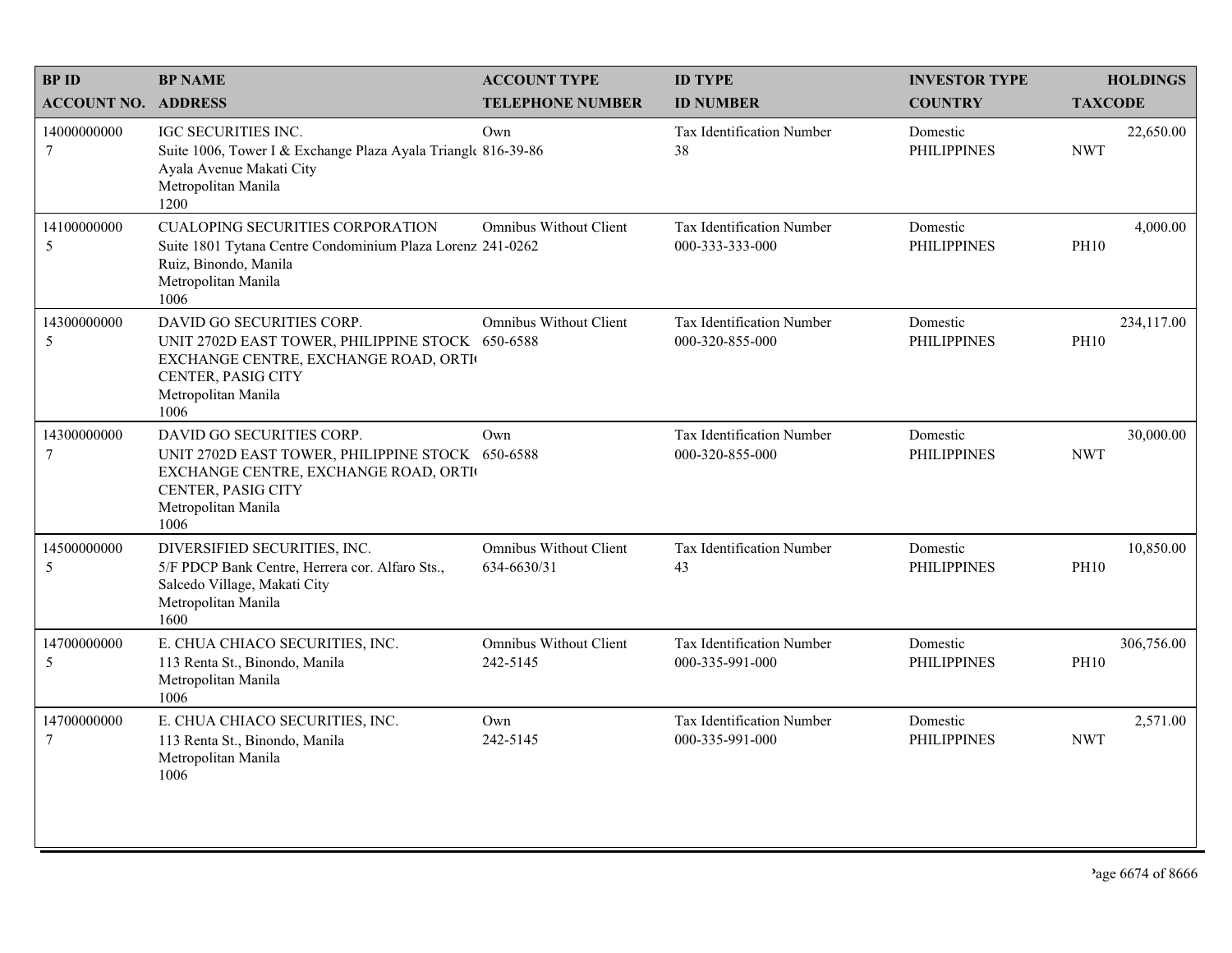| <b>BPID</b>                   | <b>BP NAME</b>                                                                                                                                                             | <b>ACCOUNT TYPE</b>                          | <b>ID TYPE</b>                               | <b>INVESTOR TYPE</b>           | <b>HOLDINGS</b>           |
|-------------------------------|----------------------------------------------------------------------------------------------------------------------------------------------------------------------------|----------------------------------------------|----------------------------------------------|--------------------------------|---------------------------|
| <b>ACCOUNT NO. ADDRESS</b>    |                                                                                                                                                                            | <b>TELEPHONE NUMBER</b>                      | <b>ID NUMBER</b>                             | <b>COUNTRY</b>                 | <b>TAXCODE</b>            |
| 14000000000<br>$\tau$         | <b>IGC SECURITIES INC.</b><br>Suite 1006, Tower I & Exchange Plaza Ayala Triangle 816-39-86<br>Ayala Avenue Makati City<br>Metropolitan Manila<br>1200                     | Own                                          | Tax Identification Number<br>38              | Domestic<br><b>PHILIPPINES</b> | 22,650.00<br><b>NWT</b>   |
| 14100000000<br>5              | <b>CUALOPING SECURITIES CORPORATION</b><br>Suite 1801 Tytana Centre Condominium Plaza Lorenz 241-0262<br>Ruiz, Binondo, Manila<br>Metropolitan Manila<br>1006              | <b>Omnibus Without Client</b>                | Tax Identification Number<br>000-333-333-000 | Domestic<br><b>PHILIPPINES</b> | 4,000.00<br><b>PH10</b>   |
| 14300000000<br>5              | DAVID GO SECURITIES CORP.<br>UNIT 2702D EAST TOWER, PHILIPPINE STOCK 650-6588<br>EXCHANGE CENTRE, EXCHANGE ROAD, ORTI<br>CENTER, PASIG CITY<br>Metropolitan Manila<br>1006 | <b>Omnibus Without Client</b>                | Tax Identification Number<br>000-320-855-000 | Domestic<br><b>PHILIPPINES</b> | 234,117.00<br><b>PH10</b> |
| 14300000000<br>$\overline{7}$ | DAVID GO SECURITIES CORP.<br>UNIT 2702D EAST TOWER, PHILIPPINE STOCK 650-6588<br>EXCHANGE CENTRE, EXCHANGE ROAD, ORTI<br>CENTER, PASIG CITY<br>Metropolitan Manila<br>1006 | Own                                          | Tax Identification Number<br>000-320-855-000 | Domestic<br><b>PHILIPPINES</b> | 30,000.00<br><b>NWT</b>   |
| 14500000000<br>5              | DIVERSIFIED SECURITIES, INC.<br>5/F PDCP Bank Centre, Herrera cor. Alfaro Sts.,<br>Salcedo Village, Makati City<br>Metropolitan Manila<br>1600                             | <b>Omnibus Without Client</b><br>634-6630/31 | Tax Identification Number<br>43              | Domestic<br><b>PHILIPPINES</b> | 10,850.00<br><b>PH10</b>  |
| 14700000000<br>5              | E. CHUA CHIACO SECURITIES, INC.<br>113 Renta St., Binondo, Manila<br>Metropolitan Manila<br>1006                                                                           | <b>Omnibus Without Client</b><br>242-5145    | Tax Identification Number<br>000-335-991-000 | Domestic<br><b>PHILIPPINES</b> | 306,756.00<br><b>PH10</b> |
| 14700000000<br>$\tau$         | E. CHUA CHIACO SECURITIES, INC.<br>113 Renta St., Binondo, Manila<br>Metropolitan Manila<br>1006                                                                           | Own<br>242-5145                              | Tax Identification Number<br>000-335-991-000 | Domestic<br><b>PHILIPPINES</b> | 2,571.00<br><b>NWT</b>    |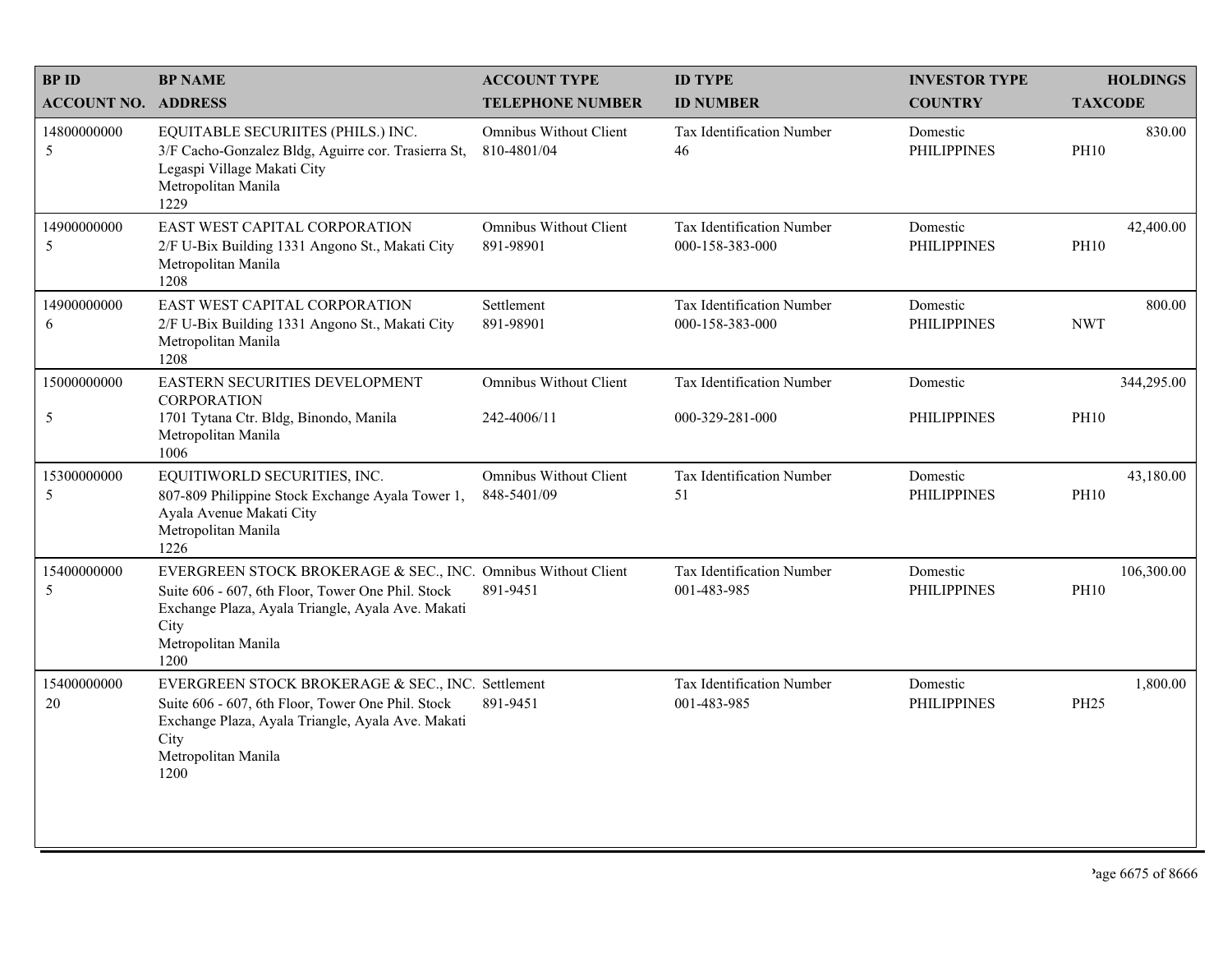| <b>BPID</b>                | <b>BP NAME</b>                                                                                                                                                                                                 | <b>ACCOUNT TYPE</b>                          | <b>ID TYPE</b>                               | <b>INVESTOR TYPE</b>           | <b>HOLDINGS</b>           |
|----------------------------|----------------------------------------------------------------------------------------------------------------------------------------------------------------------------------------------------------------|----------------------------------------------|----------------------------------------------|--------------------------------|---------------------------|
| <b>ACCOUNT NO. ADDRESS</b> |                                                                                                                                                                                                                | <b>TELEPHONE NUMBER</b>                      | <b>ID NUMBER</b>                             | <b>COUNTRY</b>                 | <b>TAXCODE</b>            |
| 14800000000<br>5           | EQUITABLE SECURIITES (PHILS.) INC.<br>3/F Cacho-Gonzalez Bldg, Aguirre cor. Trasierra St,<br>Legaspi Village Makati City<br>Metropolitan Manila<br>1229                                                        | <b>Omnibus Without Client</b><br>810-4801/04 | <b>Tax Identification Number</b><br>46       | Domestic<br><b>PHILIPPINES</b> | 830.00<br><b>PH10</b>     |
| 14900000000<br>5           | EAST WEST CAPITAL CORPORATION<br>2/F U-Bix Building 1331 Angono St., Makati City<br>Metropolitan Manila<br>1208                                                                                                | Omnibus Without Client<br>891-98901          | Tax Identification Number<br>000-158-383-000 | Domestic<br><b>PHILIPPINES</b> | 42,400.00<br><b>PH10</b>  |
| 14900000000<br>6           | EAST WEST CAPITAL CORPORATION<br>2/F U-Bix Building 1331 Angono St., Makati City<br>Metropolitan Manila<br>1208                                                                                                | Settlement<br>891-98901                      | Tax Identification Number<br>000-158-383-000 | Domestic<br><b>PHILIPPINES</b> | 800.00<br><b>NWT</b>      |
| 15000000000                | EASTERN SECURITIES DEVELOPMENT<br><b>CORPORATION</b>                                                                                                                                                           | <b>Omnibus Without Client</b>                | Tax Identification Number                    | Domestic                       | 344,295.00                |
| 5                          | 1701 Tytana Ctr. Bldg, Binondo, Manila<br>Metropolitan Manila<br>1006                                                                                                                                          | 242-4006/11                                  | 000-329-281-000                              | <b>PHILIPPINES</b>             | <b>PH10</b>               |
| 15300000000<br>5           | EQUITIWORLD SECURITIES, INC.<br>807-809 Philippine Stock Exchange Ayala Tower 1,<br>Ayala Avenue Makati City<br>Metropolitan Manila<br>1226                                                                    | <b>Omnibus Without Client</b><br>848-5401/09 | Tax Identification Number<br>51              | Domestic<br><b>PHILIPPINES</b> | 43,180.00<br><b>PH10</b>  |
| 15400000000<br>5           | EVERGREEN STOCK BROKERAGE & SEC., INC. Omnibus Without Client<br>Suite 606 - 607, 6th Floor, Tower One Phil. Stock<br>Exchange Plaza, Ayala Triangle, Ayala Ave. Makati<br>City<br>Metropolitan Manila<br>1200 | 891-9451                                     | Tax Identification Number<br>001-483-985     | Domestic<br><b>PHILIPPINES</b> | 106,300.00<br><b>PH10</b> |
| 15400000000<br>20          | EVERGREEN STOCK BROKERAGE & SEC., INC. Settlement<br>Suite 606 - 607, 6th Floor, Tower One Phil. Stock<br>Exchange Plaza, Ayala Triangle, Ayala Ave. Makati<br>City<br>Metropolitan Manila<br>1200             | 891-9451                                     | Tax Identification Number<br>001-483-985     | Domestic<br><b>PHILIPPINES</b> | 1,800.00<br>PH25          |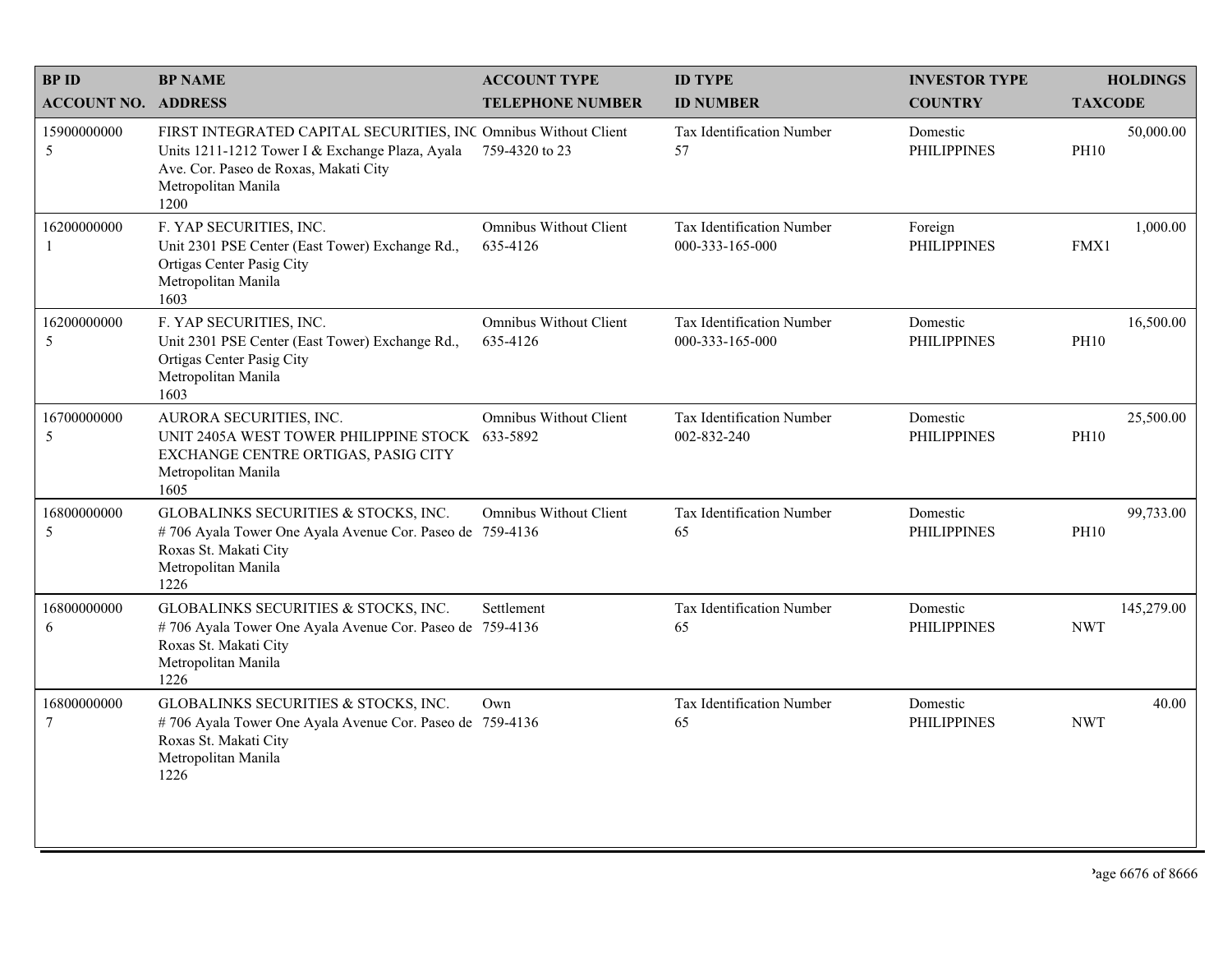| <b>BPID</b>                | <b>BP NAME</b>                                                                                                                                                                             | <b>ACCOUNT TYPE</b>                       | <b>ID TYPE</b>                               | <b>INVESTOR TYPE</b>           | <b>HOLDINGS</b>          |
|----------------------------|--------------------------------------------------------------------------------------------------------------------------------------------------------------------------------------------|-------------------------------------------|----------------------------------------------|--------------------------------|--------------------------|
| <b>ACCOUNT NO. ADDRESS</b> |                                                                                                                                                                                            | <b>TELEPHONE NUMBER</b>                   | <b>ID NUMBER</b>                             | <b>COUNTRY</b>                 | <b>TAXCODE</b>           |
| 15900000000<br>5           | FIRST INTEGRATED CAPITAL SECURITIES, INC Omnibus Without Client<br>Units 1211-1212 Tower I & Exchange Plaza, Ayala<br>Ave. Cor. Paseo de Roxas, Makati City<br>Metropolitan Manila<br>1200 | 759-4320 to 23                            | Tax Identification Number<br>57              | Domestic<br><b>PHILIPPINES</b> | 50,000.00<br><b>PH10</b> |
| 16200000000                | F. YAP SECURITIES, INC.<br>Unit 2301 PSE Center (East Tower) Exchange Rd.,<br>Ortigas Center Pasig City<br>Metropolitan Manila<br>1603                                                     | Omnibus Without Client<br>635-4126        | Tax Identification Number<br>000-333-165-000 | Foreign<br><b>PHILIPPINES</b>  | 1,000.00<br>FMX1         |
| 16200000000<br>5           | F. YAP SECURITIES, INC.<br>Unit 2301 PSE Center (East Tower) Exchange Rd.,<br>Ortigas Center Pasig City<br>Metropolitan Manila<br>1603                                                     | <b>Omnibus Without Client</b><br>635-4126 | Tax Identification Number<br>000-333-165-000 | Domestic<br><b>PHILIPPINES</b> | 16,500.00<br><b>PH10</b> |
| 16700000000<br>5           | AURORA SECURITIES, INC.<br>UNIT 2405A WEST TOWER PHILIPPINE STOCK 633-5892<br>EXCHANGE CENTRE ORTIGAS, PASIG CITY<br>Metropolitan Manila<br>1605                                           | <b>Omnibus Without Client</b>             | Tax Identification Number<br>002-832-240     | Domestic<br><b>PHILIPPINES</b> | 25,500.00<br><b>PH10</b> |
| 16800000000<br>5           | GLOBALINKS SECURITIES & STOCKS, INC.<br>#706 Ayala Tower One Ayala Avenue Cor. Paseo de 759-4136<br>Roxas St. Makati City<br>Metropolitan Manila<br>1226                                   | <b>Omnibus Without Client</b>             | Tax Identification Number<br>65              | Domestic<br><b>PHILIPPINES</b> | 99,733.00<br><b>PH10</b> |
| 16800000000<br>6           | GLOBALINKS SECURITIES & STOCKS, INC.<br>#706 Ayala Tower One Ayala Avenue Cor. Paseo de 759-4136<br>Roxas St. Makati City<br>Metropolitan Manila<br>1226                                   | Settlement                                | Tax Identification Number<br>65              | Domestic<br><b>PHILIPPINES</b> | 145,279.00<br><b>NWT</b> |
| 16800000000<br>$\tau$      | GLOBALINKS SECURITIES & STOCKS, INC.<br>#706 Ayala Tower One Ayala Avenue Cor. Paseo de 759-4136<br>Roxas St. Makati City<br>Metropolitan Manila<br>1226                                   | Own                                       | Tax Identification Number<br>65              | Domestic<br><b>PHILIPPINES</b> | 40.00<br><b>NWT</b>      |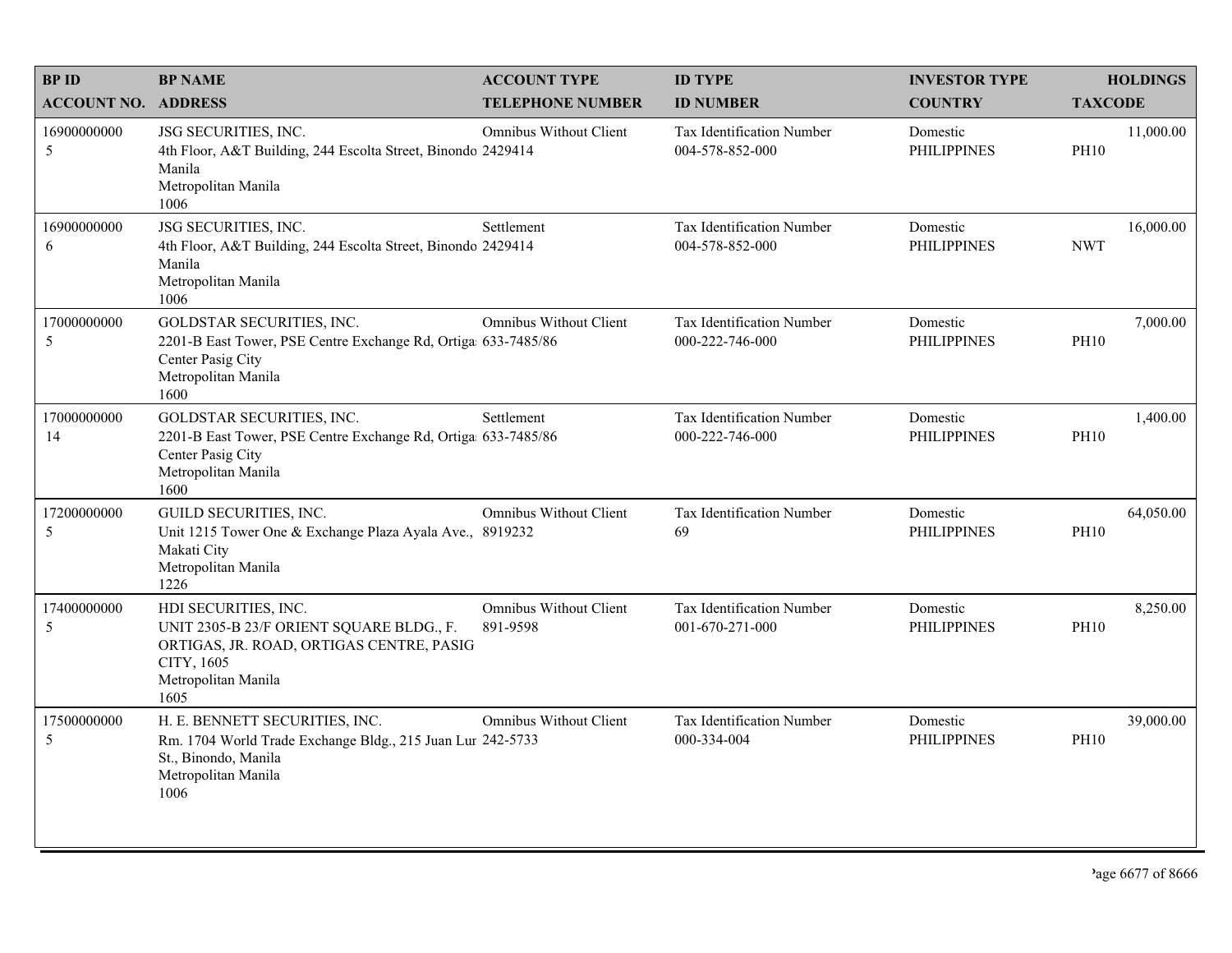| <b>BPID</b>                | <b>BP NAME</b>                                                                                                                                            | <b>ACCOUNT TYPE</b>                       | <b>ID TYPE</b>                                      | <b>INVESTOR TYPE</b>           | <b>HOLDINGS</b>          |
|----------------------------|-----------------------------------------------------------------------------------------------------------------------------------------------------------|-------------------------------------------|-----------------------------------------------------|--------------------------------|--------------------------|
| <b>ACCOUNT NO. ADDRESS</b> |                                                                                                                                                           | <b>TELEPHONE NUMBER</b>                   | <b>ID NUMBER</b>                                    | <b>COUNTRY</b>                 | <b>TAXCODE</b>           |
| 16900000000<br>5           | JSG SECURITIES, INC.<br>4th Floor, A&T Building, 244 Escolta Street, Binondo 2429414<br>Manila<br>Metropolitan Manila<br>1006                             | <b>Omnibus Without Client</b>             | <b>Tax Identification Number</b><br>004-578-852-000 | Domestic<br><b>PHILIPPINES</b> | 11,000.00<br><b>PH10</b> |
| 16900000000<br>6           | JSG SECURITIES, INC.<br>4th Floor, A&T Building, 244 Escolta Street, Binondo 2429414<br>Manila<br>Metropolitan Manila<br>1006                             | Settlement                                | Tax Identification Number<br>004-578-852-000        | Domestic<br><b>PHILIPPINES</b> | 16,000.00<br><b>NWT</b>  |
| 17000000000<br>5           | GOLDSTAR SECURITIES, INC.<br>2201-B East Tower, PSE Centre Exchange Rd, Ortiga 633-7485/86<br>Center Pasig City<br>Metropolitan Manila<br>1600            | <b>Omnibus Without Client</b>             | Tax Identification Number<br>000-222-746-000        | Domestic<br><b>PHILIPPINES</b> | 7,000.00<br><b>PH10</b>  |
| 17000000000<br>14          | GOLDSTAR SECURITIES, INC.<br>2201-B East Tower, PSE Centre Exchange Rd, Ortiga 633-7485/86<br>Center Pasig City<br>Metropolitan Manila<br>1600            | Settlement                                | Tax Identification Number<br>000-222-746-000        | Domestic<br><b>PHILIPPINES</b> | 1,400.00<br><b>PH10</b>  |
| 17200000000<br>5           | GUILD SECURITIES, INC.<br>Unit 1215 Tower One & Exchange Plaza Ayala Ave., 8919232<br>Makati City<br>Metropolitan Manila<br>1226                          | <b>Omnibus Without Client</b>             | Tax Identification Number<br>69                     | Domestic<br><b>PHILIPPINES</b> | 64,050.00<br><b>PH10</b> |
| 17400000000<br>5           | HDI SECURITIES, INC.<br>UNIT 2305-B 23/F ORIENT SQUARE BLDG., F.<br>ORTIGAS, JR. ROAD, ORTIGAS CENTRE, PASIG<br>CITY, 1605<br>Metropolitan Manila<br>1605 | <b>Omnibus Without Client</b><br>891-9598 | Tax Identification Number<br>001-670-271-000        | Domestic<br><b>PHILIPPINES</b> | 8,250.00<br><b>PH10</b>  |
| 17500000000<br>5           | H. E. BENNETT SECURITIES, INC.<br>Rm. 1704 World Trade Exchange Bldg., 215 Juan Lur 242-5733<br>St., Binondo, Manila<br>Metropolitan Manila<br>1006       | <b>Omnibus Without Client</b>             | <b>Tax Identification Number</b><br>000-334-004     | Domestic<br><b>PHILIPPINES</b> | 39,000.00<br><b>PH10</b> |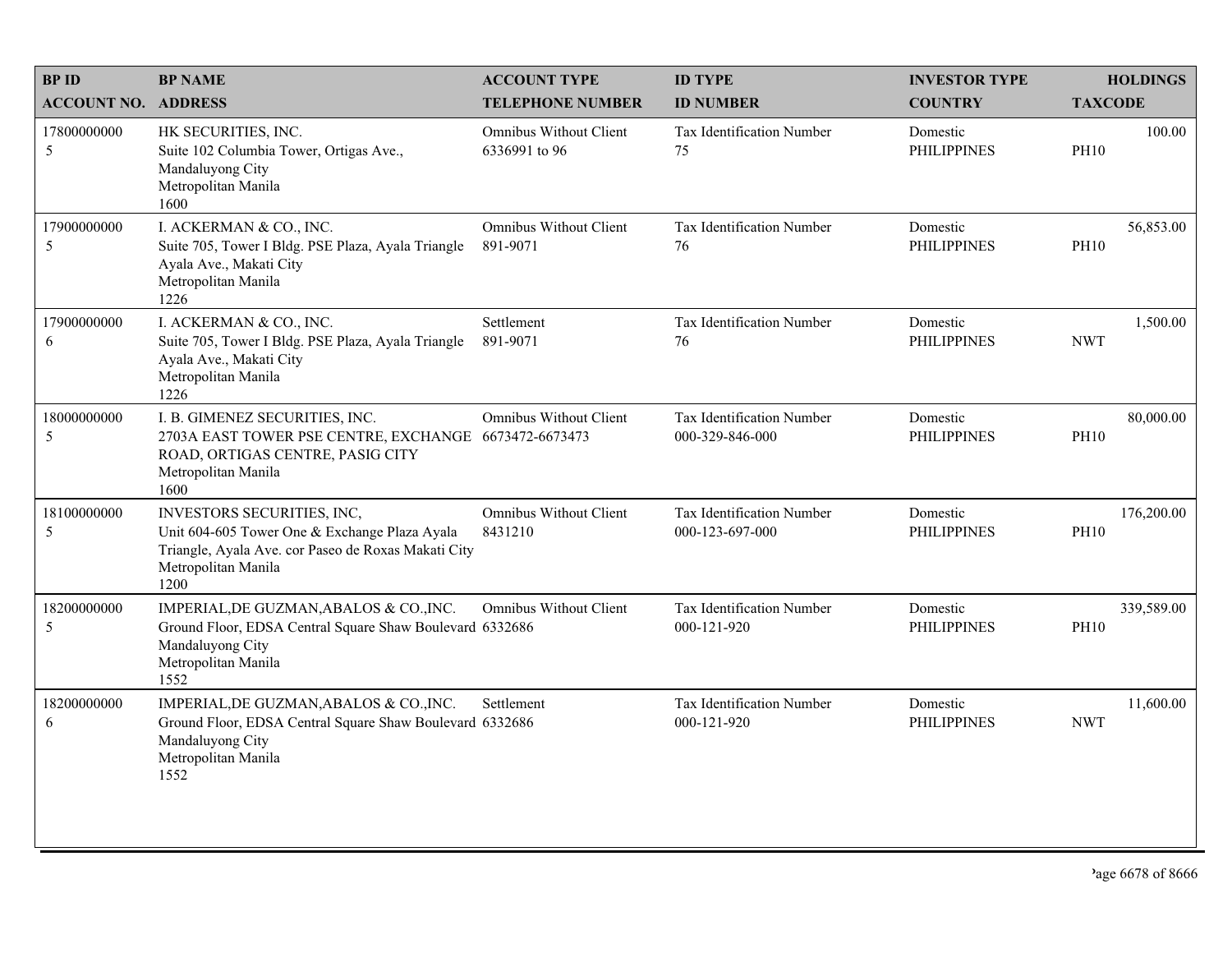| <b>BPID</b>                | <b>BP NAME</b>                                                                                                                                                    | <b>ACCOUNT TYPE</b>                       | <b>ID TYPE</b>                                  | <b>INVESTOR TYPE</b>           | <b>HOLDINGS</b>           |
|----------------------------|-------------------------------------------------------------------------------------------------------------------------------------------------------------------|-------------------------------------------|-------------------------------------------------|--------------------------------|---------------------------|
| <b>ACCOUNT NO. ADDRESS</b> |                                                                                                                                                                   | <b>TELEPHONE NUMBER</b>                   | <b>ID NUMBER</b>                                | <b>COUNTRY</b>                 | <b>TAXCODE</b>            |
| 17800000000<br>5           | HK SECURITIES, INC.<br>Suite 102 Columbia Tower, Ortigas Ave.,<br>Mandaluyong City<br>Metropolitan Manila<br>1600                                                 | Omnibus Without Client<br>6336991 to 96   | Tax Identification Number<br>75                 | Domestic<br><b>PHILIPPINES</b> | 100.00<br><b>PH10</b>     |
| 17900000000<br>5           | I. ACKERMAN & CO., INC.<br>Suite 705, Tower I Bldg. PSE Plaza, Ayala Triangle<br>Ayala Ave., Makati City<br>Metropolitan Manila<br>1226                           | <b>Omnibus Without Client</b><br>891-9071 | Tax Identification Number<br>76                 | Domestic<br><b>PHILIPPINES</b> | 56,853.00<br><b>PH10</b>  |
| 17900000000<br>6           | I. ACKERMAN & CO., INC.<br>Suite 705, Tower I Bldg. PSE Plaza, Ayala Triangle<br>Ayala Ave., Makati City<br>Metropolitan Manila<br>1226                           | Settlement<br>891-9071                    | Tax Identification Number<br>76                 | Domestic<br><b>PHILIPPINES</b> | 1,500.00<br><b>NWT</b>    |
| 18000000000<br>$\sqrt{5}$  | I. B. GIMENEZ SECURITIES, INC.<br>2703A EAST TOWER PSE CENTRE, EXCHANGE 6673472-6673473<br>ROAD, ORTIGAS CENTRE, PASIG CITY<br>Metropolitan Manila<br>1600        | <b>Omnibus Without Client</b>             | Tax Identification Number<br>000-329-846-000    | Domestic<br><b>PHILIPPINES</b> | 80,000.00<br><b>PH10</b>  |
| 18100000000<br>5           | INVESTORS SECURITIES, INC,<br>Unit 604-605 Tower One & Exchange Plaza Ayala<br>Triangle, Ayala Ave. cor Paseo de Roxas Makati City<br>Metropolitan Manila<br>1200 | Omnibus Without Client<br>8431210         | Tax Identification Number<br>000-123-697-000    | Domestic<br><b>PHILIPPINES</b> | 176,200.00<br><b>PH10</b> |
| 18200000000<br>5           | IMPERIAL, DE GUZMAN, ABALOS & CO., INC.<br>Ground Floor, EDSA Central Square Shaw Boulevard 6332686<br>Mandaluyong City<br>Metropolitan Manila<br>1552            | <b>Omnibus Without Client</b>             | Tax Identification Number<br>000-121-920        | Domestic<br><b>PHILIPPINES</b> | 339,589.00<br><b>PH10</b> |
| 18200000000<br>6           | IMPERIAL, DE GUZMAN, ABALOS & CO., INC.<br>Ground Floor, EDSA Central Square Shaw Boulevard 6332686<br>Mandaluyong City<br>Metropolitan Manila<br>1552            | Settlement                                | <b>Tax Identification Number</b><br>000-121-920 | Domestic<br><b>PHILIPPINES</b> | 11,600.00<br><b>NWT</b>   |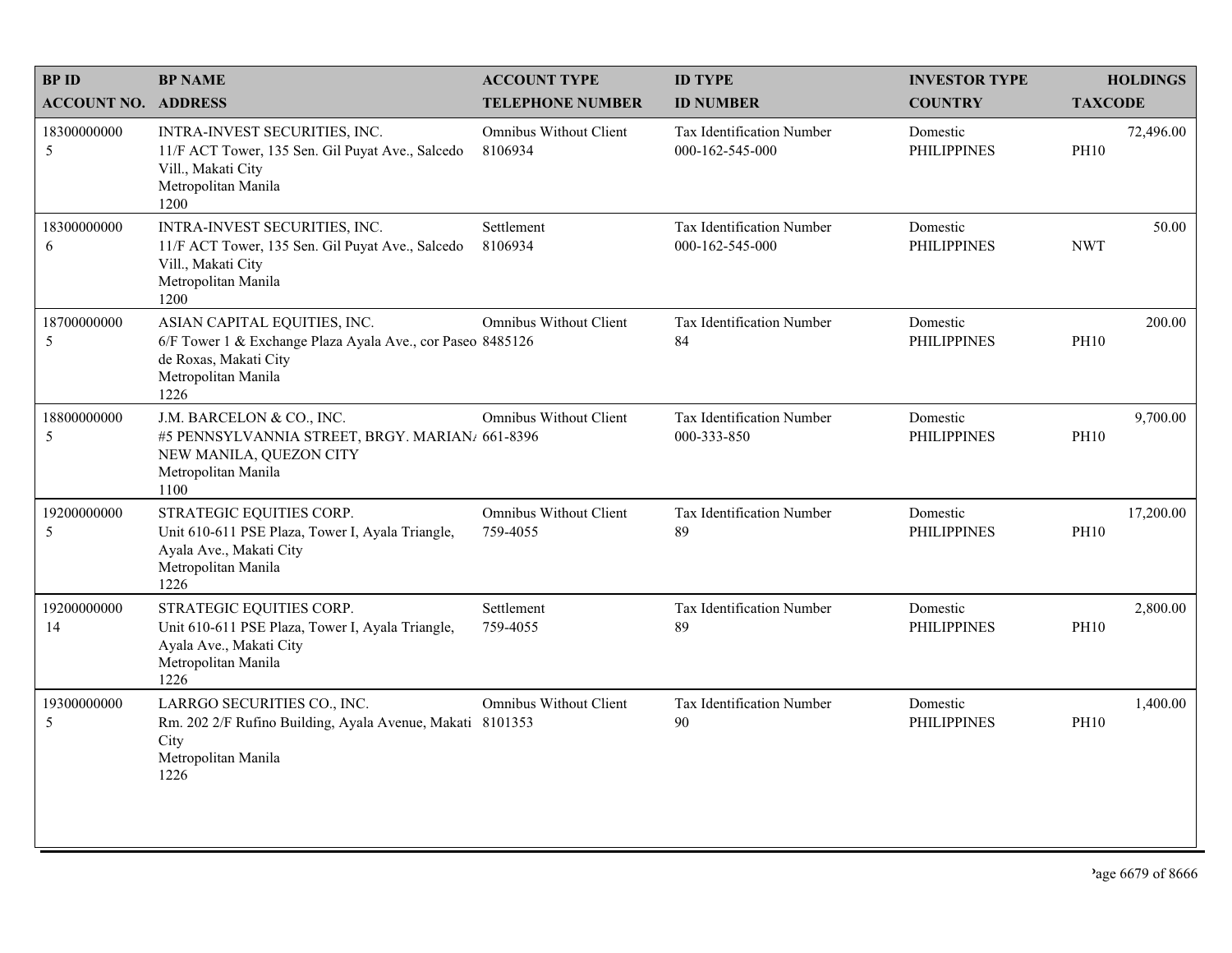| <b>BPID</b>                | <b>BP NAME</b>                                                                                                                                     | <b>ACCOUNT TYPE</b>                | <b>ID TYPE</b>                                      | <b>INVESTOR TYPE</b>           | <b>HOLDINGS</b>          |
|----------------------------|----------------------------------------------------------------------------------------------------------------------------------------------------|------------------------------------|-----------------------------------------------------|--------------------------------|--------------------------|
| <b>ACCOUNT NO. ADDRESS</b> |                                                                                                                                                    | <b>TELEPHONE NUMBER</b>            | <b>ID NUMBER</b>                                    | <b>COUNTRY</b>                 | <b>TAXCODE</b>           |
| 18300000000<br>5           | INTRA-INVEST SECURITIES, INC.<br>11/F ACT Tower, 135 Sen. Gil Puyat Ave., Salcedo<br>Vill., Makati City<br>Metropolitan Manila<br>1200             | Omnibus Without Client<br>8106934  | <b>Tax Identification Number</b><br>000-162-545-000 | Domestic<br><b>PHILIPPINES</b> | 72,496.00<br><b>PH10</b> |
| 18300000000<br>6           | INTRA-INVEST SECURITIES, INC.<br>11/F ACT Tower, 135 Sen. Gil Puyat Ave., Salcedo<br>Vill., Makati City<br>Metropolitan Manila<br>1200             | Settlement<br>8106934              | Tax Identification Number<br>000-162-545-000        | Domestic<br><b>PHILIPPINES</b> | 50.00<br><b>NWT</b>      |
| 18700000000<br>5           | ASIAN CAPITAL EQUITIES, INC.<br>6/F Tower 1 & Exchange Plaza Ayala Ave., cor Paseo 8485126<br>de Roxas, Makati City<br>Metropolitan Manila<br>1226 | Omnibus Without Client             | Tax Identification Number<br>84                     | Domestic<br><b>PHILIPPINES</b> | 200.00<br><b>PH10</b>    |
| 18800000000<br>$\sqrt{5}$  | J.M. BARCELON & CO., INC.<br>#5 PENNSYLVANNIA STREET, BRGY. MARIAN/ 661-8396<br>NEW MANILA, QUEZON CITY<br>Metropolitan Manila<br>1100             | Omnibus Without Client             | Tax Identification Number<br>000-333-850            | Domestic<br><b>PHILIPPINES</b> | 9,700.00<br><b>PH10</b>  |
| 19200000000<br>5           | STRATEGIC EQUITIES CORP.<br>Unit 610-611 PSE Plaza, Tower I, Ayala Triangle,<br>Ayala Ave., Makati City<br>Metropolitan Manila<br>1226             | Omnibus Without Client<br>759-4055 | Tax Identification Number<br>89                     | Domestic<br><b>PHILIPPINES</b> | 17,200.00<br><b>PH10</b> |
| 19200000000<br>14          | STRATEGIC EQUITIES CORP.<br>Unit 610-611 PSE Plaza, Tower I, Ayala Triangle,<br>Ayala Ave., Makati City<br>Metropolitan Manila<br>1226             | Settlement<br>759-4055             | Tax Identification Number<br>89                     | Domestic<br><b>PHILIPPINES</b> | 2,800.00<br><b>PH10</b>  |
| 19300000000<br>5           | LARRGO SECURITIES CO., INC.<br>Rm. 202 2/F Rufino Building, Ayala Avenue, Makati 8101353<br>City<br>Metropolitan Manila<br>1226                    | Omnibus Without Client             | Tax Identification Number<br>90                     | Domestic<br><b>PHILIPPINES</b> | 1,400.00<br><b>PH10</b>  |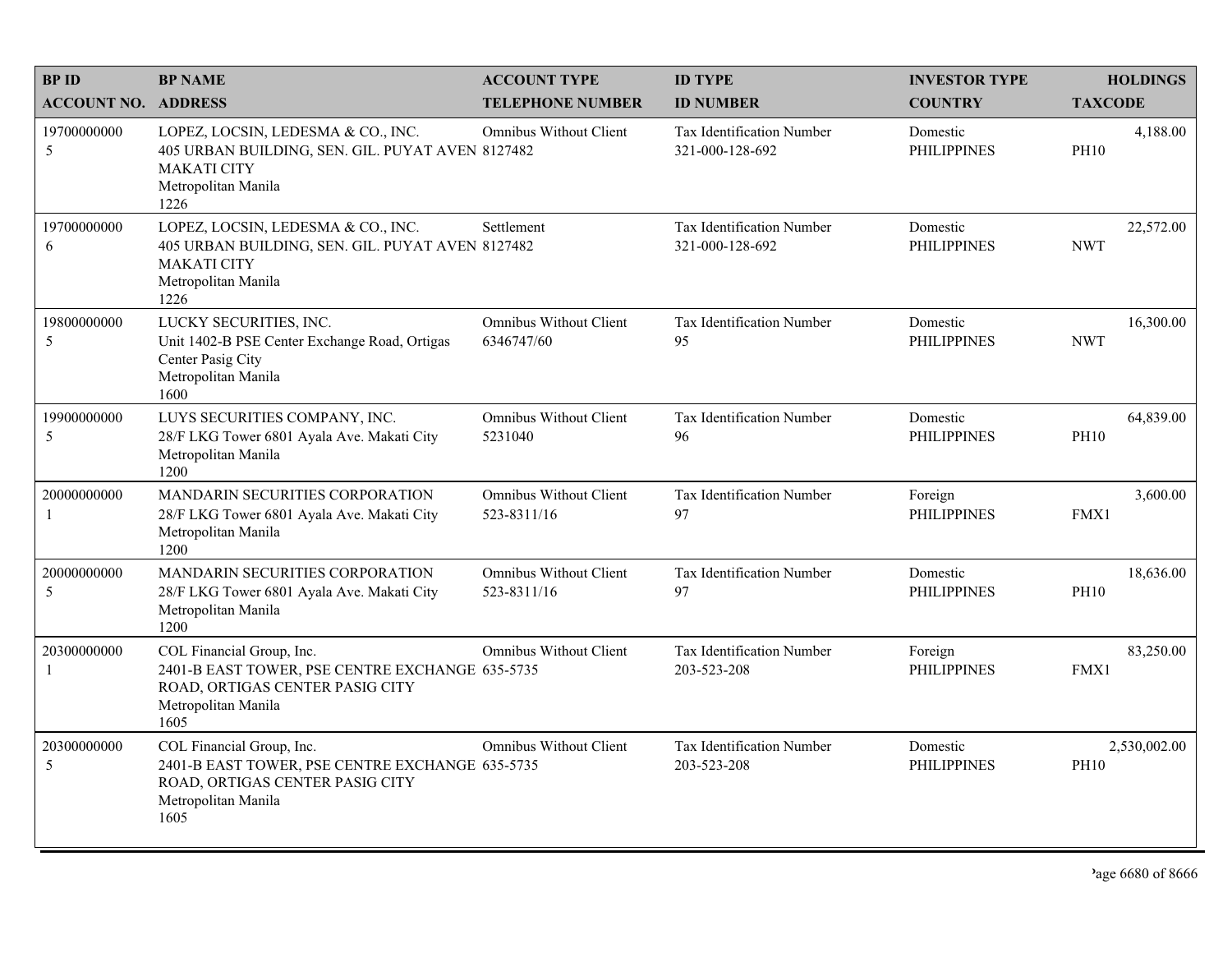| <b>BPID</b>                | <b>BP NAME</b>                                                                                                                                 | <b>ACCOUNT TYPE</b>                          | <b>ID TYPE</b>                               | <b>INVESTOR TYPE</b>           | <b>HOLDINGS</b>             |
|----------------------------|------------------------------------------------------------------------------------------------------------------------------------------------|----------------------------------------------|----------------------------------------------|--------------------------------|-----------------------------|
| <b>ACCOUNT NO. ADDRESS</b> |                                                                                                                                                | <b>TELEPHONE NUMBER</b>                      | <b>ID NUMBER</b>                             | <b>COUNTRY</b>                 | <b>TAXCODE</b>              |
| 19700000000<br>5           | LOPEZ, LOCSIN, LEDESMA & CO., INC.<br>405 URBAN BUILDING, SEN. GIL. PUYAT AVEN 8127482<br><b>MAKATI CITY</b><br>Metropolitan Manila<br>1226    | Omnibus Without Client                       | Tax Identification Number<br>321-000-128-692 | Domestic<br><b>PHILIPPINES</b> | 4,188.00<br><b>PH10</b>     |
| 19700000000<br>6           | LOPEZ, LOCSIN, LEDESMA & CO., INC.<br>405 URBAN BUILDING, SEN. GIL. PUYAT AVEN 8127482<br><b>MAKATI CITY</b><br>Metropolitan Manila<br>1226    | Settlement                                   | Tax Identification Number<br>321-000-128-692 | Domestic<br><b>PHILIPPINES</b> | 22,572.00<br><b>NWT</b>     |
| 19800000000<br>5           | LUCKY SECURITIES, INC.<br>Unit 1402-B PSE Center Exchange Road, Ortigas<br>Center Pasig City<br>Metropolitan Manila<br>1600                    | <b>Omnibus Without Client</b><br>6346747/60  | Tax Identification Number<br>95              | Domestic<br><b>PHILIPPINES</b> | 16,300.00<br><b>NWT</b>     |
| 19900000000<br>5           | LUYS SECURITIES COMPANY, INC.<br>28/F LKG Tower 6801 Ayala Ave. Makati City<br>Metropolitan Manila<br>1200                                     | <b>Omnibus Without Client</b><br>5231040     | Tax Identification Number<br>96              | Domestic<br><b>PHILIPPINES</b> | 64,839.00<br><b>PH10</b>    |
| 20000000000<br>-1          | <b>MANDARIN SECURITIES CORPORATION</b><br>28/F LKG Tower 6801 Ayala Ave. Makati City<br>Metropolitan Manila<br>1200                            | <b>Omnibus Without Client</b><br>523-8311/16 | Tax Identification Number<br>97              | Foreign<br><b>PHILIPPINES</b>  | 3,600.00<br>FMX1            |
| 20000000000<br>5           | MANDARIN SECURITIES CORPORATION<br>28/F LKG Tower 6801 Ayala Ave. Makati City<br>Metropolitan Manila<br>1200                                   | <b>Omnibus Without Client</b><br>523-8311/16 | Tax Identification Number<br>97              | Domestic<br><b>PHILIPPINES</b> | 18,636.00<br><b>PH10</b>    |
| 20300000000<br>-1          | COL Financial Group, Inc.<br>2401-B EAST TOWER, PSE CENTRE EXCHANGE 635-5735<br>ROAD, ORTIGAS CENTER PASIG CITY<br>Metropolitan Manila<br>1605 | Omnibus Without Client                       | Tax Identification Number<br>203-523-208     | Foreign<br><b>PHILIPPINES</b>  | 83,250.00<br>FMX1           |
| 20300000000<br>5           | COL Financial Group, Inc.<br>2401-B EAST TOWER, PSE CENTRE EXCHANGE 635-5735<br>ROAD, ORTIGAS CENTER PASIG CITY<br>Metropolitan Manila<br>1605 | <b>Omnibus Without Client</b>                | Tax Identification Number<br>203-523-208     | Domestic<br><b>PHILIPPINES</b> | 2,530,002.00<br><b>PH10</b> |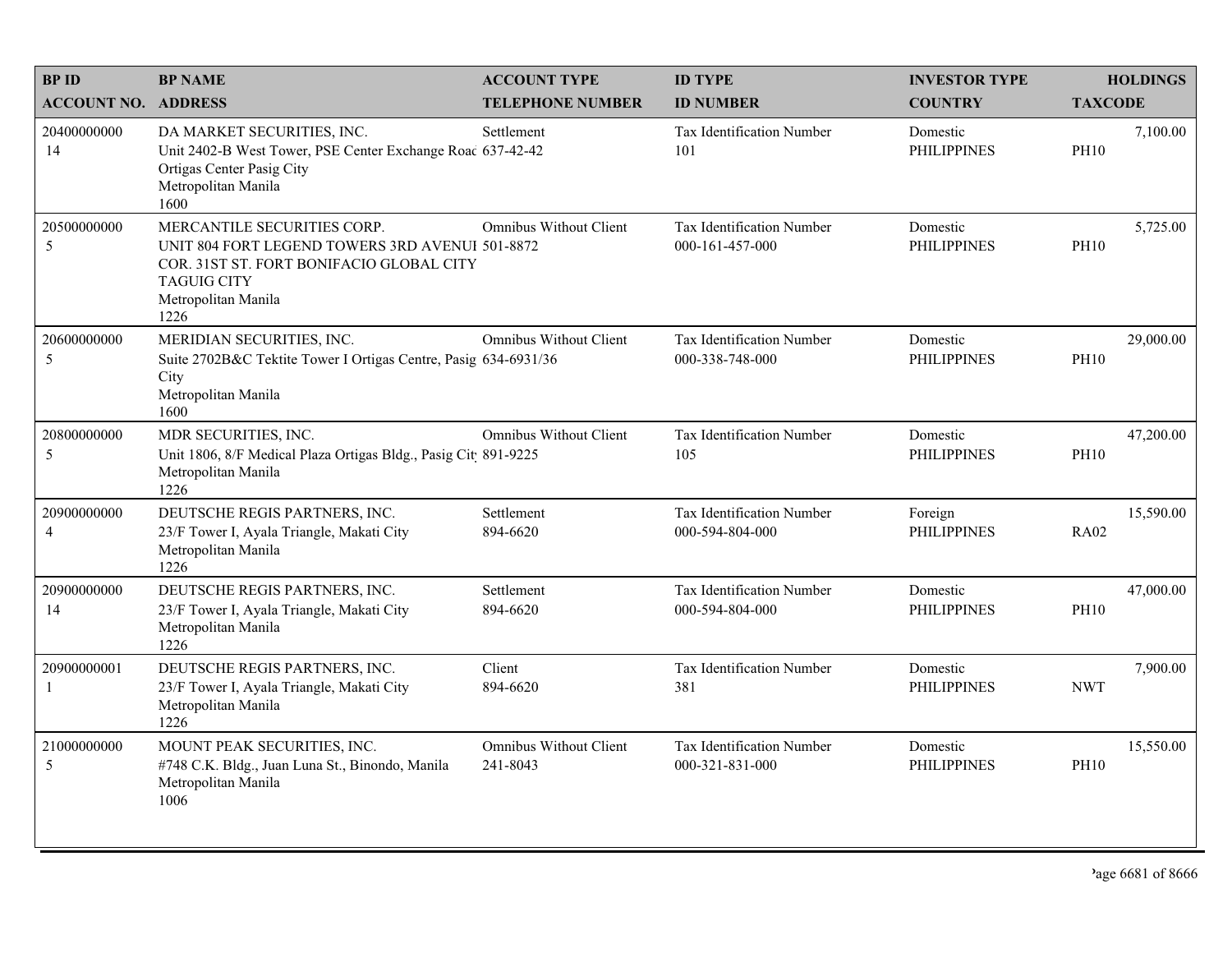| <b>BPID</b>                   | <b>BP NAME</b>                                                                                                                                                                  | <b>ACCOUNT TYPE</b>                       | <b>ID TYPE</b>                               | <b>INVESTOR TYPE</b>           | <b>HOLDINGS</b>          |
|-------------------------------|---------------------------------------------------------------------------------------------------------------------------------------------------------------------------------|-------------------------------------------|----------------------------------------------|--------------------------------|--------------------------|
| <b>ACCOUNT NO. ADDRESS</b>    |                                                                                                                                                                                 | <b>TELEPHONE NUMBER</b>                   | <b>ID NUMBER</b>                             | <b>COUNTRY</b>                 | <b>TAXCODE</b>           |
| 20400000000<br>14             | DA MARKET SECURITIES, INC.<br>Unit 2402-B West Tower, PSE Center Exchange Roac 637-42-42<br>Ortigas Center Pasig City<br>Metropolitan Manila<br>1600                            | Settlement                                | <b>Tax Identification Number</b><br>101      | Domestic<br><b>PHILIPPINES</b> | 7,100.00<br><b>PH10</b>  |
| 20500000000<br>5              | MERCANTILE SECURITIES CORP.<br>UNIT 804 FORT LEGEND TOWERS 3RD AVENUI 501-8872<br>COR. 31ST ST. FORT BONIFACIO GLOBAL CITY<br><b>TAGUIG CITY</b><br>Metropolitan Manila<br>1226 | <b>Omnibus Without Client</b>             | Tax Identification Number<br>000-161-457-000 | Domestic<br><b>PHILIPPINES</b> | 5,725.00<br><b>PH10</b>  |
| 20600000000<br>5              | MERIDIAN SECURITIES, INC.<br>Suite 2702B&C Tektite Tower I Ortigas Centre, Pasig 634-6931/36<br>City<br>Metropolitan Manila<br>1600                                             | <b>Omnibus Without Client</b>             | Tax Identification Number<br>000-338-748-000 | Domestic<br><b>PHILIPPINES</b> | 29,000.00<br><b>PH10</b> |
| 20800000000<br>5              | MDR SECURITIES, INC.<br>Unit 1806, 8/F Medical Plaza Ortigas Bldg., Pasig Cit 891-9225<br>Metropolitan Manila<br>1226                                                           | Omnibus Without Client                    | Tax Identification Number<br>105             | Domestic<br><b>PHILIPPINES</b> | 47,200.00<br><b>PH10</b> |
| 20900000000<br>$\overline{4}$ | DEUTSCHE REGIS PARTNERS, INC.<br>23/F Tower I, Ayala Triangle, Makati City<br>Metropolitan Manila<br>1226                                                                       | Settlement<br>894-6620                    | Tax Identification Number<br>000-594-804-000 | Foreign<br><b>PHILIPPINES</b>  | 15,590.00<br><b>RA02</b> |
| 20900000000<br>14             | DEUTSCHE REGIS PARTNERS, INC.<br>23/F Tower I, Ayala Triangle, Makati City<br>Metropolitan Manila<br>1226                                                                       | Settlement<br>894-6620                    | Tax Identification Number<br>000-594-804-000 | Domestic<br><b>PHILIPPINES</b> | 47,000.00<br><b>PH10</b> |
| 20900000001<br>-1             | DEUTSCHE REGIS PARTNERS, INC.<br>23/F Tower I, Ayala Triangle, Makati City<br>Metropolitan Manila<br>1226                                                                       | Client<br>894-6620                        | Tax Identification Number<br>381             | Domestic<br><b>PHILIPPINES</b> | 7,900.00<br><b>NWT</b>   |
| 21000000000<br>5              | MOUNT PEAK SECURITIES, INC.<br>#748 C.K. Bldg., Juan Luna St., Binondo, Manila<br>Metropolitan Manila<br>1006                                                                   | <b>Omnibus Without Client</b><br>241-8043 | Tax Identification Number<br>000-321-831-000 | Domestic<br><b>PHILIPPINES</b> | 15,550.00<br><b>PH10</b> |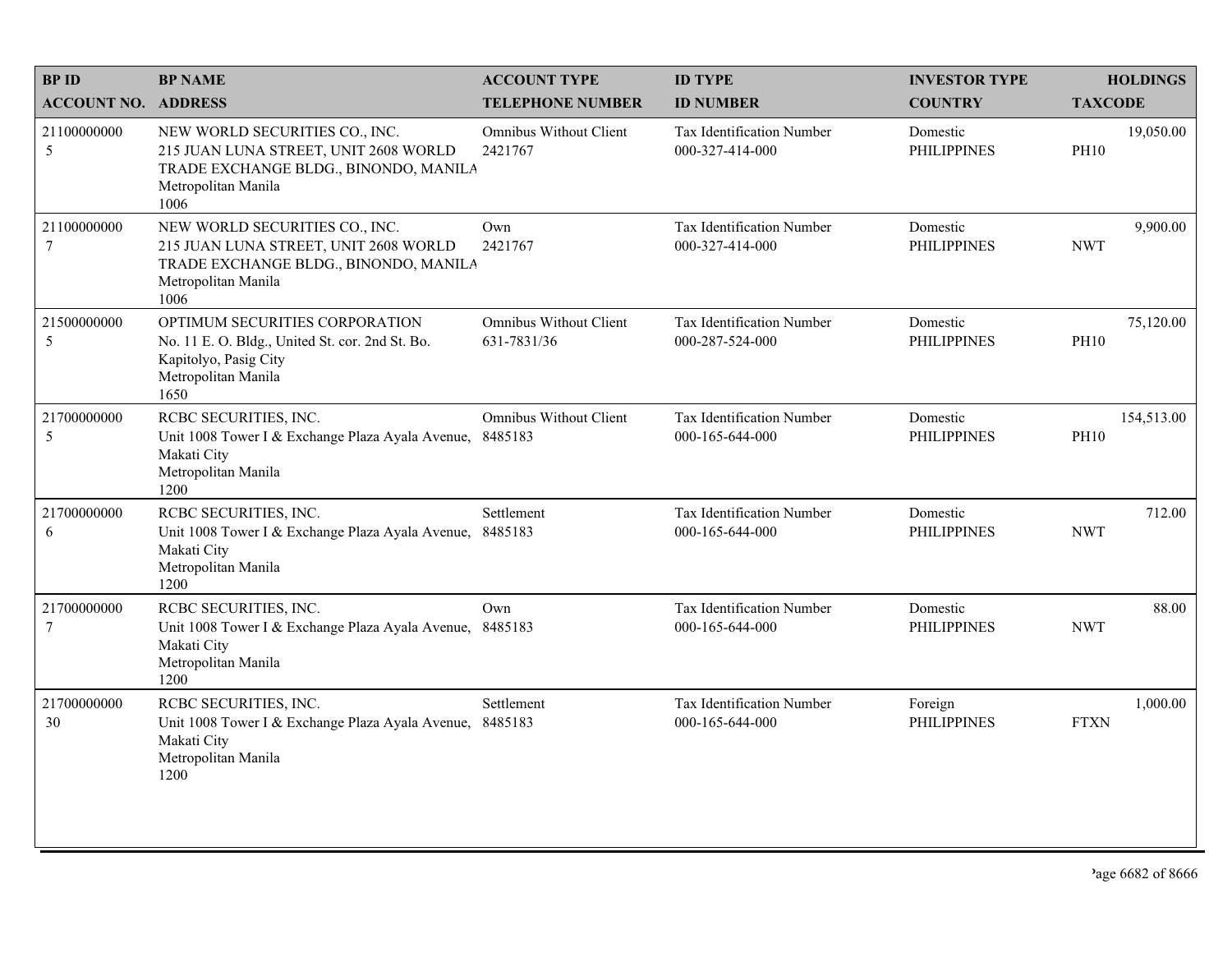| <b>BPID</b>                   | <b>BP NAME</b>                                                                                                                                  | <b>ACCOUNT TYPE</b>                          | <b>ID TYPE</b>                                      | <b>INVESTOR TYPE</b>           | <b>HOLDINGS</b>           |
|-------------------------------|-------------------------------------------------------------------------------------------------------------------------------------------------|----------------------------------------------|-----------------------------------------------------|--------------------------------|---------------------------|
| <b>ACCOUNT NO. ADDRESS</b>    |                                                                                                                                                 | <b>TELEPHONE NUMBER</b>                      | <b>ID NUMBER</b>                                    | <b>COUNTRY</b>                 | <b>TAXCODE</b>            |
| 21100000000<br>5              | NEW WORLD SECURITIES CO., INC.<br>215 JUAN LUNA STREET, UNIT 2608 WORLD<br>TRADE EXCHANGE BLDG., BINONDO, MANILA<br>Metropolitan Manila<br>1006 | <b>Omnibus Without Client</b><br>2421767     | <b>Tax Identification Number</b><br>000-327-414-000 | Domestic<br><b>PHILIPPINES</b> | 19,050.00<br><b>PH10</b>  |
| 21100000000<br>$\overline{7}$ | NEW WORLD SECURITIES CO., INC.<br>215 JUAN LUNA STREET, UNIT 2608 WORLD<br>TRADE EXCHANGE BLDG., BINONDO, MANILA<br>Metropolitan Manila<br>1006 | Own<br>2421767                               | Tax Identification Number<br>000-327-414-000        | Domestic<br><b>PHILIPPINES</b> | 9,900.00<br><b>NWT</b>    |
| 21500000000<br>5              | OPTIMUM SECURITIES CORPORATION<br>No. 11 E. O. Bldg., United St. cor. 2nd St. Bo.<br>Kapitolyo, Pasig City<br>Metropolitan Manila<br>1650       | <b>Omnibus Without Client</b><br>631-7831/36 | Tax Identification Number<br>000-287-524-000        | Domestic<br><b>PHILIPPINES</b> | 75,120.00<br><b>PH10</b>  |
| 21700000000<br>$\sqrt{5}$     | RCBC SECURITIES, INC.<br>Unit 1008 Tower I & Exchange Plaza Ayala Avenue,<br>Makati City<br>Metropolitan Manila<br>1200                         | <b>Omnibus Without Client</b><br>8485183     | Tax Identification Number<br>000-165-644-000        | Domestic<br><b>PHILIPPINES</b> | 154,513.00<br><b>PH10</b> |
| 21700000000<br>6              | RCBC SECURITIES, INC.<br>Unit 1008 Tower I & Exchange Plaza Ayala Avenue,<br>Makati City<br>Metropolitan Manila<br>1200                         | Settlement<br>8485183                        | <b>Tax Identification Number</b><br>000-165-644-000 | Domestic<br><b>PHILIPPINES</b> | 712.00<br><b>NWT</b>      |
| 21700000000<br>$\tau$         | RCBC SECURITIES, INC.<br>Unit 1008 Tower I & Exchange Plaza Ayala Avenue, 8485183<br>Makati City<br>Metropolitan Manila<br>1200                 | Own                                          | <b>Tax Identification Number</b><br>000-165-644-000 | Domestic<br><b>PHILIPPINES</b> | 88.00<br><b>NWT</b>       |
| 21700000000<br>30             | RCBC SECURITIES, INC.<br>Unit 1008 Tower I & Exchange Plaza Ayala Avenue,<br>Makati City<br>Metropolitan Manila<br>1200                         | Settlement<br>8485183                        | <b>Tax Identification Number</b><br>000-165-644-000 | Foreign<br><b>PHILIPPINES</b>  | 1,000.00<br><b>FTXN</b>   |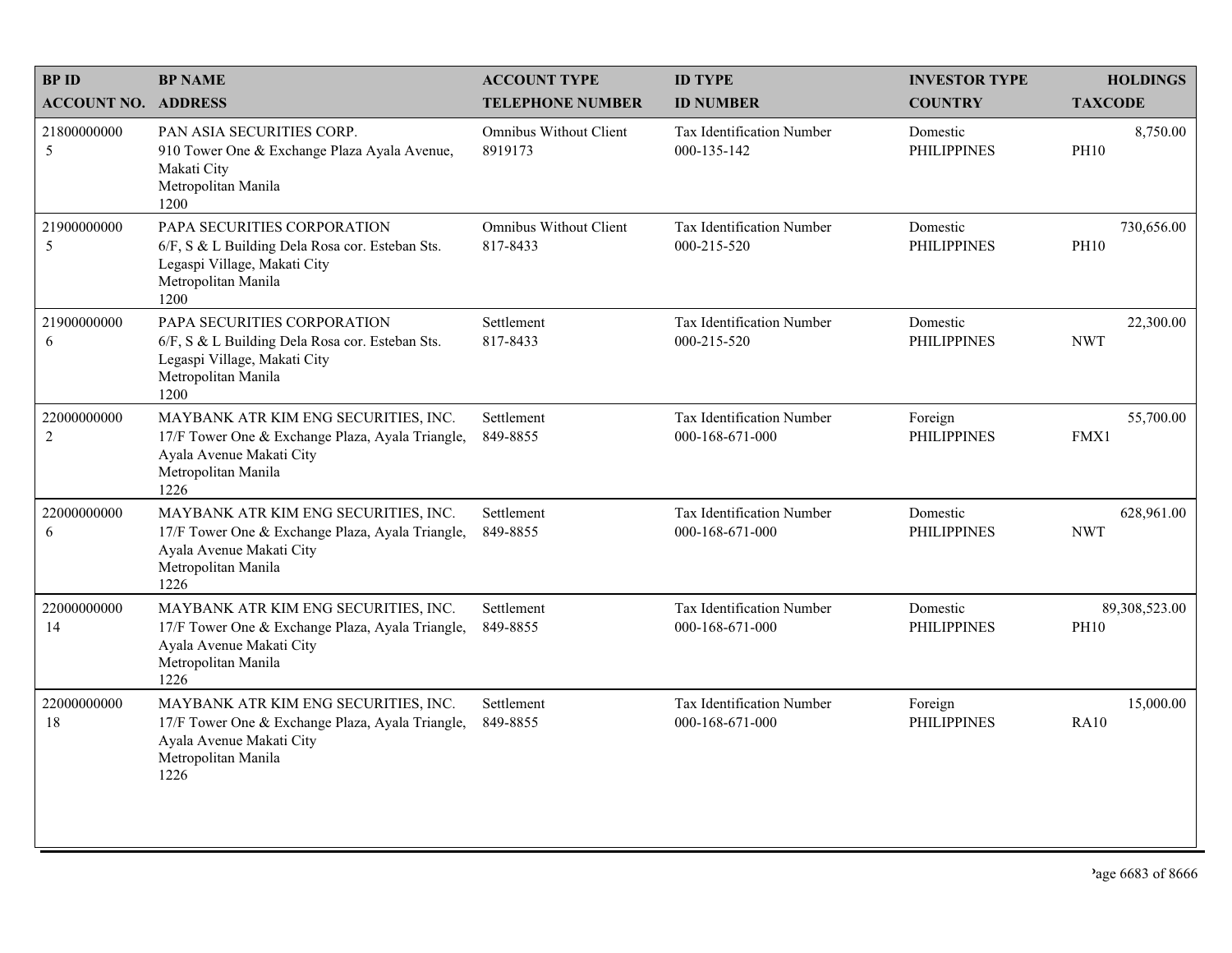| <b>BPID</b>                   | <b>BP NAME</b>                                                                                                                                      | <b>ACCOUNT TYPE</b>                | <b>ID TYPE</b>                                      | <b>INVESTOR TYPE</b>           | <b>HOLDINGS</b>              |
|-------------------------------|-----------------------------------------------------------------------------------------------------------------------------------------------------|------------------------------------|-----------------------------------------------------|--------------------------------|------------------------------|
| <b>ACCOUNT NO. ADDRESS</b>    |                                                                                                                                                     | <b>TELEPHONE NUMBER</b>            | <b>ID NUMBER</b>                                    | <b>COUNTRY</b>                 | <b>TAXCODE</b>               |
| 21800000000<br>5              | PAN ASIA SECURITIES CORP.<br>910 Tower One & Exchange Plaza Ayala Avenue,<br>Makati City<br>Metropolitan Manila<br>1200                             | Omnibus Without Client<br>8919173  | Tax Identification Number<br>000-135-142            | Domestic<br><b>PHILIPPINES</b> | 8,750.00<br><b>PH10</b>      |
| 21900000000<br>5              | PAPA SECURITIES CORPORATION<br>6/F, S & L Building Dela Rosa cor. Esteban Sts.<br>Legaspi Village, Makati City<br>Metropolitan Manila<br>1200       | Omnibus Without Client<br>817-8433 | Tax Identification Number<br>000-215-520            | Domestic<br><b>PHILIPPINES</b> | 730,656.00<br><b>PH10</b>    |
| 21900000000<br>6              | PAPA SECURITIES CORPORATION<br>6/F, S & L Building Dela Rosa cor. Esteban Sts.<br>Legaspi Village, Makati City<br>Metropolitan Manila<br>1200       | Settlement<br>817-8433             | Tax Identification Number<br>000-215-520            | Domestic<br><b>PHILIPPINES</b> | 22,300.00<br><b>NWT</b>      |
| 22000000000<br>$\overline{2}$ | MAYBANK ATR KIM ENG SECURITIES, INC.<br>17/F Tower One & Exchange Plaza, Ayala Triangle,<br>Ayala Avenue Makati City<br>Metropolitan Manila<br>1226 | Settlement<br>849-8855             | <b>Tax Identification Number</b><br>000-168-671-000 | Foreign<br><b>PHILIPPINES</b>  | 55,700.00<br>FMX1            |
| 22000000000<br>6              | MAYBANK ATR KIM ENG SECURITIES, INC.<br>17/F Tower One & Exchange Plaza, Ayala Triangle,<br>Ayala Avenue Makati City<br>Metropolitan Manila<br>1226 | Settlement<br>849-8855             | Tax Identification Number<br>000-168-671-000        | Domestic<br><b>PHILIPPINES</b> | 628,961.00<br><b>NWT</b>     |
| 22000000000<br>14             | MAYBANK ATR KIM ENG SECURITIES, INC.<br>17/F Tower One & Exchange Plaza, Ayala Triangle,<br>Ayala Avenue Makati City<br>Metropolitan Manila<br>1226 | Settlement<br>849-8855             | Tax Identification Number<br>000-168-671-000        | Domestic<br><b>PHILIPPINES</b> | 89,308,523.00<br><b>PH10</b> |
| 22000000000<br>18             | MAYBANK ATR KIM ENG SECURITIES, INC.<br>17/F Tower One & Exchange Plaza, Ayala Triangle,<br>Ayala Avenue Makati City<br>Metropolitan Manila<br>1226 | Settlement<br>849-8855             | Tax Identification Number<br>000-168-671-000        | Foreign<br><b>PHILIPPINES</b>  | 15,000.00<br><b>RA10</b>     |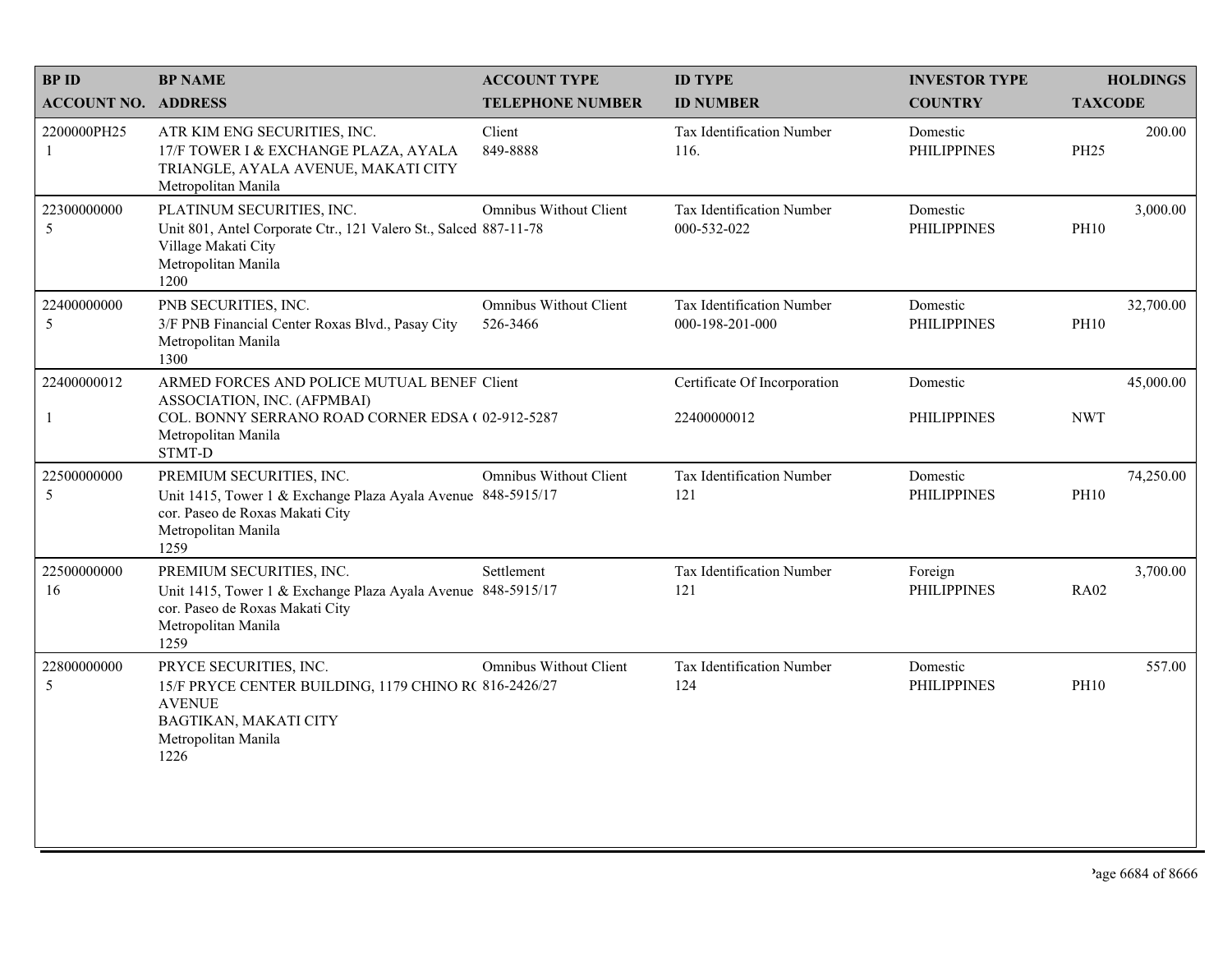| <b>BPID</b>                | <b>BP NAME</b>                                                                                                                                             | <b>ACCOUNT TYPE</b>                       | <b>ID TYPE</b>                               | <b>INVESTOR TYPE</b>           |                | <b>HOLDINGS</b> |
|----------------------------|------------------------------------------------------------------------------------------------------------------------------------------------------------|-------------------------------------------|----------------------------------------------|--------------------------------|----------------|-----------------|
| <b>ACCOUNT NO. ADDRESS</b> |                                                                                                                                                            | <b>TELEPHONE NUMBER</b>                   | <b>ID NUMBER</b>                             | <b>COUNTRY</b>                 | <b>TAXCODE</b> |                 |
| 2200000PH25<br>1           | ATR KIM ENG SECURITIES, INC.<br>17/F TOWER I & EXCHANGE PLAZA, AYALA<br>TRIANGLE, AYALA AVENUE, MAKATI CITY<br>Metropolitan Manila                         | Client<br>849-8888                        | Tax Identification Number<br>116.            | Domestic<br><b>PHILIPPINES</b> | <b>PH25</b>    | 200.00          |
| 22300000000<br>5           | PLATINUM SECURITIES, INC.<br>Unit 801, Antel Corporate Ctr., 121 Valero St., Salced 887-11-78<br>Village Makati City<br>Metropolitan Manila<br>1200        | <b>Omnibus Without Client</b>             | Tax Identification Number<br>000-532-022     | Domestic<br><b>PHILIPPINES</b> | <b>PH10</b>    | 3,000.00        |
| 22400000000<br>5           | PNB SECURITIES, INC.<br>3/F PNB Financial Center Roxas Blvd., Pasay City<br>Metropolitan Manila<br>1300                                                    | <b>Omnibus Without Client</b><br>526-3466 | Tax Identification Number<br>000-198-201-000 | Domestic<br><b>PHILIPPINES</b> | <b>PH10</b>    | 32,700.00       |
| 22400000012                | ARMED FORCES AND POLICE MUTUAL BENEF Client                                                                                                                |                                           | Certificate Of Incorporation                 | Domestic                       |                | 45,000.00       |
|                            | ASSOCIATION, INC. (AFPMBAI)<br>COL. BONNY SERRANO ROAD CORNER EDSA (02-912-5287<br>Metropolitan Manila<br>STMT-D                                           |                                           | 22400000012                                  | <b>PHILIPPINES</b>             | <b>NWT</b>     |                 |
| 22500000000<br>5           | PREMIUM SECURITIES, INC.<br>Unit 1415, Tower 1 & Exchange Plaza Ayala Avenue 848-5915/17<br>cor. Paseo de Roxas Makati City<br>Metropolitan Manila<br>1259 | Omnibus Without Client                    | Tax Identification Number<br>121             | Domestic<br><b>PHILIPPINES</b> | <b>PH10</b>    | 74,250.00       |
| 22500000000<br>16          | PREMIUM SECURITIES, INC.<br>Unit 1415, Tower 1 & Exchange Plaza Ayala Avenue 848-5915/17<br>cor. Paseo de Roxas Makati City<br>Metropolitan Manila<br>1259 | Settlement                                | Tax Identification Number<br>121             | Foreign<br><b>PHILIPPINES</b>  | <b>RA02</b>    | 3,700.00        |
| 22800000000<br>5           | PRYCE SECURITIES, INC.<br>15/F PRYCE CENTER BUILDING, 1179 CHINO R( 816-2426/27<br><b>AVENUE</b><br>BAGTIKAN, MAKATI CITY<br>Metropolitan Manila<br>1226   | <b>Omnibus Without Client</b>             | Tax Identification Number<br>124             | Domestic<br><b>PHILIPPINES</b> | <b>PH10</b>    | 557.00          |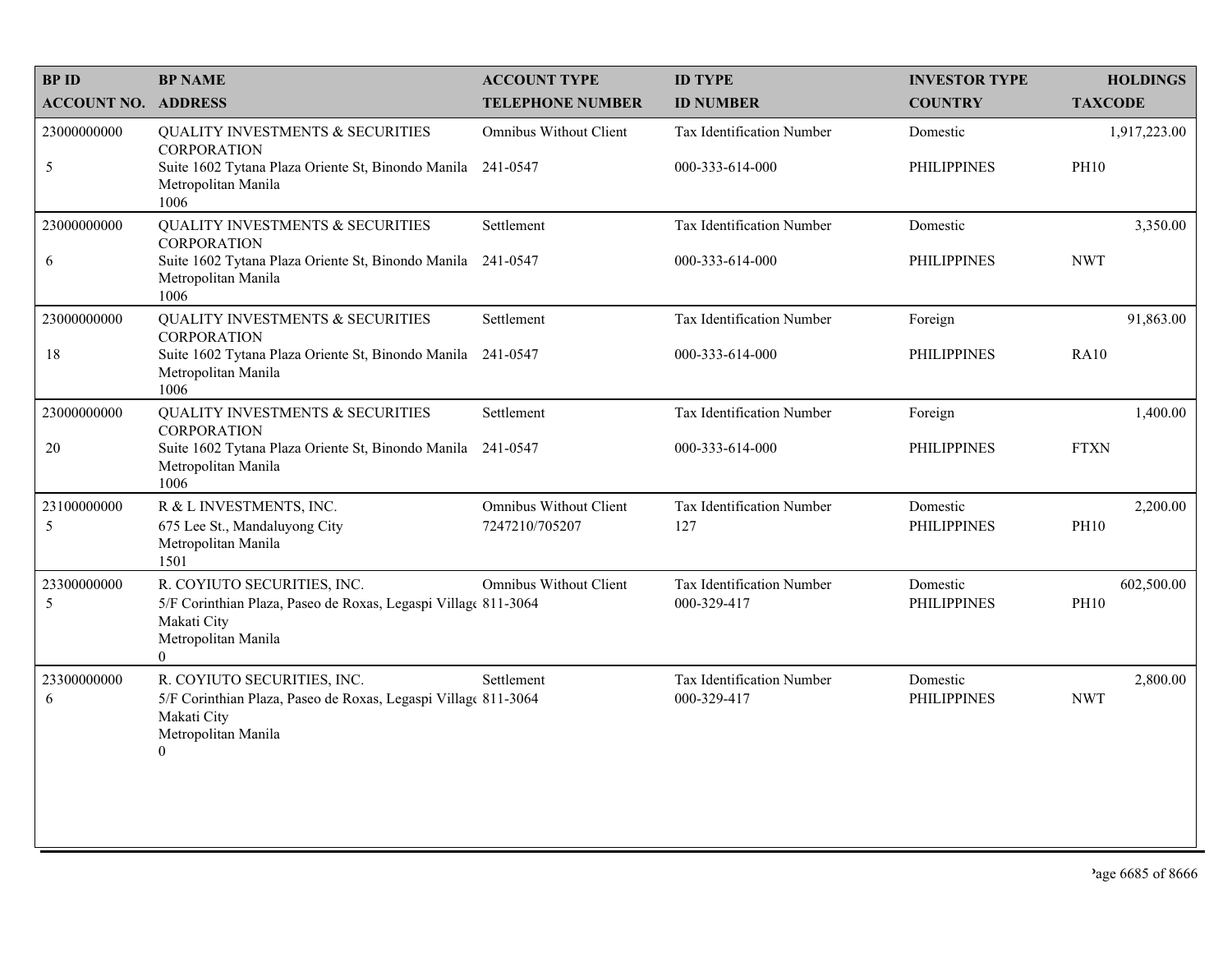| <b>BP NAME</b>                                                                    | <b>ACCOUNT TYPE</b>           | <b>ID TYPE</b>                                                                                                                                                                                                                                                                                                                                              | <b>INVESTOR TYPE</b>              | <b>HOLDINGS</b>                                                |
|-----------------------------------------------------------------------------------|-------------------------------|-------------------------------------------------------------------------------------------------------------------------------------------------------------------------------------------------------------------------------------------------------------------------------------------------------------------------------------------------------------|-----------------------------------|----------------------------------------------------------------|
| <b>ACCOUNT NO. ADDRESS</b>                                                        | <b>TELEPHONE NUMBER</b>       | <b>ID NUMBER</b>                                                                                                                                                                                                                                                                                                                                            | <b>COUNTRY</b>                    | <b>TAXCODE</b>                                                 |
| <b>QUALITY INVESTMENTS &amp; SECURITIES</b><br><b>CORPORATION</b>                 | Omnibus Without Client        | Tax Identification Number                                                                                                                                                                                                                                                                                                                                   | Domestic                          | 1,917,223.00                                                   |
| Metropolitan Manila<br>1006                                                       |                               | 000-333-614-000                                                                                                                                                                                                                                                                                                                                             | <b>PHILIPPINES</b>                | <b>PH10</b>                                                    |
| <b>QUALITY INVESTMENTS &amp; SECURITIES</b><br><b>CORPORATION</b>                 | Settlement                    | Tax Identification Number                                                                                                                                                                                                                                                                                                                                   | Domestic                          | 3,350.00                                                       |
| Suite 1602 Tytana Plaza Oriente St, Binondo Manila<br>Metropolitan Manila<br>1006 |                               | 000-333-614-000                                                                                                                                                                                                                                                                                                                                             | <b>PHILIPPINES</b>                | <b>NWT</b>                                                     |
| <b>QUALITY INVESTMENTS &amp; SECURITIES</b><br><b>CORPORATION</b>                 | Settlement                    | Tax Identification Number                                                                                                                                                                                                                                                                                                                                   | Foreign                           | 91,863.00                                                      |
| Metropolitan Manila<br>1006                                                       |                               | 000-333-614-000                                                                                                                                                                                                                                                                                                                                             | <b>PHILIPPINES</b>                | <b>RA10</b>                                                    |
| <b>QUALITY INVESTMENTS &amp; SECURITIES</b><br><b>CORPORATION</b>                 | Settlement                    | Tax Identification Number                                                                                                                                                                                                                                                                                                                                   | Foreign                           | 1,400.00                                                       |
| Metropolitan Manila<br>1006                                                       |                               | 000-333-614-000                                                                                                                                                                                                                                                                                                                                             | <b>PHILIPPINES</b>                | <b>FTXN</b>                                                    |
| R & L INVESTMENTS, INC.                                                           | <b>Omnibus Without Client</b> | Tax Identification Number                                                                                                                                                                                                                                                                                                                                   | Domestic                          | 2,200.00                                                       |
| Metropolitan Manila<br>1501                                                       |                               |                                                                                                                                                                                                                                                                                                                                                             |                                   | <b>PH10</b>                                                    |
| R. COYIUTO SECURITIES, INC.                                                       | Omnibus Without Client        | Tax Identification Number                                                                                                                                                                                                                                                                                                                                   | Domestic                          | 602,500.00<br><b>PH10</b>                                      |
| Makati City<br>Metropolitan Manila<br>$\theta$                                    |                               |                                                                                                                                                                                                                                                                                                                                                             |                                   |                                                                |
| R. COYIUTO SECURITIES, INC.                                                       | Settlement                    | Tax Identification Number                                                                                                                                                                                                                                                                                                                                   | Domestic                          | 2,800.00<br><b>NWT</b>                                         |
| Makati City<br>Metropolitan Manila<br>$\boldsymbol{0}$                            |                               |                                                                                                                                                                                                                                                                                                                                                             |                                   |                                                                |
|                                                                                   |                               |                                                                                                                                                                                                                                                                                                                                                             |                                   |                                                                |
|                                                                                   |                               |                                                                                                                                                                                                                                                                                                                                                             |                                   |                                                                |
|                                                                                   | 675 Lee St., Mandaluyong City | Suite 1602 Tytana Plaza Oriente St, Binondo Manila 241-0547<br>241-0547<br>Suite 1602 Tytana Plaza Oriente St, Binondo Manila 241-0547<br>Suite 1602 Tytana Plaza Oriente St, Binondo Manila 241-0547<br>7247210/705207<br>5/F Corinthian Plaza, Paseo de Roxas, Legaspi Village 811-3064<br>5/F Corinthian Plaza, Paseo de Roxas, Legaspi Village 811-3064 | 127<br>000-329-417<br>000-329-417 | <b>PHILIPPINES</b><br><b>PHILIPPINES</b><br><b>PHILIPPINES</b> |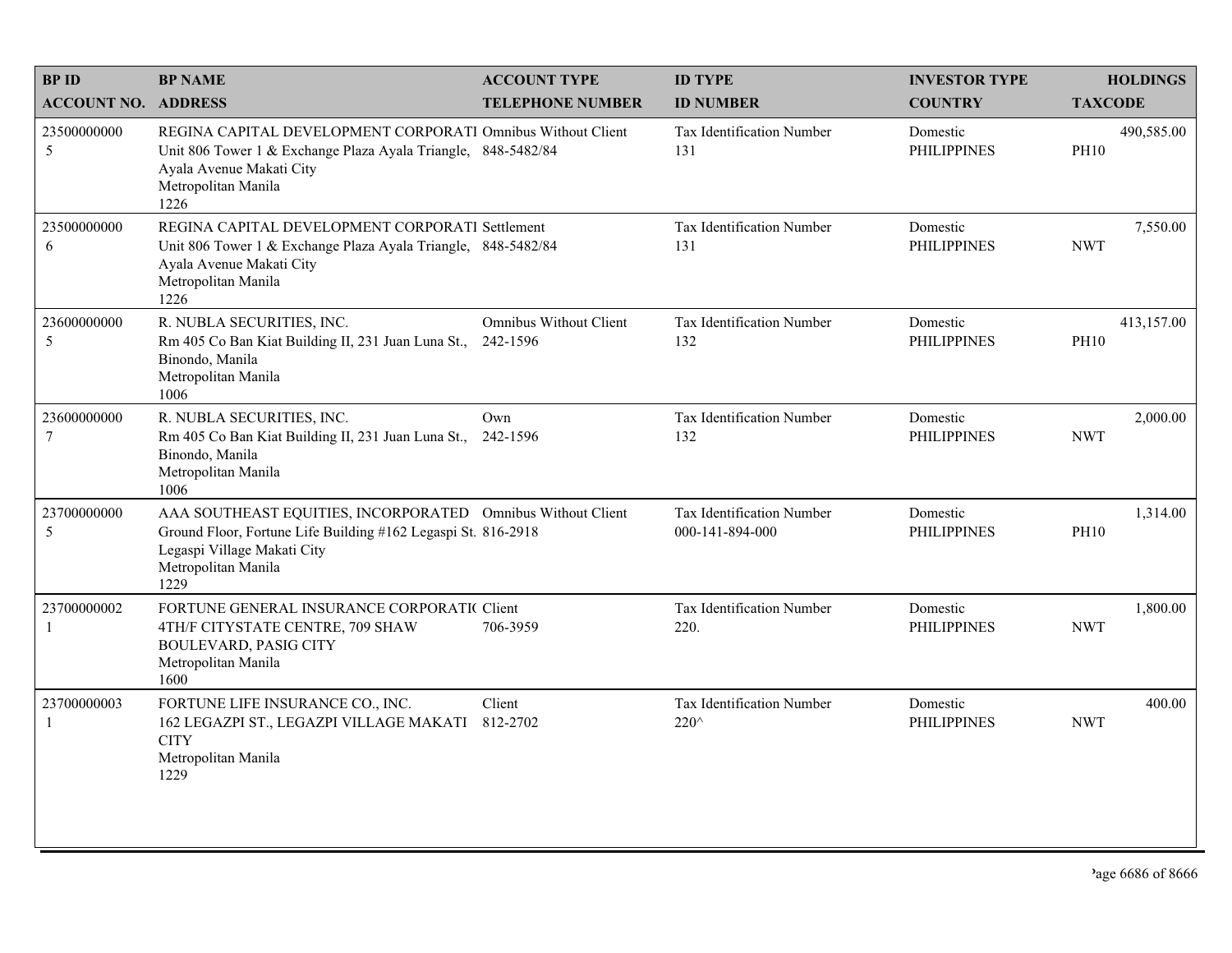| <b>BPID</b>                 | <b>BP NAME</b>                                                                                                                                                                             | <b>ACCOUNT TYPE</b>                       | <b>ID TYPE</b>                               | <b>INVESTOR TYPE</b>           | <b>HOLDINGS</b>           |
|-----------------------------|--------------------------------------------------------------------------------------------------------------------------------------------------------------------------------------------|-------------------------------------------|----------------------------------------------|--------------------------------|---------------------------|
| <b>ACCOUNT NO. ADDRESS</b>  |                                                                                                                                                                                            | <b>TELEPHONE NUMBER</b>                   | <b>ID NUMBER</b>                             | <b>COUNTRY</b>                 | <b>TAXCODE</b>            |
| 23500000000<br>5            | REGINA CAPITAL DEVELOPMENT CORPORATI Omnibus Without Client<br>Unit 806 Tower 1 & Exchange Plaza Ayala Triangle, 848-5482/84<br>Ayala Avenue Makati City<br>Metropolitan Manila<br>1226    |                                           | <b>Tax Identification Number</b><br>131      | Domestic<br><b>PHILIPPINES</b> | 490,585.00<br><b>PH10</b> |
| 23500000000<br>6            | REGINA CAPITAL DEVELOPMENT CORPORATI Settlement<br>Unit 806 Tower 1 & Exchange Plaza Ayala Triangle, 848-5482/84<br>Ayala Avenue Makati City<br>Metropolitan Manila<br>1226                |                                           | <b>Tax Identification Number</b><br>131      | Domestic<br><b>PHILIPPINES</b> | 7,550.00<br><b>NWT</b>    |
| 23600000000<br>5            | R. NUBLA SECURITIES, INC.<br>Rm 405 Co Ban Kiat Building II, 231 Juan Luna St.,<br>Binondo, Manila<br>Metropolitan Manila<br>1006                                                          | <b>Omnibus Without Client</b><br>242-1596 | Tax Identification Number<br>132             | Domestic<br><b>PHILIPPINES</b> | 413,157.00<br><b>PH10</b> |
| 23600000000<br>$\tau$       | R. NUBLA SECURITIES, INC.<br>Rm 405 Co Ban Kiat Building II, 231 Juan Luna St., 242-1596<br>Binondo, Manila<br>Metropolitan Manila<br>1006                                                 | Own                                       | Tax Identification Number<br>132             | Domestic<br><b>PHILIPPINES</b> | 2,000.00<br><b>NWT</b>    |
| 23700000000<br>5            | AAA SOUTHEAST EQUITIES, INCORPORATED Omnibus Without Client<br>Ground Floor, Fortune Life Building #162 Legaspi St. 816-2918<br>Legaspi Village Makati City<br>Metropolitan Manila<br>1229 |                                           | Tax Identification Number<br>000-141-894-000 | Domestic<br><b>PHILIPPINES</b> | 1,314.00<br><b>PH10</b>   |
| 23700000002<br>-1           | FORTUNE GENERAL INSURANCE CORPORATIC Client<br>4TH/F CITYSTATE CENTRE, 709 SHAW<br><b>BOULEVARD, PASIG CITY</b><br>Metropolitan Manila<br>1600                                             | 706-3959                                  | <b>Tax Identification Number</b><br>220.     | Domestic<br><b>PHILIPPINES</b> | 1,800.00<br><b>NWT</b>    |
| 23700000003<br>$\mathbf{1}$ | FORTUNE LIFE INSURANCE CO., INC.<br>162 LEGAZPI ST., LEGAZPI VILLAGE MAKATI<br><b>CITY</b><br>Metropolitan Manila<br>1229                                                                  | Client<br>812-2702                        | Tax Identification Number<br>220^            | Domestic<br><b>PHILIPPINES</b> | 400.00<br><b>NWT</b>      |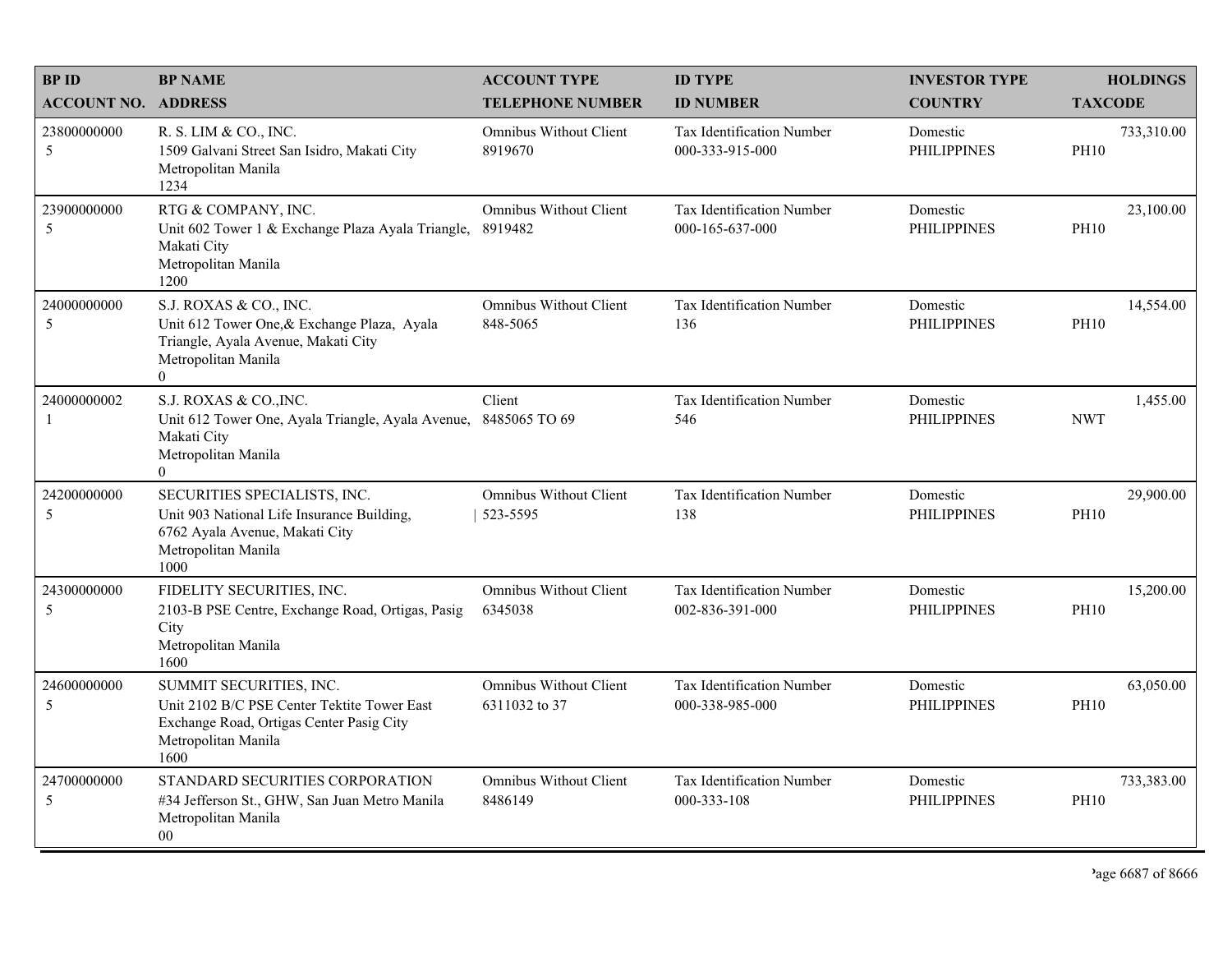| <b>BPID</b>                | <b>BP NAME</b>                                                                                                                                        | <b>ACCOUNT TYPE</b>                            | <b>ID TYPE</b>                                      | <b>INVESTOR TYPE</b>           | <b>HOLDINGS</b>           |
|----------------------------|-------------------------------------------------------------------------------------------------------------------------------------------------------|------------------------------------------------|-----------------------------------------------------|--------------------------------|---------------------------|
| <b>ACCOUNT NO. ADDRESS</b> |                                                                                                                                                       | <b>TELEPHONE NUMBER</b>                        | <b>ID NUMBER</b>                                    | <b>COUNTRY</b>                 | <b>TAXCODE</b>            |
| 23800000000<br>5           | R. S. LIM & CO., INC.<br>1509 Galvani Street San Isidro, Makati City<br>Metropolitan Manila<br>1234                                                   | <b>Omnibus Without Client</b><br>8919670       | <b>Tax Identification Number</b><br>000-333-915-000 | Domestic<br><b>PHILIPPINES</b> | 733,310.00<br><b>PH10</b> |
| 23900000000<br>5           | RTG & COMPANY, INC.<br>Unit 602 Tower 1 & Exchange Plaza Ayala Triangle,<br>Makati City<br>Metropolitan Manila<br>1200                                | <b>Omnibus Without Client</b><br>8919482       | <b>Tax Identification Number</b><br>000-165-637-000 | Domestic<br><b>PHILIPPINES</b> | 23,100.00<br><b>PH10</b>  |
| 24000000000<br>5           | S.J. ROXAS & CO., INC.<br>Unit 612 Tower One, & Exchange Plaza, Ayala<br>Triangle, Ayala Avenue, Makati City<br>Metropolitan Manila<br>$\overline{0}$ | <b>Omnibus Without Client</b><br>848-5065      | Tax Identification Number<br>136                    | Domestic<br><b>PHILIPPINES</b> | 14,554.00<br><b>PH10</b>  |
| 24000000002<br>-1          | S.J. ROXAS & CO., INC.<br>Unit 612 Tower One, Ayala Triangle, Ayala Avenue, 8485065 TO 69<br>Makati City<br>Metropolitan Manila<br>$\Omega$           | Client                                         | Tax Identification Number<br>546                    | Domestic<br><b>PHILIPPINES</b> | 1,455.00<br><b>NWT</b>    |
| 24200000000<br>5           | SECURITIES SPECIALISTS, INC.<br>Unit 903 National Life Insurance Building,<br>6762 Ayala Avenue, Makati City<br>Metropolitan Manila<br>1000           | <b>Omnibus Without Client</b><br>523-5595      | Tax Identification Number<br>138                    | Domestic<br><b>PHILIPPINES</b> | 29,900.00<br><b>PH10</b>  |
| 24300000000<br>5           | FIDELITY SECURITIES, INC.<br>2103-B PSE Centre, Exchange Road, Ortigas, Pasig<br>City<br>Metropolitan Manila<br>1600                                  | <b>Omnibus Without Client</b><br>6345038       | Tax Identification Number<br>002-836-391-000        | Domestic<br><b>PHILIPPINES</b> | 15,200.00<br><b>PH10</b>  |
| 24600000000<br>5           | SUMMIT SECURITIES, INC.<br>Unit 2102 B/C PSE Center Tektite Tower East<br>Exchange Road, Ortigas Center Pasig City<br>Metropolitan Manila<br>1600     | <b>Omnibus Without Client</b><br>6311032 to 37 | Tax Identification Number<br>000-338-985-000        | Domestic<br><b>PHILIPPINES</b> | 63,050.00<br><b>PH10</b>  |
| 24700000000<br>5           | STANDARD SECURITIES CORPORATION<br>#34 Jefferson St., GHW, San Juan Metro Manila<br>Metropolitan Manila<br>00                                         | <b>Omnibus Without Client</b><br>8486149       | Tax Identification Number<br>000-333-108            | Domestic<br><b>PHILIPPINES</b> | 733,383.00<br><b>PH10</b> |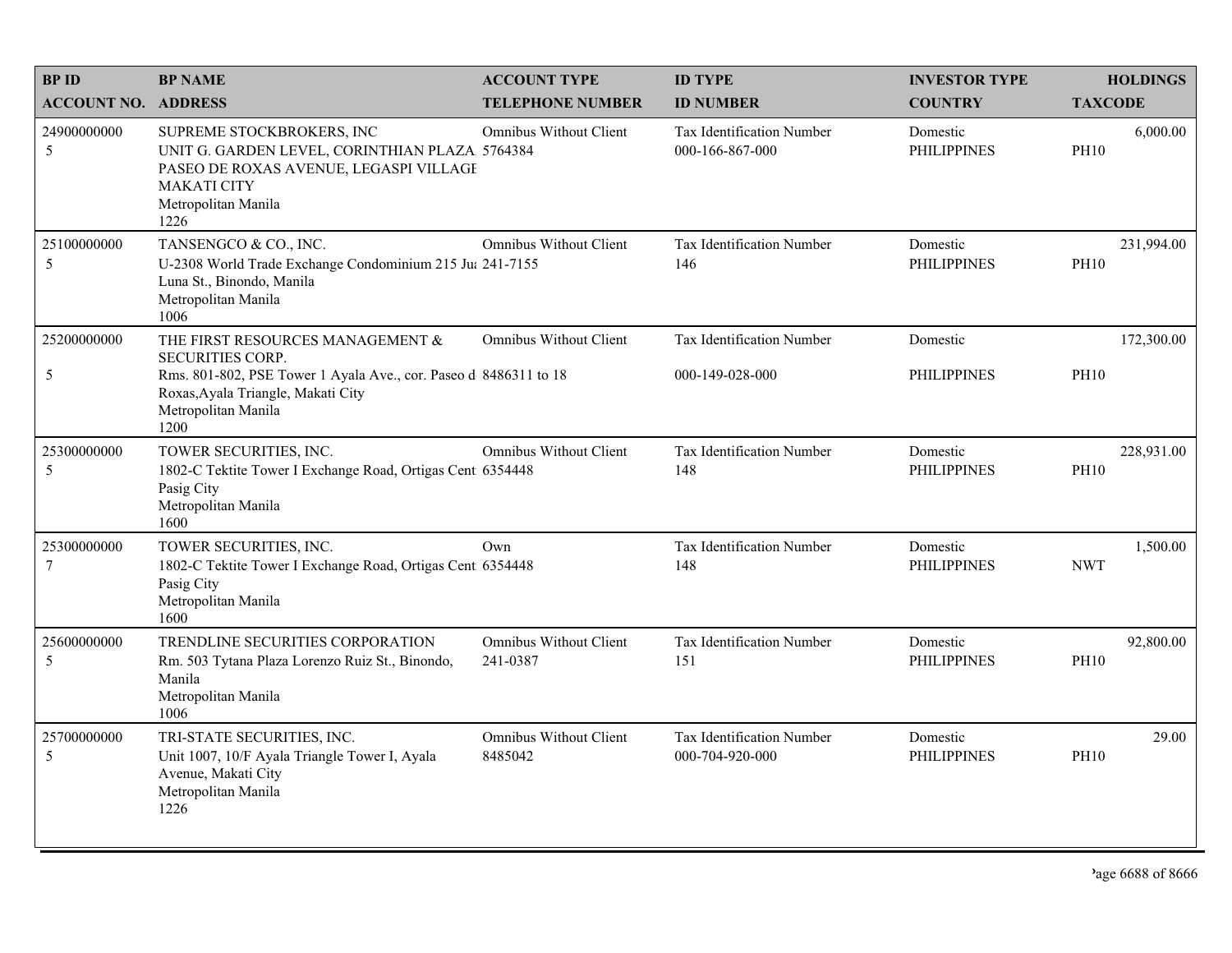| <b>BPID</b><br><b>ACCOUNT NO. ADDRESS</b> | <b>BP NAME</b>                                                                                                                                                             | <b>ACCOUNT TYPE</b><br><b>TELEPHONE NUMBER</b> | <b>ID TYPE</b><br><b>ID NUMBER</b>                  | <b>INVESTOR TYPE</b><br><b>COUNTRY</b> | <b>HOLDINGS</b><br><b>TAXCODE</b> |
|-------------------------------------------|----------------------------------------------------------------------------------------------------------------------------------------------------------------------------|------------------------------------------------|-----------------------------------------------------|----------------------------------------|-----------------------------------|
| 24900000000<br>5                          | SUPREME STOCKBROKERS, INC<br>UNIT G. GARDEN LEVEL, CORINTHIAN PLAZA 5764384<br>PASEO DE ROXAS AVENUE, LEGASPI VILLAGI<br><b>MAKATI CITY</b><br>Metropolitan Manila<br>1226 | <b>Omnibus Without Client</b>                  | <b>Tax Identification Number</b><br>000-166-867-000 | Domestic<br><b>PHILIPPINES</b>         | 6,000.00<br><b>PH10</b>           |
| 25100000000<br>5                          | TANSENGCO & CO., INC.<br>U-2308 World Trade Exchange Condominium 215 Ju: 241-7155<br>Luna St., Binondo, Manila<br>Metropolitan Manila<br>1006                              | <b>Omnibus Without Client</b>                  | Tax Identification Number<br>146                    | Domestic<br><b>PHILIPPINES</b>         | 231,994.00<br><b>PH10</b>         |
| 25200000000                               | THE FIRST RESOURCES MANAGEMENT &<br><b>SECURITIES CORP.</b>                                                                                                                | Omnibus Without Client                         | Tax Identification Number                           | Domestic                               | 172,300.00                        |
| 5                                         | Rms. 801-802, PSE Tower 1 Ayala Ave., cor. Paseo d 8486311 to 18<br>Roxas, Ayala Triangle, Makati City<br>Metropolitan Manila<br>1200                                      |                                                | 000-149-028-000                                     | <b>PHILIPPINES</b>                     | <b>PH10</b>                       |
| 25300000000<br>5                          | TOWER SECURITIES, INC.<br>1802-C Tektite Tower I Exchange Road, Ortigas Cent 6354448<br>Pasig City<br>Metropolitan Manila<br>1600                                          | <b>Omnibus Without Client</b>                  | Tax Identification Number<br>148                    | Domestic<br><b>PHILIPPINES</b>         | 228,931.00<br><b>PH10</b>         |
| 25300000000<br>$\overline{7}$             | TOWER SECURITIES, INC.<br>1802-C Tektite Tower I Exchange Road, Ortigas Cent 6354448<br>Pasig City<br>Metropolitan Manila<br>1600                                          | Own                                            | Tax Identification Number<br>148                    | Domestic<br><b>PHILIPPINES</b>         | 1,500.00<br><b>NWT</b>            |
| 25600000000<br>5                          | TRENDLINE SECURITIES CORPORATION<br>Rm. 503 Tytana Plaza Lorenzo Ruiz St., Binondo,<br>Manila<br>Metropolitan Manila<br>1006                                               | <b>Omnibus Without Client</b><br>241-0387      | Tax Identification Number<br>151                    | Domestic<br><b>PHILIPPINES</b>         | 92,800.00<br><b>PH10</b>          |
| 25700000000<br>$\overline{5}$             | TRI-STATE SECURITIES, INC.<br>Unit 1007, 10/F Ayala Triangle Tower I, Ayala<br>Avenue, Makati City<br>Metropolitan Manila<br>1226                                          | <b>Omnibus Without Client</b><br>8485042       | Tax Identification Number<br>000-704-920-000        | Domestic<br><b>PHILIPPINES</b>         | 29.00<br><b>PH10</b>              |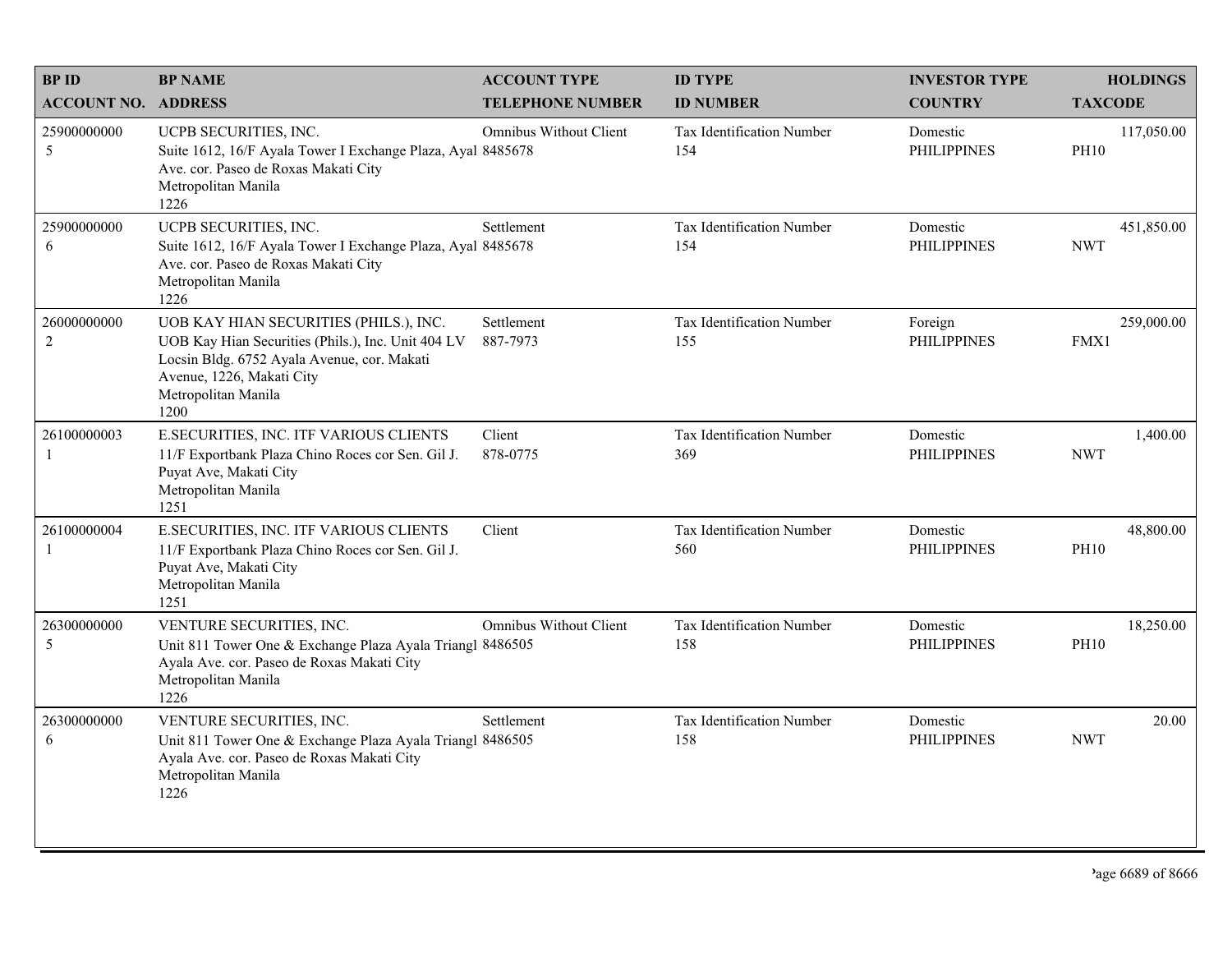| <b>BPID</b>                   | <b>BP NAME</b>                                                                                                                                                                                          | <b>ACCOUNT TYPE</b>           | <b>ID TYPE</b>                   | <b>INVESTOR TYPE</b>           | <b>HOLDINGS</b>           |
|-------------------------------|---------------------------------------------------------------------------------------------------------------------------------------------------------------------------------------------------------|-------------------------------|----------------------------------|--------------------------------|---------------------------|
| <b>ACCOUNT NO. ADDRESS</b>    |                                                                                                                                                                                                         | <b>TELEPHONE NUMBER</b>       | <b>ID NUMBER</b>                 | <b>COUNTRY</b>                 | <b>TAXCODE</b>            |
| 25900000000<br>5              | UCPB SECURITIES, INC.<br>Suite 1612, 16/F Ayala Tower I Exchange Plaza, Ayal 8485678<br>Ave. cor. Paseo de Roxas Makati City<br>Metropolitan Manila<br>1226                                             | Omnibus Without Client        | Tax Identification Number<br>154 | Domestic<br><b>PHILIPPINES</b> | 117,050.00<br><b>PH10</b> |
| 25900000000<br>6              | UCPB SECURITIES, INC.<br>Suite 1612, 16/F Ayala Tower I Exchange Plaza, Ayal 8485678<br>Ave. cor. Paseo de Roxas Makati City<br>Metropolitan Manila<br>1226                                             | Settlement                    | Tax Identification Number<br>154 | Domestic<br><b>PHILIPPINES</b> | 451,850.00<br><b>NWT</b>  |
| 26000000000<br>$\overline{2}$ | UOB KAY HIAN SECURITIES (PHILS.), INC.<br>UOB Kay Hian Securities (Phils.), Inc. Unit 404 LV<br>Locsin Bldg. 6752 Ayala Avenue, cor. Makati<br>Avenue, 1226, Makati City<br>Metropolitan Manila<br>1200 | Settlement<br>887-7973        | Tax Identification Number<br>155 | Foreign<br><b>PHILIPPINES</b>  | 259,000.00<br>FMX1        |
| 26100000003<br>$\mathbf{1}$   | E.SECURITIES, INC. ITF VARIOUS CLIENTS<br>11/F Exportbank Plaza Chino Roces cor Sen. Gil J.<br>Puyat Ave, Makati City<br>Metropolitan Manila<br>1251                                                    | Client<br>878-0775            | Tax Identification Number<br>369 | Domestic<br><b>PHILIPPINES</b> | 1,400.00<br><b>NWT</b>    |
| 26100000004<br>$\mathbf{1}$   | E.SECURITIES, INC. ITF VARIOUS CLIENTS<br>11/F Exportbank Plaza Chino Roces cor Sen. Gil J.<br>Puyat Ave, Makati City<br>Metropolitan Manila<br>1251                                                    | Client                        | Tax Identification Number<br>560 | Domestic<br><b>PHILIPPINES</b> | 48,800.00<br><b>PH10</b>  |
| 26300000000<br>5              | VENTURE SECURITIES, INC.<br>Unit 811 Tower One & Exchange Plaza Ayala Triangl 8486505<br>Ayala Ave. cor. Paseo de Roxas Makati City<br>Metropolitan Manila<br>1226                                      | <b>Omnibus Without Client</b> | Tax Identification Number<br>158 | Domestic<br><b>PHILIPPINES</b> | 18,250.00<br><b>PH10</b>  |
| 26300000000<br>6              | VENTURE SECURITIES, INC.<br>Unit 811 Tower One & Exchange Plaza Ayala Triangl 8486505<br>Ayala Ave. cor. Paseo de Roxas Makati City<br>Metropolitan Manila<br>1226                                      | Settlement                    | Tax Identification Number<br>158 | Domestic<br><b>PHILIPPINES</b> | 20.00<br><b>NWT</b>       |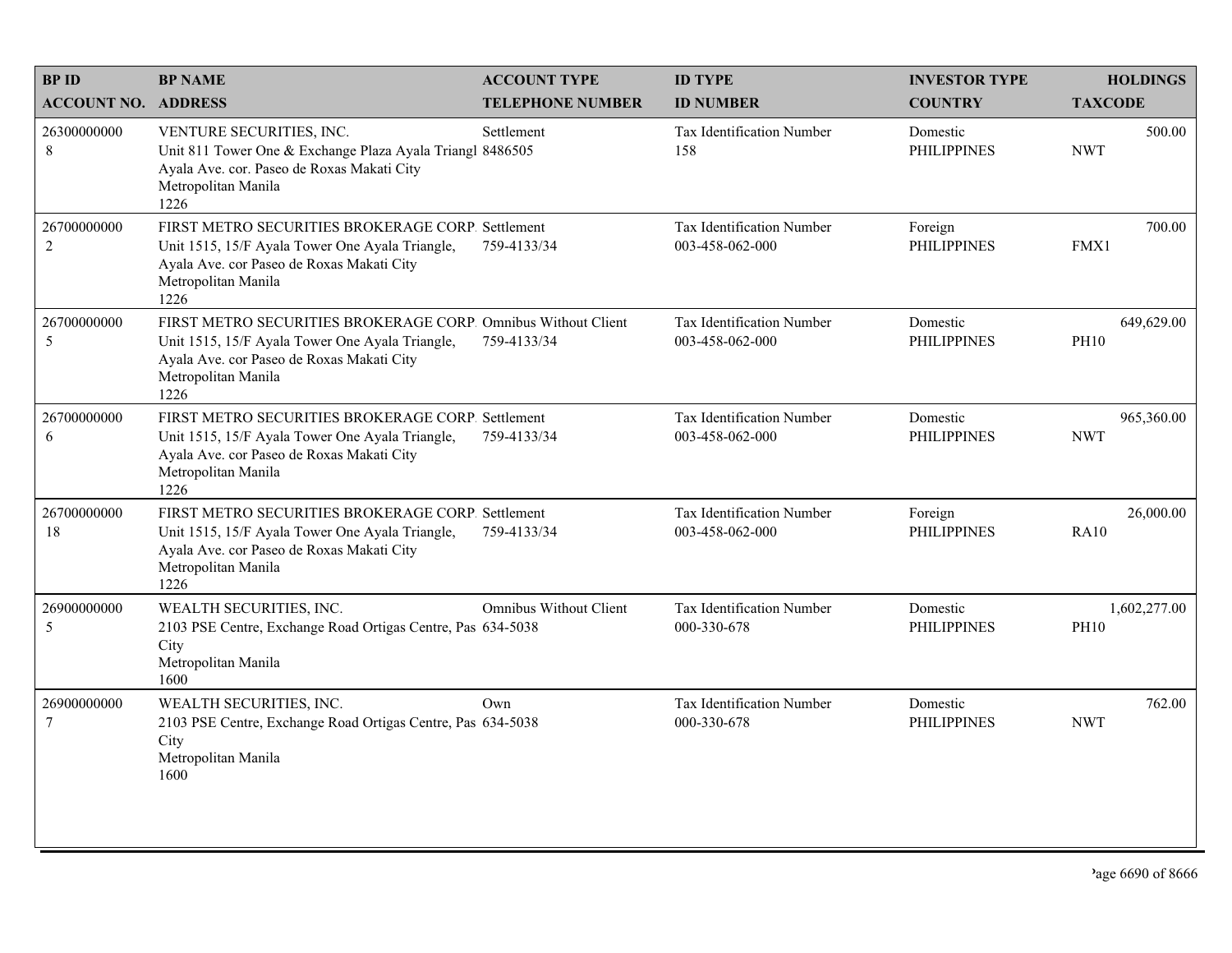| <b>BPID</b>                    | <b>BP NAME</b>                                                                                                                                                                               | <b>ACCOUNT TYPE</b>     | <b>ID TYPE</b>                                      | <b>INVESTOR TYPE</b>           | <b>HOLDINGS</b>             |
|--------------------------------|----------------------------------------------------------------------------------------------------------------------------------------------------------------------------------------------|-------------------------|-----------------------------------------------------|--------------------------------|-----------------------------|
| <b>ACCOUNT NO. ADDRESS</b>     |                                                                                                                                                                                              | <b>TELEPHONE NUMBER</b> | <b>ID NUMBER</b>                                    | <b>COUNTRY</b>                 | <b>TAXCODE</b>              |
| 26300000000<br>$\,$ 8 $\,$     | VENTURE SECURITIES, INC.<br>Unit 811 Tower One & Exchange Plaza Ayala Triangl 8486505<br>Ayala Ave. cor. Paseo de Roxas Makati City<br>Metropolitan Manila<br>1226                           | Settlement              | <b>Tax Identification Number</b><br>158             | Domestic<br><b>PHILIPPINES</b> | 500.00<br><b>NWT</b>        |
| 26700000000<br>$\sqrt{2}$      | FIRST METRO SECURITIES BROKERAGE CORP. Settlement<br>Unit 1515, 15/F Ayala Tower One Ayala Triangle,<br>Ayala Ave. cor Paseo de Roxas Makati City<br>Metropolitan Manila<br>1226             | 759-4133/34             | <b>Tax Identification Number</b><br>003-458-062-000 | Foreign<br><b>PHILIPPINES</b>  | 700.00<br>FMX1              |
| 26700000000<br>$\mathfrak{S}$  | FIRST METRO SECURITIES BROKERAGE CORP. Omnibus Without Client<br>Unit 1515, 15/F Ayala Tower One Ayala Triangle,<br>Ayala Ave. cor Paseo de Roxas Makati City<br>Metropolitan Manila<br>1226 | 759-4133/34             | Tax Identification Number<br>003-458-062-000        | Domestic<br><b>PHILIPPINES</b> | 649,629.00<br><b>PH10</b>   |
| 26700000000<br>6               | FIRST METRO SECURITIES BROKERAGE CORP. Settlement<br>Unit 1515, 15/F Ayala Tower One Ayala Triangle,<br>Ayala Ave. cor Paseo de Roxas Makati City<br>Metropolitan Manila<br>1226             | 759-4133/34             | Tax Identification Number<br>003-458-062-000        | Domestic<br><b>PHILIPPINES</b> | 965,360.00<br><b>NWT</b>    |
| 26700000000<br>18              | FIRST METRO SECURITIES BROKERAGE CORP. Settlement<br>Unit 1515, 15/F Ayala Tower One Ayala Triangle,<br>Ayala Ave. cor Paseo de Roxas Makati City<br>Metropolitan Manila<br>1226             | 759-4133/34             | Tax Identification Number<br>003-458-062-000        | Foreign<br><b>PHILIPPINES</b>  | 26,000.00<br><b>RA10</b>    |
| 26900000000<br>5               | WEALTH SECURITIES, INC.<br>2103 PSE Centre, Exchange Road Ortigas Centre, Pas 634-5038<br>City<br>Metropolitan Manila<br>1600                                                                | Omnibus Without Client  | Tax Identification Number<br>000-330-678            | Domestic<br><b>PHILIPPINES</b> | 1,602,277.00<br><b>PH10</b> |
| 26900000000<br>$7\phantom{.0}$ | WEALTH SECURITIES, INC.<br>2103 PSE Centre, Exchange Road Ortigas Centre, Pas 634-5038<br>City<br>Metropolitan Manila<br>1600                                                                | Own                     | <b>Tax Identification Number</b><br>000-330-678     | Domestic<br><b>PHILIPPINES</b> | 762.00<br><b>NWT</b>        |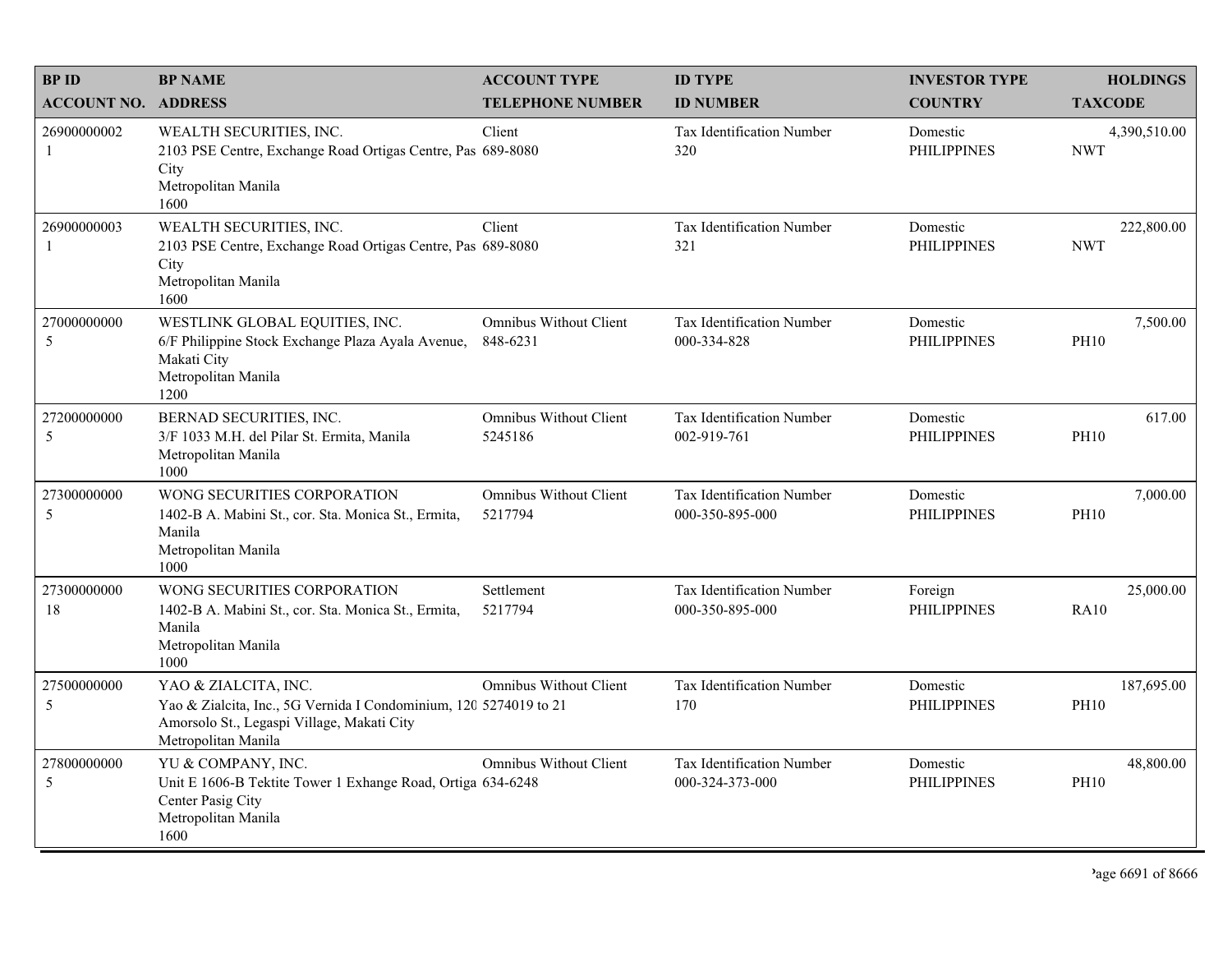| <b>BPID</b>                 | <b>BP NAME</b>                                                                                                                                                 | <b>ACCOUNT TYPE</b>                       | <b>ID TYPE</b>                                      | <b>INVESTOR TYPE</b>           | <b>HOLDINGS</b>            |
|-----------------------------|----------------------------------------------------------------------------------------------------------------------------------------------------------------|-------------------------------------------|-----------------------------------------------------|--------------------------------|----------------------------|
| <b>ACCOUNT NO. ADDRESS</b>  |                                                                                                                                                                | <b>TELEPHONE NUMBER</b>                   | <b>ID NUMBER</b>                                    | <b>COUNTRY</b>                 | <b>TAXCODE</b>             |
| 26900000002<br>-1           | WEALTH SECURITIES, INC.<br>2103 PSE Centre, Exchange Road Ortigas Centre, Pas 689-8080<br>City<br>Metropolitan Manila<br>1600                                  | Client                                    | <b>Tax Identification Number</b><br>320             | Domestic<br><b>PHILIPPINES</b> | 4,390,510.00<br><b>NWT</b> |
| 26900000003<br>$\mathbf{1}$ | WEALTH SECURITIES, INC.<br>2103 PSE Centre, Exchange Road Ortigas Centre, Pas 689-8080<br>City<br>Metropolitan Manila<br>1600                                  | Client                                    | Tax Identification Number<br>321                    | Domestic<br><b>PHILIPPINES</b> | 222,800.00<br><b>NWT</b>   |
| 27000000000<br>5            | WESTLINK GLOBAL EQUITIES, INC.<br>6/F Philippine Stock Exchange Plaza Ayala Avenue,<br>Makati City<br>Metropolitan Manila<br>1200                              | <b>Omnibus Without Client</b><br>848-6231 | <b>Tax Identification Number</b><br>000-334-828     | Domestic<br><b>PHILIPPINES</b> | 7,500.00<br><b>PH10</b>    |
| 27200000000<br>5            | BERNAD SECURITIES, INC.<br>3/F 1033 M.H. del Pilar St. Ermita, Manila<br>Metropolitan Manila<br>1000                                                           | Omnibus Without Client<br>5245186         | Tax Identification Number<br>002-919-761            | Domestic<br><b>PHILIPPINES</b> | 617.00<br><b>PH10</b>      |
| 27300000000<br>5            | WONG SECURITIES CORPORATION<br>1402-B A. Mabini St., cor. Sta. Monica St., Ermita,<br>Manila<br>Metropolitan Manila<br>1000                                    | Omnibus Without Client<br>5217794         | Tax Identification Number<br>000-350-895-000        | Domestic<br><b>PHILIPPINES</b> | 7,000.00<br><b>PH10</b>    |
| 27300000000<br>18           | WONG SECURITIES CORPORATION<br>1402-B A. Mabini St., cor. Sta. Monica St., Ermita,<br>Manila<br>Metropolitan Manila<br>1000                                    | Settlement<br>5217794                     | Tax Identification Number<br>000-350-895-000        | Foreign<br><b>PHILIPPINES</b>  | 25,000.00<br><b>RA10</b>   |
| 27500000000<br>5            | YAO & ZIALCITA, INC.<br>Yao & Zialcita, Inc., 5G Vernida I Condominium, 120 5274019 to 21<br>Amorsolo St., Legaspi Village, Makati City<br>Metropolitan Manila | Omnibus Without Client                    | Tax Identification Number<br>170                    | Domestic<br><b>PHILIPPINES</b> | 187,695.00<br><b>PH10</b>  |
| 27800000000<br>5            | YU & COMPANY, INC.<br>Unit E 1606-B Tektite Tower 1 Exhange Road, Ortiga 634-6248<br>Center Pasig City<br>Metropolitan Manila<br>1600                          | <b>Omnibus Without Client</b>             | <b>Tax Identification Number</b><br>000-324-373-000 | Domestic<br><b>PHILIPPINES</b> | 48,800.00<br><b>PH10</b>   |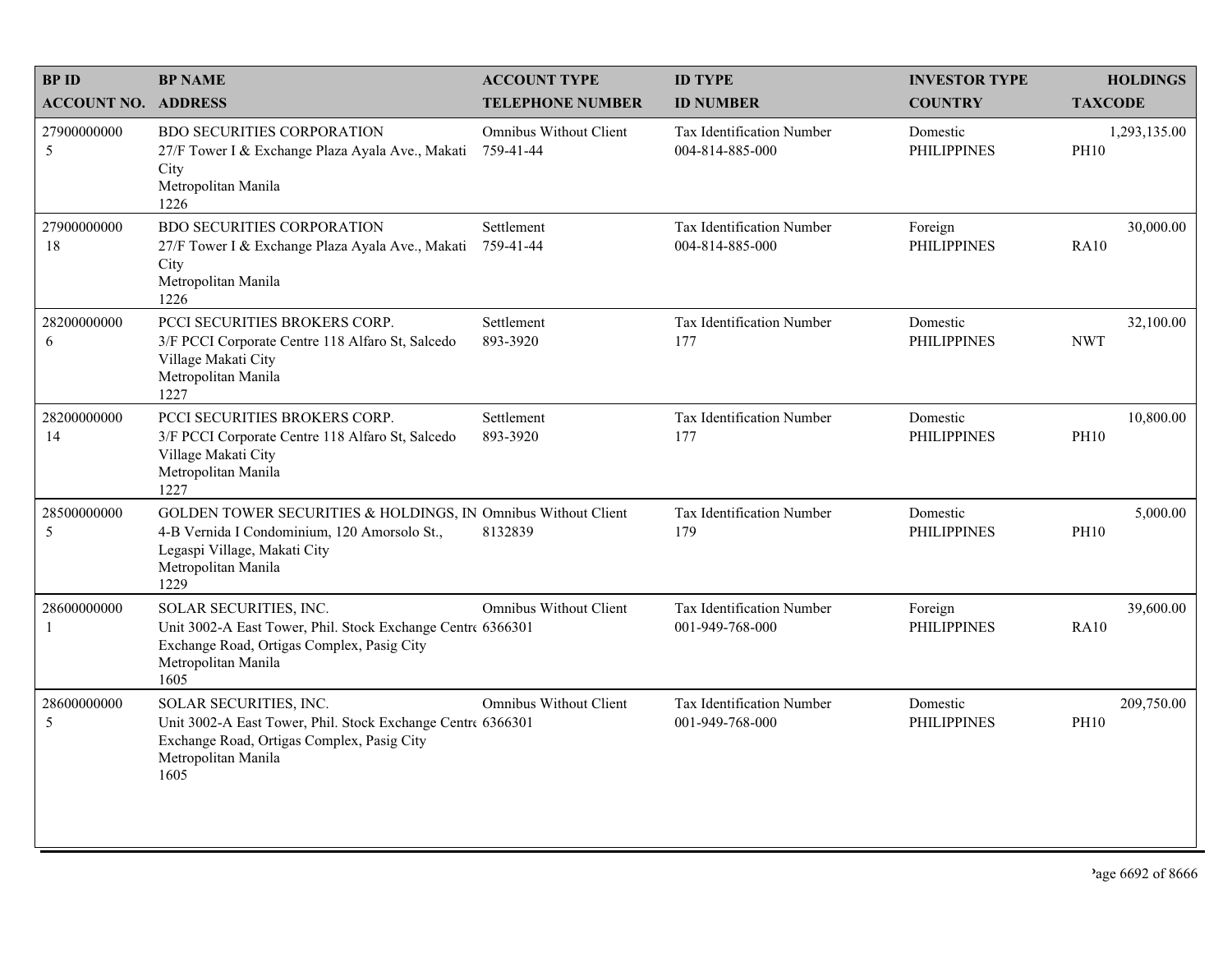| <b>BPID</b>                 | <b>BP NAME</b>                                                                                                                                                               | <b>ACCOUNT TYPE</b>                 | <b>ID TYPE</b>                                      | <b>INVESTOR TYPE</b>           | <b>HOLDINGS</b>             |
|-----------------------------|------------------------------------------------------------------------------------------------------------------------------------------------------------------------------|-------------------------------------|-----------------------------------------------------|--------------------------------|-----------------------------|
| <b>ACCOUNT NO. ADDRESS</b>  |                                                                                                                                                                              | <b>TELEPHONE NUMBER</b>             | <b>ID NUMBER</b>                                    | <b>COUNTRY</b>                 | <b>TAXCODE</b>              |
| 27900000000<br>5            | <b>BDO SECURITIES CORPORATION</b><br>27/F Tower I & Exchange Plaza Ayala Ave., Makati<br>City<br>Metropolitan Manila<br>1226                                                 | Omnibus Without Client<br>759-41-44 | <b>Tax Identification Number</b><br>004-814-885-000 | Domestic<br><b>PHILIPPINES</b> | 1,293,135.00<br><b>PH10</b> |
| 27900000000<br>18           | <b>BDO SECURITIES CORPORATION</b><br>27/F Tower I & Exchange Plaza Ayala Ave., Makati<br>City<br>Metropolitan Manila<br>1226                                                 | Settlement<br>759-41-44             | <b>Tax Identification Number</b><br>004-814-885-000 | Foreign<br><b>PHILIPPINES</b>  | 30,000.00<br><b>RA10</b>    |
| 28200000000<br>6            | PCCI SECURITIES BROKERS CORP.<br>3/F PCCI Corporate Centre 118 Alfaro St, Salcedo<br>Village Makati City<br>Metropolitan Manila<br>1227                                      | Settlement<br>893-3920              | Tax Identification Number<br>177                    | Domestic<br><b>PHILIPPINES</b> | 32,100.00<br><b>NWT</b>     |
| 28200000000<br>14           | PCCI SECURITIES BROKERS CORP.<br>3/F PCCI Corporate Centre 118 Alfaro St, Salcedo<br>Village Makati City<br>Metropolitan Manila<br>1227                                      | Settlement<br>893-3920              | Tax Identification Number<br>177                    | Domestic<br><b>PHILIPPINES</b> | 10,800.00<br><b>PH10</b>    |
| 28500000000<br>5            | GOLDEN TOWER SECURITIES & HOLDINGS, IN Omnibus Without Client<br>4-B Vernida I Condominium, 120 Amorsolo St.,<br>Legaspi Village, Makati City<br>Metropolitan Manila<br>1229 | 8132839                             | Tax Identification Number<br>179                    | Domestic<br><b>PHILIPPINES</b> | 5,000.00<br><b>PH10</b>     |
| 28600000000<br>$\mathbf{1}$ | SOLAR SECURITIES, INC.<br>Unit 3002-A East Tower, Phil. Stock Exchange Centre 6366301<br>Exchange Road, Ortigas Complex, Pasig City<br>Metropolitan Manila<br>1605           | <b>Omnibus Without Client</b>       | <b>Tax Identification Number</b><br>001-949-768-000 | Foreign<br><b>PHILIPPINES</b>  | 39,600.00<br><b>RA10</b>    |
| 28600000000<br>5            | SOLAR SECURITIES, INC.<br>Unit 3002-A East Tower, Phil. Stock Exchange Centre 6366301<br>Exchange Road, Ortigas Complex, Pasig City<br>Metropolitan Manila<br>1605           | <b>Omnibus Without Client</b>       | Tax Identification Number<br>001-949-768-000        | Domestic<br><b>PHILIPPINES</b> | 209,750.00<br><b>PH10</b>   |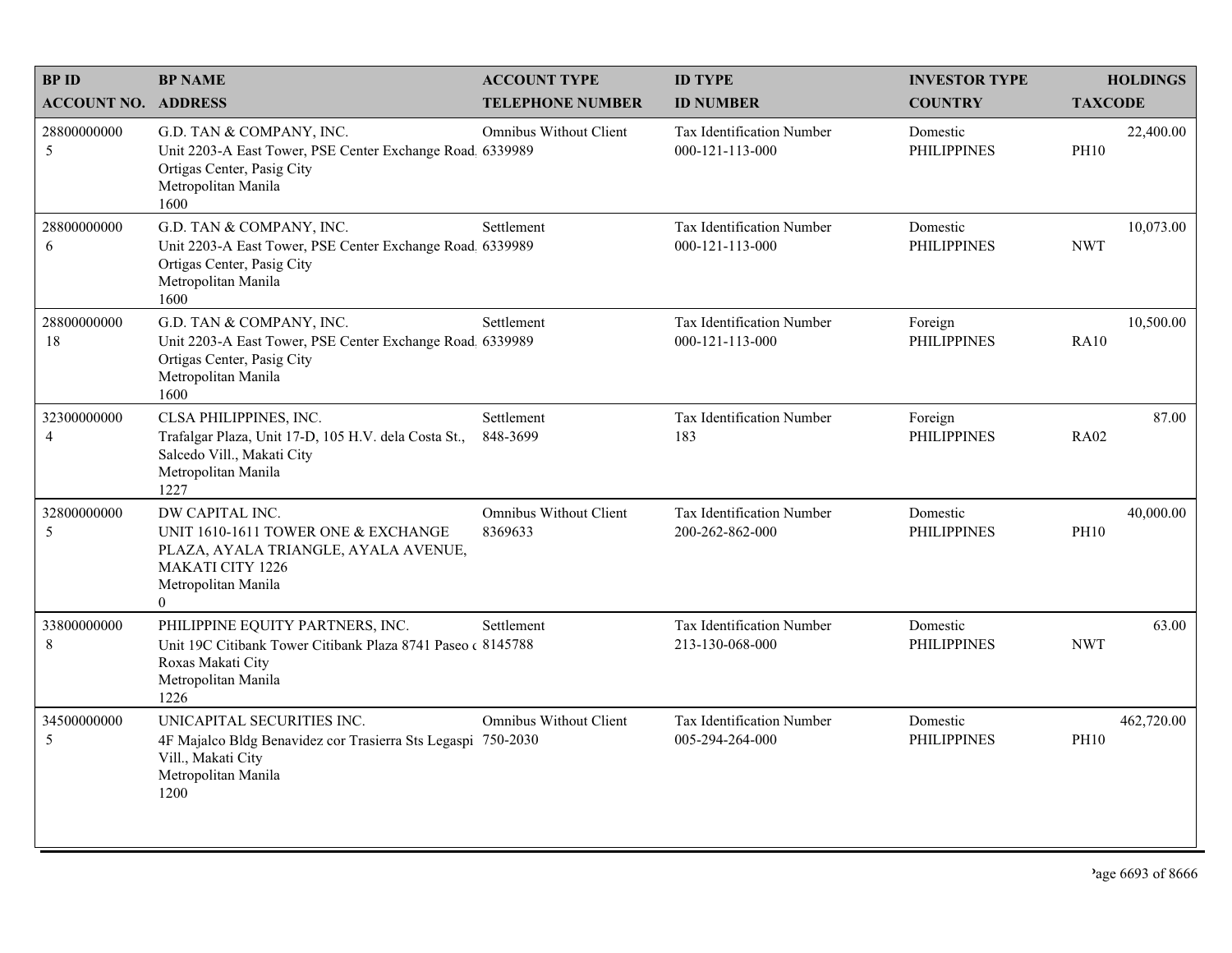| <b>BPID</b>                   | <b>BP NAME</b>                                                                                                                                               | <b>ACCOUNT TYPE</b>                      | <b>ID TYPE</b>                                      | <b>INVESTOR TYPE</b>           | <b>HOLDINGS</b>           |
|-------------------------------|--------------------------------------------------------------------------------------------------------------------------------------------------------------|------------------------------------------|-----------------------------------------------------|--------------------------------|---------------------------|
| <b>ACCOUNT NO. ADDRESS</b>    |                                                                                                                                                              | <b>TELEPHONE NUMBER</b>                  | <b>ID NUMBER</b>                                    | <b>COUNTRY</b>                 | <b>TAXCODE</b>            |
| 28800000000<br>5              | G.D. TAN & COMPANY, INC.<br>Unit 2203-A East Tower, PSE Center Exchange Road. 6339989<br>Ortigas Center, Pasig City<br>Metropolitan Manila<br>1600           | <b>Omnibus Without Client</b>            | <b>Tax Identification Number</b><br>000-121-113-000 | Domestic<br><b>PHILIPPINES</b> | 22,400.00<br><b>PH10</b>  |
| 28800000000<br>6              | G.D. TAN & COMPANY, INC.<br>Unit 2203-A East Tower, PSE Center Exchange Road 6339989<br>Ortigas Center, Pasig City<br>Metropolitan Manila<br>1600            | Settlement                               | Tax Identification Number<br>000-121-113-000        | Domestic<br><b>PHILIPPINES</b> | 10,073.00<br><b>NWT</b>   |
| 28800000000<br>18             | G.D. TAN & COMPANY, INC.<br>Unit 2203-A East Tower, PSE Center Exchange Road 6339989<br>Ortigas Center, Pasig City<br>Metropolitan Manila<br>1600            | Settlement                               | Tax Identification Number<br>000-121-113-000        | Foreign<br><b>PHILIPPINES</b>  | 10,500.00<br><b>RA10</b>  |
| 32300000000<br>$\overline{4}$ | CLSA PHILIPPINES, INC.<br>Trafalgar Plaza, Unit 17-D, 105 H.V. dela Costa St.,<br>Salcedo Vill., Makati City<br>Metropolitan Manila<br>1227                  | Settlement<br>848-3699                   | Tax Identification Number<br>183                    | Foreign<br><b>PHILIPPINES</b>  | 87.00<br><b>RA02</b>      |
| 32800000000<br>5              | DW CAPITAL INC.<br>UNIT 1610-1611 TOWER ONE & EXCHANGE<br>PLAZA, AYALA TRIANGLE, AYALA AVENUE,<br><b>MAKATI CITY 1226</b><br>Metropolitan Manila<br>$\theta$ | <b>Omnibus Without Client</b><br>8369633 | Tax Identification Number<br>200-262-862-000        | Domestic<br><b>PHILIPPINES</b> | 40,000.00<br><b>PH10</b>  |
| 33800000000<br>$\,$ 8 $\,$    | PHILIPPINE EQUITY PARTNERS, INC.<br>Unit 19C Citibank Tower Citibank Plaza 8741 Paseo (8145788)<br>Roxas Makati City<br>Metropolitan Manila<br>1226          | Settlement                               | Tax Identification Number<br>213-130-068-000        | Domestic<br><b>PHILIPPINES</b> | 63.00<br><b>NWT</b>       |
| 34500000000<br>5              | UNICAPITAL SECURITIES INC.<br>4F Majalco Bldg Benavidez cor Trasierra Sts Legaspi 750-2030<br>Vill., Makati City<br>Metropolitan Manila<br>1200              | <b>Omnibus Without Client</b>            | Tax Identification Number<br>005-294-264-000        | Domestic<br><b>PHILIPPINES</b> | 462,720.00<br><b>PH10</b> |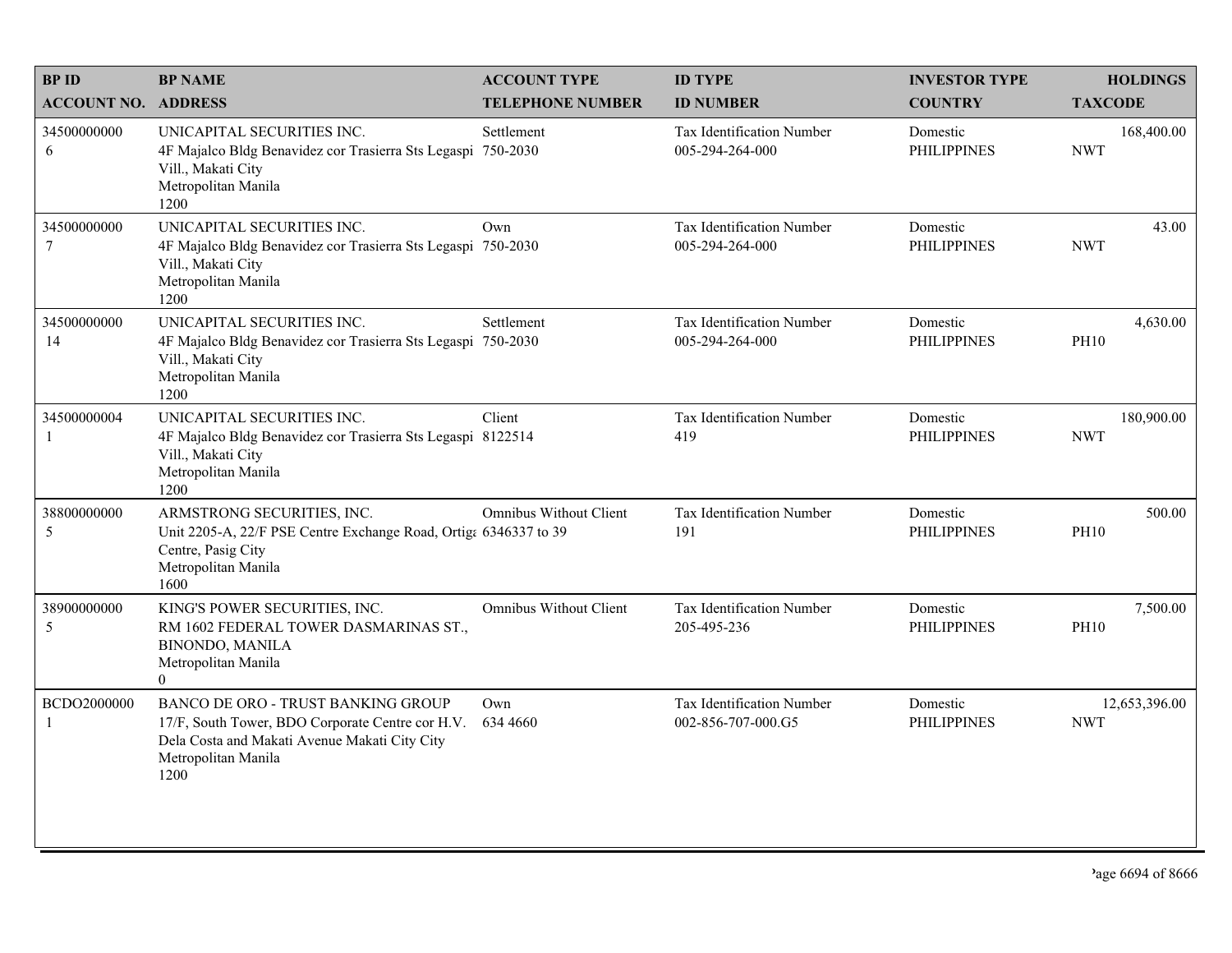| <b>BPID</b>                    | <b>BP NAME</b>                                                                                                                                                                | <b>ACCOUNT TYPE</b>     | <b>ID TYPE</b>                                      | <b>INVESTOR TYPE</b>           | <b>HOLDINGS</b>             |
|--------------------------------|-------------------------------------------------------------------------------------------------------------------------------------------------------------------------------|-------------------------|-----------------------------------------------------|--------------------------------|-----------------------------|
| <b>ACCOUNT NO. ADDRESS</b>     |                                                                                                                                                                               | <b>TELEPHONE NUMBER</b> | <b>ID NUMBER</b>                                    | <b>COUNTRY</b>                 | <b>TAXCODE</b>              |
| 34500000000<br>6               | UNICAPITAL SECURITIES INC.<br>4F Majalco Bldg Benavidez cor Trasierra Sts Legaspi 750-2030<br>Vill., Makati City<br>Metropolitan Manila<br>1200                               | Settlement              | <b>Tax Identification Number</b><br>005-294-264-000 | Domestic<br><b>PHILIPPINES</b> | 168,400.00<br><b>NWT</b>    |
| 34500000000<br>$7\phantom{.0}$ | UNICAPITAL SECURITIES INC.<br>4F Majalco Bldg Benavidez cor Trasierra Sts Legaspi 750-2030<br>Vill., Makati City<br>Metropolitan Manila<br>1200                               | Own                     | <b>Tax Identification Number</b><br>005-294-264-000 | Domestic<br><b>PHILIPPINES</b> | 43.00<br><b>NWT</b>         |
| 34500000000<br>14              | UNICAPITAL SECURITIES INC.<br>4F Majalco Bldg Benavidez cor Trasierra Sts Legaspi 750-2030<br>Vill., Makati City<br>Metropolitan Manila<br>1200                               | Settlement              | Tax Identification Number<br>005-294-264-000        | Domestic<br><b>PHILIPPINES</b> | 4,630.00<br><b>PH10</b>     |
| 34500000004<br>$\mathbf{1}$    | UNICAPITAL SECURITIES INC.<br>4F Majalco Bldg Benavidez cor Trasierra Sts Legaspi 8122514<br>Vill., Makati City<br>Metropolitan Manila<br>1200                                | Client                  | Tax Identification Number<br>419                    | Domestic<br><b>PHILIPPINES</b> | 180,900.00<br><b>NWT</b>    |
| 38800000000<br>5               | ARMSTRONG SECURITIES, INC.<br>Unit 2205-A, 22/F PSE Centre Exchange Road, Ortiga 6346337 to 39<br>Centre, Pasig City<br>Metropolitan Manila<br>1600                           | Omnibus Without Client  | Tax Identification Number<br>191                    | Domestic<br><b>PHILIPPINES</b> | 500.00<br><b>PH10</b>       |
| 38900000000<br>5               | KING'S POWER SECURITIES, INC.<br>RM 1602 FEDERAL TOWER DASMARINAS ST.,<br><b>BINONDO, MANILA</b><br>Metropolitan Manila<br>$\overline{0}$                                     | Omnibus Without Client  | Tax Identification Number<br>205-495-236            | Domestic<br><b>PHILIPPINES</b> | 7,500.00<br><b>PH10</b>     |
| BCDO2000000<br>$\mathbf{1}$    | <b>BANCO DE ORO - TRUST BANKING GROUP</b><br>17/F, South Tower, BDO Corporate Centre cor H.V.<br>Dela Costa and Makati Avenue Makati City City<br>Metropolitan Manila<br>1200 | Own<br>634 4660         | Tax Identification Number<br>002-856-707-000.G5     | Domestic<br><b>PHILIPPINES</b> | 12,653,396.00<br><b>NWT</b> |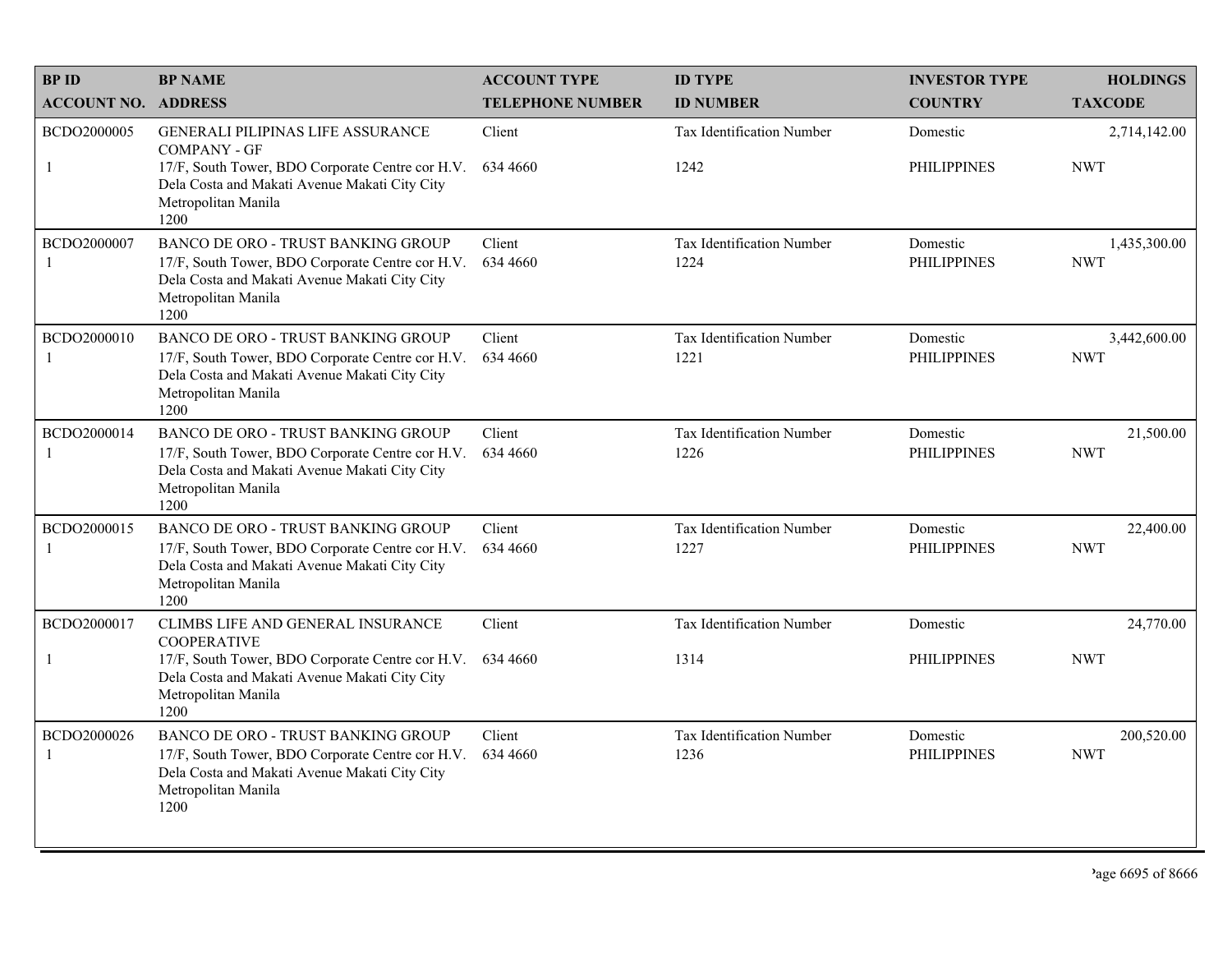| <b>BPID</b>                   | <b>BP NAME</b>                                                                                                                                                                | <b>ACCOUNT TYPE</b>     | <b>ID TYPE</b>                    | <b>INVESTOR TYPE</b>           | <b>HOLDINGS</b>            |
|-------------------------------|-------------------------------------------------------------------------------------------------------------------------------------------------------------------------------|-------------------------|-----------------------------------|--------------------------------|----------------------------|
| <b>ACCOUNT NO. ADDRESS</b>    |                                                                                                                                                                               | <b>TELEPHONE NUMBER</b> | <b>ID NUMBER</b>                  | <b>COUNTRY</b>                 | <b>TAXCODE</b>             |
| BCDO2000005<br>-1             | <b>GENERALI PILIPINAS LIFE ASSURANCE</b><br><b>COMPANY - GF</b><br>17/F, South Tower, BDO Corporate Centre cor H.V.                                                           | Client<br>634 4660      | Tax Identification Number<br>1242 | Domestic<br><b>PHILIPPINES</b> | 2,714,142.00<br><b>NWT</b> |
|                               | Dela Costa and Makati Avenue Makati City City<br>Metropolitan Manila<br>1200                                                                                                  |                         |                                   |                                |                            |
| BCDO2000007                   | BANCO DE ORO - TRUST BANKING GROUP<br>17/F, South Tower, BDO Corporate Centre cor H.V.<br>Dela Costa and Makati Avenue Makati City City<br>Metropolitan Manila<br>1200        | Client<br>634 4660      | Tax Identification Number<br>1224 | Domestic<br><b>PHILIPPINES</b> | 1,435,300.00<br><b>NWT</b> |
| BCDO2000010<br>-1             | BANCO DE ORO - TRUST BANKING GROUP<br>17/F, South Tower, BDO Corporate Centre cor H.V.<br>Dela Costa and Makati Avenue Makati City City<br>Metropolitan Manila<br>1200        | Client<br>634 4660      | Tax Identification Number<br>1221 | Domestic<br><b>PHILIPPINES</b> | 3,442,600.00<br><b>NWT</b> |
| BCDO2000014<br>$\overline{1}$ | <b>BANCO DE ORO - TRUST BANKING GROUP</b><br>17/F, South Tower, BDO Corporate Centre cor H.V.<br>Dela Costa and Makati Avenue Makati City City<br>Metropolitan Manila<br>1200 | Client<br>634 4660      | Tax Identification Number<br>1226 | Domestic<br><b>PHILIPPINES</b> | 21,500.00<br><b>NWT</b>    |
| BCDO2000015<br>-1             | BANCO DE ORO - TRUST BANKING GROUP<br>17/F, South Tower, BDO Corporate Centre cor H.V.<br>Dela Costa and Makati Avenue Makati City City<br>Metropolitan Manila<br>1200        | Client<br>634 4660      | Tax Identification Number<br>1227 | Domestic<br><b>PHILIPPINES</b> | 22,400.00<br><b>NWT</b>    |
| BCDO2000017                   | CLIMBS LIFE AND GENERAL INSURANCE<br><b>COOPERATIVE</b>                                                                                                                       | Client                  | Tax Identification Number         | Domestic                       | 24,770.00                  |
| -1                            | 17/F, South Tower, BDO Corporate Centre cor H.V.<br>Dela Costa and Makati Avenue Makati City City<br>Metropolitan Manila<br>1200                                              | 634 4660                | 1314                              | <b>PHILIPPINES</b>             | <b>NWT</b>                 |
| BCDO2000026<br>-1             | <b>BANCO DE ORO - TRUST BANKING GROUP</b><br>17/F, South Tower, BDO Corporate Centre cor H.V.<br>Dela Costa and Makati Avenue Makati City City<br>Metropolitan Manila<br>1200 | Client<br>634 4660      | Tax Identification Number<br>1236 | Domestic<br><b>PHILIPPINES</b> | 200,520.00<br><b>NWT</b>   |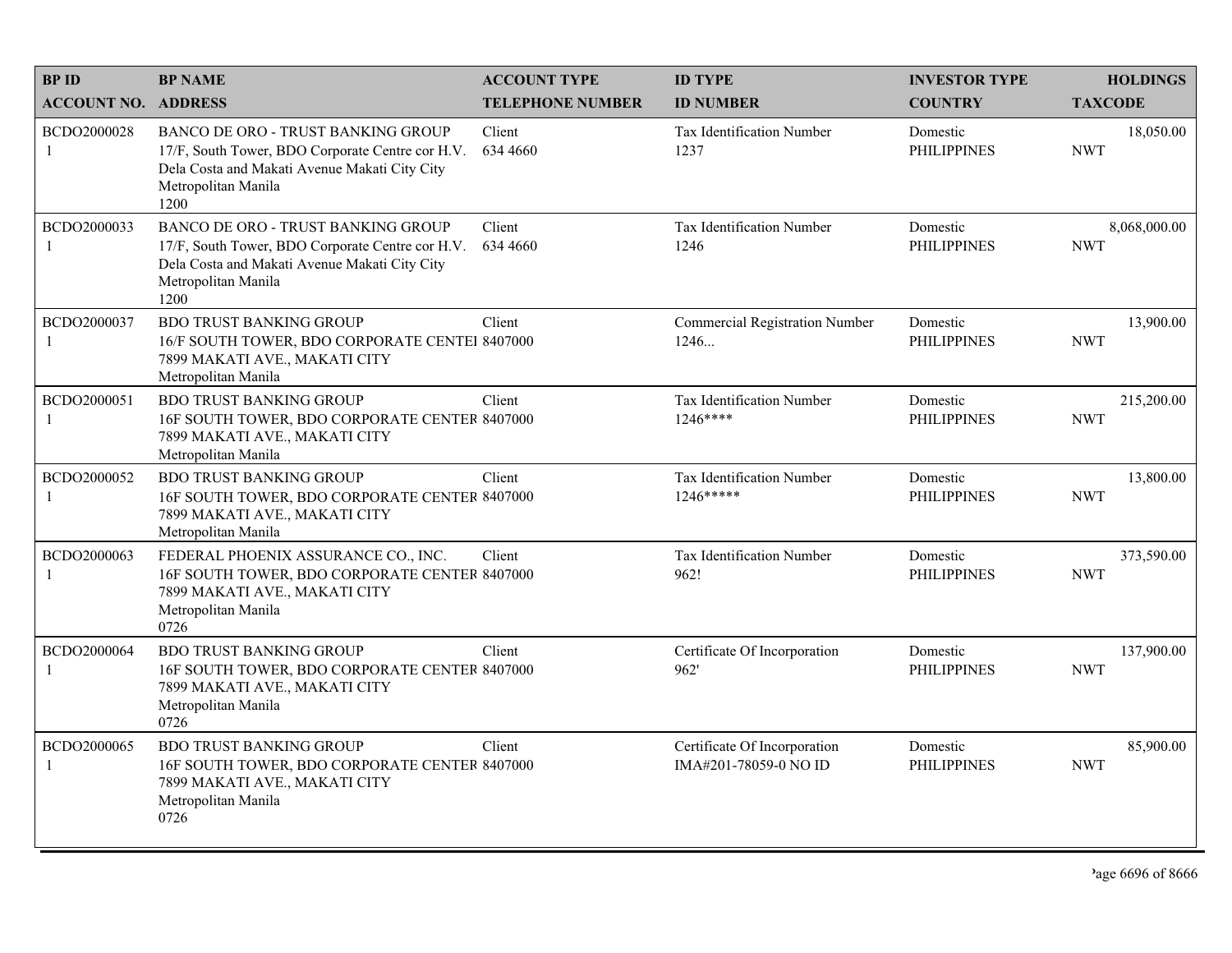| <b>BPID</b>                   | <b>BP NAME</b>                                                                                                                                                                | <b>ACCOUNT TYPE</b>     | <b>ID TYPE</b>                                        | <b>INVESTOR TYPE</b>           | <b>HOLDINGS</b>            |
|-------------------------------|-------------------------------------------------------------------------------------------------------------------------------------------------------------------------------|-------------------------|-------------------------------------------------------|--------------------------------|----------------------------|
| <b>ACCOUNT NO. ADDRESS</b>    |                                                                                                                                                                               | <b>TELEPHONE NUMBER</b> | <b>ID NUMBER</b>                                      | <b>COUNTRY</b>                 | <b>TAXCODE</b>             |
| BCDO2000028<br>-1             | BANCO DE ORO - TRUST BANKING GROUP<br>17/F, South Tower, BDO Corporate Centre cor H.V.<br>Dela Costa and Makati Avenue Makati City City<br>Metropolitan Manila<br>1200        | Client<br>634 4660      | Tax Identification Number<br>1237                     | Domestic<br><b>PHILIPPINES</b> | 18,050.00<br><b>NWT</b>    |
| BCDO2000033<br>$\mathbf{1}$   | <b>BANCO DE ORO - TRUST BANKING GROUP</b><br>17/F, South Tower, BDO Corporate Centre cor H.V.<br>Dela Costa and Makati Avenue Makati City City<br>Metropolitan Manila<br>1200 | Client<br>634 4660      | Tax Identification Number<br>1246                     | Domestic<br><b>PHILIPPINES</b> | 8,068,000.00<br><b>NWT</b> |
| BCDO2000037<br>-1             | <b>BDO TRUST BANKING GROUP</b><br>16/F SOUTH TOWER, BDO CORPORATE CENTEI 8407000<br>7899 MAKATI AVE., MAKATI CITY<br>Metropolitan Manila                                      | Client                  | <b>Commercial Registration Number</b><br>1246         | Domestic<br><b>PHILIPPINES</b> | 13,900.00<br><b>NWT</b>    |
| BCDO2000051<br>-1             | <b>BDO TRUST BANKING GROUP</b><br>16F SOUTH TOWER, BDO CORPORATE CENTER 8407000<br>7899 MAKATI AVE., MAKATI CITY<br>Metropolitan Manila                                       | Client                  | <b>Tax Identification Number</b><br>1246****          | Domestic<br><b>PHILIPPINES</b> | 215,200.00<br><b>NWT</b>   |
| BCDO2000052<br>$\mathbf{1}$   | <b>BDO TRUST BANKING GROUP</b><br>16F SOUTH TOWER, BDO CORPORATE CENTER 8407000<br>7899 MAKATI AVE., MAKATI CITY<br>Metropolitan Manila                                       | Client                  | Tax Identification Number<br>1246*****                | Domestic<br><b>PHILIPPINES</b> | 13,800.00<br><b>NWT</b>    |
| BCDO2000063<br>-1             | FEDERAL PHOENIX ASSURANCE CO., INC.<br>16F SOUTH TOWER, BDO CORPORATE CENTER 8407000<br>7899 MAKATI AVE., MAKATI CITY<br>Metropolitan Manila<br>0726                          | Client                  | Tax Identification Number<br>962!                     | Domestic<br><b>PHILIPPINES</b> | 373,590.00<br><b>NWT</b>   |
| BCDO2000064<br>-1             | <b>BDO TRUST BANKING GROUP</b><br>16F SOUTH TOWER, BDO CORPORATE CENTER 8407000<br>7899 MAKATI AVE., MAKATI CITY<br>Metropolitan Manila<br>0726                               | Client                  | Certificate Of Incorporation<br>962'                  | Domestic<br><b>PHILIPPINES</b> | 137,900.00<br><b>NWT</b>   |
| BCDO2000065<br>$\overline{1}$ | <b>BDO TRUST BANKING GROUP</b><br>16F SOUTH TOWER, BDO CORPORATE CENTER 8407000<br>7899 MAKATI AVE., MAKATI CITY<br>Metropolitan Manila<br>0726                               | Client                  | Certificate Of Incorporation<br>IMA#201-78059-0 NO ID | Domestic<br><b>PHILIPPINES</b> | 85,900.00<br><b>NWT</b>    |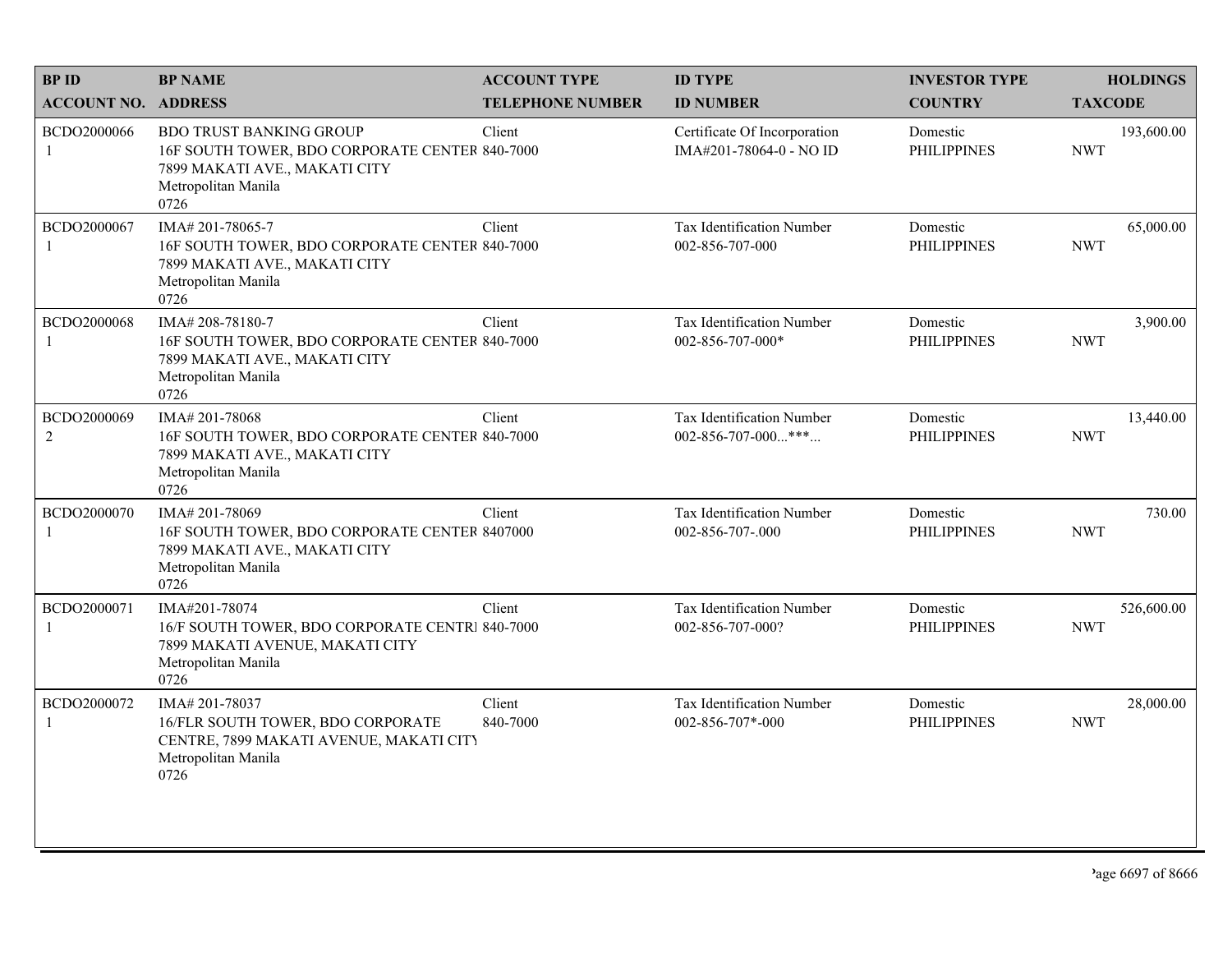| <b>BPID</b>                   | <b>BP NAME</b>                                                                                                                                   | <b>ACCOUNT TYPE</b>     | <b>ID TYPE</b>                                          | <b>INVESTOR TYPE</b>           | <b>HOLDINGS</b>          |
|-------------------------------|--------------------------------------------------------------------------------------------------------------------------------------------------|-------------------------|---------------------------------------------------------|--------------------------------|--------------------------|
| <b>ACCOUNT NO. ADDRESS</b>    |                                                                                                                                                  | <b>TELEPHONE NUMBER</b> | <b>ID NUMBER</b>                                        | <b>COUNTRY</b>                 | <b>TAXCODE</b>           |
| BCDO2000066<br>$\mathbf{1}$   | <b>BDO TRUST BANKING GROUP</b><br>16F SOUTH TOWER, BDO CORPORATE CENTER 840-7000<br>7899 MAKATI AVE., MAKATI CITY<br>Metropolitan Manila<br>0726 | Client                  | Certificate Of Incorporation<br>IMA#201-78064-0 - NO ID | Domestic<br><b>PHILIPPINES</b> | 193,600.00<br><b>NWT</b> |
| BCDO2000067<br>1              | IMA#201-78065-7<br>16F SOUTH TOWER, BDO CORPORATE CENTER 840-7000<br>7899 MAKATI AVE., MAKATI CITY<br>Metropolitan Manila<br>0726                | Client                  | Tax Identification Number<br>002-856-707-000            | Domestic<br><b>PHILIPPINES</b> | 65,000.00<br><b>NWT</b>  |
| BCDO2000068<br>1              | IMA#208-78180-7<br>16F SOUTH TOWER, BDO CORPORATE CENTER 840-7000<br>7899 MAKATI AVE., MAKATI CITY<br>Metropolitan Manila<br>0726                | Client                  | Tax Identification Number<br>002-856-707-000*           | Domestic<br><b>PHILIPPINES</b> | 3,900.00<br><b>NWT</b>   |
| BCDO2000069<br>$\overline{c}$ | IMA#201-78068<br>16F SOUTH TOWER, BDO CORPORATE CENTER 840-7000<br>7899 MAKATI AVE., MAKATI CITY<br>Metropolitan Manila<br>0726                  | Client                  | Tax Identification Number<br>002-856-707-000***         | Domestic<br><b>PHILIPPINES</b> | 13,440.00<br><b>NWT</b>  |
| BCDO2000070<br>1              | IMA# 201-78069<br>16F SOUTH TOWER, BDO CORPORATE CENTER 8407000<br>7899 MAKATI AVE., MAKATI CITY<br>Metropolitan Manila<br>0726                  | Client                  | Tax Identification Number<br>002-856-707-.000           | Domestic<br><b>PHILIPPINES</b> | 730.00<br><b>NWT</b>     |
| BCDO2000071<br>1              | IMA#201-78074<br>16/F SOUTH TOWER, BDO CORPORATE CENTRI 840-7000<br>7899 MAKATI AVENUE, MAKATI CITY<br>Metropolitan Manila<br>0726               | Client                  | Tax Identification Number<br>002-856-707-000?           | Domestic<br><b>PHILIPPINES</b> | 526,600.00<br><b>NWT</b> |
| BCDO2000072                   | IMA#201-78037<br>16/FLR SOUTH TOWER, BDO CORPORATE<br>CENTRE, 7899 MAKATI AVENUE, MAKATI CITY<br>Metropolitan Manila<br>0726                     | Client<br>840-7000      | Tax Identification Number<br>002-856-707*-000           | Domestic<br><b>PHILIPPINES</b> | 28,000.00<br><b>NWT</b>  |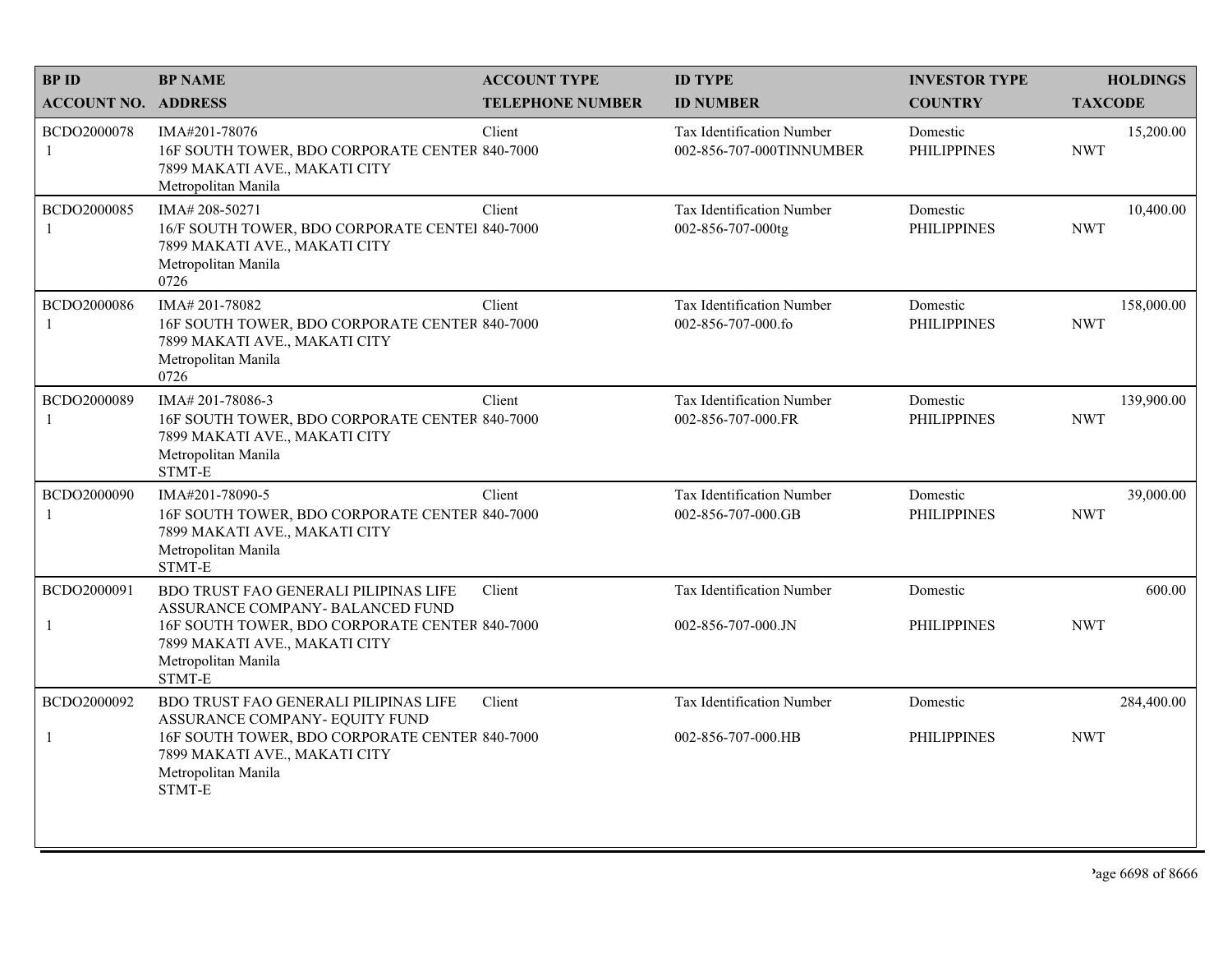| <b>BPID</b>                | <b>BP NAME</b>                                                                                                                       | <b>ACCOUNT TYPE</b>     | <b>ID TYPE</b>                                         | <b>INVESTOR TYPE</b>           | <b>HOLDINGS</b>          |
|----------------------------|--------------------------------------------------------------------------------------------------------------------------------------|-------------------------|--------------------------------------------------------|--------------------------------|--------------------------|
| <b>ACCOUNT NO. ADDRESS</b> |                                                                                                                                      | <b>TELEPHONE NUMBER</b> | <b>ID NUMBER</b>                                       | <b>COUNTRY</b>                 | <b>TAXCODE</b>           |
| BCDO2000078<br>-1          | IMA#201-78076<br>16F SOUTH TOWER, BDO CORPORATE CENTER 840-7000<br>7899 MAKATI AVE., MAKATI CITY<br>Metropolitan Manila              | Client                  | Tax Identification Number<br>002-856-707-000TINNUMBER  | Domestic<br><b>PHILIPPINES</b> | 15,200.00<br><b>NWT</b>  |
| BCDO2000085<br>-1          | IMA#208-50271<br>16/F SOUTH TOWER, BDO CORPORATE CENTEI 840-7000<br>7899 MAKATI AVE., MAKATI CITY<br>Metropolitan Manila<br>0726     | Client                  | Tax Identification Number<br>002-856-707-000tg         | Domestic<br><b>PHILIPPINES</b> | 10,400.00<br><b>NWT</b>  |
| BCDO2000086<br>1           | IMA#201-78082<br>16F SOUTH TOWER, BDO CORPORATE CENTER 840-7000<br>7899 MAKATI AVE., MAKATI CITY<br>Metropolitan Manila<br>0726      | Client                  | Tax Identification Number<br>002-856-707-000.fo        | Domestic<br><b>PHILIPPINES</b> | 158,000.00<br><b>NWT</b> |
| BCDO2000089<br>-1          | IMA# 201-78086-3<br>16F SOUTH TOWER, BDO CORPORATE CENTER 840-7000<br>7899 MAKATI AVE., MAKATI CITY<br>Metropolitan Manila<br>STMT-E | Client                  | Tax Identification Number<br>002-856-707-000.FR        | Domestic<br><b>PHILIPPINES</b> | 139,900.00<br><b>NWT</b> |
| BCDO2000090<br>-1          | IMA#201-78090-5<br>16F SOUTH TOWER, BDO CORPORATE CENTER 840-7000<br>7899 MAKATI AVE., MAKATI CITY<br>Metropolitan Manila<br>STMT-E  | Client                  | <b>Tax Identification Number</b><br>002-856-707-000.GB | Domestic<br><b>PHILIPPINES</b> | 39,000.00<br><b>NWT</b>  |
| BCDO2000091                | <b>BDO TRUST FAO GENERALI PILIPINAS LIFE</b><br>ASSURANCE COMPANY- BALANCED FUND                                                     | Client                  | Tax Identification Number                              | Domestic                       | 600.00                   |
| $\mathbf{1}$               | 16F SOUTH TOWER, BDO CORPORATE CENTER 840-7000<br>7899 MAKATI AVE., MAKATI CITY<br>Metropolitan Manila<br>STMT-E                     |                         | 002-856-707-000.JN                                     | <b>PHILIPPINES</b>             | <b>NWT</b>               |
| BCDO2000092                | BDO TRUST FAO GENERALI PILIPINAS LIFE<br>ASSURANCE COMPANY- EQUITY FUND                                                              | Client                  | Tax Identification Number                              | Domestic                       | 284,400.00               |
| $\mathbf{1}$               | 16F SOUTH TOWER, BDO CORPORATE CENTER 840-7000<br>7899 MAKATI AVE., MAKATI CITY<br>Metropolitan Manila<br>STMT-E                     |                         | 002-856-707-000.HB                                     | <b>PHILIPPINES</b>             | <b>NWT</b>               |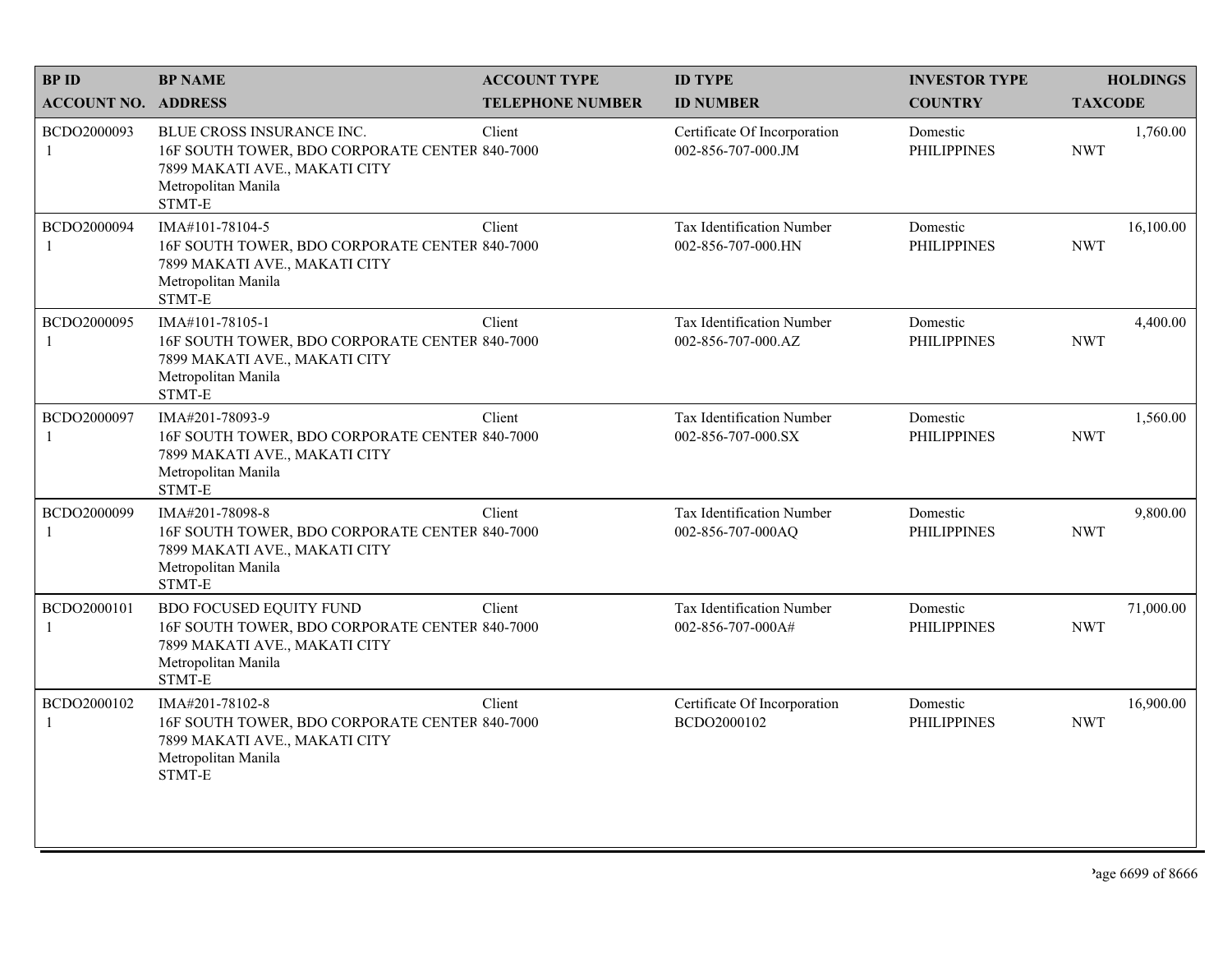| <b>BPID</b>                | <b>BP NAME</b>                                                                                                                                       | <b>ACCOUNT TYPE</b>     | <b>ID TYPE</b>                                         | <b>INVESTOR TYPE</b>           | <b>HOLDINGS</b>         |
|----------------------------|------------------------------------------------------------------------------------------------------------------------------------------------------|-------------------------|--------------------------------------------------------|--------------------------------|-------------------------|
| <b>ACCOUNT NO. ADDRESS</b> |                                                                                                                                                      | <b>TELEPHONE NUMBER</b> | <b>ID NUMBER</b>                                       | <b>COUNTRY</b>                 | <b>TAXCODE</b>          |
| BCDO2000093<br>1           | <b>BLUE CROSS INSURANCE INC.</b><br>16F SOUTH TOWER, BDO CORPORATE CENTER 840-7000<br>7899 MAKATI AVE., MAKATI CITY<br>Metropolitan Manila<br>STMT-E | Client                  | Certificate Of Incorporation<br>002-856-707-000.JM     | Domestic<br><b>PHILIPPINES</b> | 1,760.00<br><b>NWT</b>  |
| BCDO2000094                | IMA#101-78104-5<br>16F SOUTH TOWER, BDO CORPORATE CENTER 840-7000<br>7899 MAKATI AVE., MAKATI CITY<br>Metropolitan Manila<br>STMT-E                  | Client                  | Tax Identification Number<br>002-856-707-000.HN        | Domestic<br><b>PHILIPPINES</b> | 16,100.00<br><b>NWT</b> |
| BCDO2000095                | IMA#101-78105-1<br>16F SOUTH TOWER, BDO CORPORATE CENTER 840-7000<br>7899 MAKATI AVE., MAKATI CITY<br>Metropolitan Manila<br>STMT-E                  | Client                  | <b>Tax Identification Number</b><br>002-856-707-000.AZ | Domestic<br><b>PHILIPPINES</b> | 4,400.00<br><b>NWT</b>  |
| BCDO2000097                | IMA#201-78093-9<br>16F SOUTH TOWER, BDO CORPORATE CENTER 840-7000<br>7899 MAKATI AVE., MAKATI CITY<br>Metropolitan Manila<br>STMT-E                  | Client                  | Tax Identification Number<br>002-856-707-000.SX        | Domestic<br><b>PHILIPPINES</b> | 1,560.00<br><b>NWT</b>  |
| BCDO2000099                | IMA#201-78098-8<br>16F SOUTH TOWER, BDO CORPORATE CENTER 840-7000<br>7899 MAKATI AVE., MAKATI CITY<br>Metropolitan Manila<br>STMT-E                  | Client                  | Tax Identification Number<br>002-856-707-000AQ         | Domestic<br><b>PHILIPPINES</b> | 9,800.00<br><b>NWT</b>  |
| BCDO2000101<br>1           | <b>BDO FOCUSED EQUITY FUND</b><br>16F SOUTH TOWER, BDO CORPORATE CENTER 840-7000<br>7899 MAKATI AVE., MAKATI CITY<br>Metropolitan Manila<br>STMT-E   | Client                  | Tax Identification Number<br>002-856-707-000A#         | Domestic<br><b>PHILIPPINES</b> | 71,000.00<br><b>NWT</b> |
| BCDO2000102<br>1           | IMA#201-78102-8<br>16F SOUTH TOWER, BDO CORPORATE CENTER 840-7000<br>7899 MAKATI AVE., MAKATI CITY<br>Metropolitan Manila<br>STMT-E                  | Client                  | Certificate Of Incorporation<br>BCDO2000102            | Domestic<br><b>PHILIPPINES</b> | 16,900.00<br><b>NWT</b> |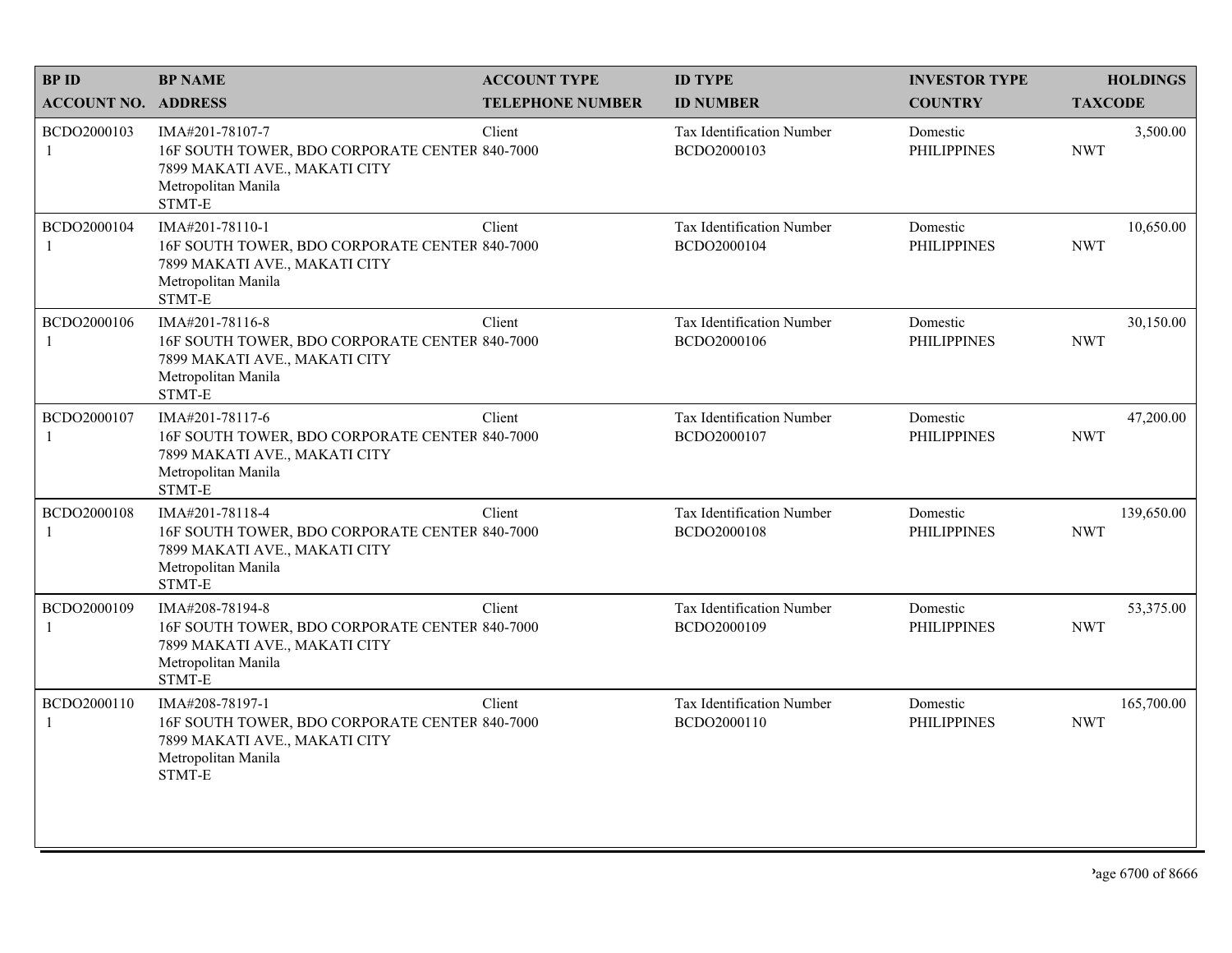| <b>BPID</b>                 | <b>BP NAME</b>                                                                                                                      | <b>ACCOUNT TYPE</b>     | <b>ID TYPE</b>                                  | <b>INVESTOR TYPE</b>           | <b>HOLDINGS</b>          |
|-----------------------------|-------------------------------------------------------------------------------------------------------------------------------------|-------------------------|-------------------------------------------------|--------------------------------|--------------------------|
| <b>ACCOUNT NO. ADDRESS</b>  |                                                                                                                                     | <b>TELEPHONE NUMBER</b> | <b>ID NUMBER</b>                                | <b>COUNTRY</b>                 | <b>TAXCODE</b>           |
| BCDO2000103<br>$\mathbf{1}$ | IMA#201-78107-7<br>16F SOUTH TOWER, BDO CORPORATE CENTER 840-7000<br>7899 MAKATI AVE., MAKATI CITY<br>Metropolitan Manila<br>STMT-E | Client                  | <b>Tax Identification Number</b><br>BCDO2000103 | Domestic<br><b>PHILIPPINES</b> | 3,500.00<br><b>NWT</b>   |
| BCDO2000104<br>$\mathbf{1}$ | IMA#201-78110-1<br>16F SOUTH TOWER, BDO CORPORATE CENTER 840-7000<br>7899 MAKATI AVE., MAKATI CITY<br>Metropolitan Manila<br>STMT-E | Client                  | Tax Identification Number<br>BCDO2000104        | Domestic<br><b>PHILIPPINES</b> | 10,650.00<br><b>NWT</b>  |
| BCDO2000106<br>1            | IMA#201-78116-8<br>16F SOUTH TOWER, BDO CORPORATE CENTER 840-7000<br>7899 MAKATI AVE., MAKATI CITY<br>Metropolitan Manila<br>STMT-E | Client                  | Tax Identification Number<br>BCDO2000106        | Domestic<br><b>PHILIPPINES</b> | 30,150.00<br><b>NWT</b>  |
| BCDO2000107<br>$\mathbf{1}$ | IMA#201-78117-6<br>16F SOUTH TOWER, BDO CORPORATE CENTER 840-7000<br>7899 MAKATI AVE., MAKATI CITY<br>Metropolitan Manila<br>STMT-E | Client                  | Tax Identification Number<br>BCDO2000107        | Domestic<br><b>PHILIPPINES</b> | 47,200.00<br><b>NWT</b>  |
| BCDO2000108<br>1            | IMA#201-78118-4<br>16F SOUTH TOWER, BDO CORPORATE CENTER 840-7000<br>7899 MAKATI AVE., MAKATI CITY<br>Metropolitan Manila<br>STMT-E | Client                  | Tax Identification Number<br>BCDO2000108        | Domestic<br><b>PHILIPPINES</b> | 139,650.00<br><b>NWT</b> |
| BCDO2000109<br>$\mathbf{1}$ | IMA#208-78194-8<br>16F SOUTH TOWER, BDO CORPORATE CENTER 840-7000<br>7899 MAKATI AVE., MAKATI CITY<br>Metropolitan Manila<br>STMT-E | Client                  | Tax Identification Number<br>BCDO2000109        | Domestic<br><b>PHILIPPINES</b> | 53,375.00<br><b>NWT</b>  |
| BCDO2000110<br>1            | IMA#208-78197-1<br>16F SOUTH TOWER, BDO CORPORATE CENTER 840-7000<br>7899 MAKATI AVE., MAKATI CITY<br>Metropolitan Manila<br>STMT-E | Client                  | Tax Identification Number<br>BCDO2000110        | Domestic<br><b>PHILIPPINES</b> | 165,700.00<br><b>NWT</b> |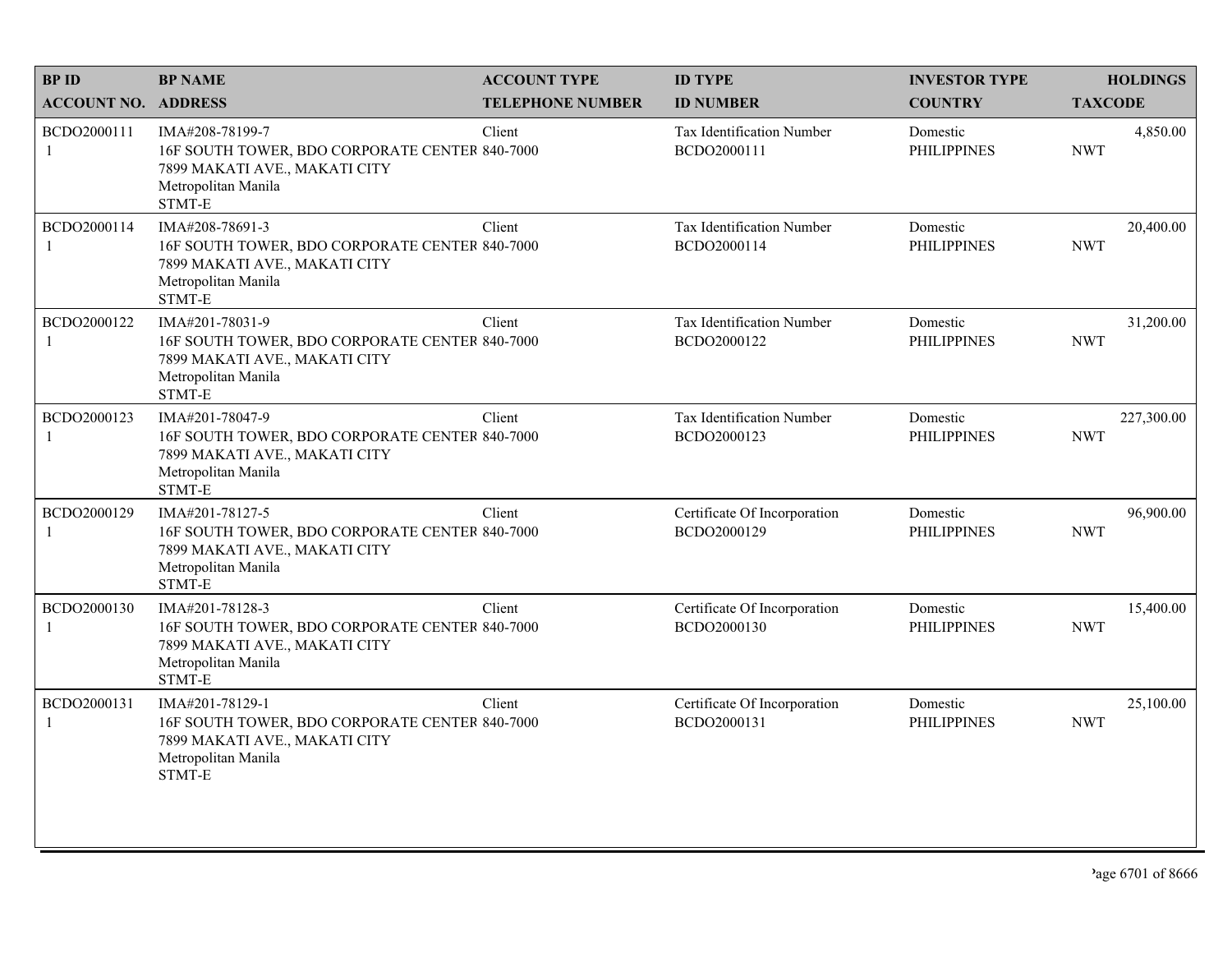| <b>BPID</b>                 | <b>BP NAME</b>                                                                                                                      | <b>ACCOUNT TYPE</b>     | <b>ID TYPE</b>                              | <b>INVESTOR TYPE</b>           | <b>HOLDINGS</b>          |
|-----------------------------|-------------------------------------------------------------------------------------------------------------------------------------|-------------------------|---------------------------------------------|--------------------------------|--------------------------|
| <b>ACCOUNT NO. ADDRESS</b>  |                                                                                                                                     | <b>TELEPHONE NUMBER</b> | <b>ID NUMBER</b>                            | <b>COUNTRY</b>                 | <b>TAXCODE</b>           |
| BCDO2000111<br>$\mathbf{1}$ | IMA#208-78199-7<br>16F SOUTH TOWER, BDO CORPORATE CENTER 840-7000<br>7899 MAKATI AVE., MAKATI CITY<br>Metropolitan Manila<br>STMT-E | Client                  | Tax Identification Number<br>BCDO2000111    | Domestic<br><b>PHILIPPINES</b> | 4,850.00<br><b>NWT</b>   |
| BCDO2000114<br>$\mathbf{1}$ | IMA#208-78691-3<br>16F SOUTH TOWER, BDO CORPORATE CENTER 840-7000<br>7899 MAKATI AVE., MAKATI CITY<br>Metropolitan Manila<br>STMT-E | Client                  | Tax Identification Number<br>BCDO2000114    | Domestic<br><b>PHILIPPINES</b> | 20,400.00<br><b>NWT</b>  |
| BCDO2000122<br>1            | IMA#201-78031-9<br>16F SOUTH TOWER, BDO CORPORATE CENTER 840-7000<br>7899 MAKATI AVE., MAKATI CITY<br>Metropolitan Manila<br>STMT-E | Client                  | Tax Identification Number<br>BCDO2000122    | Domestic<br><b>PHILIPPINES</b> | 31,200.00<br><b>NWT</b>  |
| BCDO2000123<br>$\mathbf{1}$ | IMA#201-78047-9<br>16F SOUTH TOWER, BDO CORPORATE CENTER 840-7000<br>7899 MAKATI AVE., MAKATI CITY<br>Metropolitan Manila<br>STMT-E | Client                  | Tax Identification Number<br>BCDO2000123    | Domestic<br><b>PHILIPPINES</b> | 227,300.00<br><b>NWT</b> |
| BCDO2000129<br>1            | IMA#201-78127-5<br>16F SOUTH TOWER, BDO CORPORATE CENTER 840-7000<br>7899 MAKATI AVE., MAKATI CITY<br>Metropolitan Manila<br>STMT-E | Client                  | Certificate Of Incorporation<br>BCDO2000129 | Domestic<br><b>PHILIPPINES</b> | 96,900.00<br><b>NWT</b>  |
| BCDO2000130<br>$\mathbf{1}$ | IMA#201-78128-3<br>16F SOUTH TOWER, BDO CORPORATE CENTER 840-7000<br>7899 MAKATI AVE., MAKATI CITY<br>Metropolitan Manila<br>STMT-E | Client                  | Certificate Of Incorporation<br>BCDO2000130 | Domestic<br><b>PHILIPPINES</b> | 15,400.00<br><b>NWT</b>  |
| BCDO2000131<br>1            | IMA#201-78129-1<br>16F SOUTH TOWER, BDO CORPORATE CENTER 840-7000<br>7899 MAKATI AVE., MAKATI CITY<br>Metropolitan Manila<br>STMT-E | Client                  | Certificate Of Incorporation<br>BCDO2000131 | Domestic<br><b>PHILIPPINES</b> | 25,100.00<br><b>NWT</b>  |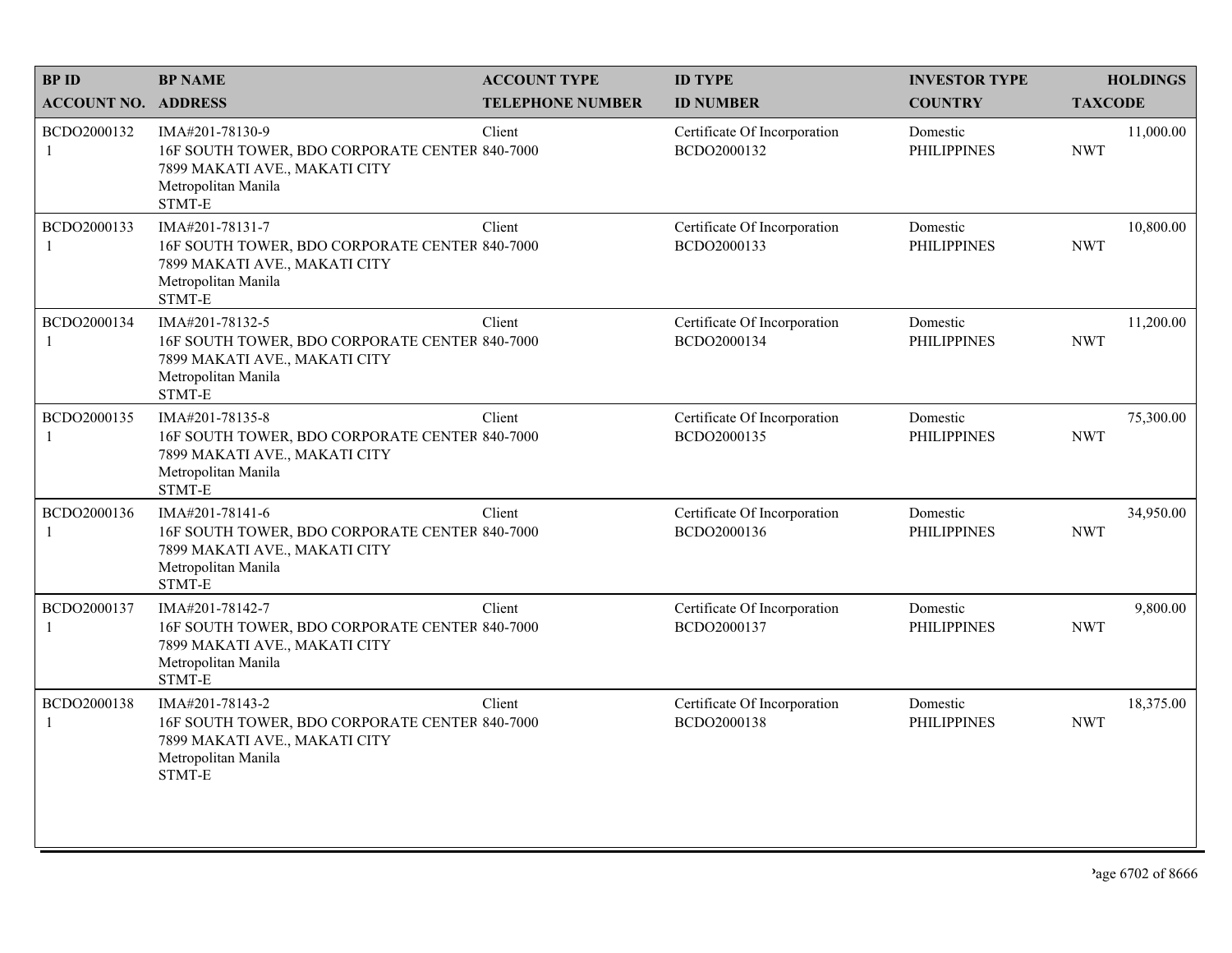| <b>BPID</b>                 | <b>BP NAME</b>                                                                                                                      | <b>ACCOUNT TYPE</b>     | <b>ID TYPE</b>                              | <b>INVESTOR TYPE</b>           | <b>HOLDINGS</b>         |
|-----------------------------|-------------------------------------------------------------------------------------------------------------------------------------|-------------------------|---------------------------------------------|--------------------------------|-------------------------|
| <b>ACCOUNT NO. ADDRESS</b>  |                                                                                                                                     | <b>TELEPHONE NUMBER</b> | <b>ID NUMBER</b>                            | <b>COUNTRY</b>                 | <b>TAXCODE</b>          |
| BCDO2000132<br>$\mathbf{1}$ | IMA#201-78130-9<br>16F SOUTH TOWER, BDO CORPORATE CENTER 840-7000<br>7899 MAKATI AVE., MAKATI CITY<br>Metropolitan Manila<br>STMT-E | Client                  | Certificate Of Incorporation<br>BCDO2000132 | Domestic<br><b>PHILIPPINES</b> | 11,000.00<br><b>NWT</b> |
| BCDO2000133<br>$\mathbf{1}$ | IMA#201-78131-7<br>16F SOUTH TOWER, BDO CORPORATE CENTER 840-7000<br>7899 MAKATI AVE., MAKATI CITY<br>Metropolitan Manila<br>STMT-E | Client                  | Certificate Of Incorporation<br>BCDO2000133 | Domestic<br><b>PHILIPPINES</b> | 10,800.00<br><b>NWT</b> |
| BCDO2000134<br>1            | IMA#201-78132-5<br>16F SOUTH TOWER, BDO CORPORATE CENTER 840-7000<br>7899 MAKATI AVE., MAKATI CITY<br>Metropolitan Manila<br>STMT-E | Client                  | Certificate Of Incorporation<br>BCDO2000134 | Domestic<br><b>PHILIPPINES</b> | 11,200.00<br><b>NWT</b> |
| BCDO2000135<br>$\mathbf{1}$ | IMA#201-78135-8<br>16F SOUTH TOWER, BDO CORPORATE CENTER 840-7000<br>7899 MAKATI AVE., MAKATI CITY<br>Metropolitan Manila<br>STMT-E | Client                  | Certificate Of Incorporation<br>BCDO2000135 | Domestic<br><b>PHILIPPINES</b> | 75,300.00<br><b>NWT</b> |
| BCDO2000136<br>-1           | IMA#201-78141-6<br>16F SOUTH TOWER, BDO CORPORATE CENTER 840-7000<br>7899 MAKATI AVE., MAKATI CITY<br>Metropolitan Manila<br>STMT-E | Client                  | Certificate Of Incorporation<br>BCDO2000136 | Domestic<br><b>PHILIPPINES</b> | 34,950.00<br><b>NWT</b> |
| BCDO2000137<br>$\mathbf{1}$ | IMA#201-78142-7<br>16F SOUTH TOWER, BDO CORPORATE CENTER 840-7000<br>7899 MAKATI AVE., MAKATI CITY<br>Metropolitan Manila<br>STMT-E | Client                  | Certificate Of Incorporation<br>BCDO2000137 | Domestic<br><b>PHILIPPINES</b> | 9,800.00<br><b>NWT</b>  |
| BCDO2000138<br>1            | IMA#201-78143-2<br>16F SOUTH TOWER, BDO CORPORATE CENTER 840-7000<br>7899 MAKATI AVE., MAKATI CITY<br>Metropolitan Manila<br>STMT-E | Client                  | Certificate Of Incorporation<br>BCDO2000138 | Domestic<br><b>PHILIPPINES</b> | 18,375.00<br><b>NWT</b> |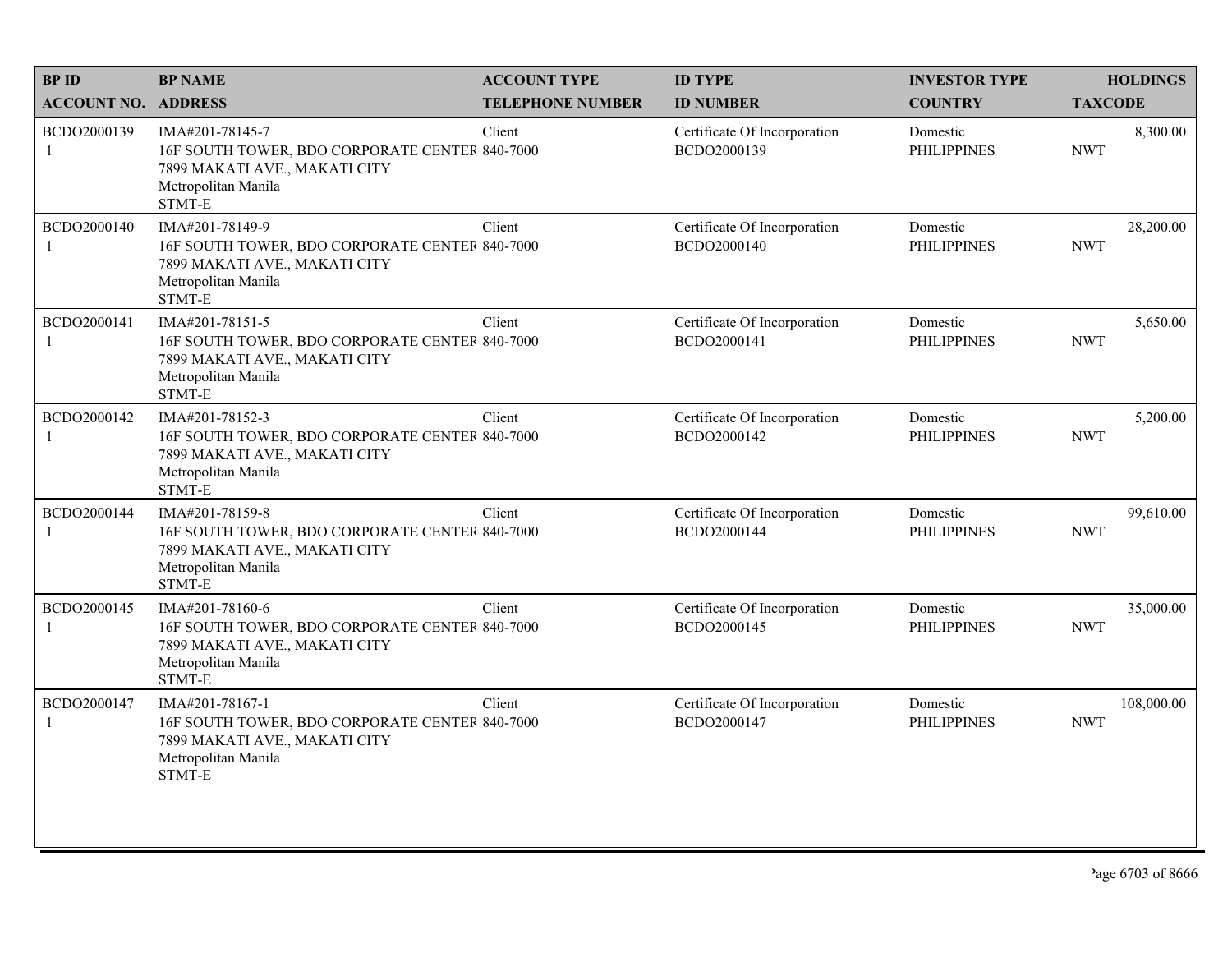| <b>BPID</b>                 | <b>BP NAME</b>                                                                                                                      | <b>ACCOUNT TYPE</b>     | <b>ID TYPE</b>                              | <b>INVESTOR TYPE</b>           | <b>HOLDINGS</b>          |
|-----------------------------|-------------------------------------------------------------------------------------------------------------------------------------|-------------------------|---------------------------------------------|--------------------------------|--------------------------|
| <b>ACCOUNT NO. ADDRESS</b>  |                                                                                                                                     | <b>TELEPHONE NUMBER</b> | <b>ID NUMBER</b>                            | <b>COUNTRY</b>                 | <b>TAXCODE</b>           |
| BCDO2000139<br>$\mathbf{1}$ | IMA#201-78145-7<br>16F SOUTH TOWER, BDO CORPORATE CENTER 840-7000<br>7899 MAKATI AVE., MAKATI CITY<br>Metropolitan Manila<br>STMT-E | Client                  | Certificate Of Incorporation<br>BCDO2000139 | Domestic<br><b>PHILIPPINES</b> | 8,300.00<br><b>NWT</b>   |
| BCDO2000140<br>$\mathbf{1}$ | IMA#201-78149-9<br>16F SOUTH TOWER, BDO CORPORATE CENTER 840-7000<br>7899 MAKATI AVE., MAKATI CITY<br>Metropolitan Manila<br>STMT-E | Client                  | Certificate Of Incorporation<br>BCDO2000140 | Domestic<br><b>PHILIPPINES</b> | 28,200.00<br><b>NWT</b>  |
| BCDO2000141<br>1            | IMA#201-78151-5<br>16F SOUTH TOWER, BDO CORPORATE CENTER 840-7000<br>7899 MAKATI AVE., MAKATI CITY<br>Metropolitan Manila<br>STMT-E | Client                  | Certificate Of Incorporation<br>BCDO2000141 | Domestic<br><b>PHILIPPINES</b> | 5,650.00<br><b>NWT</b>   |
| BCDO2000142<br>$\mathbf{1}$ | IMA#201-78152-3<br>16F SOUTH TOWER, BDO CORPORATE CENTER 840-7000<br>7899 MAKATI AVE., MAKATI CITY<br>Metropolitan Manila<br>STMT-E | Client                  | Certificate Of Incorporation<br>BCDO2000142 | Domestic<br><b>PHILIPPINES</b> | 5,200.00<br><b>NWT</b>   |
| BCDO2000144<br>-1           | IMA#201-78159-8<br>16F SOUTH TOWER, BDO CORPORATE CENTER 840-7000<br>7899 MAKATI AVE., MAKATI CITY<br>Metropolitan Manila<br>STMT-E | Client                  | Certificate Of Incorporation<br>BCDO2000144 | Domestic<br><b>PHILIPPINES</b> | 99,610.00<br><b>NWT</b>  |
| BCDO2000145<br>$\mathbf{1}$ | IMA#201-78160-6<br>16F SOUTH TOWER, BDO CORPORATE CENTER 840-7000<br>7899 MAKATI AVE., MAKATI CITY<br>Metropolitan Manila<br>STMT-E | Client                  | Certificate Of Incorporation<br>BCDO2000145 | Domestic<br><b>PHILIPPINES</b> | 35,000.00<br><b>NWT</b>  |
| BCDO2000147<br>1            | IMA#201-78167-1<br>16F SOUTH TOWER, BDO CORPORATE CENTER 840-7000<br>7899 MAKATI AVE., MAKATI CITY<br>Metropolitan Manila<br>STMT-E | Client                  | Certificate Of Incorporation<br>BCDO2000147 | Domestic<br><b>PHILIPPINES</b> | 108,000.00<br><b>NWT</b> |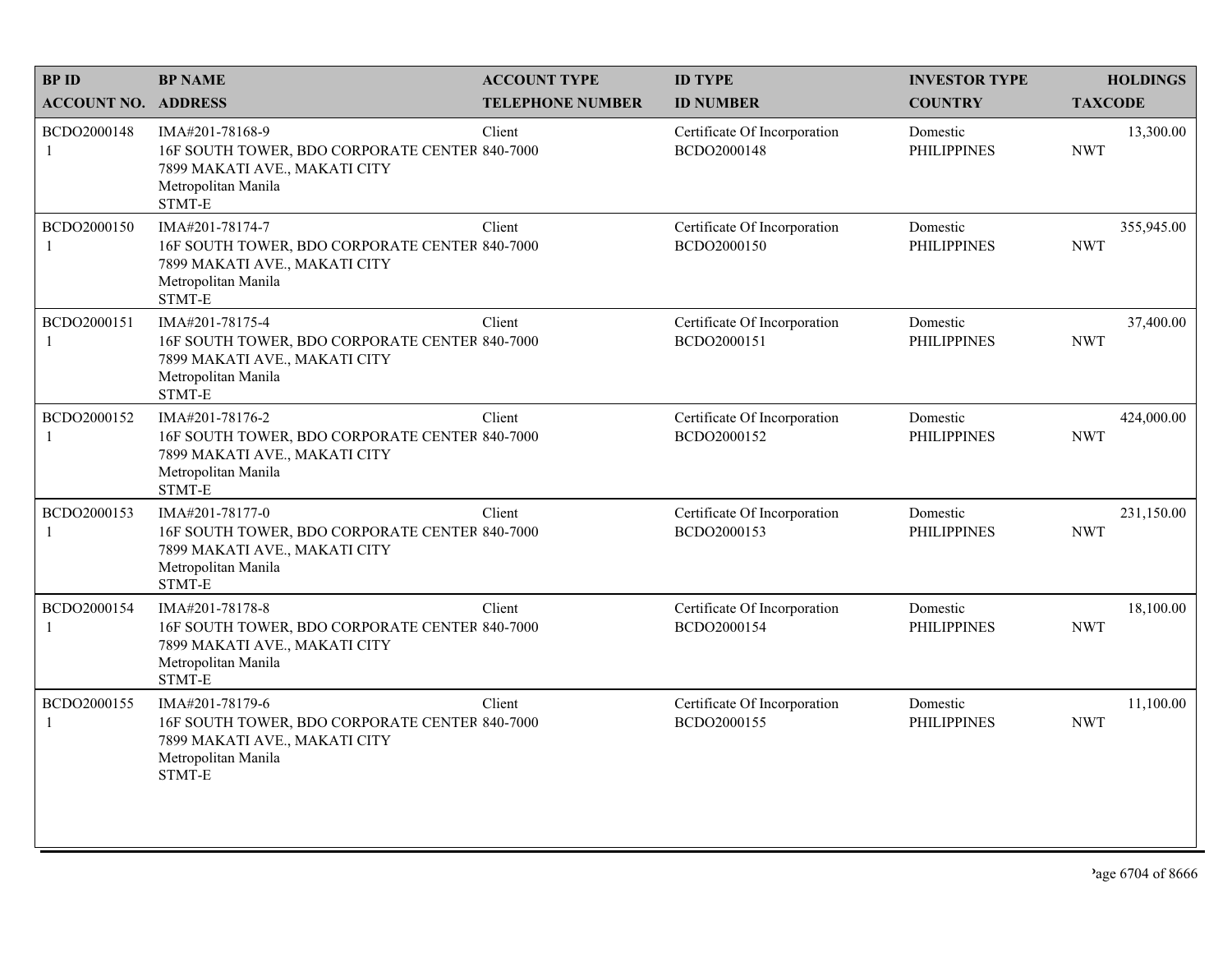| <b>BPID</b>                 | <b>BP NAME</b>                                                                                                                      | <b>ACCOUNT TYPE</b>     | <b>ID TYPE</b>                              | <b>INVESTOR TYPE</b>           | <b>HOLDINGS</b>          |
|-----------------------------|-------------------------------------------------------------------------------------------------------------------------------------|-------------------------|---------------------------------------------|--------------------------------|--------------------------|
| <b>ACCOUNT NO. ADDRESS</b>  |                                                                                                                                     | <b>TELEPHONE NUMBER</b> | <b>ID NUMBER</b>                            | <b>COUNTRY</b>                 | <b>TAXCODE</b>           |
| BCDO2000148<br>$\mathbf{1}$ | IMA#201-78168-9<br>16F SOUTH TOWER, BDO CORPORATE CENTER 840-7000<br>7899 MAKATI AVE., MAKATI CITY<br>Metropolitan Manila<br>STMT-E | Client                  | Certificate Of Incorporation<br>BCDO2000148 | Domestic<br><b>PHILIPPINES</b> | 13,300.00<br><b>NWT</b>  |
| BCDO2000150                 | IMA#201-78174-7<br>16F SOUTH TOWER, BDO CORPORATE CENTER 840-7000<br>7899 MAKATI AVE., MAKATI CITY<br>Metropolitan Manila<br>STMT-E | Client                  | Certificate Of Incorporation<br>BCDO2000150 | Domestic<br><b>PHILIPPINES</b> | 355,945.00<br><b>NWT</b> |
| BCDO2000151<br>1            | IMA#201-78175-4<br>16F SOUTH TOWER, BDO CORPORATE CENTER 840-7000<br>7899 MAKATI AVE., MAKATI CITY<br>Metropolitan Manila<br>STMT-E | Client                  | Certificate Of Incorporation<br>BCDO2000151 | Domestic<br><b>PHILIPPINES</b> | 37,400.00<br><b>NWT</b>  |
| BCDO2000152<br>1            | IMA#201-78176-2<br>16F SOUTH TOWER, BDO CORPORATE CENTER 840-7000<br>7899 MAKATI AVE., MAKATI CITY<br>Metropolitan Manila<br>STMT-E | Client                  | Certificate Of Incorporation<br>BCDO2000152 | Domestic<br><b>PHILIPPINES</b> | 424,000.00<br><b>NWT</b> |
| BCDO2000153<br>1            | IMA#201-78177-0<br>16F SOUTH TOWER, BDO CORPORATE CENTER 840-7000<br>7899 MAKATI AVE., MAKATI CITY<br>Metropolitan Manila<br>STMT-E | Client                  | Certificate Of Incorporation<br>BCDO2000153 | Domestic<br><b>PHILIPPINES</b> | 231,150.00<br><b>NWT</b> |
| BCDO2000154<br>1            | IMA#201-78178-8<br>16F SOUTH TOWER, BDO CORPORATE CENTER 840-7000<br>7899 MAKATI AVE., MAKATI CITY<br>Metropolitan Manila<br>STMT-E | Client                  | Certificate Of Incorporation<br>BCDO2000154 | Domestic<br><b>PHILIPPINES</b> | 18,100.00<br><b>NWT</b>  |
| BCDO2000155<br>1            | IMA#201-78179-6<br>16F SOUTH TOWER, BDO CORPORATE CENTER 840-7000<br>7899 MAKATI AVE., MAKATI CITY<br>Metropolitan Manila<br>STMT-E | Client                  | Certificate Of Incorporation<br>BCDO2000155 | Domestic<br><b>PHILIPPINES</b> | 11,100.00<br><b>NWT</b>  |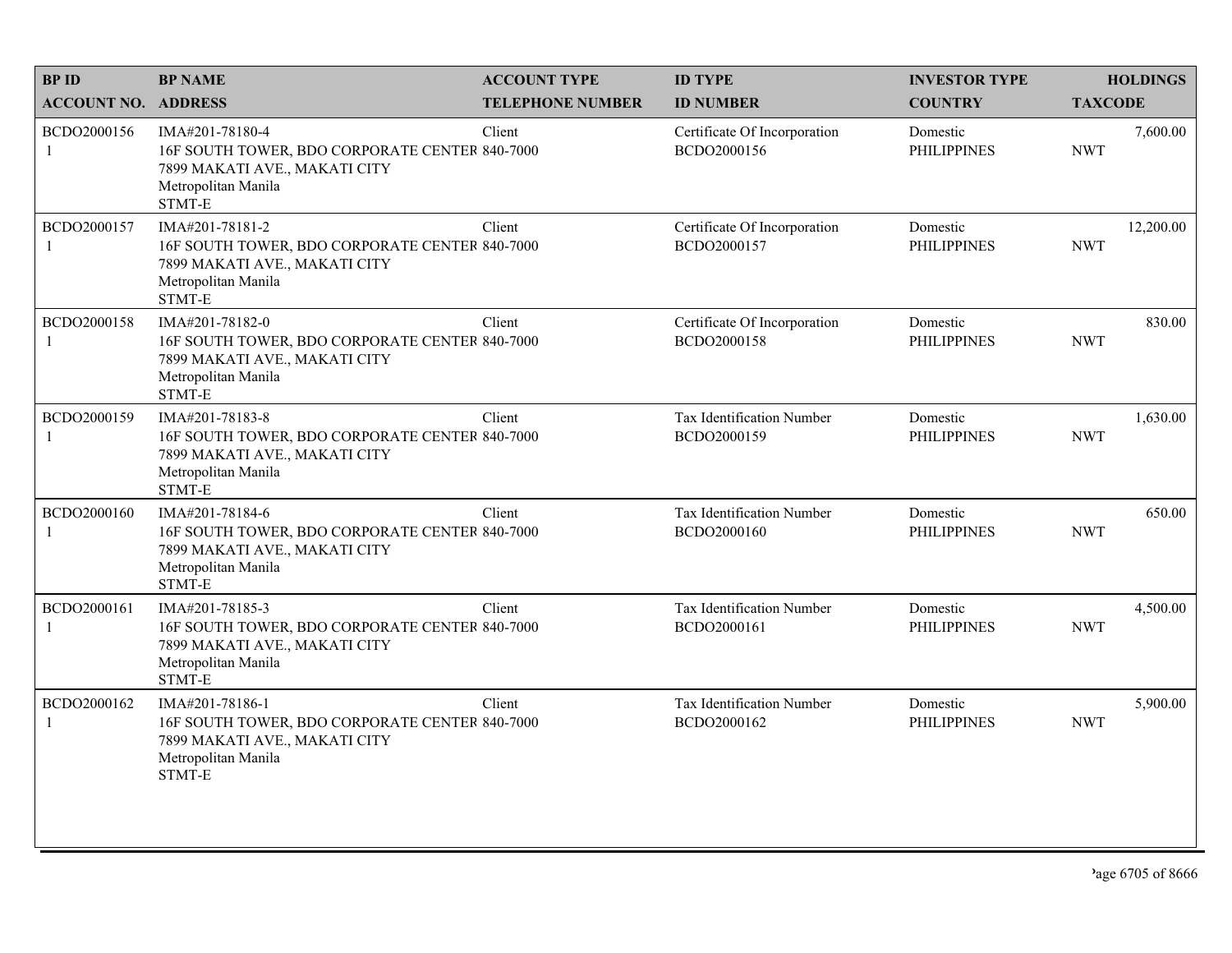| <b>BPID</b>                 | <b>BP NAME</b>                                                                                                                      | <b>ACCOUNT TYPE</b>     | <b>ID TYPE</b>                              | <b>INVESTOR TYPE</b>           | <b>HOLDINGS</b>         |
|-----------------------------|-------------------------------------------------------------------------------------------------------------------------------------|-------------------------|---------------------------------------------|--------------------------------|-------------------------|
| <b>ACCOUNT NO. ADDRESS</b>  |                                                                                                                                     | <b>TELEPHONE NUMBER</b> | <b>ID NUMBER</b>                            | <b>COUNTRY</b>                 | <b>TAXCODE</b>          |
| BCDO2000156<br>$\mathbf{1}$ | IMA#201-78180-4<br>16F SOUTH TOWER, BDO CORPORATE CENTER 840-7000<br>7899 MAKATI AVE., MAKATI CITY<br>Metropolitan Manila<br>STMT-E | Client                  | Certificate Of Incorporation<br>BCDO2000156 | Domestic<br><b>PHILIPPINES</b> | 7,600.00<br><b>NWT</b>  |
| BCDO2000157                 | IMA#201-78181-2<br>16F SOUTH TOWER, BDO CORPORATE CENTER 840-7000<br>7899 MAKATI AVE., MAKATI CITY<br>Metropolitan Manila<br>STMT-E | Client                  | Certificate Of Incorporation<br>BCDO2000157 | Domestic<br><b>PHILIPPINES</b> | 12,200.00<br><b>NWT</b> |
| BCDO2000158<br>1            | IMA#201-78182-0<br>16F SOUTH TOWER, BDO CORPORATE CENTER 840-7000<br>7899 MAKATI AVE., MAKATI CITY<br>Metropolitan Manila<br>STMT-E | Client                  | Certificate Of Incorporation<br>BCDO2000158 | Domestic<br><b>PHILIPPINES</b> | 830.00<br><b>NWT</b>    |
| BCDO2000159<br>1            | IMA#201-78183-8<br>16F SOUTH TOWER, BDO CORPORATE CENTER 840-7000<br>7899 MAKATI AVE., MAKATI CITY<br>Metropolitan Manila<br>STMT-E | Client                  | Tax Identification Number<br>BCDO2000159    | Domestic<br><b>PHILIPPINES</b> | 1,630.00<br><b>NWT</b>  |
| BCDO2000160<br>1            | IMA#201-78184-6<br>16F SOUTH TOWER, BDO CORPORATE CENTER 840-7000<br>7899 MAKATI AVE., MAKATI CITY<br>Metropolitan Manila<br>STMT-E | Client                  | Tax Identification Number<br>BCDO2000160    | Domestic<br><b>PHILIPPINES</b> | 650.00<br><b>NWT</b>    |
| BCDO2000161<br>1            | IMA#201-78185-3<br>16F SOUTH TOWER, BDO CORPORATE CENTER 840-7000<br>7899 MAKATI AVE., MAKATI CITY<br>Metropolitan Manila<br>STMT-E | Client                  | Tax Identification Number<br>BCDO2000161    | Domestic<br><b>PHILIPPINES</b> | 4,500.00<br><b>NWT</b>  |
| BCDO2000162<br>1            | IMA#201-78186-1<br>16F SOUTH TOWER, BDO CORPORATE CENTER 840-7000<br>7899 MAKATI AVE., MAKATI CITY<br>Metropolitan Manila<br>STMT-E | Client                  | Tax Identification Number<br>BCDO2000162    | Domestic<br><b>PHILIPPINES</b> | 5,900.00<br><b>NWT</b>  |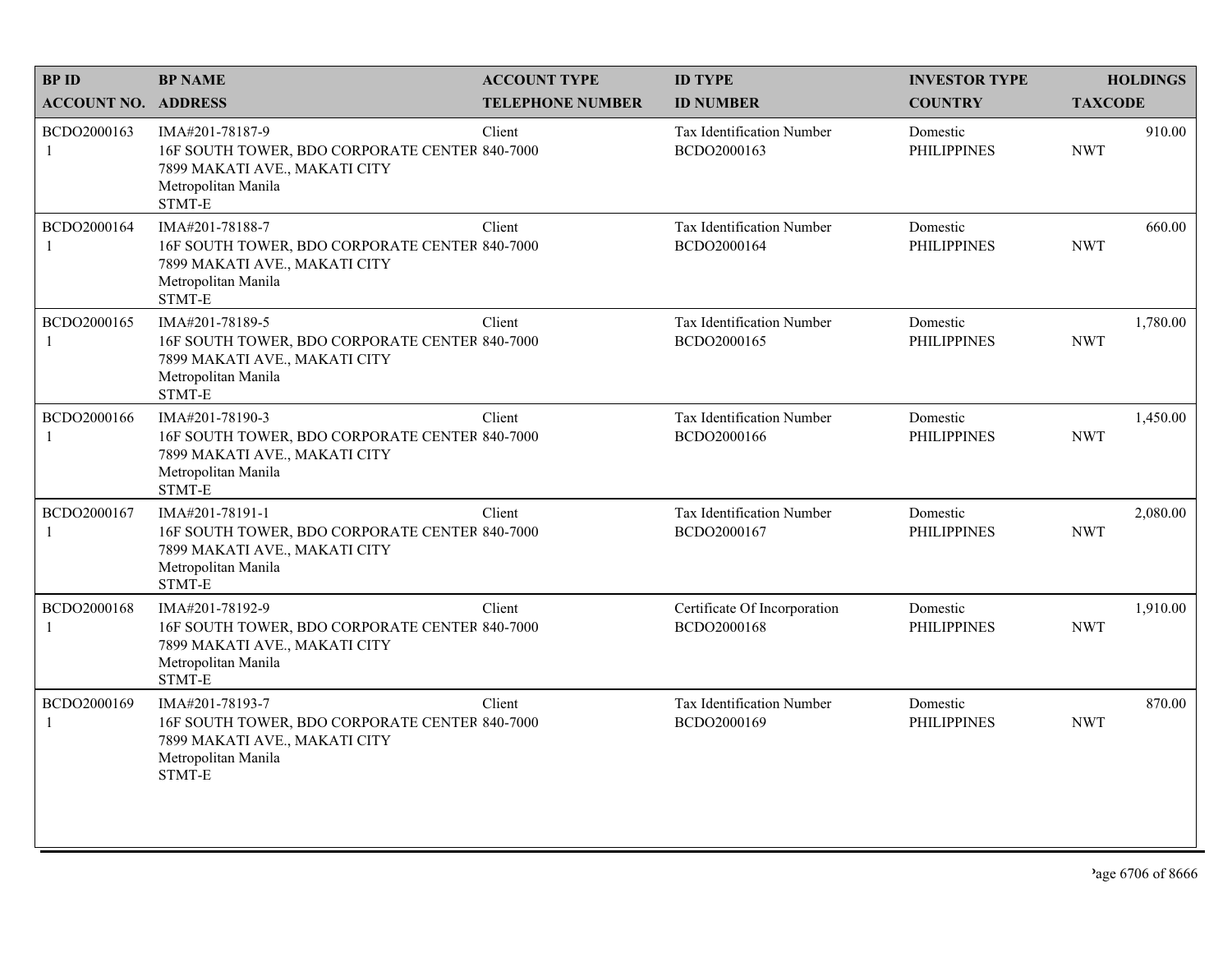| <b>BPID</b>                | <b>BP NAME</b>                                                                                                                      | <b>ACCOUNT TYPE</b>     | <b>ID TYPE</b>                              | <b>INVESTOR TYPE</b>           | <b>HOLDINGS</b>        |
|----------------------------|-------------------------------------------------------------------------------------------------------------------------------------|-------------------------|---------------------------------------------|--------------------------------|------------------------|
| <b>ACCOUNT NO. ADDRESS</b> |                                                                                                                                     | <b>TELEPHONE NUMBER</b> | <b>ID NUMBER</b>                            | <b>COUNTRY</b>                 | <b>TAXCODE</b>         |
| BCDO2000163<br>1           | IMA#201-78187-9<br>16F SOUTH TOWER, BDO CORPORATE CENTER 840-7000<br>7899 MAKATI AVE., MAKATI CITY<br>Metropolitan Manila<br>STMT-E | Client                  | Tax Identification Number<br>BCDO2000163    | Domestic<br><b>PHILIPPINES</b> | 910.00<br><b>NWT</b>   |
| BCDO2000164                | IMA#201-78188-7<br>16F SOUTH TOWER, BDO CORPORATE CENTER 840-7000<br>7899 MAKATI AVE., MAKATI CITY<br>Metropolitan Manila<br>STMT-E | Client                  | Tax Identification Number<br>BCDO2000164    | Domestic<br><b>PHILIPPINES</b> | 660.00<br><b>NWT</b>   |
| BCDO2000165                | IMA#201-78189-5<br>16F SOUTH TOWER, BDO CORPORATE CENTER 840-7000<br>7899 MAKATI AVE., MAKATI CITY<br>Metropolitan Manila<br>STMT-E | Client                  | Tax Identification Number<br>BCDO2000165    | Domestic<br><b>PHILIPPINES</b> | 1,780.00<br><b>NWT</b> |
| BCDO2000166                | IMA#201-78190-3<br>16F SOUTH TOWER, BDO CORPORATE CENTER 840-7000<br>7899 MAKATI AVE., MAKATI CITY<br>Metropolitan Manila<br>STMT-E | Client                  | Tax Identification Number<br>BCDO2000166    | Domestic<br><b>PHILIPPINES</b> | 1,450.00<br><b>NWT</b> |
| BCDO2000167                | IMA#201-78191-1<br>16F SOUTH TOWER, BDO CORPORATE CENTER 840-7000<br>7899 MAKATI AVE., MAKATI CITY<br>Metropolitan Manila<br>STMT-E | Client                  | Tax Identification Number<br>BCDO2000167    | Domestic<br><b>PHILIPPINES</b> | 2,080.00<br><b>NWT</b> |
| BCDO2000168<br>1           | IMA#201-78192-9<br>16F SOUTH TOWER, BDO CORPORATE CENTER 840-7000<br>7899 MAKATI AVE., MAKATI CITY<br>Metropolitan Manila<br>STMT-E | Client                  | Certificate Of Incorporation<br>BCDO2000168 | Domestic<br><b>PHILIPPINES</b> | 1,910.00<br><b>NWT</b> |
| BCDO2000169<br>1           | IMA#201-78193-7<br>16F SOUTH TOWER, BDO CORPORATE CENTER 840-7000<br>7899 MAKATI AVE., MAKATI CITY<br>Metropolitan Manila<br>STMT-E | Client                  | Tax Identification Number<br>BCDO2000169    | Domestic<br><b>PHILIPPINES</b> | 870.00<br><b>NWT</b>   |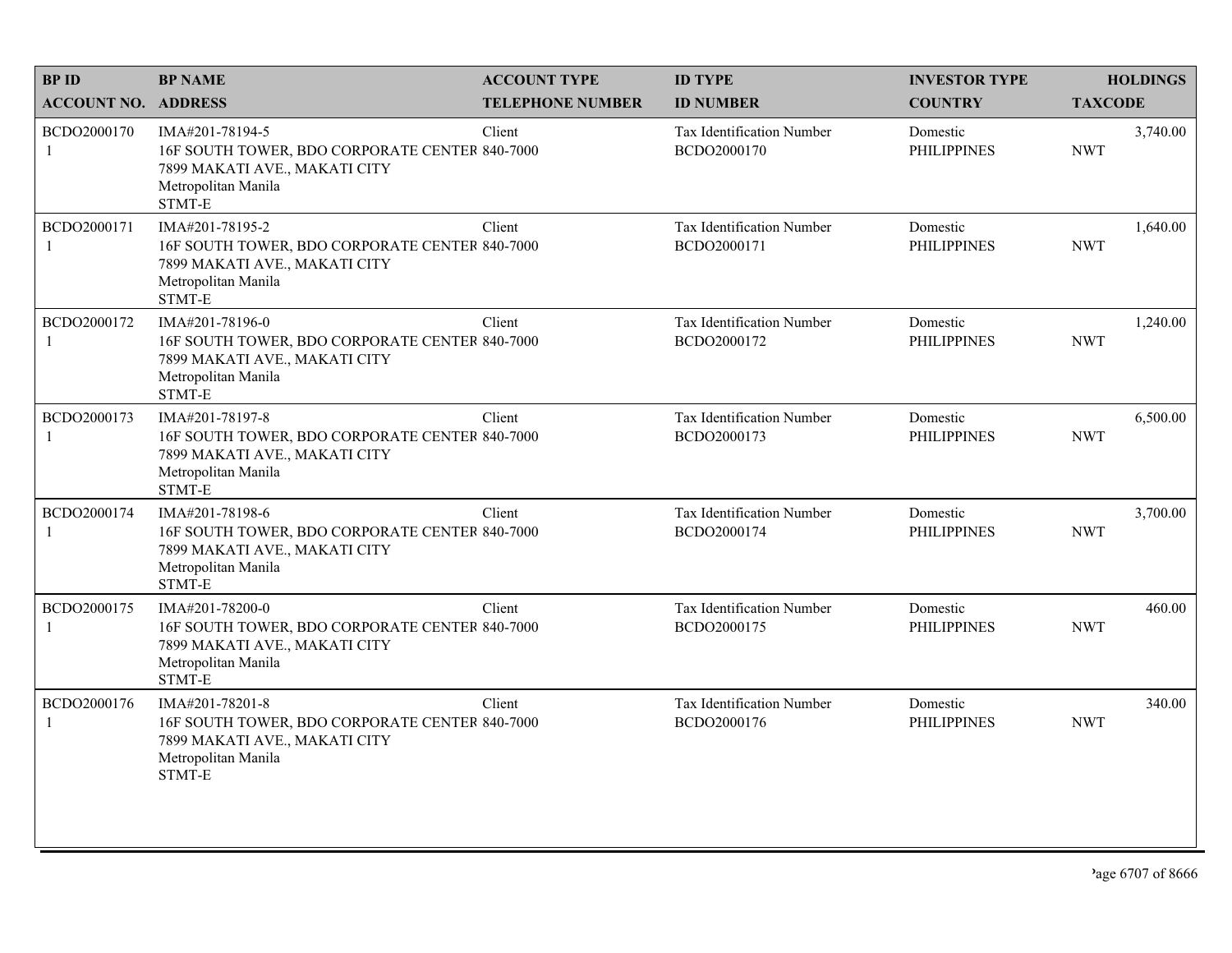| <b>BPID</b>                 | <b>BP NAME</b>                                                                                                                      | <b>ACCOUNT TYPE</b>     | <b>ID TYPE</b>                           | <b>INVESTOR TYPE</b>           | <b>HOLDINGS</b>        |
|-----------------------------|-------------------------------------------------------------------------------------------------------------------------------------|-------------------------|------------------------------------------|--------------------------------|------------------------|
| <b>ACCOUNT NO. ADDRESS</b>  |                                                                                                                                     | <b>TELEPHONE NUMBER</b> | <b>ID NUMBER</b>                         | <b>COUNTRY</b>                 | <b>TAXCODE</b>         |
| BCDO2000170<br>$\mathbf{1}$ | IMA#201-78194-5<br>16F SOUTH TOWER, BDO CORPORATE CENTER 840-7000<br>7899 MAKATI AVE., MAKATI CITY<br>Metropolitan Manila<br>STMT-E | Client                  | Tax Identification Number<br>BCDO2000170 | Domestic<br><b>PHILIPPINES</b> | 3,740.00<br><b>NWT</b> |
| BCDO2000171                 | IMA#201-78195-2<br>16F SOUTH TOWER, BDO CORPORATE CENTER 840-7000<br>7899 MAKATI AVE., MAKATI CITY<br>Metropolitan Manila<br>STMT-E | Client                  | Tax Identification Number<br>BCDO2000171 | Domestic<br><b>PHILIPPINES</b> | 1,640.00<br><b>NWT</b> |
| BCDO2000172<br>1            | IMA#201-78196-0<br>16F SOUTH TOWER, BDO CORPORATE CENTER 840-7000<br>7899 MAKATI AVE., MAKATI CITY<br>Metropolitan Manila<br>STMT-E | Client                  | Tax Identification Number<br>BCDO2000172 | Domestic<br><b>PHILIPPINES</b> | 1,240.00<br><b>NWT</b> |
| BCDO2000173<br>1            | IMA#201-78197-8<br>16F SOUTH TOWER, BDO CORPORATE CENTER 840-7000<br>7899 MAKATI AVE., MAKATI CITY<br>Metropolitan Manila<br>STMT-E | Client                  | Tax Identification Number<br>BCDO2000173 | Domestic<br><b>PHILIPPINES</b> | 6,500.00<br><b>NWT</b> |
| BCDO2000174<br>1            | IMA#201-78198-6<br>16F SOUTH TOWER, BDO CORPORATE CENTER 840-7000<br>7899 MAKATI AVE., MAKATI CITY<br>Metropolitan Manila<br>STMT-E | Client                  | Tax Identification Number<br>BCDO2000174 | Domestic<br><b>PHILIPPINES</b> | 3,700.00<br><b>NWT</b> |
| BCDO2000175<br>1            | IMA#201-78200-0<br>16F SOUTH TOWER, BDO CORPORATE CENTER 840-7000<br>7899 MAKATI AVE., MAKATI CITY<br>Metropolitan Manila<br>STMT-E | Client                  | Tax Identification Number<br>BCDO2000175 | Domestic<br><b>PHILIPPINES</b> | 460.00<br><b>NWT</b>   |
| BCDO2000176<br>1            | IMA#201-78201-8<br>16F SOUTH TOWER, BDO CORPORATE CENTER 840-7000<br>7899 MAKATI AVE., MAKATI CITY<br>Metropolitan Manila<br>STMT-E | Client                  | Tax Identification Number<br>BCDO2000176 | Domestic<br><b>PHILIPPINES</b> | 340.00<br><b>NWT</b>   |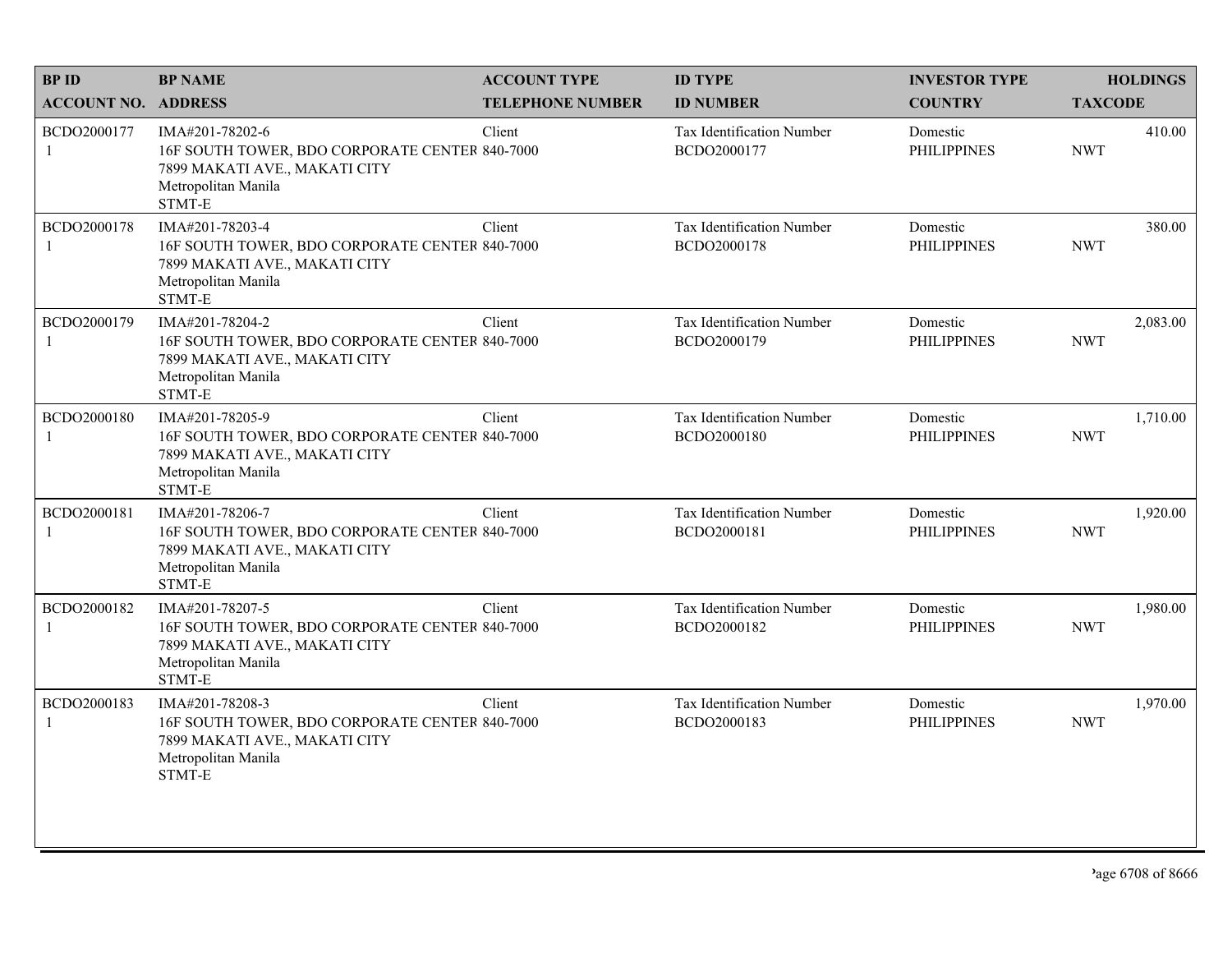| <b>BPID</b>                 | <b>BP NAME</b>                                                                                                                      | <b>ACCOUNT TYPE</b>     | <b>ID TYPE</b>                           | <b>INVESTOR TYPE</b>           | <b>HOLDINGS</b>        |
|-----------------------------|-------------------------------------------------------------------------------------------------------------------------------------|-------------------------|------------------------------------------|--------------------------------|------------------------|
| <b>ACCOUNT NO. ADDRESS</b>  |                                                                                                                                     | <b>TELEPHONE NUMBER</b> | <b>ID NUMBER</b>                         | <b>COUNTRY</b>                 | <b>TAXCODE</b>         |
| BCDO2000177<br>1            | IMA#201-78202-6<br>16F SOUTH TOWER, BDO CORPORATE CENTER 840-7000<br>7899 MAKATI AVE., MAKATI CITY<br>Metropolitan Manila<br>STMT-E | Client                  | Tax Identification Number<br>BCDO2000177 | Domestic<br><b>PHILIPPINES</b> | 410.00<br><b>NWT</b>   |
| BCDO2000178                 | IMA#201-78203-4<br>16F SOUTH TOWER, BDO CORPORATE CENTER 840-7000<br>7899 MAKATI AVE., MAKATI CITY<br>Metropolitan Manila<br>STMT-E | Client                  | Tax Identification Number<br>BCDO2000178 | Domestic<br><b>PHILIPPINES</b> | 380.00<br><b>NWT</b>   |
| BCDO2000179<br>-1           | IMA#201-78204-2<br>16F SOUTH TOWER, BDO CORPORATE CENTER 840-7000<br>7899 MAKATI AVE., MAKATI CITY<br>Metropolitan Manila<br>STMT-E | Client                  | Tax Identification Number<br>BCDO2000179 | Domestic<br><b>PHILIPPINES</b> | 2,083.00<br><b>NWT</b> |
| BCDO2000180<br>$\mathbf{1}$ | IMA#201-78205-9<br>16F SOUTH TOWER, BDO CORPORATE CENTER 840-7000<br>7899 MAKATI AVE., MAKATI CITY<br>Metropolitan Manila<br>STMT-E | Client                  | Tax Identification Number<br>BCDO2000180 | Domestic<br><b>PHILIPPINES</b> | 1,710.00<br><b>NWT</b> |
| BCDO2000181                 | IMA#201-78206-7<br>16F SOUTH TOWER, BDO CORPORATE CENTER 840-7000<br>7899 MAKATI AVE., MAKATI CITY<br>Metropolitan Manila<br>STMT-E | Client                  | Tax Identification Number<br>BCDO2000181 | Domestic<br><b>PHILIPPINES</b> | 1,920.00<br><b>NWT</b> |
| BCDO2000182<br>1            | IMA#201-78207-5<br>16F SOUTH TOWER, BDO CORPORATE CENTER 840-7000<br>7899 MAKATI AVE., MAKATI CITY<br>Metropolitan Manila<br>STMT-E | Client                  | Tax Identification Number<br>BCDO2000182 | Domestic<br><b>PHILIPPINES</b> | 1,980.00<br><b>NWT</b> |
| BCDO2000183<br>$\mathbf{1}$ | IMA#201-78208-3<br>16F SOUTH TOWER, BDO CORPORATE CENTER 840-7000<br>7899 MAKATI AVE., MAKATI CITY<br>Metropolitan Manila<br>STMT-E | Client                  | Tax Identification Number<br>BCDO2000183 | Domestic<br><b>PHILIPPINES</b> | 1,970.00<br><b>NWT</b> |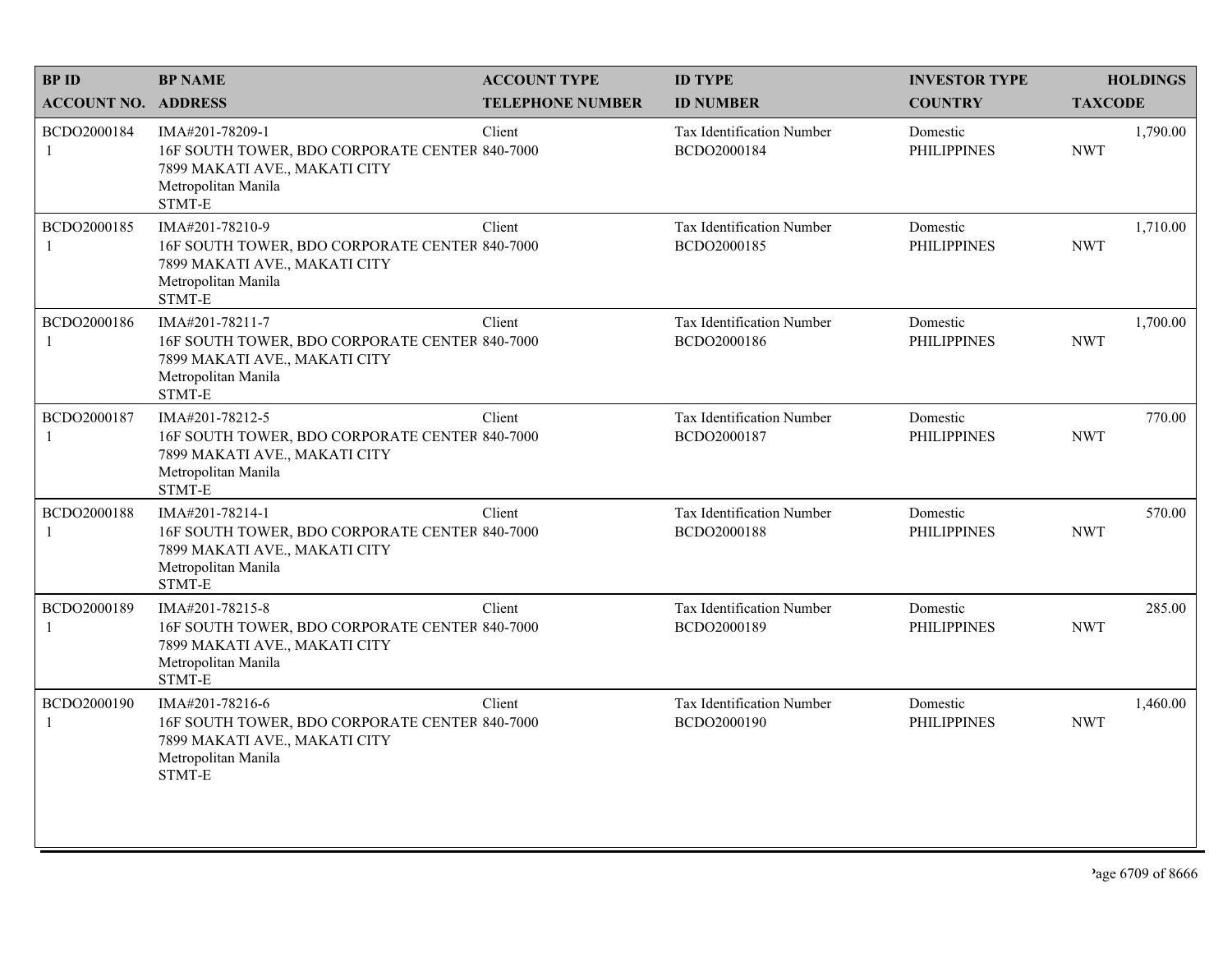| <b>BPID</b>                | <b>BP NAME</b>                                                                                                                      | <b>ACCOUNT TYPE</b>     | <b>ID TYPE</b>                           | <b>INVESTOR TYPE</b>           | <b>HOLDINGS</b>        |
|----------------------------|-------------------------------------------------------------------------------------------------------------------------------------|-------------------------|------------------------------------------|--------------------------------|------------------------|
| <b>ACCOUNT NO. ADDRESS</b> |                                                                                                                                     | <b>TELEPHONE NUMBER</b> | <b>ID NUMBER</b>                         | <b>COUNTRY</b>                 | <b>TAXCODE</b>         |
| BCDO2000184<br>1           | IMA#201-78209-1<br>16F SOUTH TOWER, BDO CORPORATE CENTER 840-7000<br>7899 MAKATI AVE., MAKATI CITY<br>Metropolitan Manila<br>STMT-E | Client                  | Tax Identification Number<br>BCDO2000184 | Domestic<br><b>PHILIPPINES</b> | 1,790.00<br><b>NWT</b> |
| BCDO2000185                | IMA#201-78210-9<br>16F SOUTH TOWER, BDO CORPORATE CENTER 840-7000<br>7899 MAKATI AVE., MAKATI CITY<br>Metropolitan Manila<br>STMT-E | Client                  | Tax Identification Number<br>BCDO2000185 | Domestic<br><b>PHILIPPINES</b> | 1,710.00<br><b>NWT</b> |
| BCDO2000186                | IMA#201-78211-7<br>16F SOUTH TOWER, BDO CORPORATE CENTER 840-7000<br>7899 MAKATI AVE., MAKATI CITY<br>Metropolitan Manila<br>STMT-E | Client                  | Tax Identification Number<br>BCDO2000186 | Domestic<br><b>PHILIPPINES</b> | 1,700.00<br><b>NWT</b> |
| BCDO2000187                | IMA#201-78212-5<br>16F SOUTH TOWER, BDO CORPORATE CENTER 840-7000<br>7899 MAKATI AVE., MAKATI CITY<br>Metropolitan Manila<br>STMT-E | Client                  | Tax Identification Number<br>BCDO2000187 | Domestic<br><b>PHILIPPINES</b> | 770.00<br><b>NWT</b>   |
| BCDO2000188                | IMA#201-78214-1<br>16F SOUTH TOWER, BDO CORPORATE CENTER 840-7000<br>7899 MAKATI AVE., MAKATI CITY<br>Metropolitan Manila<br>STMT-E | Client                  | Tax Identification Number<br>BCDO2000188 | Domestic<br><b>PHILIPPINES</b> | 570.00<br><b>NWT</b>   |
| BCDO2000189<br>1           | IMA#201-78215-8<br>16F SOUTH TOWER, BDO CORPORATE CENTER 840-7000<br>7899 MAKATI AVE., MAKATI CITY<br>Metropolitan Manila<br>STMT-E | Client                  | Tax Identification Number<br>BCDO2000189 | Domestic<br><b>PHILIPPINES</b> | 285.00<br><b>NWT</b>   |
| BCDO2000190<br>1           | IMA#201-78216-6<br>16F SOUTH TOWER, BDO CORPORATE CENTER 840-7000<br>7899 MAKATI AVE., MAKATI CITY<br>Metropolitan Manila<br>STMT-E | Client                  | Tax Identification Number<br>BCDO2000190 | Domestic<br><b>PHILIPPINES</b> | 1,460.00<br><b>NWT</b> |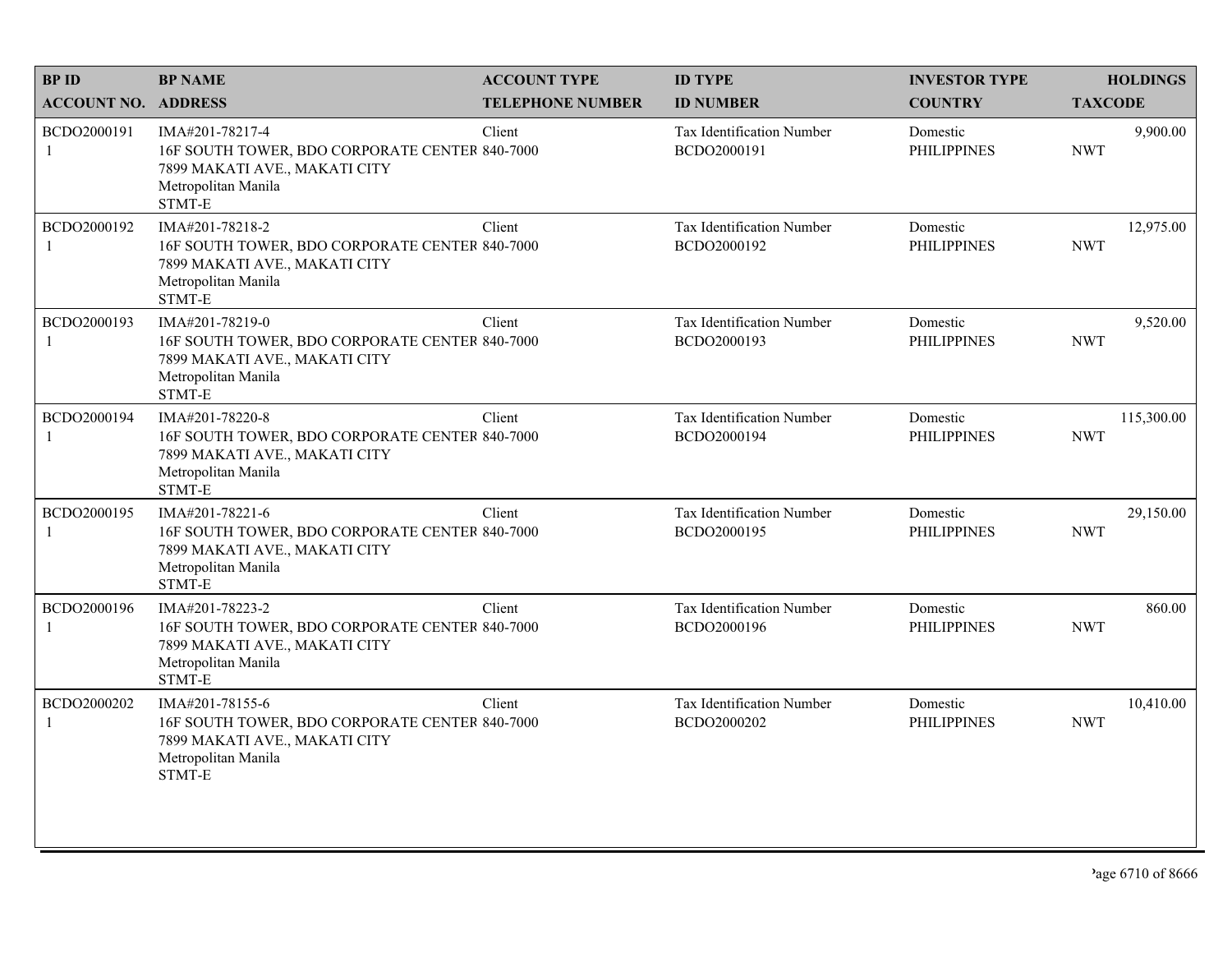| <b>BPID</b>                 | <b>BP NAME</b>                                                                                                                      | <b>ACCOUNT TYPE</b>     | <b>ID TYPE</b>                           | <b>INVESTOR TYPE</b>           | <b>HOLDINGS</b>          |
|-----------------------------|-------------------------------------------------------------------------------------------------------------------------------------|-------------------------|------------------------------------------|--------------------------------|--------------------------|
| <b>ACCOUNT NO. ADDRESS</b>  |                                                                                                                                     | <b>TELEPHONE NUMBER</b> | <b>ID NUMBER</b>                         | <b>COUNTRY</b>                 | <b>TAXCODE</b>           |
| BCDO2000191<br>$\mathbf{1}$ | IMA#201-78217-4<br>16F SOUTH TOWER, BDO CORPORATE CENTER 840-7000<br>7899 MAKATI AVE., MAKATI CITY<br>Metropolitan Manila<br>STMT-E | Client                  | Tax Identification Number<br>BCDO2000191 | Domestic<br><b>PHILIPPINES</b> | 9,900.00<br><b>NWT</b>   |
| BCDO2000192                 | IMA#201-78218-2<br>16F SOUTH TOWER, BDO CORPORATE CENTER 840-7000<br>7899 MAKATI AVE., MAKATI CITY<br>Metropolitan Manila<br>STMT-E | Client                  | Tax Identification Number<br>BCDO2000192 | Domestic<br><b>PHILIPPINES</b> | 12,975.00<br><b>NWT</b>  |
| BCDO2000193<br>1            | IMA#201-78219-0<br>16F SOUTH TOWER, BDO CORPORATE CENTER 840-7000<br>7899 MAKATI AVE., MAKATI CITY<br>Metropolitan Manila<br>STMT-E | Client                  | Tax Identification Number<br>BCDO2000193 | Domestic<br><b>PHILIPPINES</b> | 9,520.00<br><b>NWT</b>   |
| BCDO2000194<br>1            | IMA#201-78220-8<br>16F SOUTH TOWER, BDO CORPORATE CENTER 840-7000<br>7899 MAKATI AVE., MAKATI CITY<br>Metropolitan Manila<br>STMT-E | Client                  | Tax Identification Number<br>BCDO2000194 | Domestic<br><b>PHILIPPINES</b> | 115,300.00<br><b>NWT</b> |
| BCDO2000195<br>1            | IMA#201-78221-6<br>16F SOUTH TOWER, BDO CORPORATE CENTER 840-7000<br>7899 MAKATI AVE., MAKATI CITY<br>Metropolitan Manila<br>STMT-E | Client                  | Tax Identification Number<br>BCDO2000195 | Domestic<br><b>PHILIPPINES</b> | 29,150.00<br><b>NWT</b>  |
| BCDO2000196<br>1            | IMA#201-78223-2<br>16F SOUTH TOWER, BDO CORPORATE CENTER 840-7000<br>7899 MAKATI AVE., MAKATI CITY<br>Metropolitan Manila<br>STMT-E | Client                  | Tax Identification Number<br>BCDO2000196 | Domestic<br><b>PHILIPPINES</b> | 860.00<br><b>NWT</b>     |
| BCDO2000202<br>1            | IMA#201-78155-6<br>16F SOUTH TOWER, BDO CORPORATE CENTER 840-7000<br>7899 MAKATI AVE., MAKATI CITY<br>Metropolitan Manila<br>STMT-E | Client                  | Tax Identification Number<br>BCDO2000202 | Domestic<br><b>PHILIPPINES</b> | 10,410.00<br><b>NWT</b>  |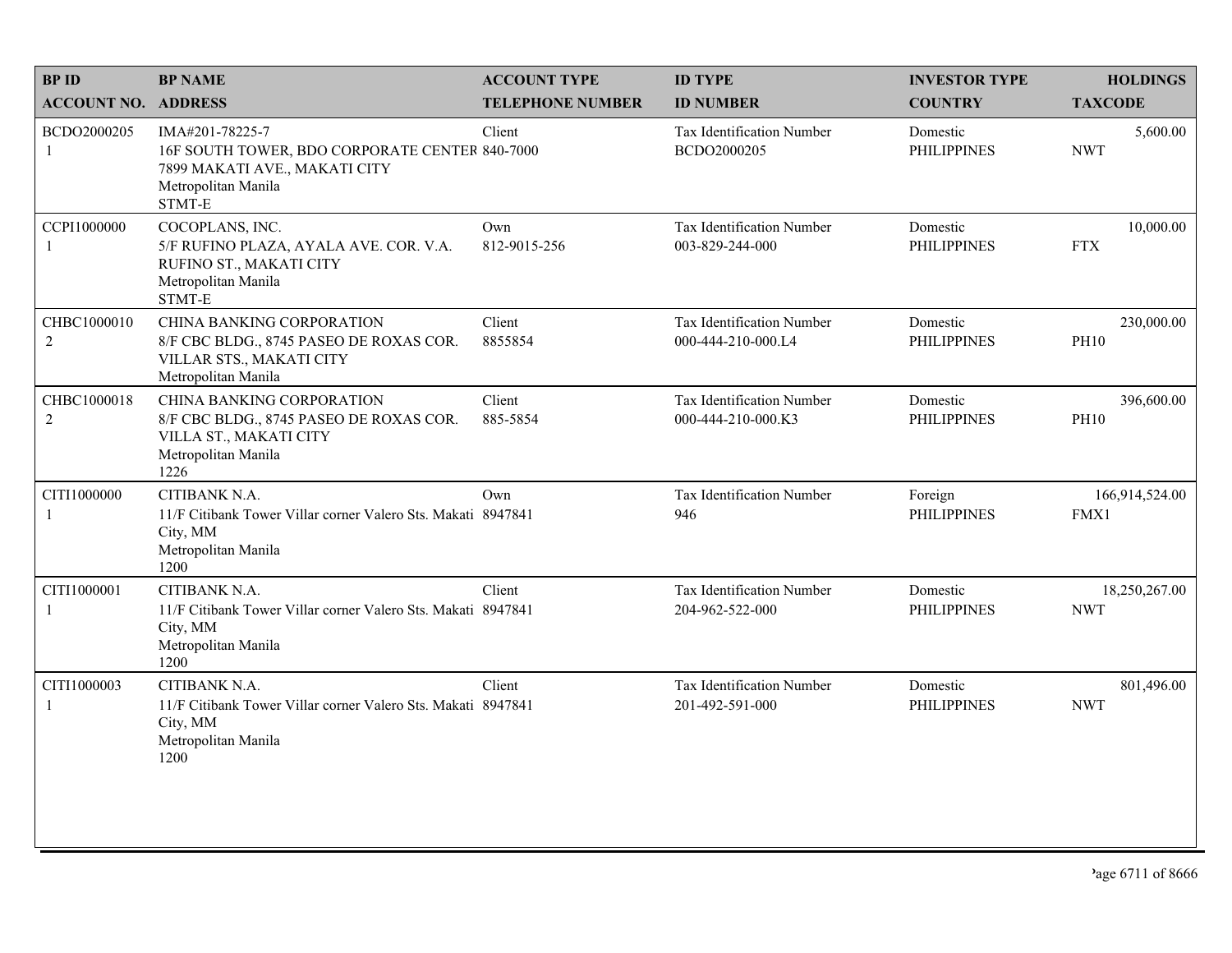|                                                                                                                                      |                         |                                                                                                                                                                                                                                                | <b>INVESTOR TYPE</b>           | <b>HOLDINGS</b>             |
|--------------------------------------------------------------------------------------------------------------------------------------|-------------------------|------------------------------------------------------------------------------------------------------------------------------------------------------------------------------------------------------------------------------------------------|--------------------------------|-----------------------------|
| <b>ACCOUNT NO. ADDRESS</b>                                                                                                           | <b>TELEPHONE NUMBER</b> | <b>ID NUMBER</b>                                                                                                                                                                                                                               | <b>COUNTRY</b>                 | <b>TAXCODE</b>              |
| IMA#201-78225-7<br>7899 MAKATI AVE., MAKATI CITY<br>Metropolitan Manila<br>STMT-E                                                    | Client                  | Tax Identification Number<br>BCDO2000205                                                                                                                                                                                                       | Domestic<br><b>PHILIPPINES</b> | 5,600.00<br><b>NWT</b>      |
| COCOPLANS, INC.<br>5/F RUFINO PLAZA, AYALA AVE. COR. V.A.<br>RUFINO ST., MAKATI CITY<br>Metropolitan Manila<br>STMT-E                | Own<br>812-9015-256     | Tax Identification Number<br>003-829-244-000                                                                                                                                                                                                   | Domestic<br><b>PHILIPPINES</b> | 10,000.00<br><b>FTX</b>     |
| <b>CHINA BANKING CORPORATION</b><br>8/F CBC BLDG., 8745 PASEO DE ROXAS COR.<br>VILLAR STS., MAKATI CITY<br>Metropolitan Manila       | Client<br>8855854       | Tax Identification Number<br>000-444-210-000.L4                                                                                                                                                                                                | Domestic<br><b>PHILIPPINES</b> | 230,000.00<br><b>PH10</b>   |
| <b>CHINA BANKING CORPORATION</b><br>8/F CBC BLDG., 8745 PASEO DE ROXAS COR.<br>VILLA ST., MAKATI CITY<br>Metropolitan Manila<br>1226 | Client<br>885-5854      | Tax Identification Number<br>000-444-210-000.K3                                                                                                                                                                                                | Domestic<br><b>PHILIPPINES</b> | 396,600.00<br><b>PH10</b>   |
| CITIBANK N.A.<br>City, MM<br>Metropolitan Manila<br>1200                                                                             | Own                     | Tax Identification Number<br>946                                                                                                                                                                                                               | Foreign<br><b>PHILIPPINES</b>  | 166,914,524.00<br>FMX1      |
| CITIBANK N.A.<br>City, MM<br>Metropolitan Manila<br>1200                                                                             | Client                  | Tax Identification Number<br>204-962-522-000                                                                                                                                                                                                   | Domestic<br><b>PHILIPPINES</b> | 18,250,267.00<br><b>NWT</b> |
| CITIBANK N.A.<br>City, MM<br>Metropolitan Manila<br>1200                                                                             | Client                  | Tax Identification Number<br>201-492-591-000                                                                                                                                                                                                   | Domestic<br><b>PHILIPPINES</b> | 801,496.00<br><b>NWT</b>    |
|                                                                                                                                      |                         | 16F SOUTH TOWER, BDO CORPORATE CENTER 840-7000<br>11/F Citibank Tower Villar corner Valero Sts. Makati 8947841<br>11/F Citibank Tower Villar corner Valero Sts. Makati 8947841<br>11/F Citibank Tower Villar corner Valero Sts. Makati 8947841 |                                |                             |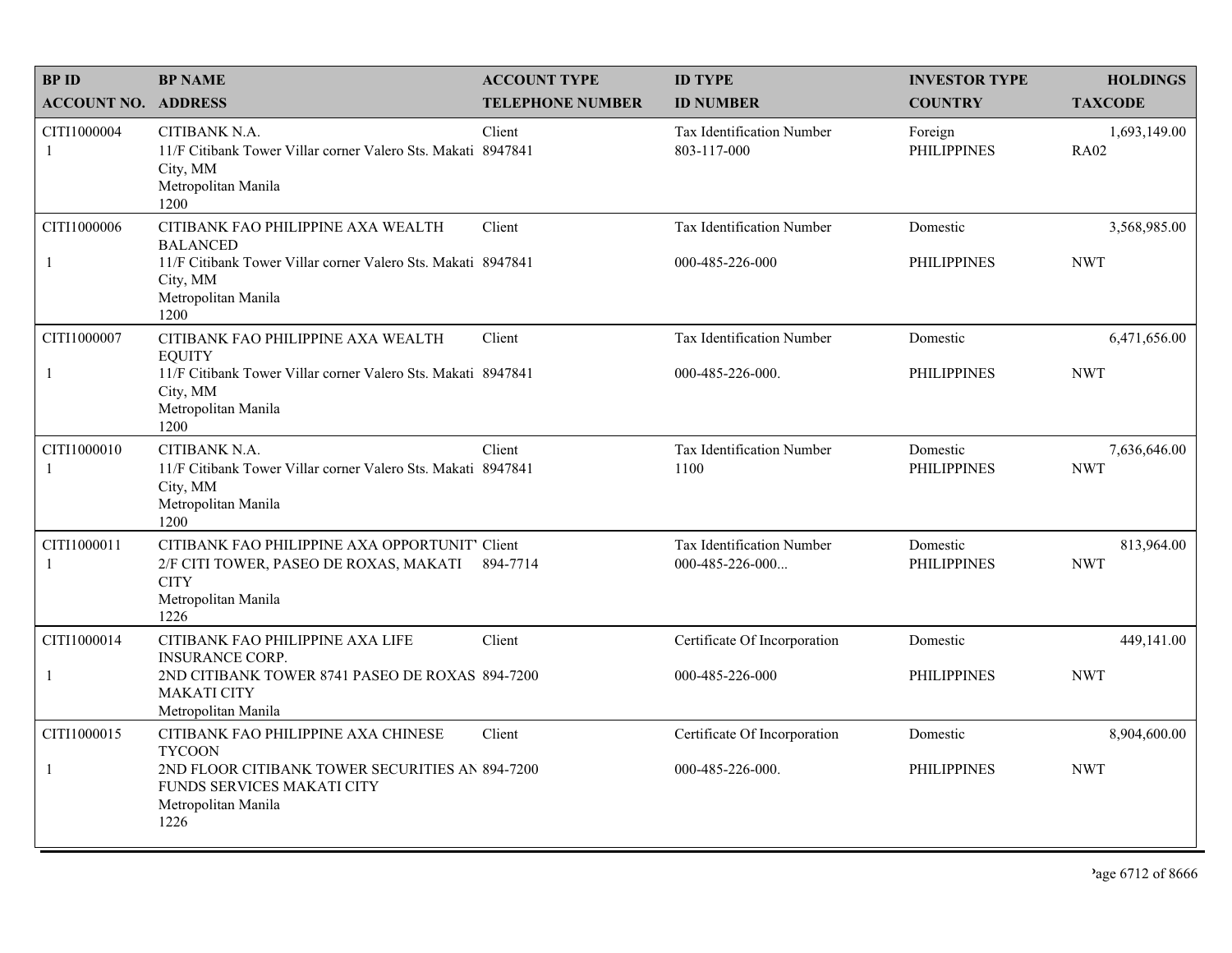| <b>BPID</b>                 | <b>BP NAME</b>                                                                                                                                                       | <b>ACCOUNT TYPE</b>     | <b>ID TYPE</b>                                   | <b>INVESTOR TYPE</b>           | <b>HOLDINGS</b>             |
|-----------------------------|----------------------------------------------------------------------------------------------------------------------------------------------------------------------|-------------------------|--------------------------------------------------|--------------------------------|-----------------------------|
| <b>ACCOUNT NO. ADDRESS</b>  |                                                                                                                                                                      | <b>TELEPHONE NUMBER</b> | <b>ID NUMBER</b>                                 | <b>COUNTRY</b>                 | <b>TAXCODE</b>              |
| CITI1000004<br>-1           | CITIBANK N.A.<br>11/F Citibank Tower Villar corner Valero Sts. Makati 8947841<br>City, MM<br>Metropolitan Manila<br>1200                                             | Client                  | Tax Identification Number<br>803-117-000         | Foreign<br><b>PHILIPPINES</b>  | 1,693,149.00<br><b>RA02</b> |
| CITI1000006<br>$\mathbf{1}$ | CITIBANK FAO PHILIPPINE AXA WEALTH<br><b>BALANCED</b><br>11/F Citibank Tower Villar corner Valero Sts. Makati 8947841<br>City, MM<br>Metropolitan Manila<br>1200     | Client                  | Tax Identification Number<br>000-485-226-000     | Domestic<br><b>PHILIPPINES</b> | 3,568,985.00<br><b>NWT</b>  |
| CITI1000007<br>$\mathbf{1}$ | CITIBANK FAO PHILIPPINE AXA WEALTH<br><b>EQUITY</b><br>11/F Citibank Tower Villar corner Valero Sts. Makati 8947841<br>City, MM<br>Metropolitan Manila<br>1200       | Client                  | Tax Identification Number<br>000-485-226-000.    | Domestic<br><b>PHILIPPINES</b> | 6,471,656.00<br><b>NWT</b>  |
| CITI1000010<br>-1           | CITIBANK N.A.<br>11/F Citibank Tower Villar corner Valero Sts. Makati 8947841<br>City, MM<br>Metropolitan Manila<br>1200                                             | Client                  | Tax Identification Number<br>1100                | Domestic<br><b>PHILIPPINES</b> | 7,636,646.00<br><b>NWT</b>  |
| CITI1000011<br>-1           | CITIBANK FAO PHILIPPINE AXA OPPORTUNIT' Client<br>2/F CITI TOWER, PASEO DE ROXAS, MAKATI<br><b>CITY</b><br>Metropolitan Manila<br>1226                               | 894-7714                | Tax Identification Number<br>000-485-226-000     | Domestic<br><b>PHILIPPINES</b> | 813,964.00<br><b>NWT</b>    |
| CITI1000014<br>$\mathbf{1}$ | CITIBANK FAO PHILIPPINE AXA LIFE<br><b>INSURANCE CORP.</b><br>2ND CITIBANK TOWER 8741 PASEO DE ROXAS 894-7200<br><b>MAKATI CITY</b><br>Metropolitan Manila           | Client                  | Certificate Of Incorporation<br>000-485-226-000  | Domestic<br><b>PHILIPPINES</b> | 449,141.00<br><b>NWT</b>    |
| CITI1000015<br>$\mathbf{1}$ | CITIBANK FAO PHILIPPINE AXA CHINESE<br><b>TYCOON</b><br>2ND FLOOR CITIBANK TOWER SECURITIES AN 894-7200<br>FUNDS SERVICES MAKATI CITY<br>Metropolitan Manila<br>1226 | Client                  | Certificate Of Incorporation<br>000-485-226-000. | Domestic<br><b>PHILIPPINES</b> | 8,904,600.00<br><b>NWT</b>  |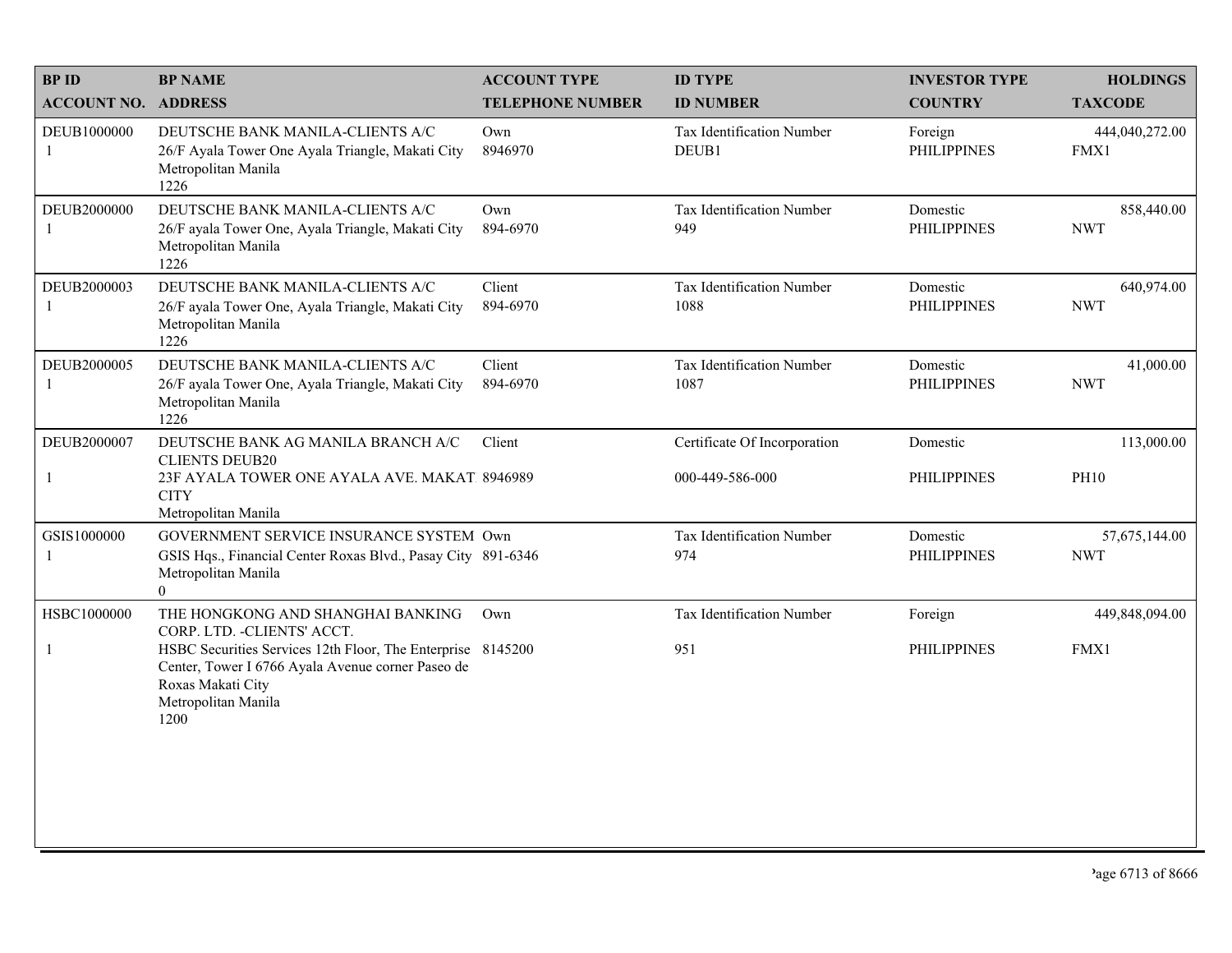| <b>BPID</b>                | <b>BP NAME</b>                                                                                                                                                                                                                           | <b>ACCOUNT TYPE</b>     | <b>ID TYPE</b>                                  | <b>INVESTOR TYPE</b>           | <b>HOLDINGS</b>             |
|----------------------------|------------------------------------------------------------------------------------------------------------------------------------------------------------------------------------------------------------------------------------------|-------------------------|-------------------------------------------------|--------------------------------|-----------------------------|
| <b>ACCOUNT NO. ADDRESS</b> |                                                                                                                                                                                                                                          | <b>TELEPHONE NUMBER</b> | <b>ID NUMBER</b>                                | <b>COUNTRY</b>                 | <b>TAXCODE</b>              |
| DEUB1000000<br>1           | DEUTSCHE BANK MANILA-CLIENTS A/C<br>26/F Ayala Tower One Ayala Triangle, Makati City<br>Metropolitan Manila<br>1226                                                                                                                      | Own<br>8946970          | Tax Identification Number<br>DEUB1              | Foreign<br><b>PHILIPPINES</b>  | 444,040,272.00<br>FMX1      |
| DEUB2000000                | DEUTSCHE BANK MANILA-CLIENTS A/C<br>26/F ayala Tower One, Ayala Triangle, Makati City<br>Metropolitan Manila<br>1226                                                                                                                     | Own<br>894-6970         | Tax Identification Number<br>949                | Domestic<br><b>PHILIPPINES</b> | 858,440.00<br><b>NWT</b>    |
| DEUB2000003                | DEUTSCHE BANK MANILA-CLIENTS A/C<br>26/F ayala Tower One, Ayala Triangle, Makati City<br>Metropolitan Manila<br>1226                                                                                                                     | Client<br>894-6970      | Tax Identification Number<br>1088               | Domestic<br><b>PHILIPPINES</b> | 640,974.00<br><b>NWT</b>    |
| DEUB2000005                | DEUTSCHE BANK MANILA-CLIENTS A/C<br>26/F ayala Tower One, Ayala Triangle, Makati City<br>Metropolitan Manila<br>1226                                                                                                                     | Client<br>894-6970      | Tax Identification Number<br>1087               | Domestic<br><b>PHILIPPINES</b> | 41,000.00<br><b>NWT</b>     |
| DEUB2000007                | DEUTSCHE BANK AG MANILA BRANCH A/C<br><b>CLIENTS DEUB20</b><br>23F AYALA TOWER ONE AYALA AVE. MAKAT 8946989<br><b>CITY</b><br>Metropolitan Manila                                                                                        | Client                  | Certificate Of Incorporation<br>000-449-586-000 | Domestic<br><b>PHILIPPINES</b> | 113,000.00<br><b>PH10</b>   |
| GSIS1000000<br>-1          | GOVERNMENT SERVICE INSURANCE SYSTEM Own<br>GSIS Hqs., Financial Center Roxas Blvd., Pasay City 891-6346<br>Metropolitan Manila<br>$\overline{0}$                                                                                         |                         | Tax Identification Number<br>974                | Domestic<br><b>PHILIPPINES</b> | 57,675,144.00<br><b>NWT</b> |
| HSBC1000000<br>1           | THE HONGKONG AND SHANGHAI BANKING<br>CORP. LTD. - CLIENTS' ACCT.<br>HSBC Securities Services 12th Floor, The Enterprise 8145200<br>Center, Tower I 6766 Ayala Avenue corner Paseo de<br>Roxas Makati City<br>Metropolitan Manila<br>1200 | Own                     | Tax Identification Number<br>951                | Foreign<br><b>PHILIPPINES</b>  | 449,848,094.00<br>FMX1      |
|                            |                                                                                                                                                                                                                                          |                         |                                                 |                                |                             |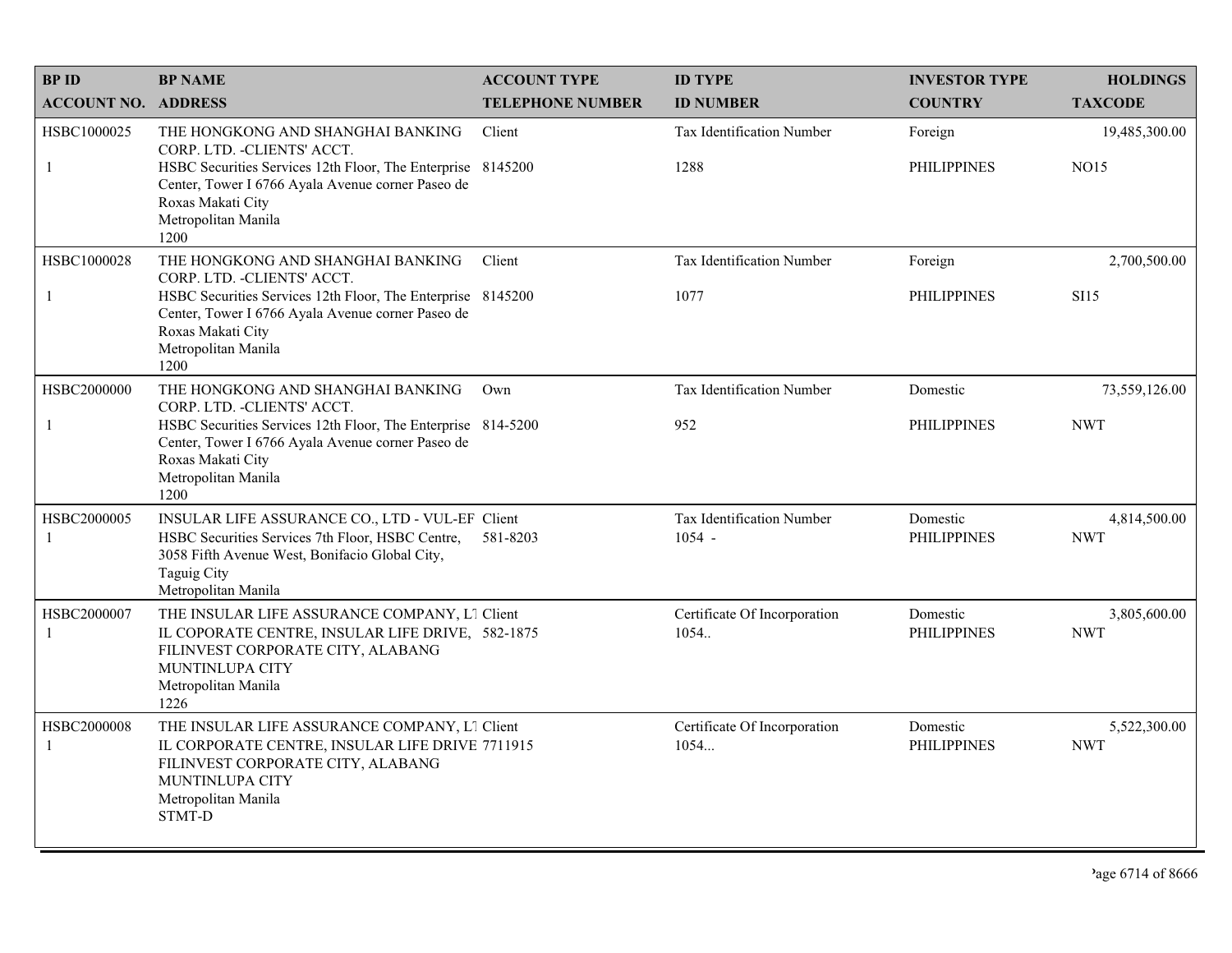| <b>BPID</b>                 | <b>BP NAME</b>                                                                                                                                                                                                                            | <b>ACCOUNT TYPE</b>     | <b>ID TYPE</b>                        | <b>INVESTOR TYPE</b>           | <b>HOLDINGS</b>              |
|-----------------------------|-------------------------------------------------------------------------------------------------------------------------------------------------------------------------------------------------------------------------------------------|-------------------------|---------------------------------------|--------------------------------|------------------------------|
| <b>ACCOUNT NO. ADDRESS</b>  |                                                                                                                                                                                                                                           | <b>TELEPHONE NUMBER</b> | <b>ID NUMBER</b>                      | <b>COUNTRY</b>                 | <b>TAXCODE</b>               |
| HSBC1000025<br>-1           | THE HONGKONG AND SHANGHAI BANKING<br>CORP. LTD. - CLIENTS' ACCT.<br>HSBC Securities Services 12th Floor, The Enterprise 8145200<br>Center, Tower I 6766 Ayala Avenue corner Paseo de<br>Roxas Makati City<br>Metropolitan Manila<br>1200  | Client                  | Tax Identification Number<br>1288     | Foreign<br><b>PHILIPPINES</b>  | 19,485,300.00<br><b>NO15</b> |
| HSBC1000028<br>-1           | THE HONGKONG AND SHANGHAI BANKING<br>CORP. LTD. - CLIENTS' ACCT.<br>HSBC Securities Services 12th Floor, The Enterprise 8145200<br>Center, Tower I 6766 Ayala Avenue corner Paseo de<br>Roxas Makati City<br>Metropolitan Manila<br>1200  | Client                  | Tax Identification Number<br>1077     | Foreign<br><b>PHILIPPINES</b>  | 2,700,500.00<br><b>SI15</b>  |
| HSBC2000000<br>-1           | THE HONGKONG AND SHANGHAI BANKING<br>CORP. LTD. - CLIENTS' ACCT.<br>HSBC Securities Services 12th Floor, The Enterprise 814-5200<br>Center, Tower I 6766 Ayala Avenue corner Paseo de<br>Roxas Makati City<br>Metropolitan Manila<br>1200 | Own                     | Tax Identification Number<br>952      | Domestic<br><b>PHILIPPINES</b> | 73,559,126.00<br><b>NWT</b>  |
| HSBC2000005<br>$\mathbf{1}$ | INSULAR LIFE ASSURANCE CO., LTD - VUL-EF Client<br>HSBC Securities Services 7th Floor, HSBC Centre,<br>3058 Fifth Avenue West, Bonifacio Global City,<br><b>Taguig City</b><br>Metropolitan Manila                                        | 581-8203                | Tax Identification Number<br>$1054 -$ | Domestic<br><b>PHILIPPINES</b> | 4,814,500.00<br><b>NWT</b>   |
| HSBC2000007<br>$\mathbf{1}$ | THE INSULAR LIFE ASSURANCE COMPANY, L1 Client<br>IL COPORATE CENTRE, INSULAR LIFE DRIVE, 582-1875<br>FILINVEST CORPORATE CITY, ALABANG<br>MUNTINLUPA CITY<br>Metropolitan Manila<br>1226                                                  |                         | Certificate Of Incorporation<br>1054. | Domestic<br><b>PHILIPPINES</b> | 3,805,600.00<br><b>NWT</b>   |
| HSBC2000008<br>-1           | THE INSULAR LIFE ASSURANCE COMPANY, L1 Client<br>IL CORPORATE CENTRE, INSULAR LIFE DRIVE 7711915<br>FILINVEST CORPORATE CITY, ALABANG<br>MUNTINLUPA CITY<br>Metropolitan Manila<br><b>STMT-D</b>                                          |                         | Certificate Of Incorporation<br>1054  | Domestic<br><b>PHILIPPINES</b> | 5,522,300.00<br><b>NWT</b>   |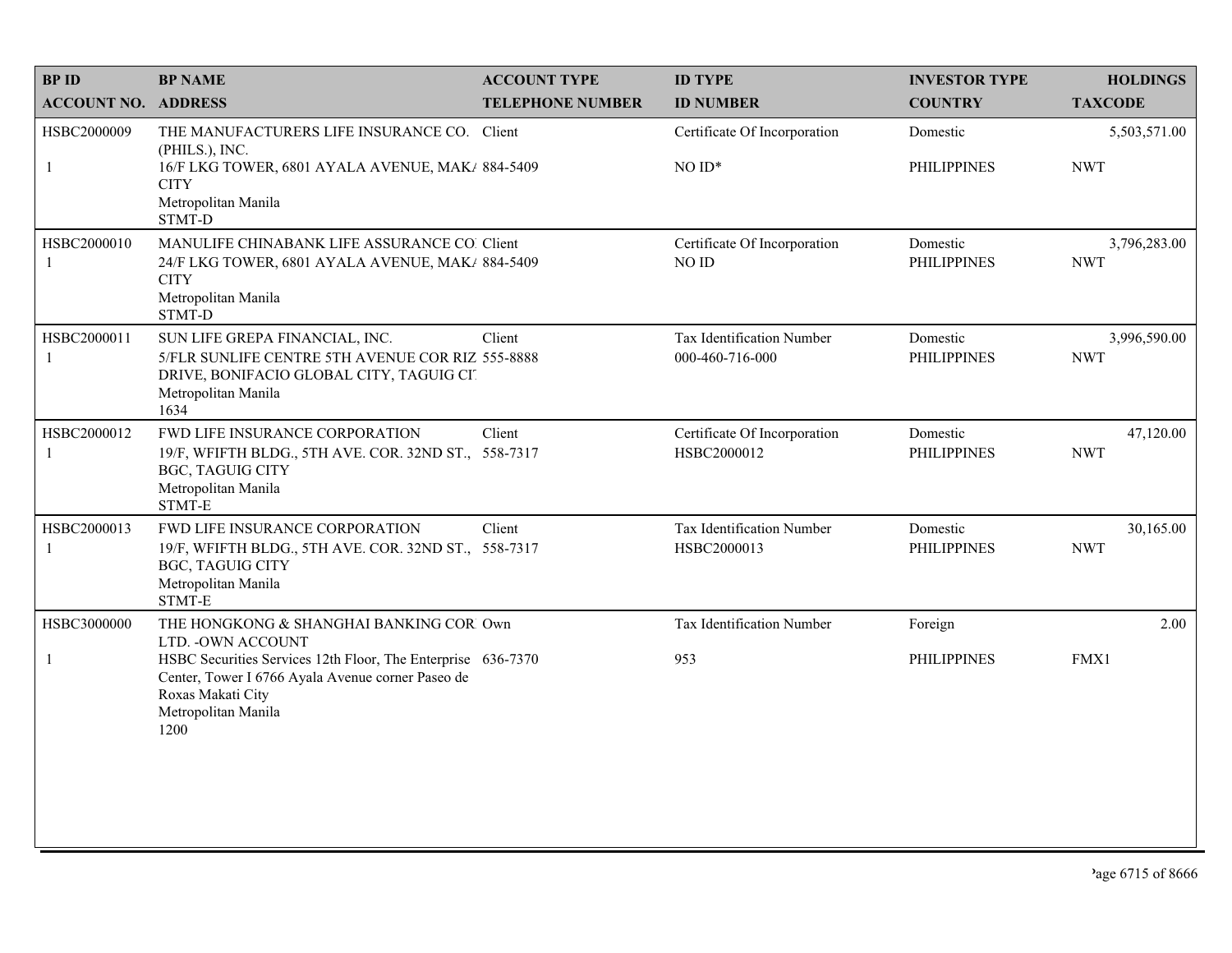| <b>BP NAME</b>                                                                                            | <b>ACCOUNT TYPE</b>                  | <b>ID TYPE</b>                                                                                                                                                                                                                                                                                                                                                                                                                                                                     | <b>INVESTOR TYPE</b>           | <b>HOLDINGS</b>            |
|-----------------------------------------------------------------------------------------------------------|--------------------------------------|------------------------------------------------------------------------------------------------------------------------------------------------------------------------------------------------------------------------------------------------------------------------------------------------------------------------------------------------------------------------------------------------------------------------------------------------------------------------------------|--------------------------------|----------------------------|
| <b>ACCOUNT NO. ADDRESS</b>                                                                                | <b>TELEPHONE NUMBER</b>              | <b>ID NUMBER</b>                                                                                                                                                                                                                                                                                                                                                                                                                                                                   | <b>COUNTRY</b>                 | <b>TAXCODE</b>             |
|                                                                                                           |                                      | Certificate Of Incorporation                                                                                                                                                                                                                                                                                                                                                                                                                                                       | Domestic                       | 5,503,571.00               |
| <b>CITY</b><br>Metropolitan Manila<br>STMT-D                                                              |                                      | $NOID*$                                                                                                                                                                                                                                                                                                                                                                                                                                                                            | <b>PHILIPPINES</b>             | <b>NWT</b>                 |
| <b>CITY</b><br>Metropolitan Manila<br>STMT-D                                                              |                                      | Certificate Of Incorporation<br>NO ID                                                                                                                                                                                                                                                                                                                                                                                                                                              | Domestic<br><b>PHILIPPINES</b> | 3,796,283.00<br><b>NWT</b> |
| SUN LIFE GREPA FINANCIAL, INC.<br>DRIVE, BONIFACIO GLOBAL CITY, TAGUIG CIT<br>Metropolitan Manila<br>1634 | Client                               | Tax Identification Number<br>000-460-716-000                                                                                                                                                                                                                                                                                                                                                                                                                                       | Domestic<br><b>PHILIPPINES</b> | 3,996,590.00<br><b>NWT</b> |
| FWD LIFE INSURANCE CORPORATION<br><b>BGC, TAGUIG CITY</b><br>Metropolitan Manila<br>STMT-E                | Client                               | Certificate Of Incorporation<br>HSBC2000012                                                                                                                                                                                                                                                                                                                                                                                                                                        | Domestic<br><b>PHILIPPINES</b> | 47,120.00<br><b>NWT</b>    |
| FWD LIFE INSURANCE CORPORATION<br><b>BGC, TAGUIG CITY</b><br>Metropolitan Manila<br>STMT-E                | Client                               | Tax Identification Number<br>HSBC2000013                                                                                                                                                                                                                                                                                                                                                                                                                                           | Domestic<br><b>PHILIPPINES</b> | 30,165.00<br><b>NWT</b>    |
|                                                                                                           |                                      | Tax Identification Number                                                                                                                                                                                                                                                                                                                                                                                                                                                          | Foreign                        | 2.00                       |
| Center, Tower I 6766 Ayala Avenue corner Paseo de<br>Roxas Makati City<br>Metropolitan Manila<br>1200     |                                      | 953                                                                                                                                                                                                                                                                                                                                                                                                                                                                                | <b>PHILIPPINES</b>             | FMX1                       |
|                                                                                                           | (PHILS.), INC.<br>LTD. - OWN ACCOUNT | THE MANUFACTURERS LIFE INSURANCE CO. Client<br>16/F LKG TOWER, 6801 AYALA AVENUE, MAK/ 884-5409<br>MANULIFE CHINABANK LIFE ASSURANCE CO. Client<br>24/F LKG TOWER, 6801 AYALA AVENUE, MAK/ 884-5409<br>5/FLR SUNLIFE CENTRE 5TH AVENUE COR RIZ 555-8888<br>19/F, WFIFTH BLDG., 5TH AVE. COR. 32ND ST., 558-7317<br>19/F, WFIFTH BLDG., 5TH AVE. COR. 32ND ST., 558-7317<br>THE HONGKONG & SHANGHAI BANKING COR Own<br>HSBC Securities Services 12th Floor, The Enterprise 636-7370 |                                |                            |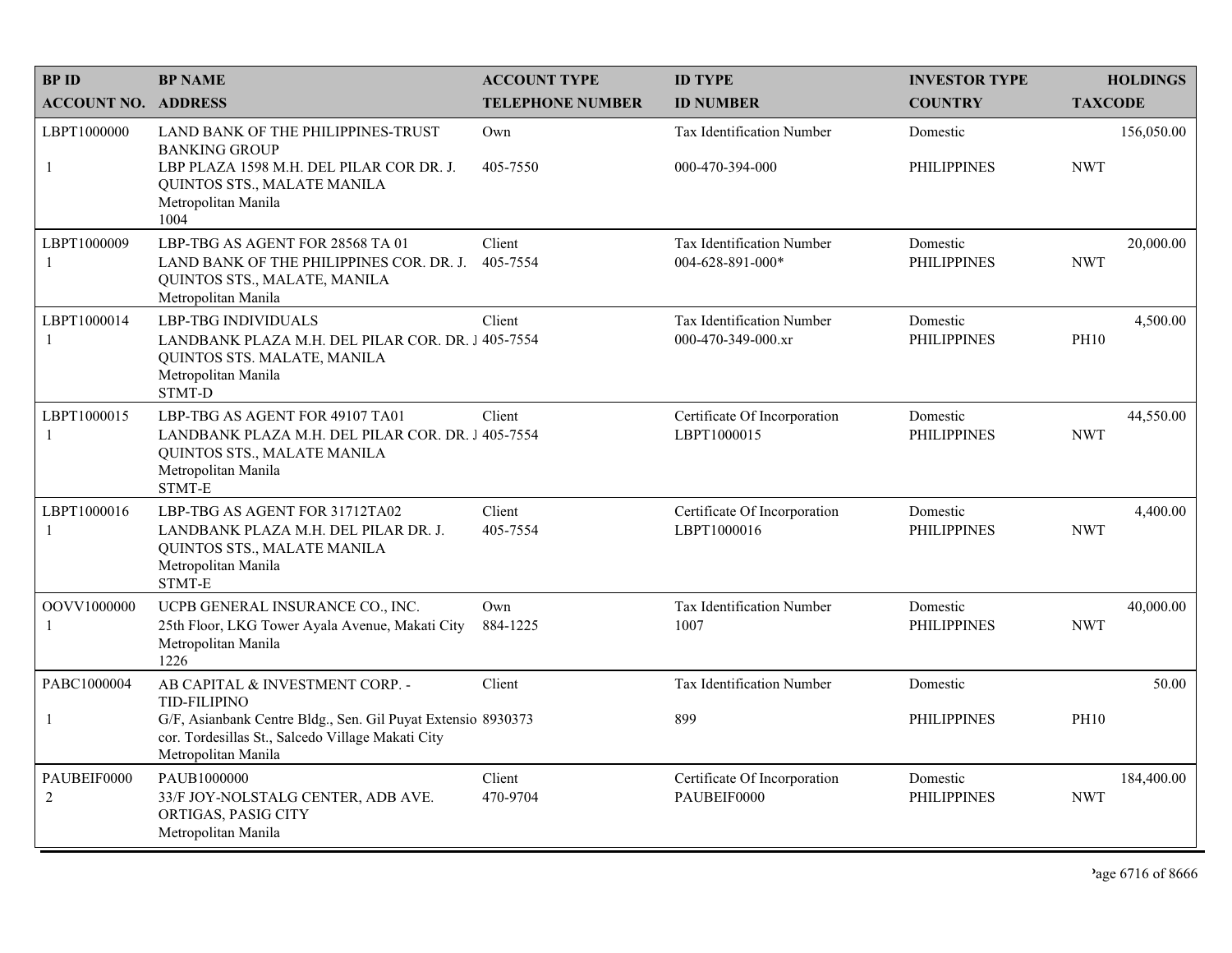| <b>BPID</b>                 | <b>BP NAME</b>                                                                                                                                                       | <b>ACCOUNT TYPE</b>     | <b>ID TYPE</b>                                         | <b>INVESTOR TYPE</b>           | <b>HOLDINGS</b>          |
|-----------------------------|----------------------------------------------------------------------------------------------------------------------------------------------------------------------|-------------------------|--------------------------------------------------------|--------------------------------|--------------------------|
| <b>ACCOUNT NO. ADDRESS</b>  |                                                                                                                                                                      | <b>TELEPHONE NUMBER</b> | <b>ID NUMBER</b>                                       | <b>COUNTRY</b>                 | <b>TAXCODE</b>           |
| LBPT1000000<br>$\mathbf{1}$ | LAND BANK OF THE PHILIPPINES-TRUST<br><b>BANKING GROUP</b><br>LBP PLAZA 1598 M.H. DEL PILAR COR DR. J.<br>QUINTOS STS., MALATE MANILA<br>Metropolitan Manila<br>1004 | Own<br>405-7550         | Tax Identification Number<br>000-470-394-000           | Domestic<br><b>PHILIPPINES</b> | 156,050.00<br><b>NWT</b> |
| LBPT1000009<br>-1           | LBP-TBG AS AGENT FOR 28568 TA 01<br>LAND BANK OF THE PHILIPPINES COR. DR. J.<br>QUINTOS STS., MALATE, MANILA<br>Metropolitan Manila                                  | Client<br>405-7554      | Tax Identification Number<br>004-628-891-000*          | Domestic<br><b>PHILIPPINES</b> | 20,000.00<br><b>NWT</b>  |
| LBPT1000014<br>-1           | <b>LBP-TBG INDIVIDUALS</b><br>LANDBANK PLAZA M.H. DEL PILAR COR. DR. 1405-7554<br>QUINTOS STS. MALATE, MANILA<br>Metropolitan Manila<br><b>STMT-D</b>                | Client                  | <b>Tax Identification Number</b><br>000-470-349-000.xr | Domestic<br><b>PHILIPPINES</b> | 4,500.00<br><b>PH10</b>  |
| LBPT1000015<br>-1           | LBP-TBG AS AGENT FOR 49107 TA01<br>LANDBANK PLAZA M.H. DEL PILAR COR. DR. J 405-7554<br><b>OUINTOS STS., MALATE MANILA</b><br>Metropolitan Manila<br>STMT-E          | Client                  | Certificate Of Incorporation<br>LBPT1000015            | Domestic<br><b>PHILIPPINES</b> | 44,550.00<br><b>NWT</b>  |
| LBPT1000016<br>-1           | LBP-TBG AS AGENT FOR 31712TA02<br>LANDBANK PLAZA M.H. DEL PILAR DR. J.<br>QUINTOS STS., MALATE MANILA<br>Metropolitan Manila<br>STMT-E                               | Client<br>405-7554      | Certificate Of Incorporation<br>LBPT1000016            | Domestic<br><b>PHILIPPINES</b> | 4,400.00<br><b>NWT</b>   |
| OOVV1000000<br>-1           | UCPB GENERAL INSURANCE CO., INC.<br>25th Floor, LKG Tower Ayala Avenue, Makati City<br>Metropolitan Manila<br>1226                                                   | Own<br>884-1225         | Tax Identification Number<br>1007                      | Domestic<br><b>PHILIPPINES</b> | 40,000.00<br><b>NWT</b>  |
| PABC1000004                 | AB CAPITAL & INVESTMENT CORP. -<br><b>TID-FILIPINO</b>                                                                                                               | Client                  | <b>Tax Identification Number</b>                       | Domestic                       | 50.00                    |
| $\mathbf{1}$                | G/F, Asianbank Centre Bldg., Sen. Gil Puyat Extensio 8930373<br>cor. Tordesillas St., Salcedo Village Makati City<br>Metropolitan Manila                             |                         | 899                                                    | <b>PHILIPPINES</b>             | <b>PH10</b>              |
| PAUBEIF0000<br>2            | PAUB1000000<br>33/F JOY-NOLSTALG CENTER, ADB AVE.<br>ORTIGAS, PASIG CITY<br>Metropolitan Manila                                                                      | Client<br>470-9704      | Certificate Of Incorporation<br>PAUBEIF0000            | Domestic<br><b>PHILIPPINES</b> | 184,400.00<br><b>NWT</b> |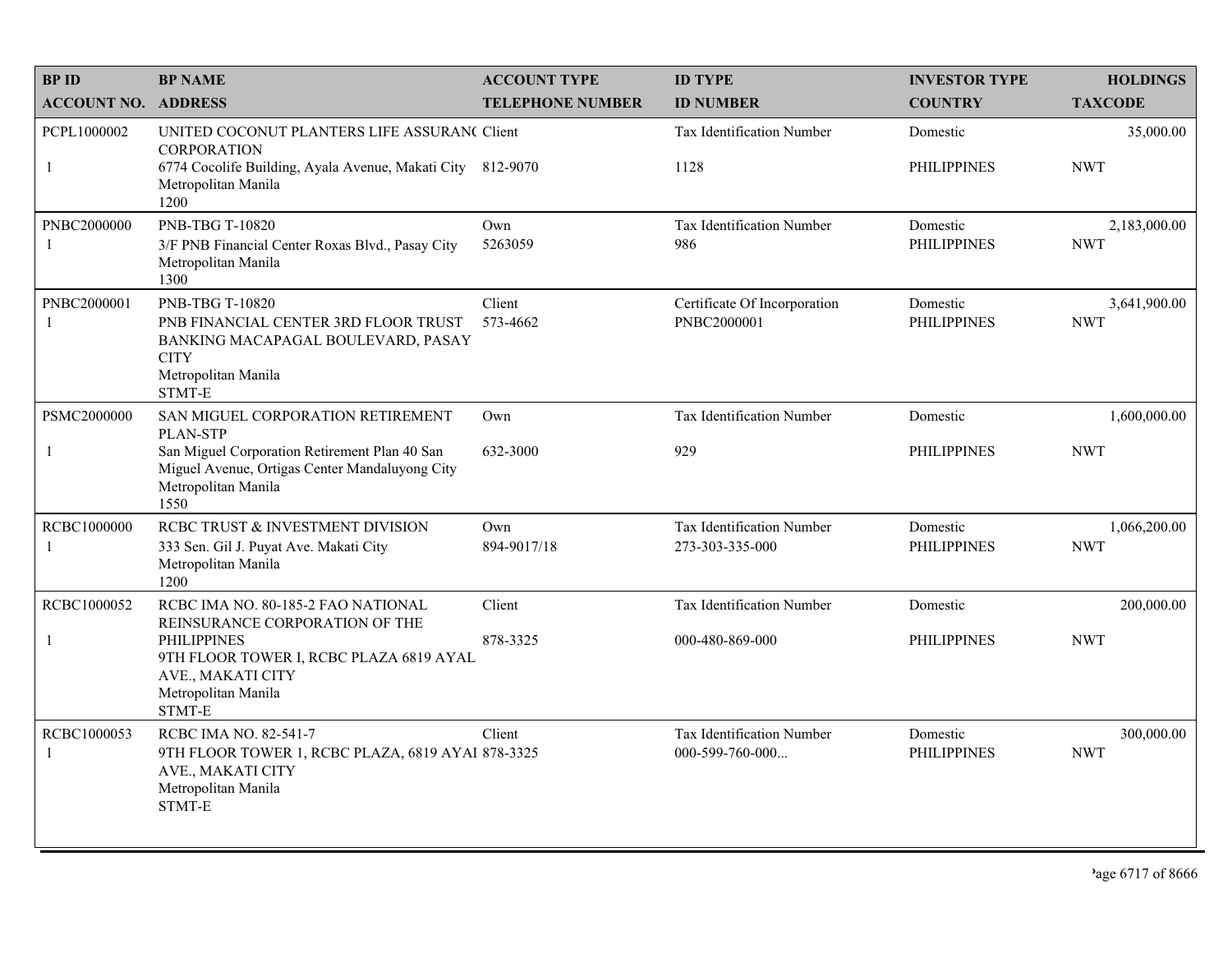| <b>BPID</b>                                                                                                               | <b>BP NAME</b>                                                                                                                                       | <b>ACCOUNT TYPE</b>     | <b>ID TYPE</b>                                        | <b>INVESTOR TYPE</b>           | <b>HOLDINGS</b>            |
|---------------------------------------------------------------------------------------------------------------------------|------------------------------------------------------------------------------------------------------------------------------------------------------|-------------------------|-------------------------------------------------------|--------------------------------|----------------------------|
| <b>ACCOUNT NO. ADDRESS</b>                                                                                                |                                                                                                                                                      | <b>TELEPHONE NUMBER</b> | <b>ID NUMBER</b>                                      | <b>COUNTRY</b>                 | <b>TAXCODE</b>             |
| PCPL1000002                                                                                                               | UNITED COCONUT PLANTERS LIFE ASSURAN( Client<br><b>CORPORATION</b>                                                                                   |                         | Tax Identification Number                             | Domestic                       | 35,000.00                  |
| $\mathbf{1}$                                                                                                              | 6774 Cocolife Building, Ayala Avenue, Makati City 812-9070<br>Metropolitan Manila<br>1200                                                            |                         | 1128                                                  | <b>PHILIPPINES</b>             | <b>NWT</b>                 |
| PNBC2000000<br>-1                                                                                                         | <b>PNB-TBG T-10820</b><br>3/F PNB Financial Center Roxas Blvd., Pasay City<br>Metropolitan Manila<br>1300                                            | Own<br>5263059          | Tax Identification Number<br>986                      | Domestic<br><b>PHILIPPINES</b> | 2,183,000.00<br><b>NWT</b> |
| PNBC2000001<br>-1                                                                                                         | <b>PNB-TBG T-10820</b><br>PNB FINANCIAL CENTER 3RD FLOOR TRUST<br>BANKING MACAPAGAL BOULEVARD, PASAY<br><b>CITY</b><br>Metropolitan Manila<br>STMT-E | Client<br>573-4662      | Certificate Of Incorporation<br>PNBC2000001           | Domestic<br><b>PHILIPPINES</b> | 3,641,900.00<br><b>NWT</b> |
| PSMC2000000                                                                                                               | SAN MIGUEL CORPORATION RETIREMENT<br><b>PLAN-STP</b>                                                                                                 | Own                     | Tax Identification Number                             | Domestic                       | 1,600,000.00               |
| $\mathbf{1}$                                                                                                              | San Miguel Corporation Retirement Plan 40 San<br>Miguel Avenue, Ortigas Center Mandaluyong City<br>Metropolitan Manila<br>1550                       | 632-3000                | 929                                                   | <b>PHILIPPINES</b>             | <b>NWT</b>                 |
| RCBC1000000<br>-1                                                                                                         | RCBC TRUST & INVESTMENT DIVISION<br>333 Sen. Gil J. Puyat Ave. Makati City<br>Metropolitan Manila<br>1200                                            | Own<br>894-9017/18      | <b>Tax Identification Number</b><br>273-303-335-000   | Domestic<br><b>PHILIPPINES</b> | 1,066,200.00<br><b>NWT</b> |
| RCBC1000052                                                                                                               | RCBC IMA NO. 80-185-2 FAO NATIONAL<br>REINSURANCE CORPORATION OF THE                                                                                 | Client                  | Tax Identification Number                             | Domestic                       | 200,000.00                 |
| <b>PHILIPPINES</b><br>-1<br>9TH FLOOR TOWER I, RCBC PLAZA 6819 AYAL<br>AVE., MAKATI CITY<br>Metropolitan Manila<br>STMT-E | 878-3325                                                                                                                                             | 000-480-869-000         | <b>PHILIPPINES</b>                                    | <b>NWT</b>                     |                            |
| RCBC1000053<br>-1                                                                                                         | RCBC IMA NO. 82-541-7<br>9TH FLOOR TOWER 1, RCBC PLAZA, 6819 AYAl 878-3325<br>AVE., MAKATI CITY<br>Metropolitan Manila<br>STMT-E                     | Client                  | <b>Tax Identification Number</b><br>$000-599-760-000$ | Domestic<br><b>PHILIPPINES</b> | 300,000.00<br><b>NWT</b>   |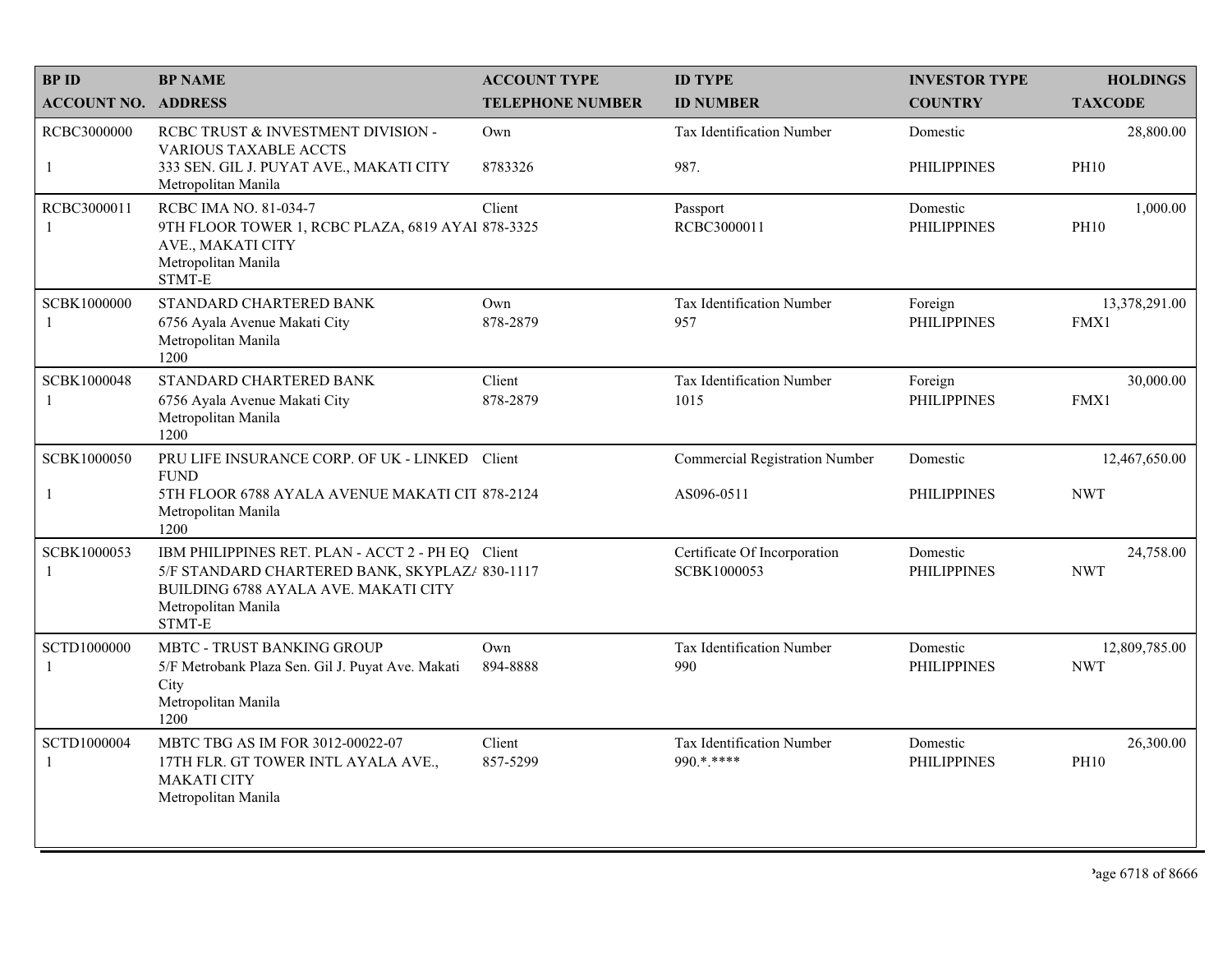| <b>BPID</b>                 | <b>BP NAME</b>                                                                                                                                                               | <b>ACCOUNT TYPE</b>     | <b>ID TYPE</b>                                      | <b>INVESTOR TYPE</b>           | <b>HOLDINGS</b>             |
|-----------------------------|------------------------------------------------------------------------------------------------------------------------------------------------------------------------------|-------------------------|-----------------------------------------------------|--------------------------------|-----------------------------|
| <b>ACCOUNT NO. ADDRESS</b>  |                                                                                                                                                                              | <b>TELEPHONE NUMBER</b> | <b>ID NUMBER</b>                                    | <b>COUNTRY</b>                 | <b>TAXCODE</b>              |
| RCBC3000000                 | RCBC TRUST & INVESTMENT DIVISION -<br><b>VARIOUS TAXABLE ACCTS</b>                                                                                                           | Own                     | <b>Tax Identification Number</b>                    | Domestic                       | 28,800.00                   |
| $\mathbf{1}$                | 333 SEN. GIL J. PUYAT AVE., MAKATI CITY<br>Metropolitan Manila                                                                                                               | 8783326                 | 987.                                                | <b>PHILIPPINES</b>             | <b>PH10</b>                 |
| RCBC3000011<br>-1           | RCBC IMA NO. 81-034-7<br>9TH FLOOR TOWER 1, RCBC PLAZA, 6819 AYAI 878-3325<br>AVE., MAKATI CITY<br>Metropolitan Manila<br>STMT-E                                             | Client                  | Passport<br>RCBC3000011                             | Domestic<br><b>PHILIPPINES</b> | 1,000.00<br><b>PH10</b>     |
| SCBK1000000<br>$\mathbf{1}$ | STANDARD CHARTERED BANK<br>6756 Ayala Avenue Makati City<br>Metropolitan Manila<br>1200                                                                                      | Own<br>878-2879         | Tax Identification Number<br>957                    | Foreign<br><b>PHILIPPINES</b>  | 13,378,291.00<br>FMX1       |
| SCBK1000048<br>-1           | STANDARD CHARTERED BANK<br>6756 Ayala Avenue Makati City<br>Metropolitan Manila<br>1200                                                                                      | Client<br>878-2879      | <b>Tax Identification Number</b><br>1015            | Foreign<br><b>PHILIPPINES</b>  | 30,000.00<br>FMX1           |
| SCBK1000050<br>$\mathbf{1}$ | PRU LIFE INSURANCE CORP. OF UK - LINKED Client<br><b>FUND</b><br>5TH FLOOR 6788 AYALA AVENUE MAKATI CIT 878-2124<br>Metropolitan Manila<br>1200                              |                         | <b>Commercial Registration Number</b><br>AS096-0511 | Domestic<br><b>PHILIPPINES</b> | 12,467,650.00<br><b>NWT</b> |
| SCBK1000053<br>-1           | IBM PHILIPPINES RET. PLAN - ACCT 2 - PH EQ Client<br>5/F STANDARD CHARTERED BANK, SKYPLAZ/ 830-1117<br>BUILDING 6788 AYALA AVE. MAKATI CITY<br>Metropolitan Manila<br>STMT-E |                         | Certificate Of Incorporation<br>SCBK1000053         | Domestic<br><b>PHILIPPINES</b> | 24,758.00<br><b>NWT</b>     |
| SCTD1000000<br>$\mathbf{1}$ | MBTC - TRUST BANKING GROUP<br>5/F Metrobank Plaza Sen. Gil J. Puyat Ave. Makati<br>City<br>Metropolitan Manila<br>1200                                                       | Own<br>894-8888         | Tax Identification Number<br>990                    | Domestic<br><b>PHILIPPINES</b> | 12,809,785.00<br><b>NWT</b> |
| SCTD1000004<br>-1           | MBTC TBG AS IM FOR 3012-00022-07<br>17TH FLR. GT TOWER INTL AYALA AVE.,<br><b>MAKATI CITY</b><br>Metropolitan Manila                                                         | Client<br>857-5299      | Tax Identification Number<br>990.*.****             | Domestic<br><b>PHILIPPINES</b> | 26,300.00<br><b>PH10</b>    |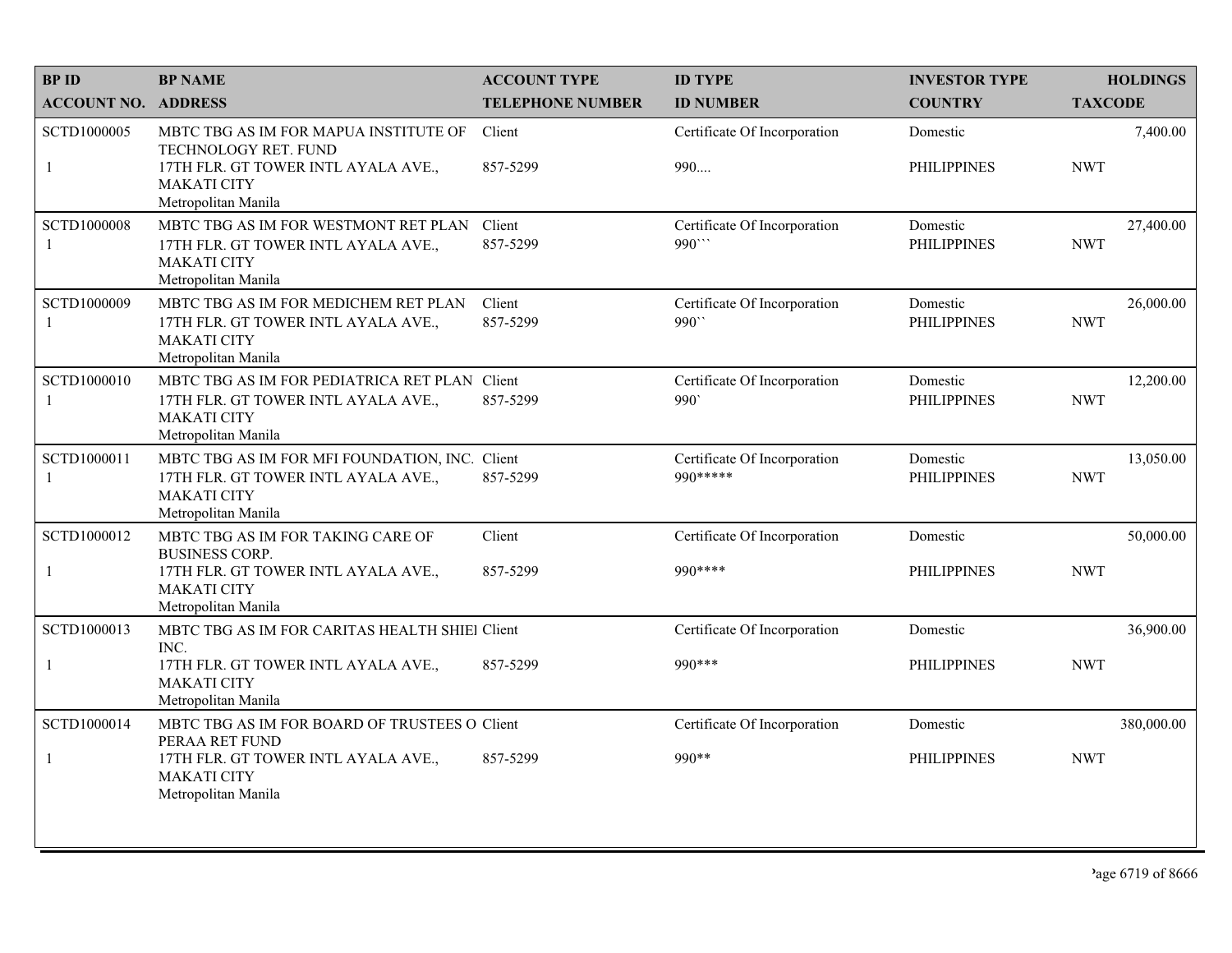| <b>BPID</b>                 | <b>BP NAME</b>                                                                                                                                    | <b>ACCOUNT TYPE</b>     | <b>ID TYPE</b>                            | <b>INVESTOR TYPE</b>           | <b>HOLDINGS</b>         |
|-----------------------------|---------------------------------------------------------------------------------------------------------------------------------------------------|-------------------------|-------------------------------------------|--------------------------------|-------------------------|
| <b>ACCOUNT NO. ADDRESS</b>  |                                                                                                                                                   | <b>TELEPHONE NUMBER</b> | <b>ID NUMBER</b>                          | <b>COUNTRY</b>                 | <b>TAXCODE</b>          |
| SCTD1000005<br>$\mathbf{1}$ | MBTC TBG AS IM FOR MAPUA INSTITUTE OF<br>TECHNOLOGY RET. FUND<br>17TH FLR. GT TOWER INTL AYALA AVE.,<br><b>MAKATI CITY</b><br>Metropolitan Manila | Client<br>857-5299      | Certificate Of Incorporation<br>990       | Domestic<br><b>PHILIPPINES</b> | 7,400.00<br><b>NWT</b>  |
| <b>SCTD1000008</b><br>-1    | MBTC TBG AS IM FOR WESTMONT RET PLAN<br>17TH FLR. GT TOWER INTL AYALA AVE.,<br><b>MAKATI CITY</b><br>Metropolitan Manila                          | Client<br>857-5299      | Certificate Of Incorporation<br>990''     | Domestic<br><b>PHILIPPINES</b> | 27,400.00<br><b>NWT</b> |
| SCTD1000009<br>-1           | MBTC TBG AS IM FOR MEDICHEM RET PLAN<br>17TH FLR. GT TOWER INTL AYALA AVE.,<br><b>MAKATI CITY</b><br>Metropolitan Manila                          | Client<br>857-5299      | Certificate Of Incorporation<br>990``     | Domestic<br><b>PHILIPPINES</b> | 26,000.00<br><b>NWT</b> |
| SCTD1000010<br>-1           | MBTC TBG AS IM FOR PEDIATRICA RET PLAN Client<br>17TH FLR. GT TOWER INTL AYALA AVE.,<br><b>MAKATI CITY</b><br>Metropolitan Manila                 | 857-5299                | Certificate Of Incorporation<br>990       | Domestic<br><b>PHILIPPINES</b> | 12,200.00<br><b>NWT</b> |
| SCTD1000011<br>-1           | MBTC TBG AS IM FOR MFI FOUNDATION, INC. Client<br>17TH FLR. GT TOWER INTL AYALA AVE.,<br><b>MAKATI CITY</b><br>Metropolitan Manila                | 857-5299                | Certificate Of Incorporation<br>990 ***** | Domestic<br><b>PHILIPPINES</b> | 13,050.00<br><b>NWT</b> |
| SCTD1000012                 | MBTC TBG AS IM FOR TAKING CARE OF<br><b>BUSINESS CORP.</b>                                                                                        | Client                  | Certificate Of Incorporation              | Domestic                       | 50,000.00               |
| $\mathbf{1}$                | 17TH FLR. GT TOWER INTL AYALA AVE.,<br><b>MAKATI CITY</b><br>Metropolitan Manila                                                                  | 857-5299                | 990 ****                                  | <b>PHILIPPINES</b>             | <b>NWT</b>              |
| SCTD1000013                 | MBTC TBG AS IM FOR CARITAS HEALTH SHIEl Client<br>INC.                                                                                            |                         | Certificate Of Incorporation              | Domestic                       | 36,900.00               |
| $\mathbf{1}$                | 17TH FLR. GT TOWER INTL AYALA AVE.,<br><b>MAKATI CITY</b><br>Metropolitan Manila                                                                  | 857-5299                | 990 ***                                   | <b>PHILIPPINES</b>             | <b>NWT</b>              |
| SCTD1000014                 | MBTC TBG AS IM FOR BOARD OF TRUSTEES O Client<br>PERAA RET FUND                                                                                   |                         | Certificate Of Incorporation              | Domestic                       | 380,000.00              |
| $\mathbf{1}$                | 17TH FLR. GT TOWER INTL AYALA AVE.,<br><b>MAKATI CITY</b><br>Metropolitan Manila                                                                  | 857-5299                | 990**                                     | <b>PHILIPPINES</b>             | <b>NWT</b>              |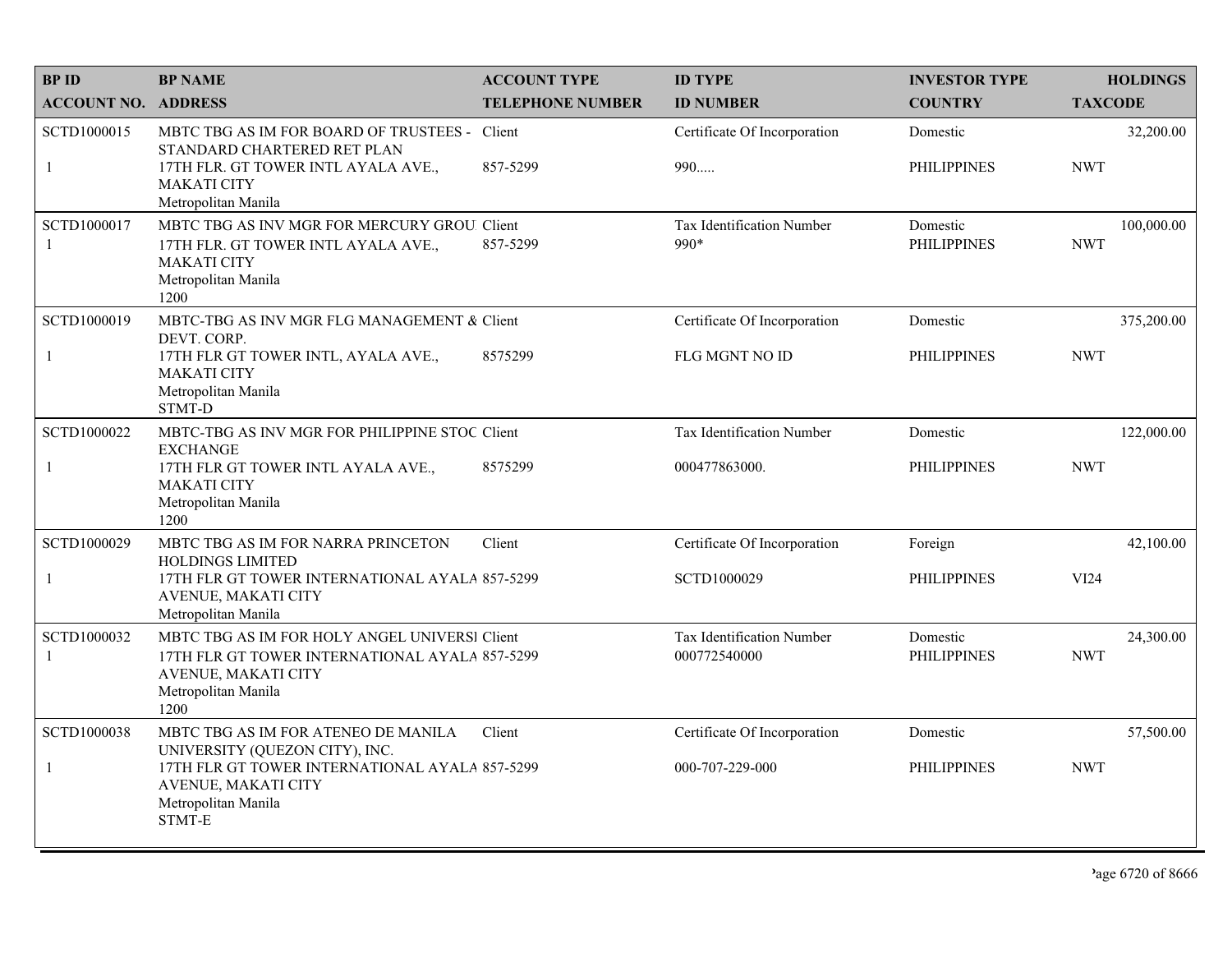| <b>BP ID</b>                | <b>BP NAME</b>                                                                                                                                            | <b>ACCOUNT TYPE</b>     | <b>ID TYPE</b>                            | <b>INVESTOR TYPE</b>           | <b>HOLDINGS</b>          |
|-----------------------------|-----------------------------------------------------------------------------------------------------------------------------------------------------------|-------------------------|-------------------------------------------|--------------------------------|--------------------------|
| <b>ACCOUNT NO. ADDRESS</b>  |                                                                                                                                                           | <b>TELEPHONE NUMBER</b> | <b>ID NUMBER</b>                          | <b>COUNTRY</b>                 | <b>TAXCODE</b>           |
| SCTD1000015<br>$\mathbf{1}$ | MBTC TBG AS IM FOR BOARD OF TRUSTEES -<br>STANDARD CHARTERED RET PLAN<br>17TH FLR. GT TOWER INTL AYALA AVE.,<br><b>MAKATI CITY</b><br>Metropolitan Manila | Client<br>857-5299      | Certificate Of Incorporation<br>990       | Domestic<br><b>PHILIPPINES</b> | 32,200.00<br><b>NWT</b>  |
| SCTD1000017<br>-1           | MBTC TBG AS INV MGR FOR MERCURY GROU. Client<br>17TH FLR. GT TOWER INTL AYALA AVE.,<br><b>MAKATI CITY</b><br>Metropolitan Manila<br>1200                  | 857-5299                | Tax Identification Number<br>990*         | Domestic<br><b>PHILIPPINES</b> | 100,000.00<br><b>NWT</b> |
| SCTD1000019                 | MBTC-TBG AS INV MGR FLG MANAGEMENT & Client<br>DEVT. CORP.                                                                                                |                         | Certificate Of Incorporation              | Domestic                       | 375,200.00               |
| $\mathbf{1}$                | 17TH FLR GT TOWER INTL, AYALA AVE.,<br><b>MAKATI CITY</b><br>Metropolitan Manila<br>STMT-D                                                                | 8575299                 | <b>FLG MGNT NO ID</b>                     | <b>PHILIPPINES</b>             | <b>NWT</b>               |
| SCTD1000022                 | MBTC-TBG AS INV MGR FOR PHILIPPINE STOC Client<br><b>EXCHANGE</b>                                                                                         |                         | Tax Identification Number                 | Domestic                       | 122,000.00               |
| $\mathbf{1}$                | 17TH FLR GT TOWER INTL AYALA AVE.,<br><b>MAKATI CITY</b><br>Metropolitan Manila<br>1200                                                                   | 8575299                 | 000477863000.                             | <b>PHILIPPINES</b>             | <b>NWT</b>               |
| SCTD1000029                 | MBTC TBG AS IM FOR NARRA PRINCETON                                                                                                                        | Client                  | Certificate Of Incorporation              | Foreign                        | 42,100.00                |
| -1                          | <b>HOLDINGS LIMITED</b><br>17TH FLR GT TOWER INTERNATIONAL AYALA 857-5299<br><b>AVENUE, MAKATI CITY</b><br>Metropolitan Manila                            |                         | SCTD1000029                               | <b>PHILIPPINES</b>             | VI24                     |
| SCTD1000032<br>-1           | MBTC TBG AS IM FOR HOLY ANGEL UNIVERSI Client<br>17TH FLR GT TOWER INTERNATIONAL AYALA 857-5299<br>AVENUE, MAKATI CITY<br>Metropolitan Manila<br>1200     |                         | Tax Identification Number<br>000772540000 | Domestic<br><b>PHILIPPINES</b> | 24,300.00<br><b>NWT</b>  |
| SCTD1000038                 | MBTC TBG AS IM FOR ATENEO DE MANILA<br>UNIVERSITY (QUEZON CITY), INC.                                                                                     | Client                  | Certificate Of Incorporation              | Domestic                       | 57,500.00                |
| $\mathbf{1}$                | 17TH FLR GT TOWER INTERNATIONAL AYALA 857-5299<br>AVENUE, MAKATI CITY<br>Metropolitan Manila<br>STMT-E                                                    |                         | 000-707-229-000                           | <b>PHILIPPINES</b>             | <b>NWT</b>               |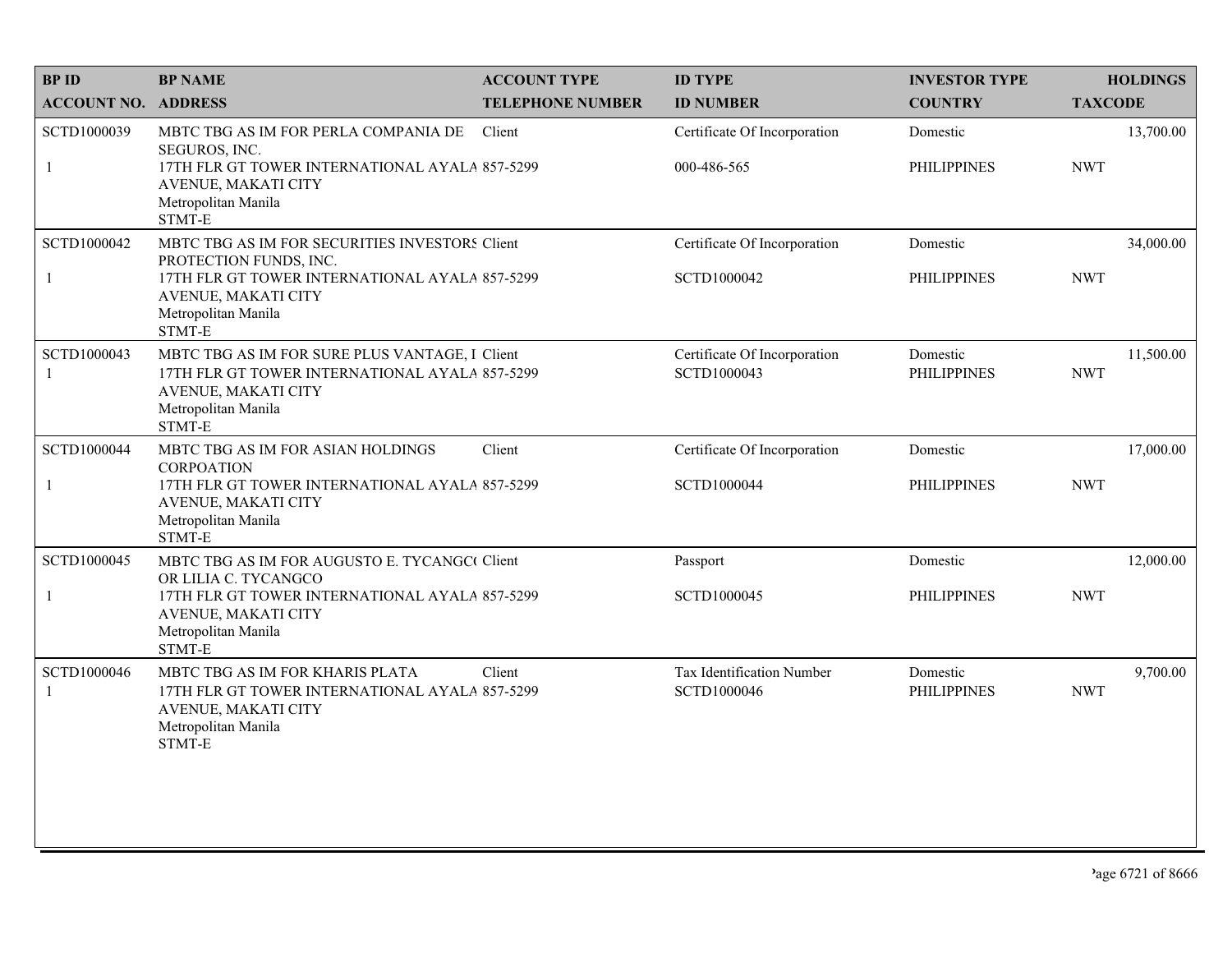| <b>BPID</b>                | <b>BP NAME</b>                                                                                                                                                                     | <b>ACCOUNT TYPE</b>     | <b>ID TYPE</b>                              | <b>INVESTOR TYPE</b>           | <b>HOLDINGS</b>         |
|----------------------------|------------------------------------------------------------------------------------------------------------------------------------------------------------------------------------|-------------------------|---------------------------------------------|--------------------------------|-------------------------|
| <b>ACCOUNT NO. ADDRESS</b> |                                                                                                                                                                                    | <b>TELEPHONE NUMBER</b> | <b>ID NUMBER</b>                            | <b>COUNTRY</b>                 | <b>TAXCODE</b>          |
| SCTD1000039<br>1           | MBTC TBG AS IM FOR PERLA COMPANIA DE<br>SEGUROS, INC.<br>17TH FLR GT TOWER INTERNATIONAL AYALA 857-5299<br>AVENUE, MAKATI CITY<br>Metropolitan Manila<br>STMT-E                    | Client                  | Certificate Of Incorporation<br>000-486-565 | Domestic<br><b>PHILIPPINES</b> | 13,700.00<br><b>NWT</b> |
| SCTD1000042<br>1           | MBTC TBG AS IM FOR SECURITIES INVESTORS Client<br>PROTECTION FUNDS, INC.<br>17TH FLR GT TOWER INTERNATIONAL AYALA 857-5299<br>AVENUE, MAKATI CITY<br>Metropolitan Manila<br>STMT-E |                         | Certificate Of Incorporation<br>SCTD1000042 | Domestic<br><b>PHILIPPINES</b> | 34,000.00<br><b>NWT</b> |
| SCTD1000043                | MBTC TBG AS IM FOR SURE PLUS VANTAGE, I Client<br>17TH FLR GT TOWER INTERNATIONAL AYALA 857-5299<br>AVENUE, MAKATI CITY<br>Metropolitan Manila<br>STMT-E                           |                         | Certificate Of Incorporation<br>SCTD1000043 | Domestic<br><b>PHILIPPINES</b> | 11,500.00<br><b>NWT</b> |
| SCTD1000044                | MBTC TBG AS IM FOR ASIAN HOLDINGS<br><b>CORPOATION</b>                                                                                                                             | Client                  | Certificate Of Incorporation                | Domestic                       | 17,000.00               |
| 1                          | 17TH FLR GT TOWER INTERNATIONAL AYALA 857-5299<br>AVENUE, MAKATI CITY<br>Metropolitan Manila<br>STMT-E                                                                             |                         | SCTD1000044                                 | <b>PHILIPPINES</b>             | <b>NWT</b>              |
| SCTD1000045                | MBTC TBG AS IM FOR AUGUSTO E. TYCANGC Client<br>OR LILIA C. TYCANGCO                                                                                                               |                         | Passport                                    | Domestic                       | 12,000.00               |
| 1                          | 17TH FLR GT TOWER INTERNATIONAL AYALA 857-5299<br>AVENUE, MAKATI CITY<br>Metropolitan Manila<br>STMT-E                                                                             |                         | SCTD1000045                                 | <b>PHILIPPINES</b>             | <b>NWT</b>              |
| SCTD1000046<br>1           | MBTC TBG AS IM FOR KHARIS PLATA<br>17TH FLR GT TOWER INTERNATIONAL AYALA 857-5299<br>AVENUE, MAKATI CITY<br>Metropolitan Manila<br>STMT-E                                          | Client                  | Tax Identification Number<br>SCTD1000046    | Domestic<br><b>PHILIPPINES</b> | 9,700.00<br><b>NWT</b>  |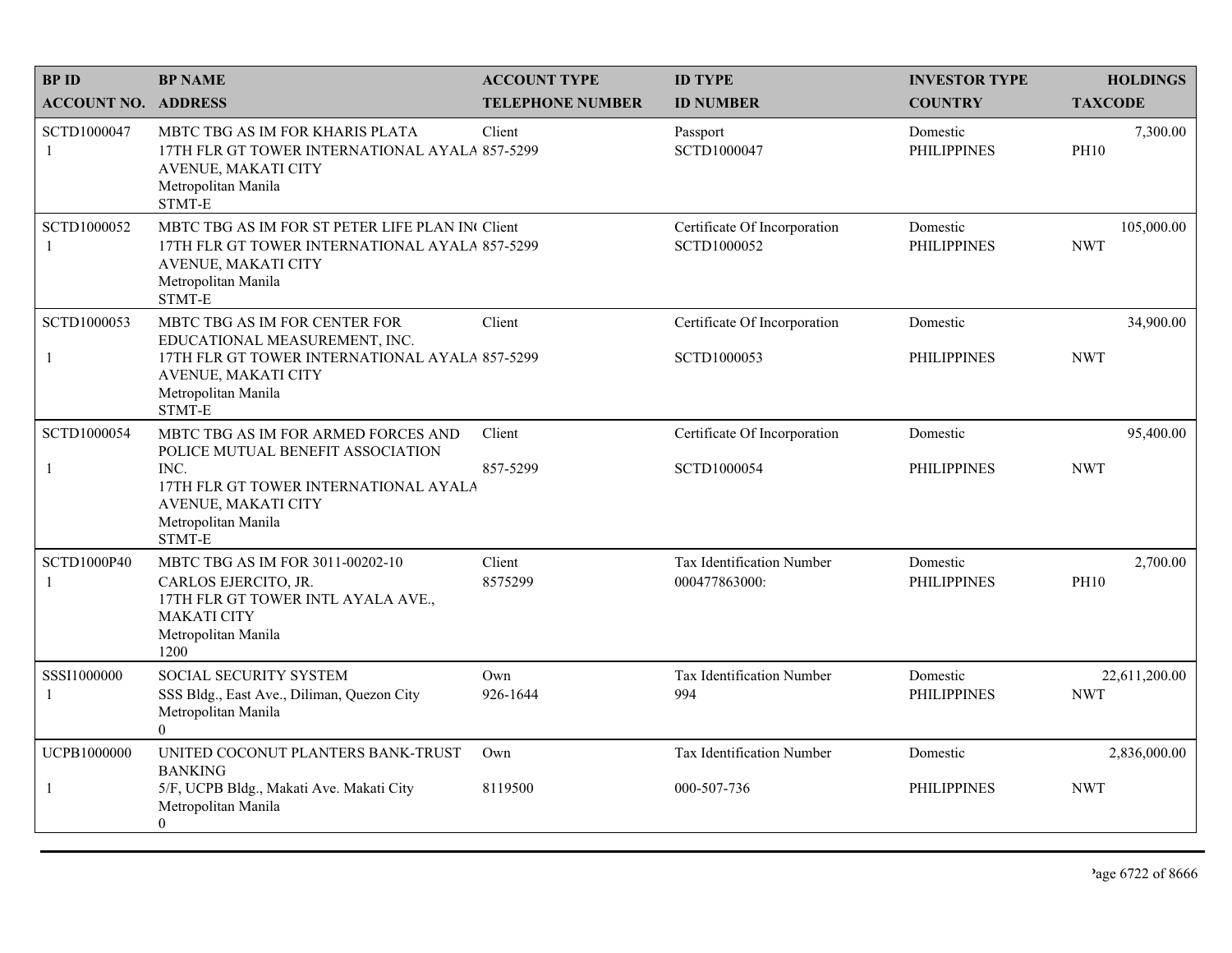| <b>BPID</b>                 | <b>BP NAME</b>                                                                                                                                            | <b>ACCOUNT TYPE</b>     | <b>ID TYPE</b>                              | <b>INVESTOR TYPE</b>           | <b>HOLDINGS</b>             |
|-----------------------------|-----------------------------------------------------------------------------------------------------------------------------------------------------------|-------------------------|---------------------------------------------|--------------------------------|-----------------------------|
| <b>ACCOUNT NO. ADDRESS</b>  |                                                                                                                                                           | <b>TELEPHONE NUMBER</b> | <b>ID NUMBER</b>                            | <b>COUNTRY</b>                 | <b>TAXCODE</b>              |
| SCTD1000047<br>-1           | MBTC TBG AS IM FOR KHARIS PLATA<br>17TH FLR GT TOWER INTERNATIONAL AYALA 857-5299<br>AVENUE, MAKATI CITY<br>Metropolitan Manila<br>STMT-E                 | Client                  | Passport<br>SCTD1000047                     | Domestic<br><b>PHILIPPINES</b> | 7,300.00<br><b>PH10</b>     |
| SCTD1000052<br>$\mathbf{1}$ | MBTC TBG AS IM FOR ST PETER LIFE PLAN IN Client<br>17TH FLR GT TOWER INTERNATIONAL AYALA 857-5299<br>AVENUE, MAKATI CITY<br>Metropolitan Manila<br>STMT-E |                         | Certificate Of Incorporation<br>SCTD1000052 | Domestic<br><b>PHILIPPINES</b> | 105,000.00<br><b>NWT</b>    |
| SCTD1000053                 | MBTC TBG AS IM FOR CENTER FOR<br>EDUCATIONAL MEASUREMENT, INC.                                                                                            | Client                  | Certificate Of Incorporation                | Domestic                       | 34,900.00                   |
| $\mathbf{1}$                | 17TH FLR GT TOWER INTERNATIONAL AYALA 857-5299<br>AVENUE, MAKATI CITY<br>Metropolitan Manila<br>STMT-E                                                    |                         | SCTD1000053                                 | <b>PHILIPPINES</b>             | <b>NWT</b>                  |
| SCTD1000054                 | MBTC TBG AS IM FOR ARMED FORCES AND<br>POLICE MUTUAL BENEFIT ASSOCIATION                                                                                  | Client                  | Certificate Of Incorporation                | Domestic                       | 95,400.00                   |
| $\mathbf{1}$                | INC.<br>17TH FLR GT TOWER INTERNATIONAL AYALA<br>AVENUE, MAKATI CITY<br>Metropolitan Manila<br>STMT-E                                                     | 857-5299                | SCTD1000054                                 | <b>PHILIPPINES</b>             | <b>NWT</b>                  |
| SCTD1000P40<br>$\mathbf{1}$ | MBTC TBG AS IM FOR 3011-00202-10<br>CARLOS EJERCITO, JR.<br>17TH FLR GT TOWER INTL AYALA AVE.,<br><b>MAKATI CITY</b><br>Metropolitan Manila<br>1200       | Client<br>8575299       | Tax Identification Number<br>000477863000:  | Domestic<br><b>PHILIPPINES</b> | 2,700.00<br><b>PH10</b>     |
| SSSI1000000<br>$\mathbf{1}$ | SOCIAL SECURITY SYSTEM<br>SSS Bldg., East Ave., Diliman, Quezon City<br>Metropolitan Manila<br>$\overline{0}$                                             | Own<br>926-1644         | Tax Identification Number<br>994            | Domestic<br><b>PHILIPPINES</b> | 22,611,200.00<br><b>NWT</b> |
| UCPB1000000                 | UNITED COCONUT PLANTERS BANK-TRUST<br><b>BANKING</b>                                                                                                      | Own                     | Tax Identification Number                   | Domestic                       | 2,836,000.00                |
| 1                           | 5/F, UCPB Bldg., Makati Ave. Makati City<br>Metropolitan Manila<br>$\Omega$                                                                               | 8119500                 | 000-507-736                                 | <b>PHILIPPINES</b>             | <b>NWT</b>                  |